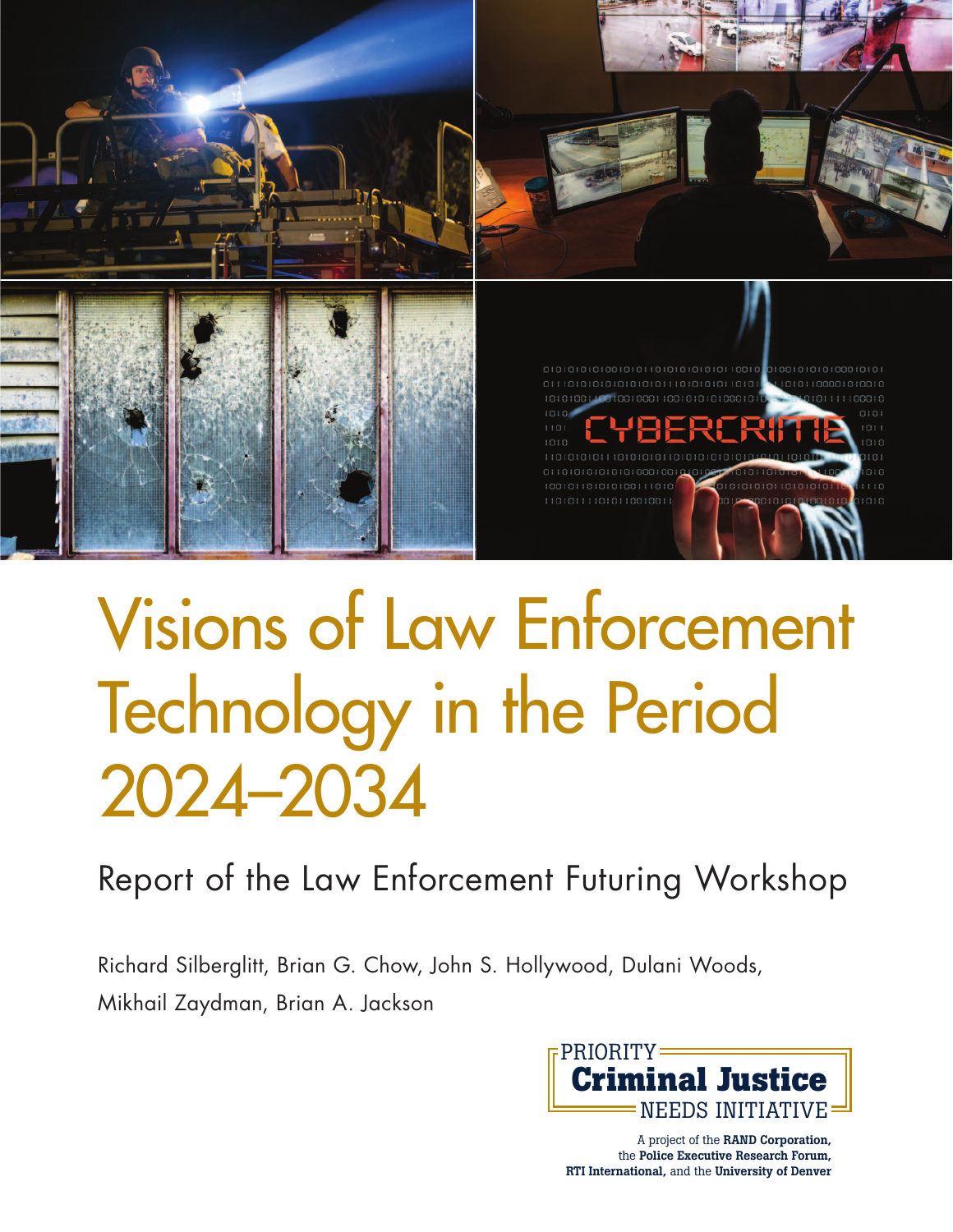

# [Visions of Law Enforcement](http://www.rand.org/pubs/research_reports/RR908.html)  Technology in the Period 2024–2034

Report of the Law Enforcement Futuring Workshop

Richard Silberglitt, Brian G. Chow, John S. Hollywood, Dulani Woods, Mikhail Zaydman, Brian A. Jackson



A project of the **RAND Corporation,**  the **Police Executive Research Forum, RTI International,** and the **University of Denver**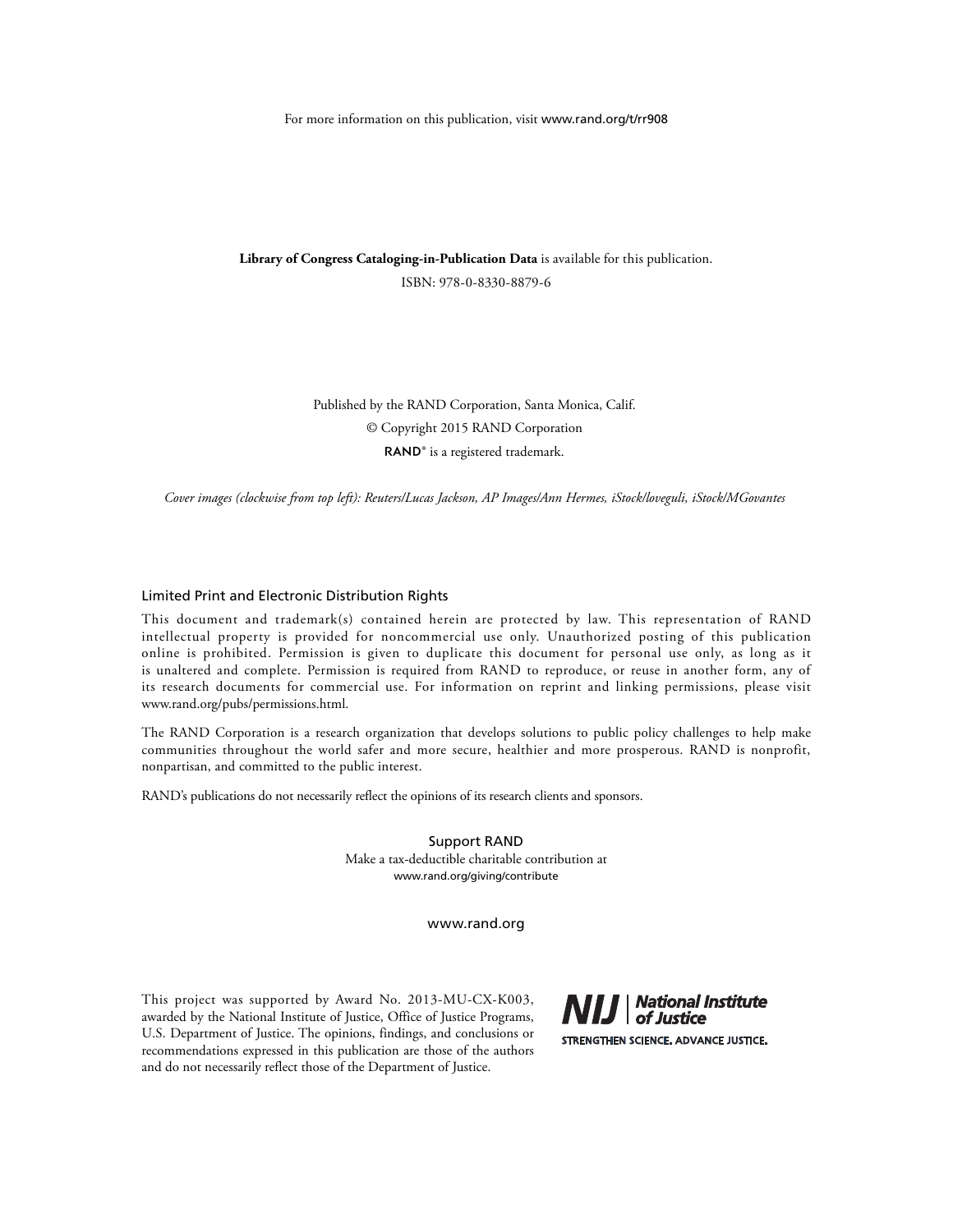For more information on this publication, visit [www.rand.org/t/rr908](http://www.rand.org/t/rr908)

**Library of Congress Cataloging-in-Publication Data** is available for this publication. ISBN: 978-0-8330-8879-6

> Published by the RAND Corporation, Santa Monica, Calif. © Copyright 2015 RAND Corporation RAND<sup>®</sup> is a registered trademark.

*Cover images (clockwise from top left): Reuters/Lucas Jackson, AP Images/Ann Hermes, iStock/loveguli, iStock/MGovantes*

#### Limited Print and Electronic Distribution Rights

This document and trademark(s) contained herein are protected by law. This representation of RAND intellectual property is provided for noncommercial use only. Unauthorized posting of this publication online is prohibited. Permission is given to duplicate this document for personal use only, as long as it is unaltered and complete. Permission is required from RAND to reproduce, or reuse in another form, any of its research documents for commercial use. For information on reprint and linking permissions, please visit [www.rand.org/pubs/permissions.html.](http://www.rand.org/pubs/permissions.html)

The RAND Corporation is a research organization that develops solutions to public policy challenges to help make communities throughout the world safer and more secure, healthier and more prosperous. RAND is nonprofit, nonpartisan, and committed to the public interest.

RAND's publications do not necessarily reflect the opinions of its research clients and sponsors.

Support RAND Make a tax-deductible charitable contribution at [www.rand.org/giving/contribute](http://www.rand.org/giving/contribute)

[www.rand.org](http://www.rand.org)

This project was supported by Award No. 2013-MU-CX-K003, awarded by the National Institute of Justice, Office of Justice Programs, U.S. Department of Justice. The opinions, findings, and conclusions or recommendations expressed in this publication are those of the authors and do not necessarily reflect those of the Department of Justice.

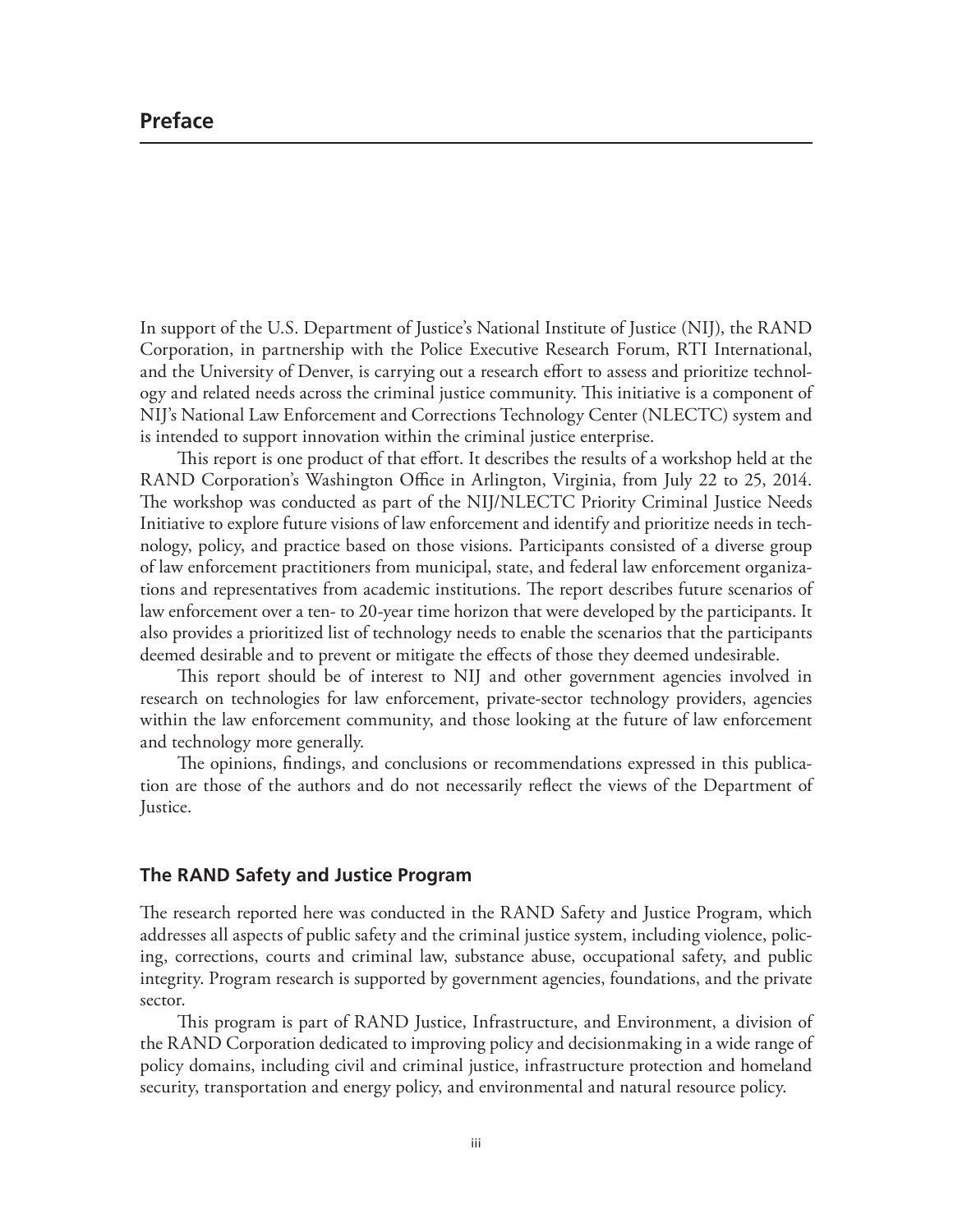In support of the U.S. Department of Justice's National Institute of Justice (NIJ), the RAND Corporation, in partnership with the Police Executive Research Forum, RTI International, and the University of Denver, is carrying out a research effort to assess and prioritize technology and related needs across the criminal justice community. This initiative is a component of NIJ's National Law Enforcement and Corrections Technology Center (NLECTC) system and is intended to support innovation within the criminal justice enterprise.

This report is one product of that effort. It describes the results of a workshop held at the RAND Corporation's Washington Office in Arlington, Virginia, from July 22 to 25, 2014. The workshop was conducted as part of the NIJ/NLECTC Priority Criminal Justice Needs Initiative to explore future visions of law enforcement and identify and prioritize needs in technology, policy, and practice based on those visions. Participants consisted of a diverse group of law enforcement practitioners from municipal, state, and federal law enforcement organizations and representatives from academic institutions. The report describes future scenarios of law enforcement over a ten- to 20-year time horizon that were developed by the participants. It also provides a prioritized list of technology needs to enable the scenarios that the participants deemed desirable and to prevent or mitigate the effects of those they deemed undesirable.

This report should be of interest to NIJ and other government agencies involved in research on technologies for law enforcement, private-sector technology providers, agencies within the law enforcement community, and those looking at the future of law enforcement and technology more generally.

The opinions, findings, and conclusions or recommendations expressed in this publication are those of the authors and do not necessarily reflect the views of the Department of Justice.

#### **The RAND Safety and Justice Program**

The research reported here was conducted in the RAND Safety and Justice Program, which addresses all aspects of public safety and the criminal justice system, including violence, policing, corrections, courts and criminal law, substance abuse, occupational safety, and public integrity. Program research is supported by government agencies, foundations, and the private sector.

This program is part of RAND Justice, Infrastructure, and Environment, a division of the RAND Corporation dedicated to improving policy and decisionmaking in a wide range of policy domains, including civil and criminal justice, infrastructure protection and homeland security, transportation and energy policy, and environmental and natural resource policy.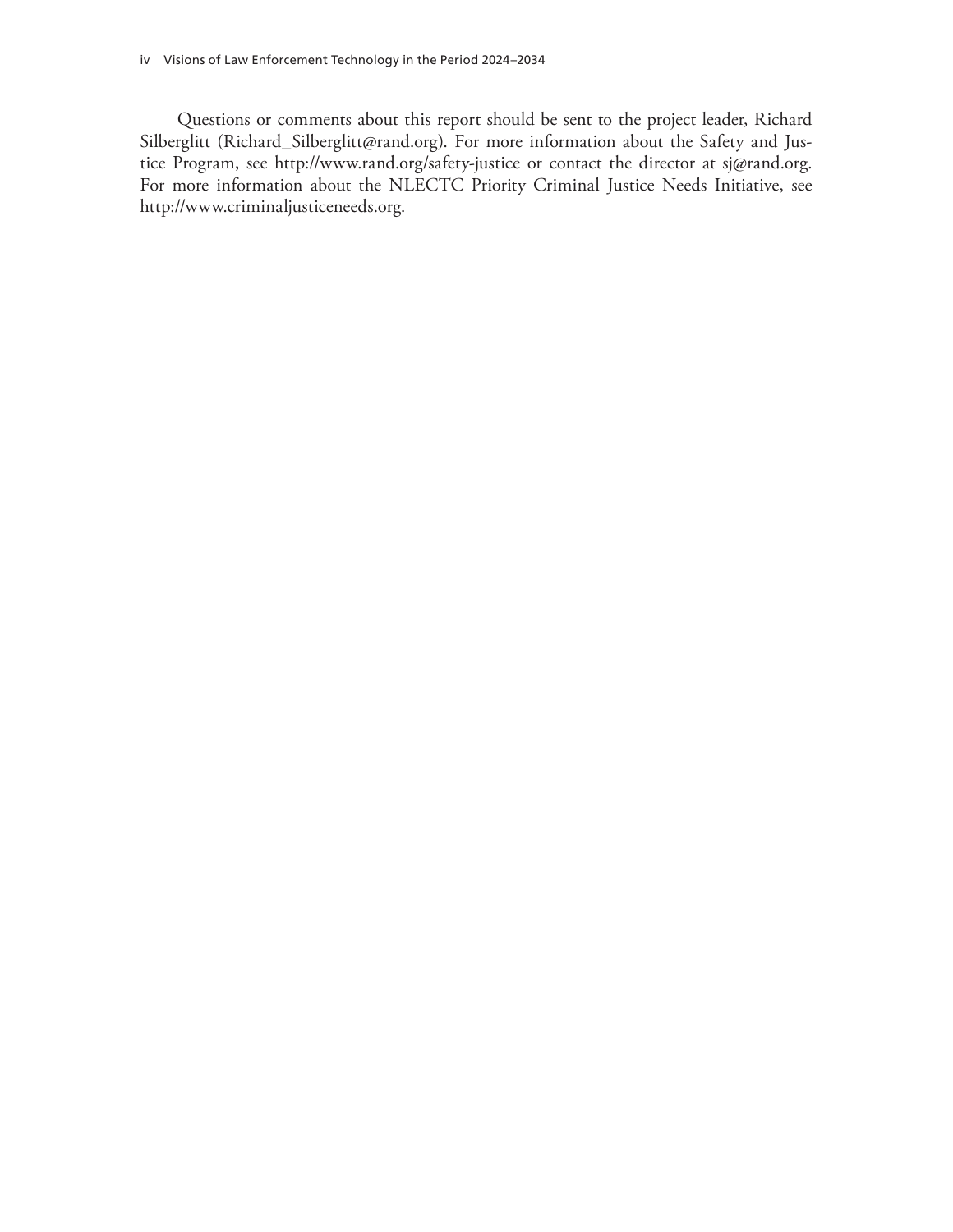Questions or comments about this report should be sent to the project leader, Richard Silberglitt [\(Richard\\_Silberglitt@rand.org\).](mailto:Richard_Silberglitt@rand.org) For more information about the Safety and Justice Program, see <http://www.rand.org/safety-justice>or contact the director at [sj@rand.org.](mailto:sj@rand.org)  For more information about the NLECTC Priority Criminal Justice Needs Initiative, see [http://www.criminaljusticeneeds.org.](http://www.criminaljusticeneeds.org)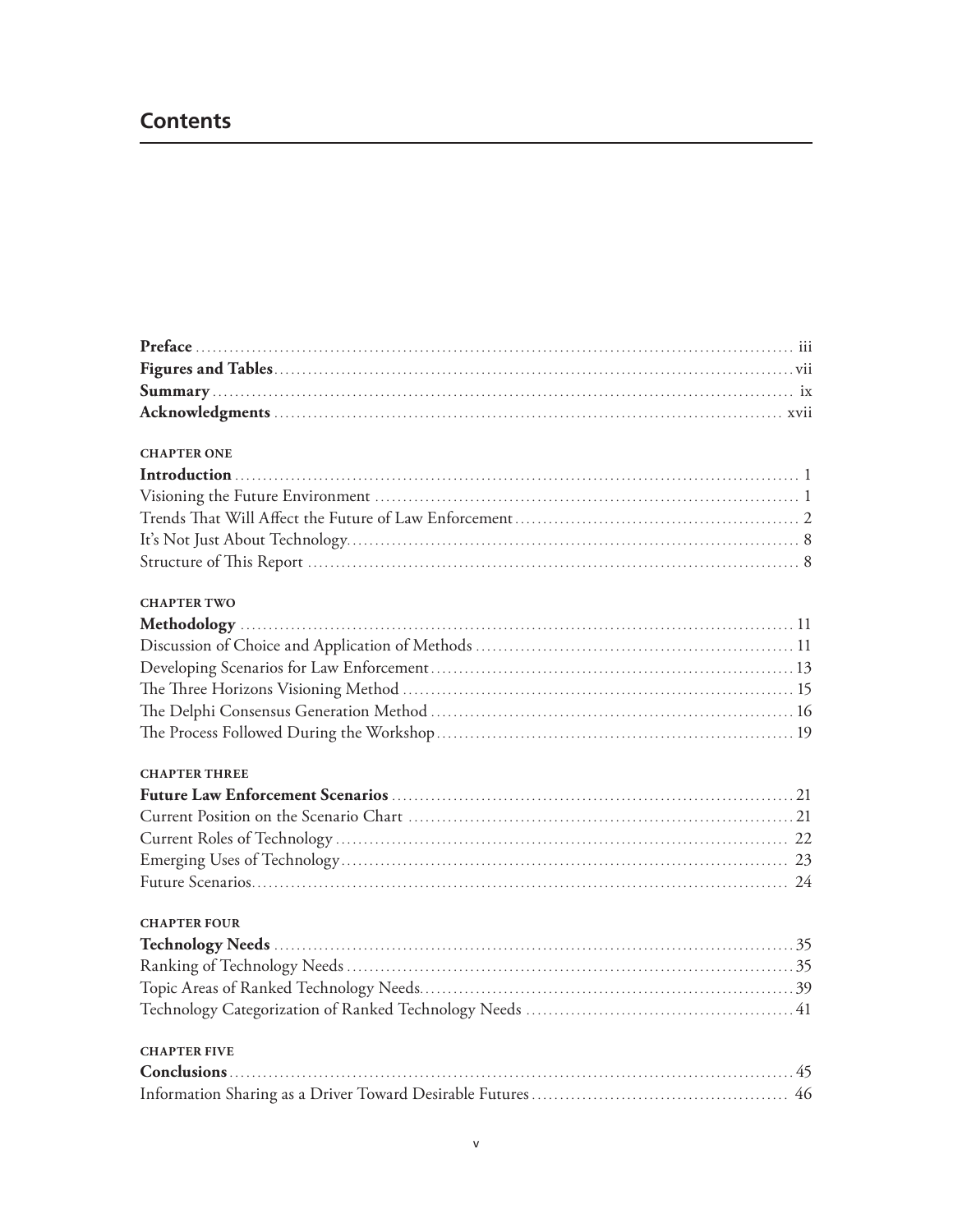# **Contents**

| <b>CHAPTER ONE</b>   |  |
|----------------------|--|
|                      |  |
|                      |  |
|                      |  |
|                      |  |
|                      |  |
| <b>CHAPTER TWO</b>   |  |
|                      |  |
|                      |  |
|                      |  |
|                      |  |
|                      |  |
|                      |  |
| <b>CHAPTER THREE</b> |  |
|                      |  |
|                      |  |
|                      |  |
|                      |  |
|                      |  |
| <b>CHAPTER FOUR</b>  |  |
|                      |  |
|                      |  |
|                      |  |
|                      |  |
| <b>CHAPTER FIVE</b>  |  |
|                      |  |
|                      |  |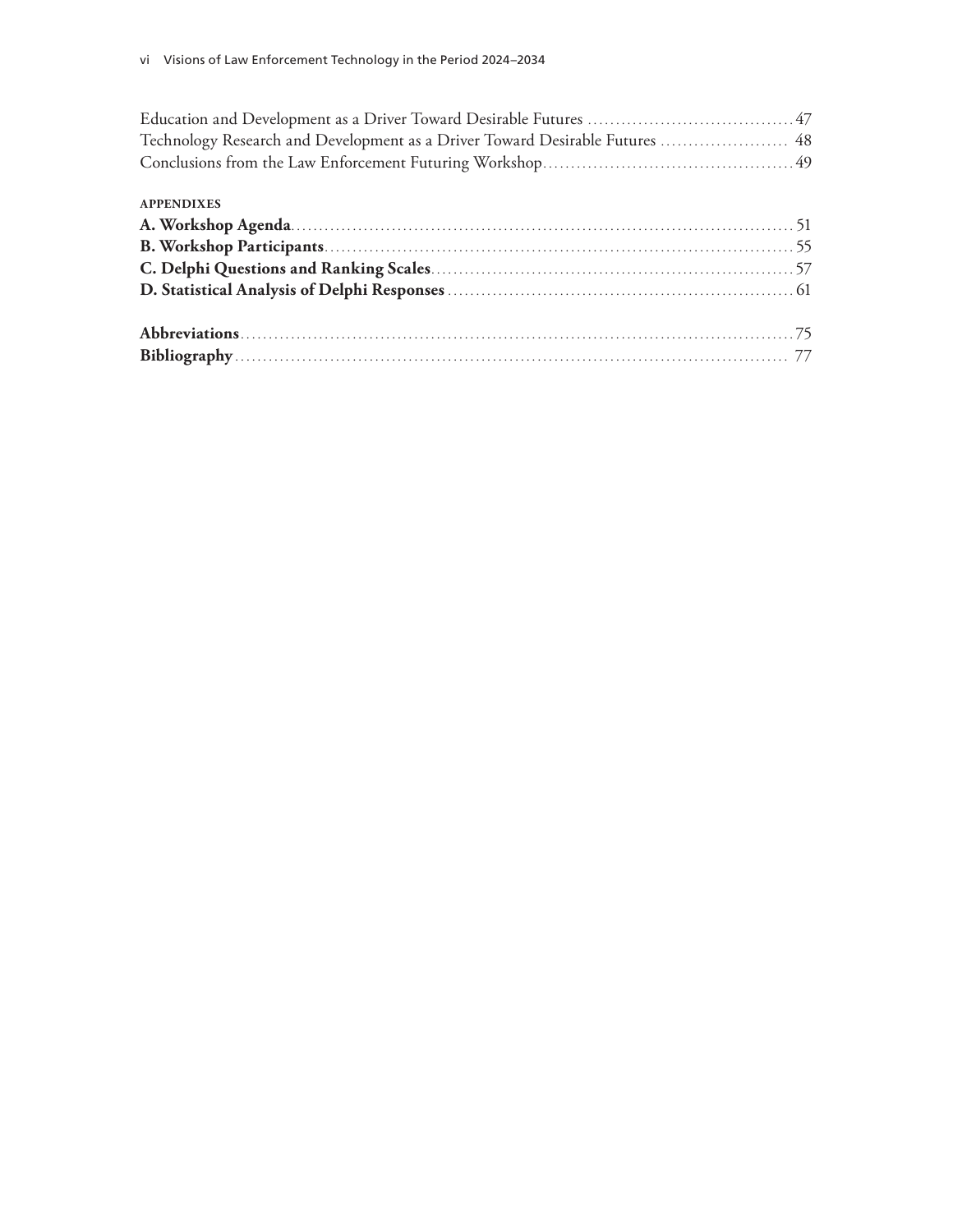| Technology Research and Development as a Driver Toward Desirable Futures  48 |  |
|------------------------------------------------------------------------------|--|
|                                                                              |  |

| <b>APPENDIXES</b> |  |
|-------------------|--|
|                   |  |
|                   |  |
|                   |  |
|                   |  |
|                   |  |
|                   |  |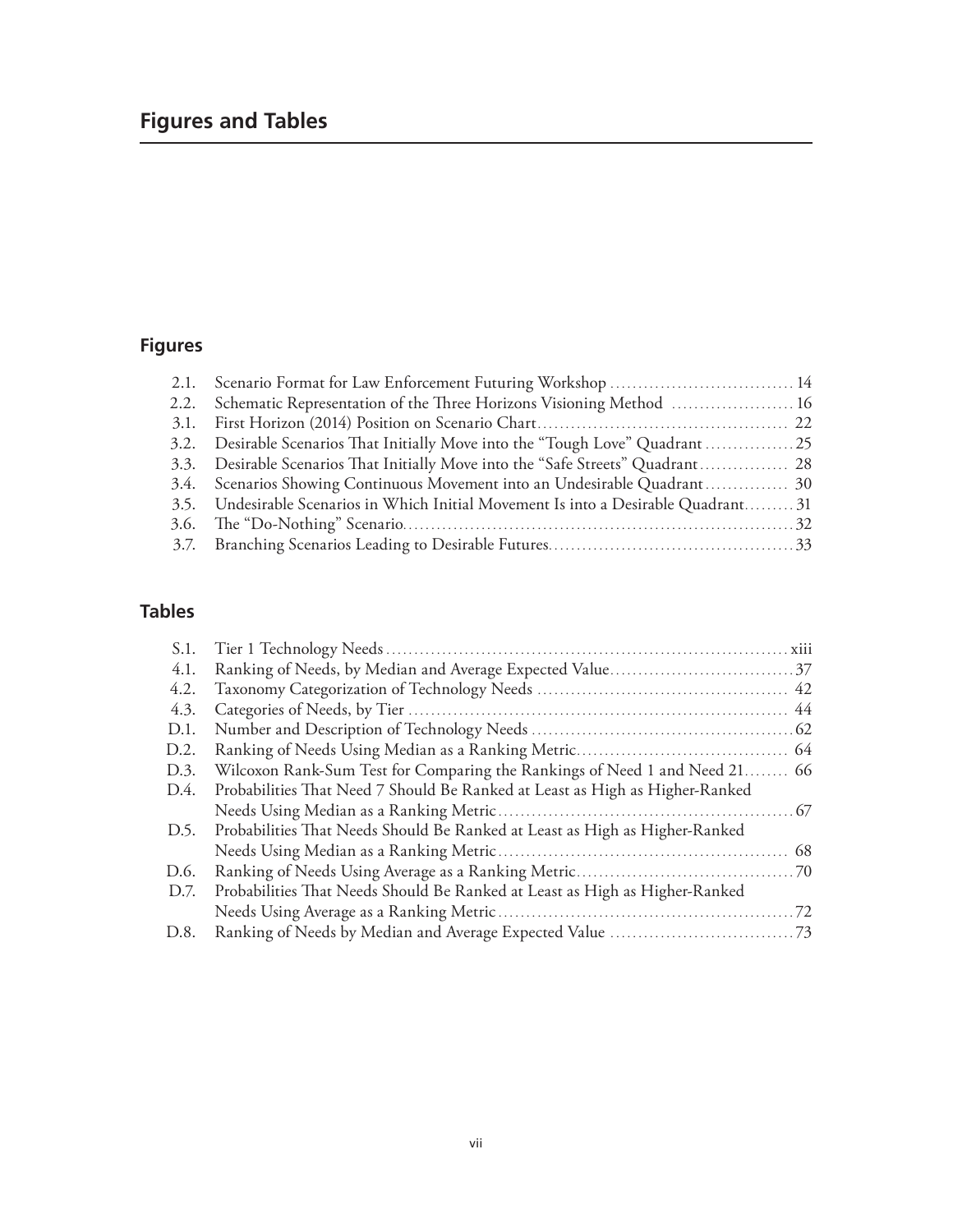# **Figures and Tables**

# **Figures**

| 2.1. Scenario Format for Law Enforcement Futuring Workshop  14                       |  |
|--------------------------------------------------------------------------------------|--|
| 2.2. Schematic Representation of the Three Horizons Visioning Method  16             |  |
|                                                                                      |  |
| 3.2. Desirable Scenarios That Initially Move into the "Tough Love" Quadrant  25      |  |
| 3.3. Desirable Scenarios That Initially Move into the "Safe Streets" Quadrant 28     |  |
| 3.4. Scenarios Showing Continuous Movement into an Undesirable Quadrant 30           |  |
| 3.5. Undesirable Scenarios in Which Initial Movement Is into a Desirable Quadrant 31 |  |
|                                                                                      |  |
|                                                                                      |  |

# **Tables**

| S.1. |                                                                              |  |
|------|------------------------------------------------------------------------------|--|
| 4.1. |                                                                              |  |
| 4.2. |                                                                              |  |
| 4.3. |                                                                              |  |
| D.1. |                                                                              |  |
| D.2. |                                                                              |  |
| D.3. | Wilcoxon Rank-Sum Test for Comparing the Rankings of Need 1 and Need 21 66   |  |
| D.4. | Probabilities That Need 7 Should Be Ranked at Least as High as Higher-Ranked |  |
|      |                                                                              |  |
| D.5. | Probabilities That Needs Should Be Ranked at Least as High as Higher-Ranked  |  |
|      |                                                                              |  |
| D.6. |                                                                              |  |
| D.7. | Probabilities That Needs Should Be Ranked at Least as High as Higher-Ranked  |  |
|      |                                                                              |  |
| D.8. |                                                                              |  |
|      |                                                                              |  |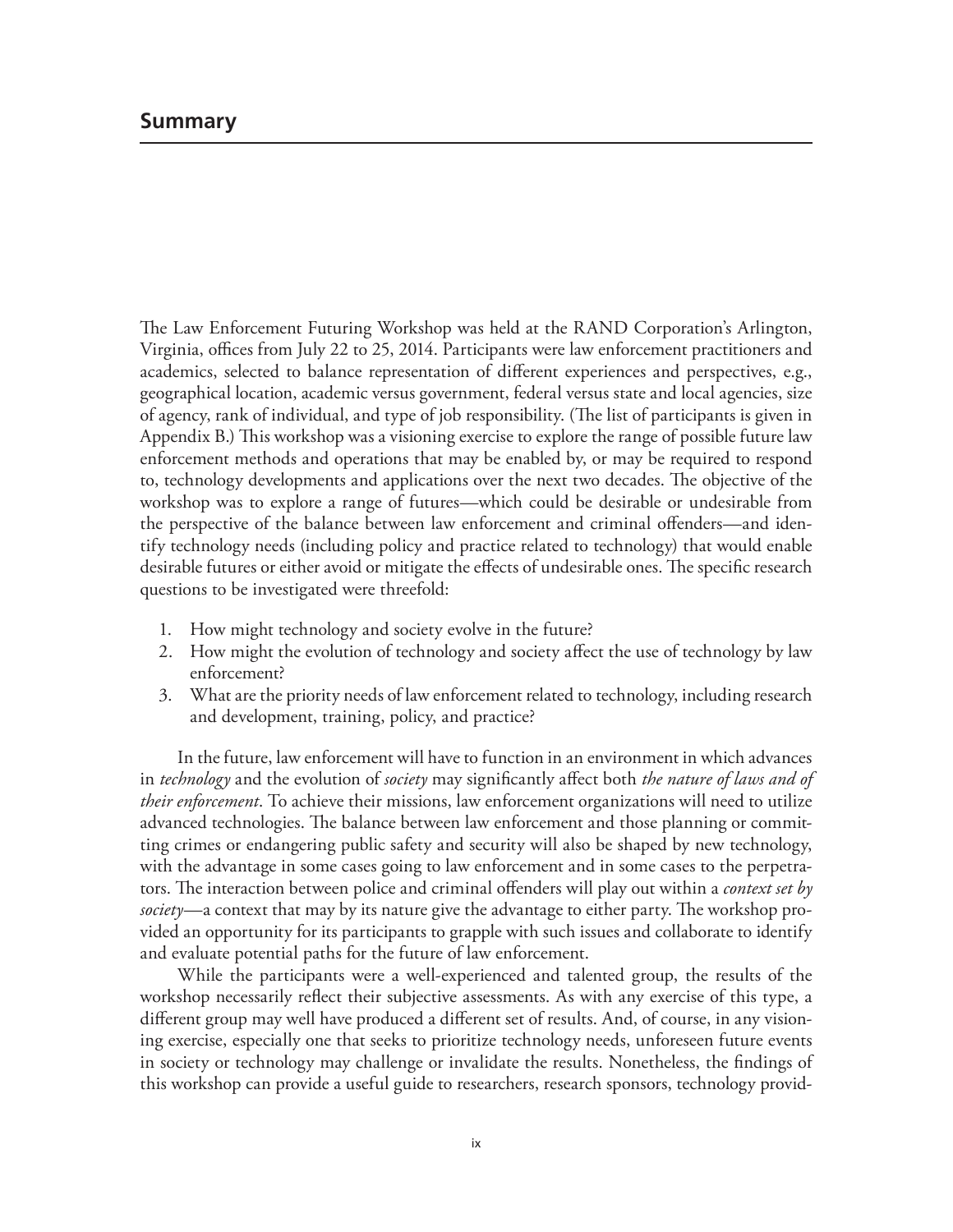The Law Enforcement Futuring Workshop was held at the RAND Corporation's Arlington, Virginia, offices from July 22 to 25, 2014. Participants were law enforcement practitioners and academics, selected to balance representation of different experiences and perspectives, e.g., geographical location, academic versus government, federal versus state and local agencies, size of agency, rank of individual, and type of job responsibility. (The list of participants is given in Appendix B.) This workshop was a visioning exercise to explore the range of possible future law enforcement methods and operations that may be enabled by, or may be required to respond to, technology developments and applications over the next two decades. The objective of the workshop was to explore a range of futures—which could be desirable or undesirable from the perspective of the balance between law enforcement and criminal offenders—and identify technology needs (including policy and practice related to technology) that would enable desirable futures or either avoid or mitigate the effects of undesirable ones. The specific research questions to be investigated were threefold:

- 1. How might technology and society evolve in the future?
- 2. How might the evolution of technology and society affect the use of technology by law enforcement?
- 3. What are the priority needs of law enforcement related to technology, including research and development, training, policy, and practice?

In the future, law enforcement will have to function in an environment in which advances in *technology* and the evolution of *society* may significantly affect both *the nature of laws and of their enforcement*. To achieve their missions, law enforcement organizations will need to utilize advanced technologies. The balance between law enforcement and those planning or committing crimes or endangering public safety and security will also be shaped by new technology, with the advantage in some cases going to law enforcement and in some cases to the perpetrators. The interaction between police and criminal offenders will play out within a *context set by society*—a context that may by its nature give the advantage to either party. The workshop provided an opportunity for its participants to grapple with such issues and collaborate to identify and evaluate potential paths for the future of law enforcement.

While the participants were a well-experienced and talented group, the results of the workshop necessarily reflect their subjective assessments. As with any exercise of this type, a different group may well have produced a different set of results. And, of course, in any visioning exercise, especially one that seeks to prioritize technology needs, unforeseen future events in society or technology may challenge or invalidate the results. Nonetheless, the findings of this workshop can provide a useful guide to researchers, research sponsors, technology provid-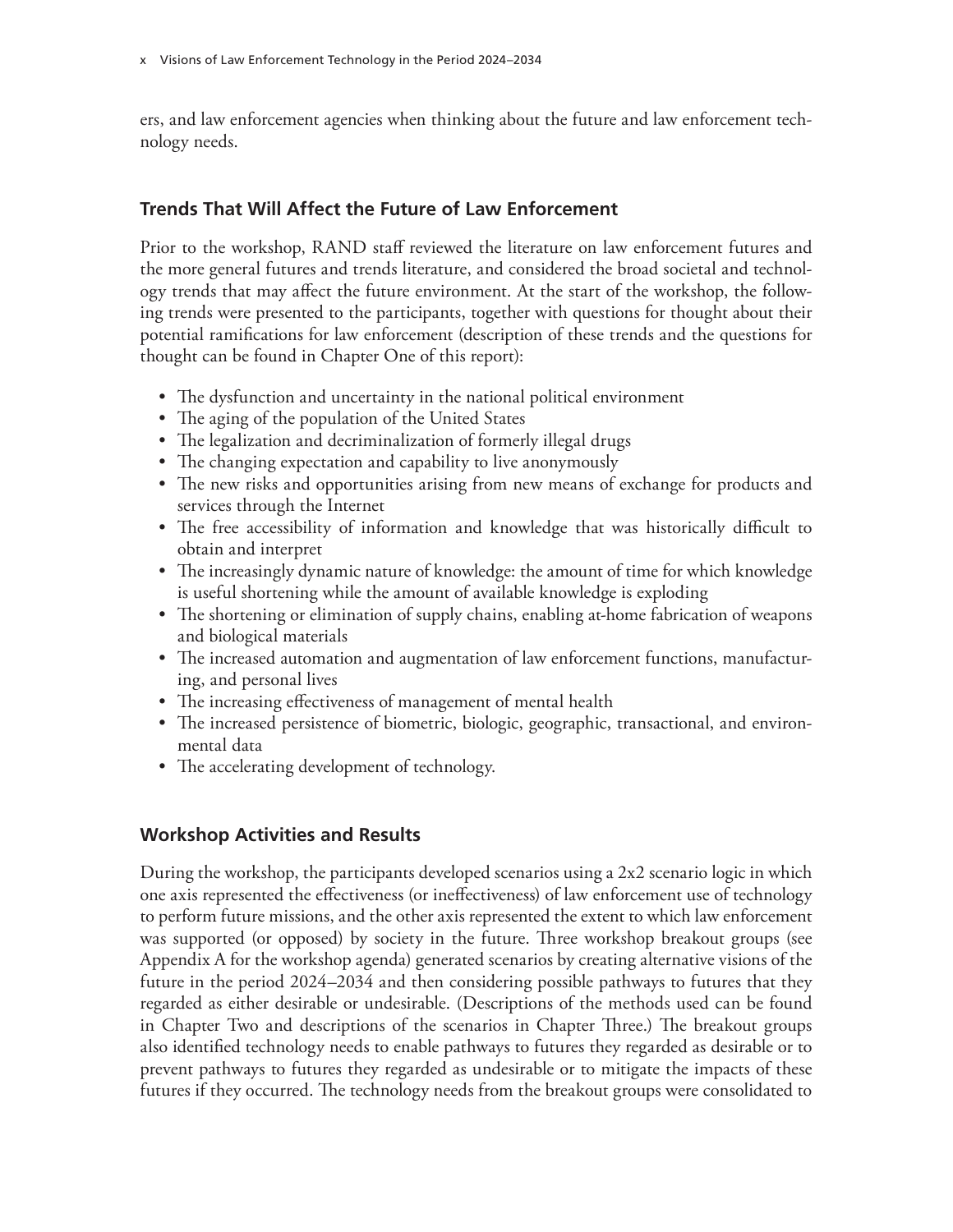ers, and law enforcement agencies when thinking about the future and law enforcement technology needs.

# **Trends That Will Affect the Future of Law Enforcement**

Prior to the workshop, RAND staff reviewed the literature on law enforcement futures and the more general futures and trends literature, and considered the broad societal and technology trends that may affect the future environment. At the start of the workshop, the following trends were presented to the participants, together with questions for thought about their potential ramifications for law enforcement (description of these trends and the questions for thought can be found in Chapter One of this report):

- The dysfunction and uncertainty in the national political environment
- The aging of the population of the United States
- The legalization and decriminalization of formerly illegal drugs
- The changing expectation and capability to live anonymously
- The new risks and opportunities arising from new means of exchange for products and services through the Internet
- The free accessibility of information and knowledge that was historically difficult to obtain and interpret
- The increasingly dynamic nature of knowledge: the amount of time for which knowledge is useful shortening while the amount of available knowledge is exploding
- The shortening or elimination of supply chains, enabling at-home fabrication of weapons and biological materials
- The increased automation and augmentation of law enforcement functions, manufacturing, and personal lives
- The increasing effectiveness of management of mental health
- The increased persistence of biometric, biologic, geographic, transactional, and environmental data
- The accelerating development of technology.

# **Workshop Activities and Results**

During the workshop, the participants developed scenarios using a 2x2 scenario logic in which one axis represented the effectiveness (or ineffectiveness) of law enforcement use of technology to perform future missions, and the other axis represented the extent to which law enforcement was supported (or opposed) by society in the future. Three workshop breakout groups (see Appendix A for the workshop agenda) generated scenarios by creating alternative visions of the future in the period 2024–2034 and then considering possible pathways to futures that they regarded as either desirable or undesirable. (Descriptions of the methods used can be found in Chapter Two and descriptions of the scenarios in Chapter Three.) The breakout groups also identified technology needs to enable pathways to futures they regarded as desirable or to prevent pathways to futures they regarded as undesirable or to mitigate the impacts of these futures if they occurred. The technology needs from the breakout groups were consolidated to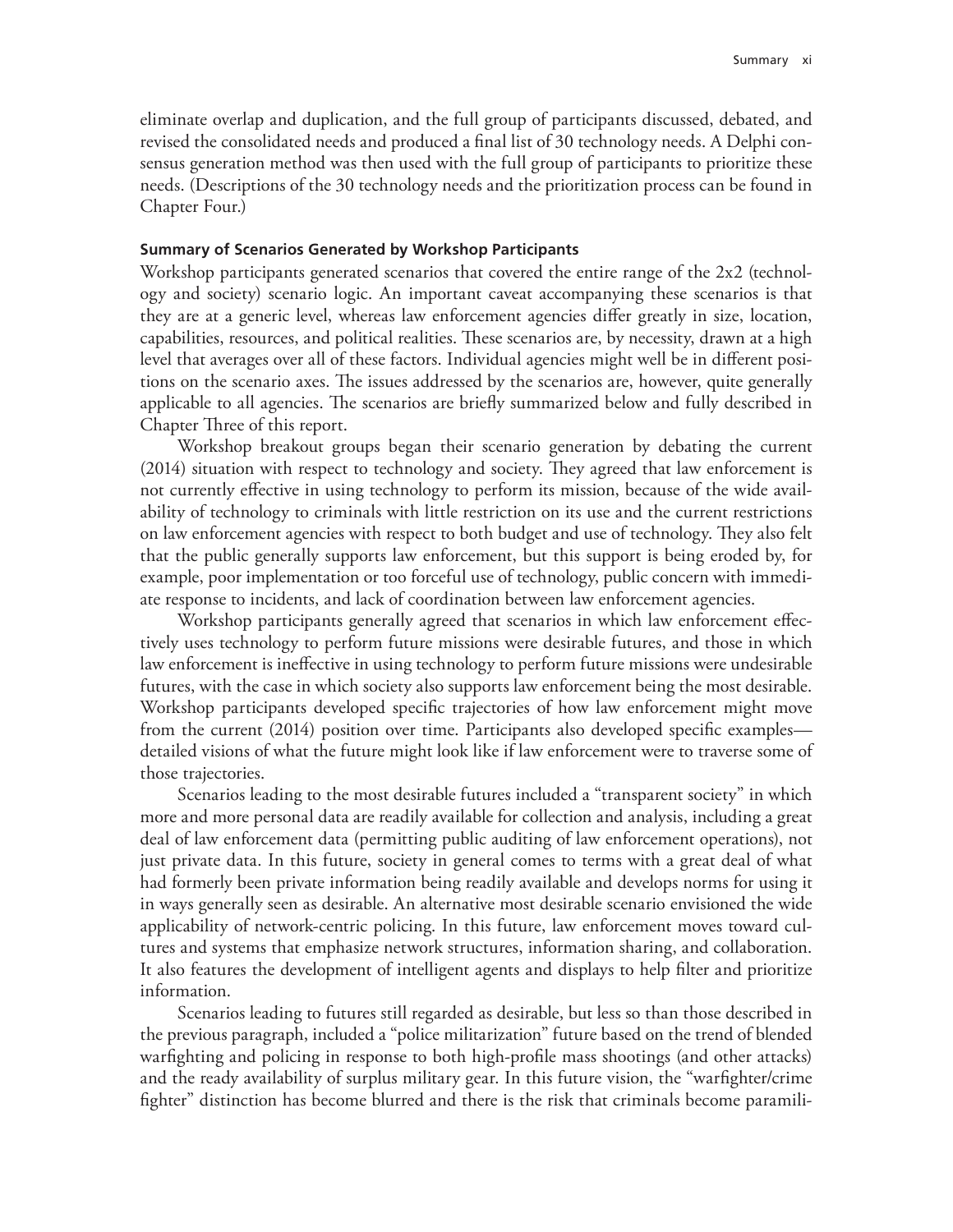eliminate overlap and duplication, and the full group of participants discussed, debated, and revised the consolidated needs and produced a final list of 30 technology needs. A Delphi consensus generation method was then used with the full group of participants to prioritize these needs. (Descriptions of the 30 technology needs and the prioritization process can be found in Chapter Four.)

#### **Summary of Scenarios Generated by Workshop Participants**

Workshop participants generated scenarios that covered the entire range of the 2x2 (technology and society) scenario logic. An important caveat accompanying these scenarios is that they are at a generic level, whereas law enforcement agencies differ greatly in size, location, capabilities, resources, and political realities. These scenarios are, by necessity, drawn at a high level that averages over all of these factors. Individual agencies might well be in different positions on the scenario axes. The issues addressed by the scenarios are, however, quite generally applicable to all agencies. The scenarios are briefly summarized below and fully described in Chapter Three of this report.

Workshop breakout groups began their scenario generation by debating the current (2014) situation with respect to technology and society. They agreed that law enforcement is not currently effective in using technology to perform its mission, because of the wide availability of technology to criminals with little restriction on its use and the current restrictions on law enforcement agencies with respect to both budget and use of technology. They also felt that the public generally supports law enforcement, but this support is being eroded by, for example, poor implementation or too forceful use of technology, public concern with immediate response to incidents, and lack of coordination between law enforcement agencies.

Workshop participants generally agreed that scenarios in which law enforcement effectively uses technology to perform future missions were desirable futures, and those in which law enforcement is ineffective in using technology to perform future missions were undesirable futures, with the case in which society also supports law enforcement being the most desirable. Workshop participants developed specific trajectories of how law enforcement might move from the current (2014) position over time. Participants also developed specific examples detailed visions of what the future might look like if law enforcement were to traverse some of those trajectories.

Scenarios leading to the most desirable futures included a "transparent society" in which more and more personal data are readily available for collection and analysis, including a great deal of law enforcement data (permitting public auditing of law enforcement operations), not just private data. In this future, society in general comes to terms with a great deal of what had formerly been private information being readily available and develops norms for using it in ways generally seen as desirable. An alternative most desirable scenario envisioned the wide applicability of network-centric policing. In this future, law enforcement moves toward cultures and systems that emphasize network structures, information sharing, and collaboration. It also features the development of intelligent agents and displays to help filter and prioritize information.

Scenarios leading to futures still regarded as desirable, but less so than those described in the previous paragraph, included a "police militarization" future based on the trend of blended warfighting and policing in response to both high-profile mass shootings (and other attacks) and the ready availability of surplus military gear. In this future vision, the "warfighter/crime fighter" distinction has become blurred and there is the risk that criminals become paramili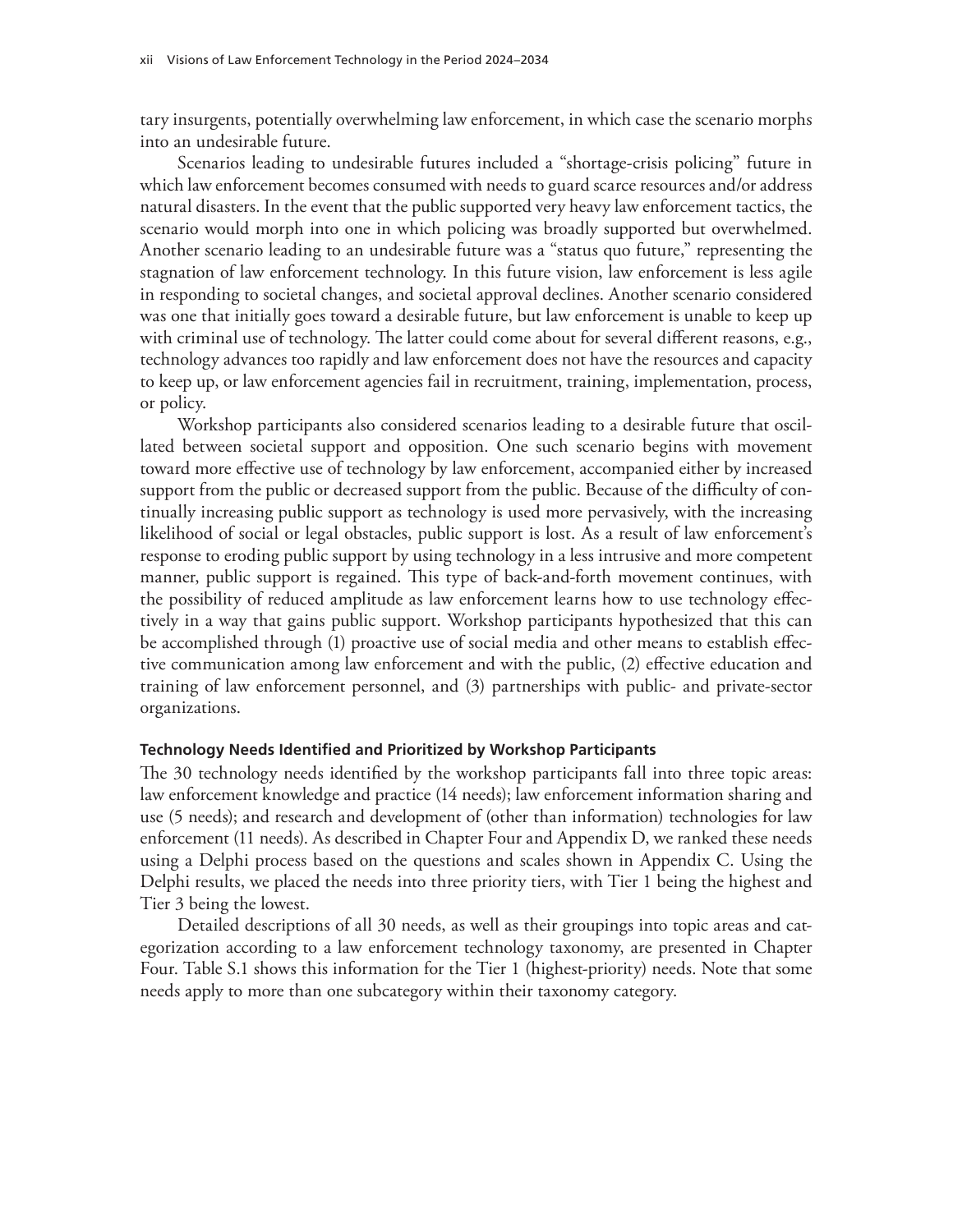tary insurgents, potentially overwhelming law enforcement, in which case the scenario morphs into an undesirable future.

Scenarios leading to undesirable futures included a "shortage-crisis policing" future in which law enforcement becomes consumed with needs to guard scarce resources and/or address natural disasters. In the event that the public supported very heavy law enforcement tactics, the scenario would morph into one in which policing was broadly supported but overwhelmed. Another scenario leading to an undesirable future was a "status quo future," representing the stagnation of law enforcement technology. In this future vision, law enforcement is less agile in responding to societal changes, and societal approval declines. Another scenario considered was one that initially goes toward a desirable future, but law enforcement is unable to keep up with criminal use of technology. The latter could come about for several different reasons, e.g., technology advances too rapidly and law enforcement does not have the resources and capacity to keep up, or law enforcement agencies fail in recruitment, training, implementation, process, or policy.

Workshop participants also considered scenarios leading to a desirable future that oscillated between societal support and opposition. One such scenario begins with movement toward more effective use of technology by law enforcement, accompanied either by increased support from the public or decreased support from the public. Because of the difficulty of continually increasing public support as technology is used more pervasively, with the increasing likelihood of social or legal obstacles, public support is lost. As a result of law enforcement's response to eroding public support by using technology in a less intrusive and more competent manner, public support is regained. This type of back-and-forth movement continues, with the possibility of reduced amplitude as law enforcement learns how to use technology effectively in a way that gains public support. Workshop participants hypothesized that this can be accomplished through (1) proactive use of social media and other means to establish effective communication among law enforcement and with the public, (2) effective education and training of law enforcement personnel, and (3) partnerships with public- and private-sector organizations.

#### **Technology Needs Identified and Prioritized by Workshop Participants**

The 30 technology needs identified by the workshop participants fall into three topic areas: law enforcement knowledge and practice (14 needs); law enforcement information sharing and use (5 needs); and research and development of (other than information) technologies for law enforcement (11 needs). As described in Chapter Four and Appendix D, we ranked these needs using a Delphi process based on the questions and scales shown in Appendix C. Using the Delphi results, we placed the needs into three priority tiers, with Tier 1 being the highest and Tier 3 being the lowest.

Detailed descriptions of all 30 needs, as well as their groupings into topic areas and categorization according to a law enforcement technology taxonomy, are presented in Chapter Four. Table S.1 shows this information for the Tier 1 (highest-priority) needs. Note that some needs apply to more than one subcategory within their taxonomy category.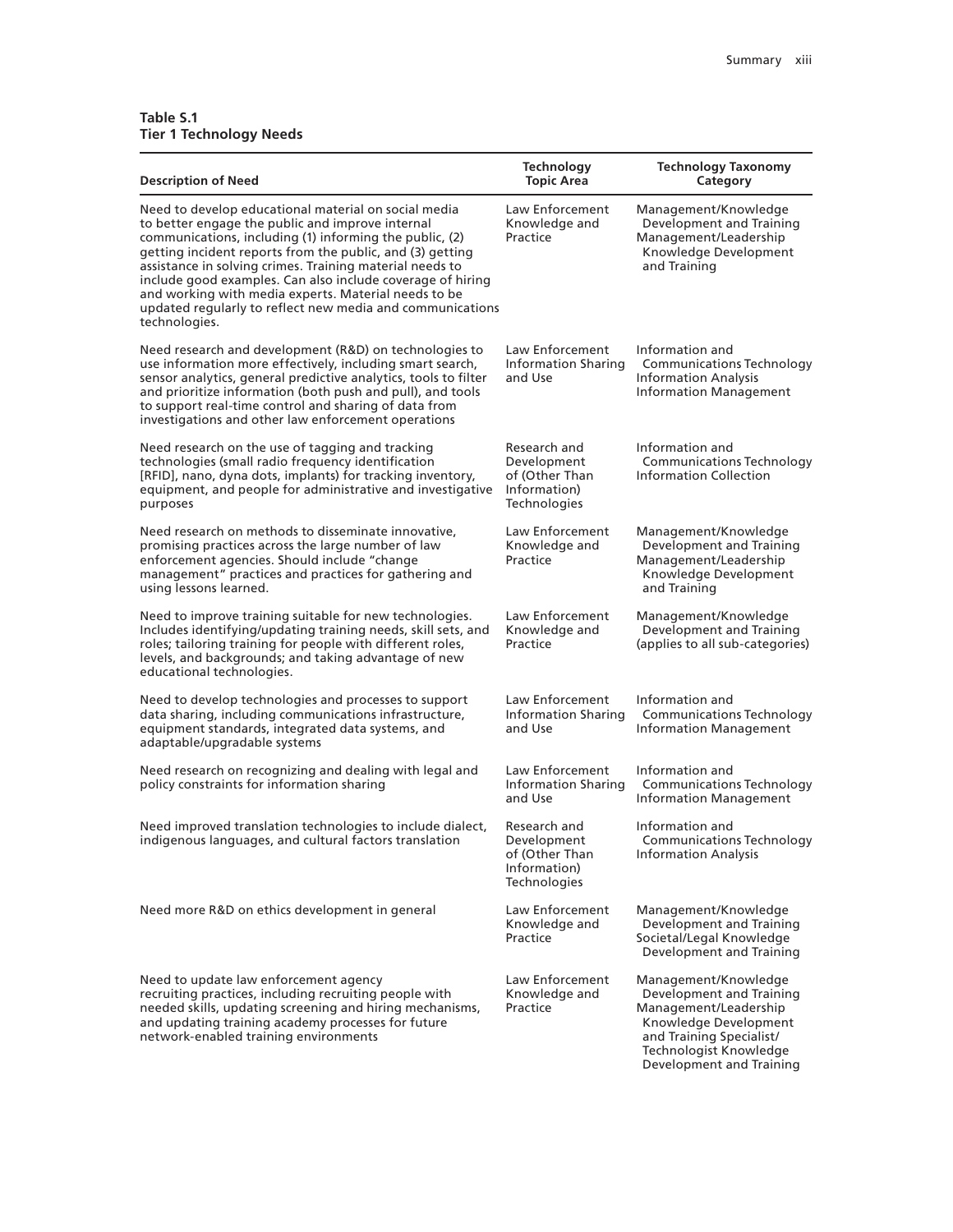#### **Table S.1 Tier 1 Technology Needs**

| <b>Description of Need</b>                                                                                                                                                                                                                                                                                                                                                                                                                                                                       | <b>Technology</b><br><b>Topic Area</b>                                               | <b>Technology Taxonomy</b><br>Category                                                                                                                                               |
|--------------------------------------------------------------------------------------------------------------------------------------------------------------------------------------------------------------------------------------------------------------------------------------------------------------------------------------------------------------------------------------------------------------------------------------------------------------------------------------------------|--------------------------------------------------------------------------------------|--------------------------------------------------------------------------------------------------------------------------------------------------------------------------------------|
| Need to develop educational material on social media<br>to better engage the public and improve internal<br>communications, including (1) informing the public, (2)<br>getting incident reports from the public, and (3) getting<br>assistance in solving crimes. Training material needs to<br>include good examples. Can also include coverage of hiring<br>and working with media experts. Material needs to be<br>updated regularly to reflect new media and communications<br>technologies. | Law Enforcement<br>Knowledge and<br>Practice                                         | Management/Knowledge<br>Development and Training<br>Management/Leadership<br>Knowledge Development<br>and Training                                                                   |
| Need research and development (R&D) on technologies to<br>use information more effectively, including smart search,<br>sensor analytics, general predictive analytics, tools to filter<br>and prioritize information (both push and pull), and tools<br>to support real-time control and sharing of data from<br>investigations and other law enforcement operations                                                                                                                             | Law Enforcement<br><b>Information Sharing</b><br>and Use                             | Information and<br><b>Communications Technology</b><br><b>Information Analysis</b><br>Information Management                                                                         |
| Need research on the use of tagging and tracking<br>technologies (small radio frequency identification<br>[RFID], nano, dyna dots, implants) for tracking inventory,<br>equipment, and people for administrative and investigative<br>purposes                                                                                                                                                                                                                                                   | Research and<br>Development<br>of (Other Than<br>Information)<br>Technologies        | Information and<br><b>Communications Technology</b><br><b>Information Collection</b>                                                                                                 |
| Need research on methods to disseminate innovative,<br>promising practices across the large number of law<br>enforcement agencies. Should include "change<br>management" practices and practices for gathering and<br>using lessons learned.                                                                                                                                                                                                                                                     | Law Enforcement<br>Knowledge and<br>Practice                                         | Management/Knowledge<br>Development and Training<br>Management/Leadership<br>Knowledge Development<br>and Training                                                                   |
| Need to improve training suitable for new technologies.<br>Includes identifying/updating training needs, skill sets, and<br>roles; tailoring training for people with different roles,<br>levels, and backgrounds; and taking advantage of new<br>educational technologies.                                                                                                                                                                                                                      | Law Enforcement<br>Knowledge and<br>Practice                                         | Management/Knowledge<br>Development and Training<br>(applies to all sub-categories)                                                                                                  |
| Need to develop technologies and processes to support<br>data sharing, including communications infrastructure,<br>equipment standards, integrated data systems, and<br>adaptable/upgradable systems                                                                                                                                                                                                                                                                                             | Law Enforcement<br>Information Sharing<br>and Use                                    | Information and<br><b>Communications Technology</b><br><b>Information Management</b>                                                                                                 |
| Need research on recognizing and dealing with legal and<br>policy constraints for information sharing                                                                                                                                                                                                                                                                                                                                                                                            | Law Enforcement<br><b>Information Sharing</b><br>and Use                             | Information and<br><b>Communications Technology</b><br><b>Information Management</b>                                                                                                 |
| Need improved translation technologies to include dialect,<br>indigenous languages, and cultural factors translation                                                                                                                                                                                                                                                                                                                                                                             | Research and<br>Development<br>of (Other Than<br>Information)<br><b>Technologies</b> | Information and<br><b>Communications Technology</b><br><b>Information Analysis</b>                                                                                                   |
| Need more R&D on ethics development in general                                                                                                                                                                                                                                                                                                                                                                                                                                                   | Law Enforcement<br>Knowledge and<br>Practice                                         | Management/Knowledge<br>Development and Training<br>Societal/Legal Knowledge<br>Development and Training                                                                             |
| Need to update law enforcement agency<br>recruiting practices, including recruiting people with<br>needed skills, updating screening and hiring mechanisms,<br>and updating training academy processes for future<br>network-enabled training environments                                                                                                                                                                                                                                       | Law Enforcement<br>Knowledge and<br>Practice                                         | Management/Knowledge<br>Development and Training<br>Management/Leadership<br>Knowledge Development<br>and Training Specialist/<br>Technologist Knowledge<br>Development and Training |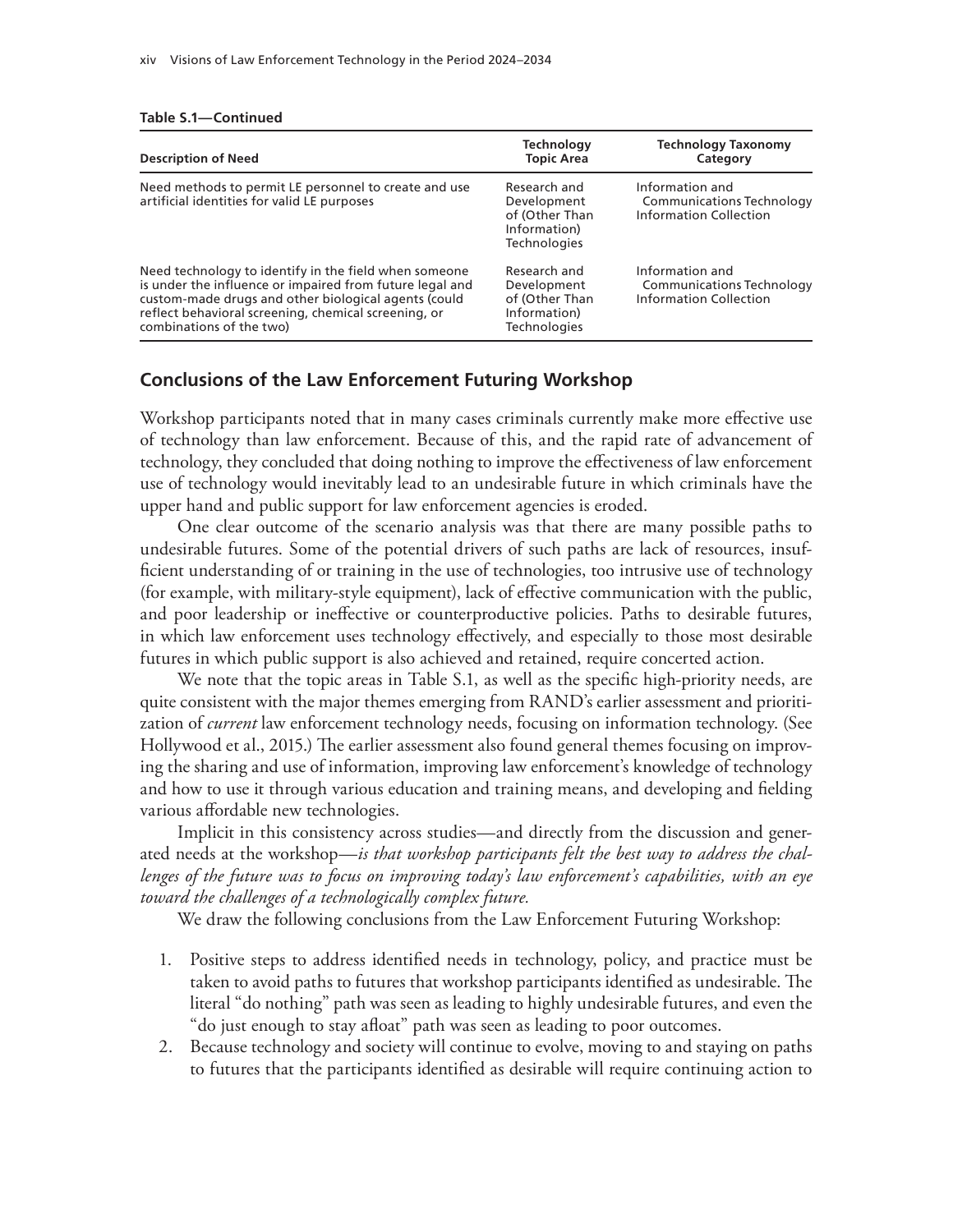| <b>Description of Need</b>                                                                                                                                                                                                                                    | <b>Technology</b><br><b>Topic Area</b>                                               | <b>Technology Taxonomy</b><br>Category                                        |
|---------------------------------------------------------------------------------------------------------------------------------------------------------------------------------------------------------------------------------------------------------------|--------------------------------------------------------------------------------------|-------------------------------------------------------------------------------|
| Need methods to permit LE personnel to create and use<br>artificial identities for valid LE purposes                                                                                                                                                          | Research and<br>Development<br>of (Other Than<br>Information)<br><b>Technologies</b> | Information and<br><b>Communications Technology</b><br>Information Collection |
| Need technology to identify in the field when someone<br>is under the influence or impaired from future legal and<br>custom-made drugs and other biological agents (could<br>reflect behavioral screening, chemical screening, or<br>combinations of the two) | Research and<br>Development<br>of (Other Than<br>Information)<br><b>Technologies</b> | Information and<br><b>Communications Technology</b><br>Information Collection |

#### **Table S.1—Continued**

#### **Conclusions of the Law Enforcement Futuring Workshop**

Workshop participants noted that in many cases criminals currently make more effective use of technology than law enforcement. Because of this, and the rapid rate of advancement of technology, they concluded that doing nothing to improve the effectiveness of law enforcement use of technology would inevitably lead to an undesirable future in which criminals have the upper hand and public support for law enforcement agencies is eroded.

One clear outcome of the scenario analysis was that there are many possible paths to undesirable futures. Some of the potential drivers of such paths are lack of resources, insufficient understanding of or training in the use of technologies, too intrusive use of technology (for example, with military-style equipment), lack of effective communication with the public, and poor leadership or ineffective or counterproductive policies. Paths to desirable futures, in which law enforcement uses technology effectively, and especially to those most desirable futures in which public support is also achieved and retained, require concerted action.

We note that the topic areas in Table S.1, as well as the specific high-priority needs, are quite consistent with the major themes emerging from RAND's earlier assessment and prioritization of *current* law enforcement technology needs, focusing on information technology. (See Hollywood et al., 2015.) The earlier assessment also found general themes focusing on improving the sharing and use of information, improving law enforcement's knowledge of technology and how to use it through various education and training means, and developing and fielding various affordable new technologies.

Implicit in this consistency across studies—and directly from the discussion and generated needs at the workshop—*is that workshop participants felt the best way to address the challenges of the future was to focus on improving today's law enforcement's capabilities, with an eye toward the challenges of a technologically complex future.*

We draw the following conclusions from the Law Enforcement Futuring Workshop:

- 1. Positive steps to address identified needs in technology, policy, and practice must be taken to avoid paths to futures that workshop participants identified as undesirable. The literal "do nothing" path was seen as leading to highly undesirable futures, and even the "do just enough to stay afloat" path was seen as leading to poor outcomes.
- 2. Because technology and society will continue to evolve, moving to and staying on paths to futures that the participants identified as desirable will require continuing action to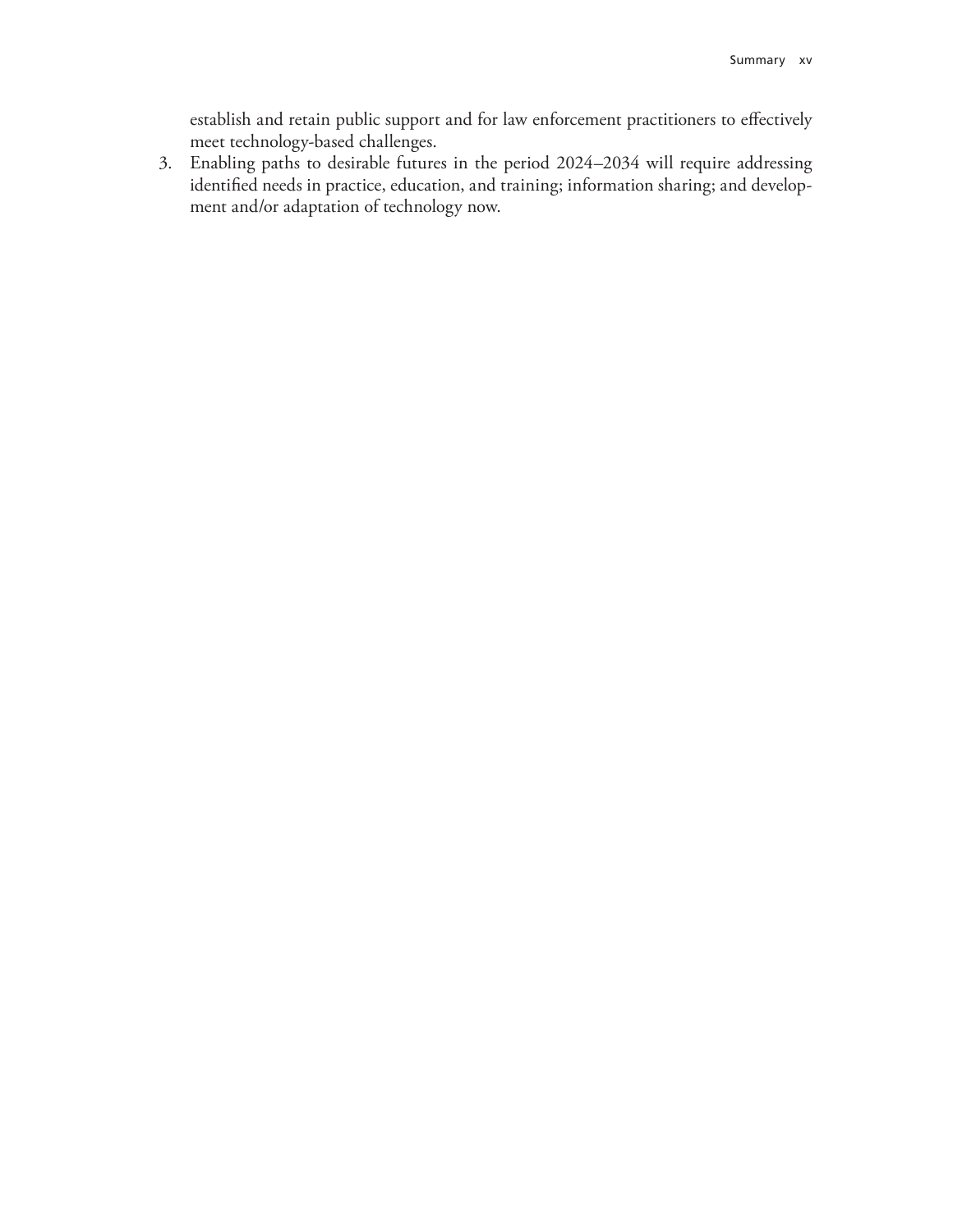establish and retain public support and for law enforcement practitioners to effectively meet technology-based challenges.

3. Enabling paths to desirable futures in the period 2024–2034 will require addressing identified needs in practice, education, and training; information sharing; and development and/or adaptation of technology now.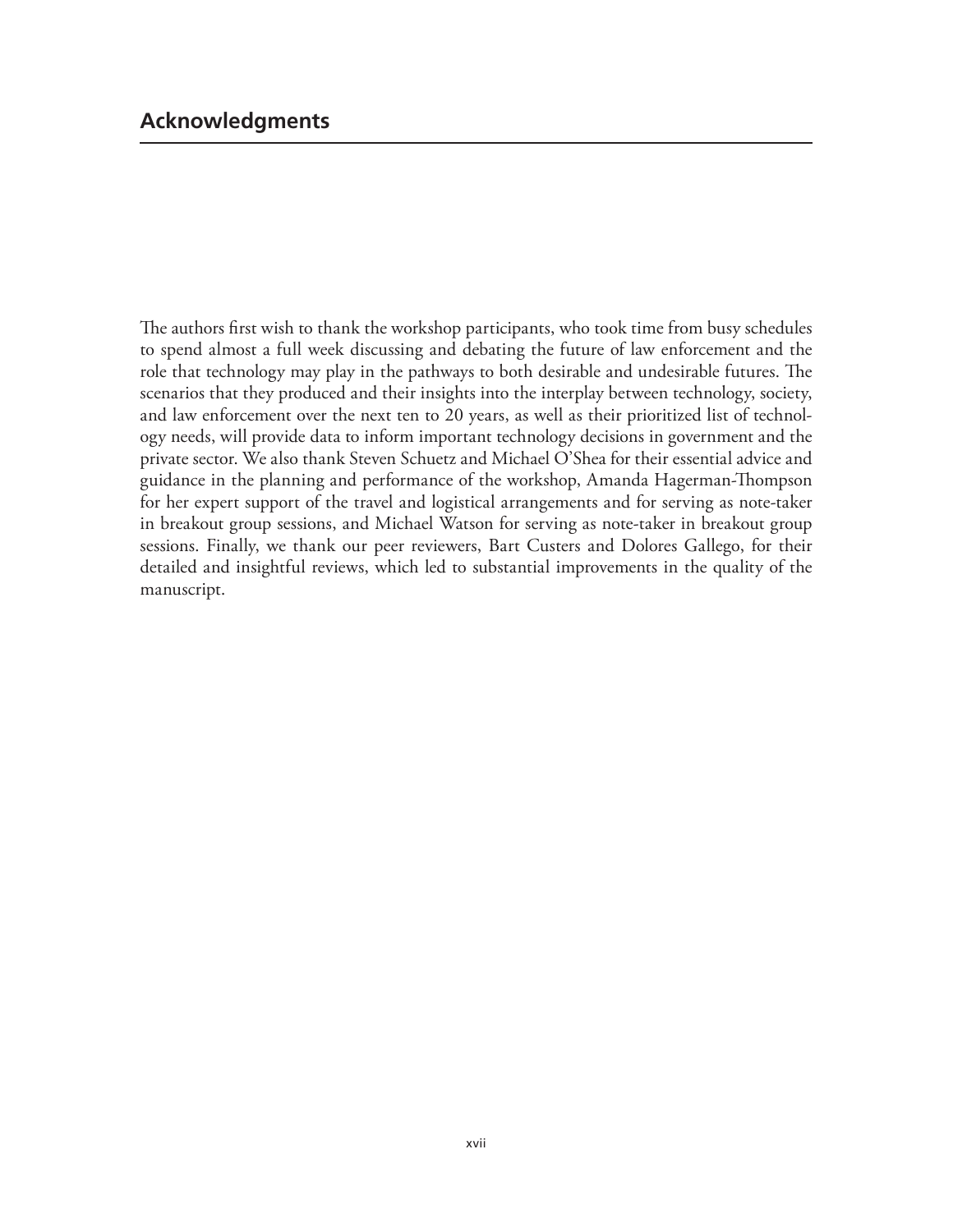The authors first wish to thank the workshop participants, who took time from busy schedules to spend almost a full week discussing and debating the future of law enforcement and the role that technology may play in the pathways to both desirable and undesirable futures. The scenarios that they produced and their insights into the interplay between technology, society, and law enforcement over the next ten to 20 years, as well as their prioritized list of technology needs, will provide data to inform important technology decisions in government and the private sector. We also thank Steven Schuetz and Michael O'Shea for their essential advice and guidance in the planning and performance of the workshop, Amanda Hagerman-Thompson for her expert support of the travel and logistical arrangements and for serving as note-taker in breakout group sessions, and Michael Watson for serving as note-taker in breakout group sessions. Finally, we thank our peer reviewers, Bart Custers and Dolores Gallego, for their detailed and insightful reviews, which led to substantial improvements in the quality of the manuscript.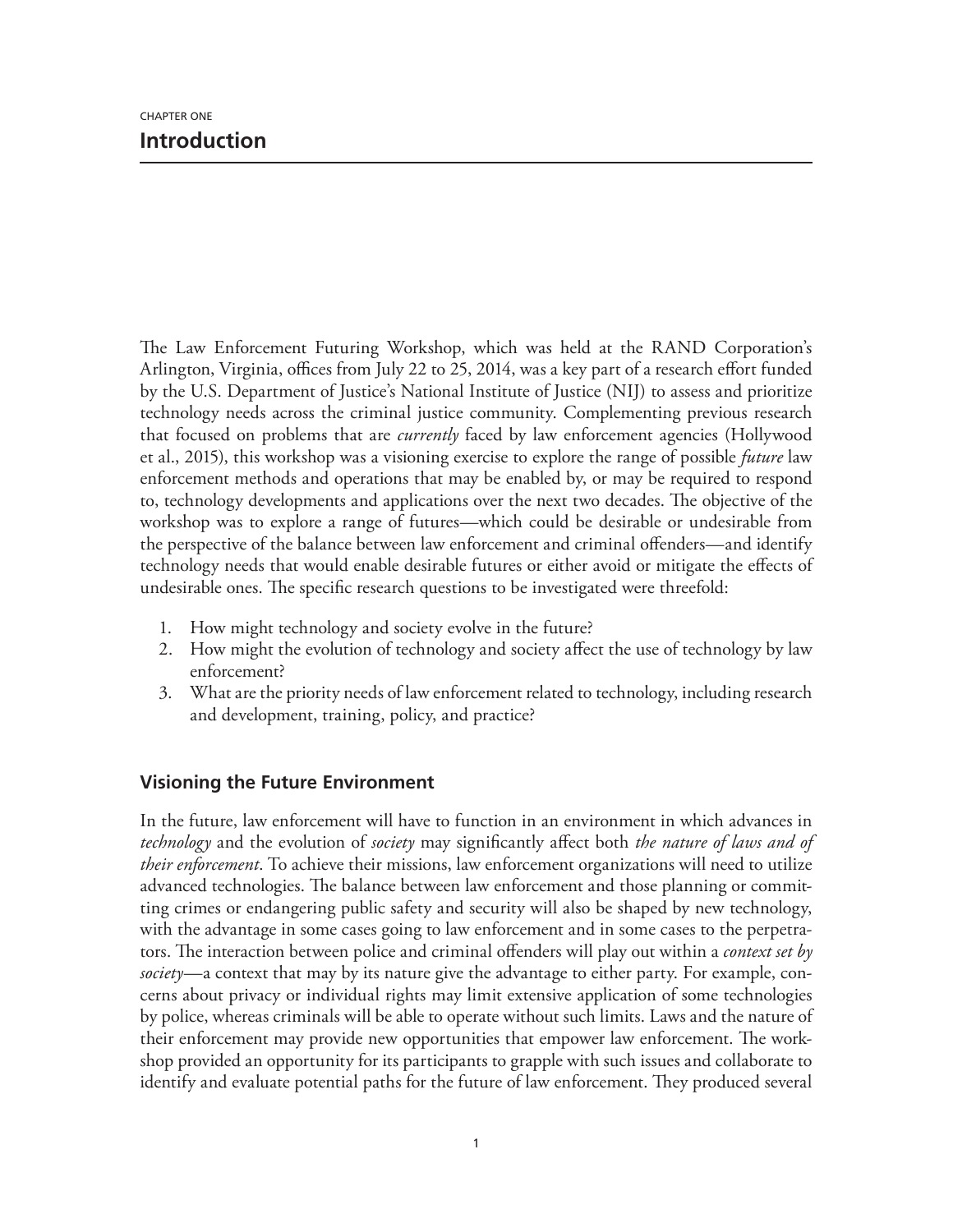The Law Enforcement Futuring Workshop, which was held at the RAND Corporation's Arlington, Virginia, offices from July 22 to 25, 2014, was a key part of a research effort funded by the U.S. Department of Justice's National Institute of Justice (NIJ) to assess and prioritize technology needs across the criminal justice community. Complementing previous research that focused on problems that are *currently* faced by law enforcement agencies (Hollywood et al., 2015), this workshop was a visioning exercise to explore the range of possible *future* law enforcement methods and operations that may be enabled by, or may be required to respond to, technology developments and applications over the next two decades. The objective of the workshop was to explore a range of futures—which could be desirable or undesirable from the perspective of the balance between law enforcement and criminal offenders—and identify technology needs that would enable desirable futures or either avoid or mitigate the effects of undesirable ones. The specific research questions to be investigated were threefold:

- 1. How might technology and society evolve in the future?
- 2. How might the evolution of technology and society affect the use of technology by law enforcement?
- 3. What are the priority needs of law enforcement related to technology, including research and development, training, policy, and practice?

## **Visioning the Future Environment**

In the future, law enforcement will have to function in an environment in which advances in *technology* and the evolution of *society* may significantly affect both *the nature of laws and of their enforcement*. To achieve their missions, law enforcement organizations will need to utilize advanced technologies. The balance between law enforcement and those planning or committing crimes or endangering public safety and security will also be shaped by new technology, with the advantage in some cases going to law enforcement and in some cases to the perpetrators. The interaction between police and criminal offenders will play out within a *context set by society*—a context that may by its nature give the advantage to either party. For example, concerns about privacy or individual rights may limit extensive application of some technologies by police, whereas criminals will be able to operate without such limits. Laws and the nature of their enforcement may provide new opportunities that empower law enforcement. The workshop provided an opportunity for its participants to grapple with such issues and collaborate to identify and evaluate potential paths for the future of law enforcement. They produced several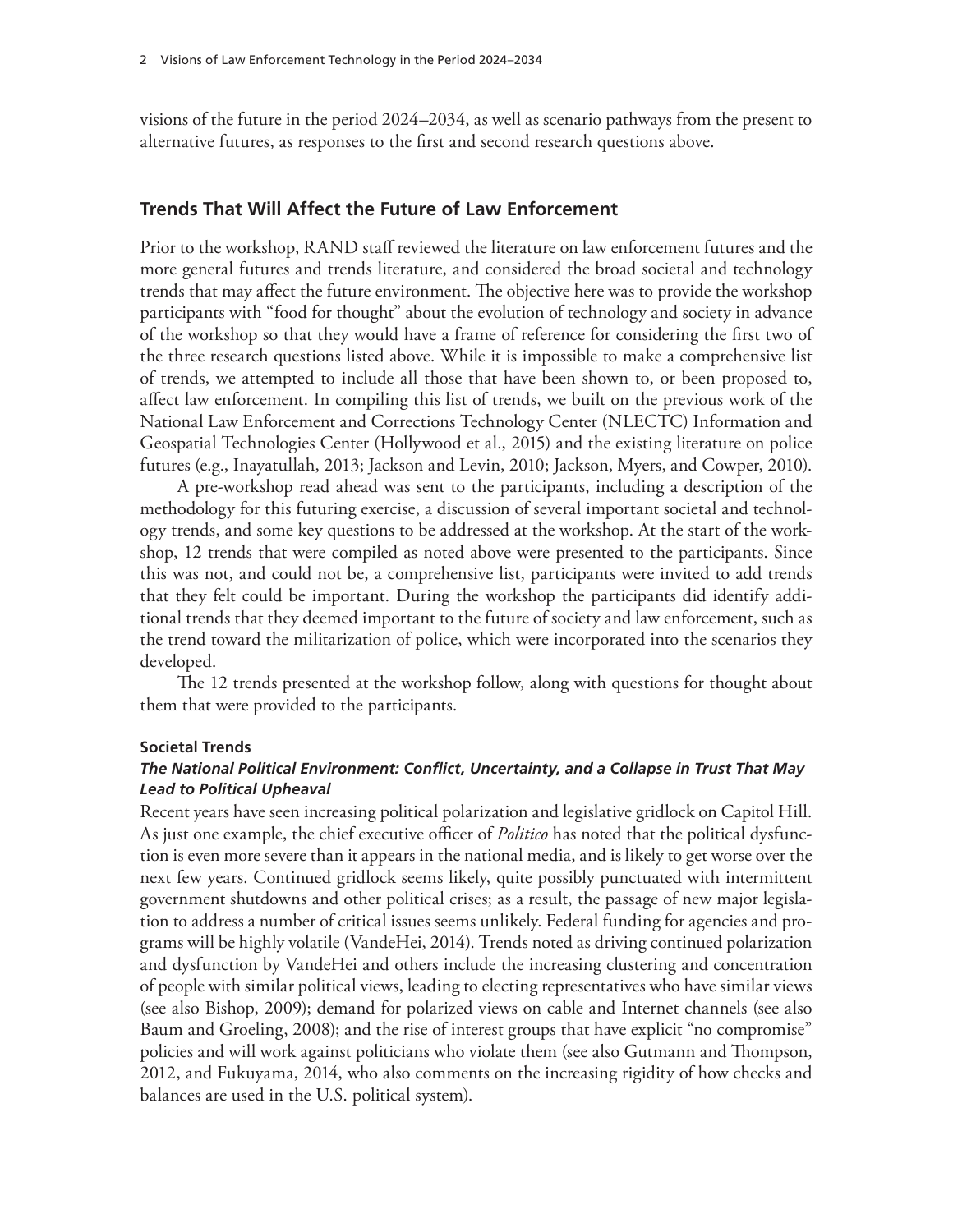visions of the future in the period 2024–2034, as well as scenario pathways from the present to alternative futures, as responses to the first and second research questions above.

#### **Trends That Will Affect the Future of Law Enforcement**

Prior to the workshop, RAND staff reviewed the literature on law enforcement futures and the more general futures and trends literature, and considered the broad societal and technology trends that may affect the future environment. The objective here was to provide the workshop participants with "food for thought" about the evolution of technology and society in advance of the workshop so that they would have a frame of reference for considering the first two of the three research questions listed above. While it is impossible to make a comprehensive list of trends, we attempted to include all those that have been shown to, or been proposed to, affect law enforcement. In compiling this list of trends, we built on the previous work of the National Law Enforcement and Corrections Technology Center (NLECTC) Information and Geospatial Technologies Center (Hollywood et al., 2015) and the existing literature on police futures (e.g., Inayatullah, 2013; Jackson and Levin, 2010; Jackson, Myers, and Cowper, 2010).

A pre-workshop read ahead was sent to the participants, including a description of the methodology for this futuring exercise, a discussion of several important societal and technology trends, and some key questions to be addressed at the workshop. At the start of the workshop, 12 trends that were compiled as noted above were presented to the participants. Since this was not, and could not be, a comprehensive list, participants were invited to add trends that they felt could be important. During the workshop the participants did identify additional trends that they deemed important to the future of society and law enforcement, such as the trend toward the militarization of police, which were incorporated into the scenarios they developed.

The 12 trends presented at the workshop follow, along with questions for thought about them that were provided to the participants.

#### **Societal Trends**

#### *The National Political Environment: Conflict, Uncertainty, and a Collapse in Trust That May Lead to Political Upheaval*

Recent years have seen increasing political polarization and legislative gridlock on Capitol Hill. As just one example, the chief executive officer of *Politico* has noted that the political dysfunction is even more severe than it appears in the national media, and is likely to get worse over the next few years. Continued gridlock seems likely, quite possibly punctuated with intermittent government shutdowns and other political crises; as a result, the passage of new major legislation to address a number of critical issues seems unlikely. Federal funding for agencies and programs will be highly volatile (VandeHei, 2014). Trends noted as driving continued polarization and dysfunction by VandeHei and others include the increasing clustering and concentration of people with similar political views, leading to electing representatives who have similar views (see also Bishop, 2009); demand for polarized views on cable and Internet channels (see also Baum and Groeling, 2008); and the rise of interest groups that have explicit "no compromise" policies and will work against politicians who violate them (see also Gutmann and Thompson, 2012, and Fukuyama, 2014, who also comments on the increasing rigidity of how checks and balances are used in the U.S. political system).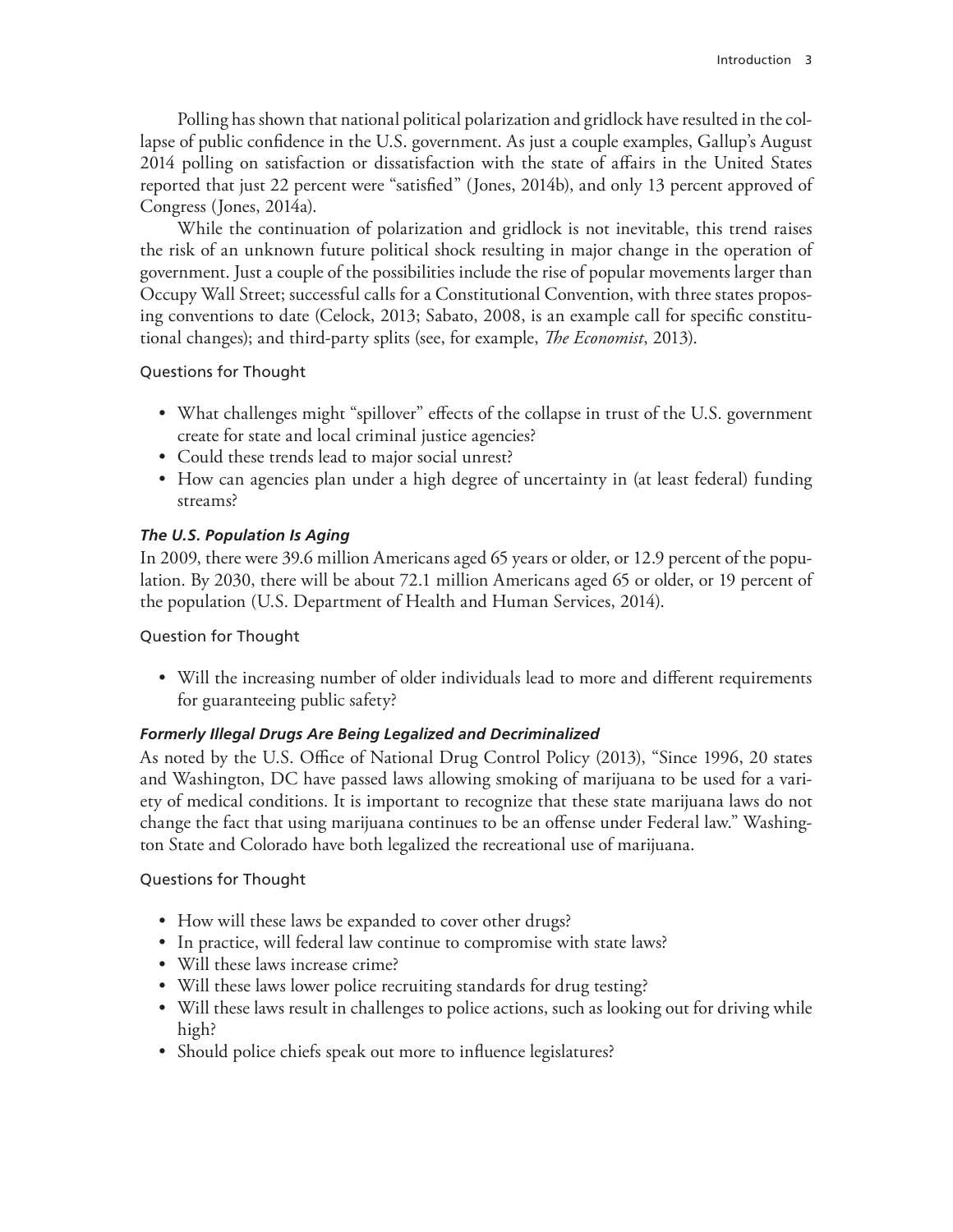Polling has shown that national political polarization and gridlock have resulted in the collapse of public confidence in the U.S. government. As just a couple examples, Gallup's August 2014 polling on satisfaction or dissatisfaction with the state of affairs in the United States reported that just 22 percent were "satisfied" (Jones, 2014b), and only 13 percent approved of Congress (Jones, 2014a).

While the continuation of polarization and gridlock is not inevitable, this trend raises the risk of an unknown future political shock resulting in major change in the operation of government. Just a couple of the possibilities include the rise of popular movements larger than Occupy Wall Street; successful calls for a Constitutional Convention, with three states proposing conventions to date (Celock, 2013; Sabato, 2008, is an example call for specific constitutional changes); and third-party splits (see, for example, *The Economist*, 2013).

#### Questions for Thought

- What challenges might "spillover" effects of the collapse in trust of the U.S. government create for state and local criminal justice agencies?
- Could these trends lead to major social unrest?
- How can agencies plan under a high degree of uncertainty in (at least federal) funding streams?

## *The U.S. Population Is Aging*

In 2009, there were 39.6 million Americans aged 65 years or older, or 12.9 percent of the population. By 2030, there will be about 72.1 million Americans aged 65 or older, or 19 percent of the population (U.S. Department of Health and Human Services, 2014).

## Question for Thought

• Will the increasing number of older individuals lead to more and different requirements for guaranteeing public safety?

## *Formerly Illegal Drugs Are Being Legalized and Decriminalized*

As noted by the U.S. Office of National Drug Control Policy (2013), "Since 1996, 20 states and Washington, DC have passed laws allowing smoking of marijuana to be used for a variety of medical conditions. It is important to recognize that these state marijuana laws do not change the fact that using marijuana continues to be an offense under Federal law." Washington State and Colorado have both legalized the recreational use of marijuana.

## Questions for Thought

- How will these laws be expanded to cover other drugs?
- In practice, will federal law continue to compromise with state laws?
- Will these laws increase crime?
- Will these laws lower police recruiting standards for drug testing?
- Will these laws result in challenges to police actions, such as looking out for driving while high?
- Should police chiefs speak out more to influence legislatures?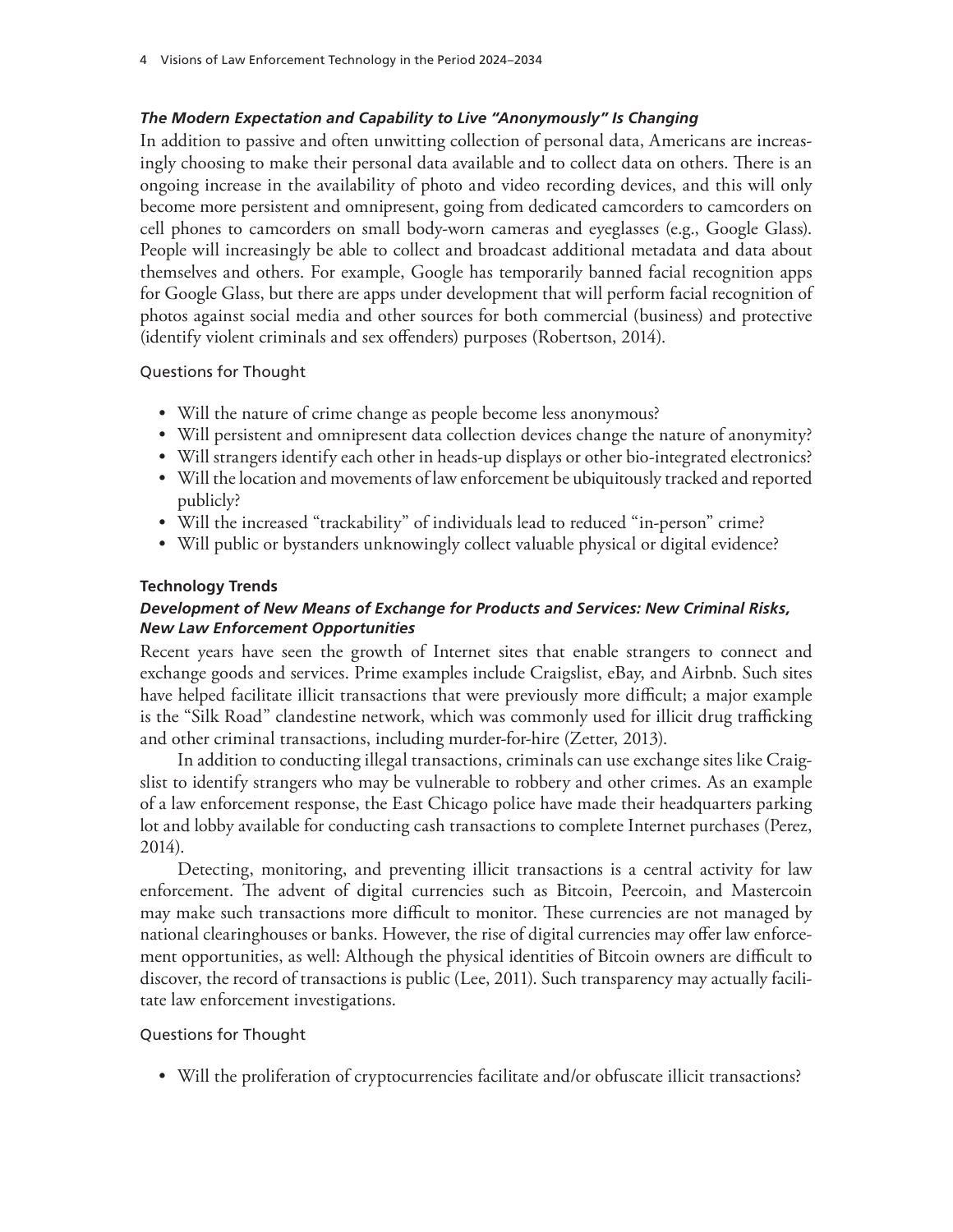#### *The Modern Expectation and Capability to Live "Anonymously" Is Changing*

In addition to passive and often unwitting collection of personal data, Americans are increasingly choosing to make their personal data available and to collect data on others. There is an ongoing increase in the availability of photo and video recording devices, and this will only become more persistent and omnipresent, going from dedicated camcorders to camcorders on cell phones to camcorders on small body-worn cameras and eyeglasses (e.g., Google Glass). People will increasingly be able to collect and broadcast additional metadata and data about themselves and others. For example, Google has temporarily banned facial recognition apps for Google Glass, but there are apps under development that will perform facial recognition of photos against social media and other sources for both commercial (business) and protective (identify violent criminals and sex offenders) purposes (Robertson, 2014).

#### Questions for Thought

- Will the nature of crime change as people become less anonymous?
- Will persistent and omnipresent data collection devices change the nature of anonymity?
- Will strangers identify each other in heads-up displays or other bio-integrated electronics?
- Will the location and movements of law enforcement be ubiquitously tracked and reported publicly?
- Will the increased "trackability" of individuals lead to reduced "in-person" crime?
- Will public or bystanders unknowingly collect valuable physical or digital evidence?

#### **Technology Trends**

# *Development of New Means of Exchange for Products and Services: New Criminal Risks, New Law Enforcement Opportunities*

Recent years have seen the growth of Internet sites that enable strangers to connect and exchange goods and services. Prime examples include Craigslist, eBay, and Airbnb. Such sites have helped facilitate illicit transactions that were previously more difficult; a major example is the "Silk Road" clandestine network, which was commonly used for illicit drug trafficking and other criminal transactions, including murder-for-hire (Zetter, 2013).

In addition to conducting illegal transactions, criminals can use exchange sites like Craigslist to identify strangers who may be vulnerable to robbery and other crimes. As an example of a law enforcement response, the East Chicago police have made their headquarters parking lot and lobby available for conducting cash transactions to complete Internet purchases (Perez, 2014).

Detecting, monitoring, and preventing illicit transactions is a central activity for law enforcement. The advent of digital currencies such as Bitcoin, Peercoin, and Mastercoin may make such transactions more difficult to monitor. These currencies are not managed by national clearinghouses or banks. However, the rise of digital currencies may offer law enforcement opportunities, as well: Although the physical identities of Bitcoin owners are difficult to discover, the record of transactions is public (Lee, 2011). Such transparency may actually facilitate law enforcement investigations.

#### Questions for Thought

• Will the proliferation of cryptocurrencies facilitate and/or obfuscate illicit transactions?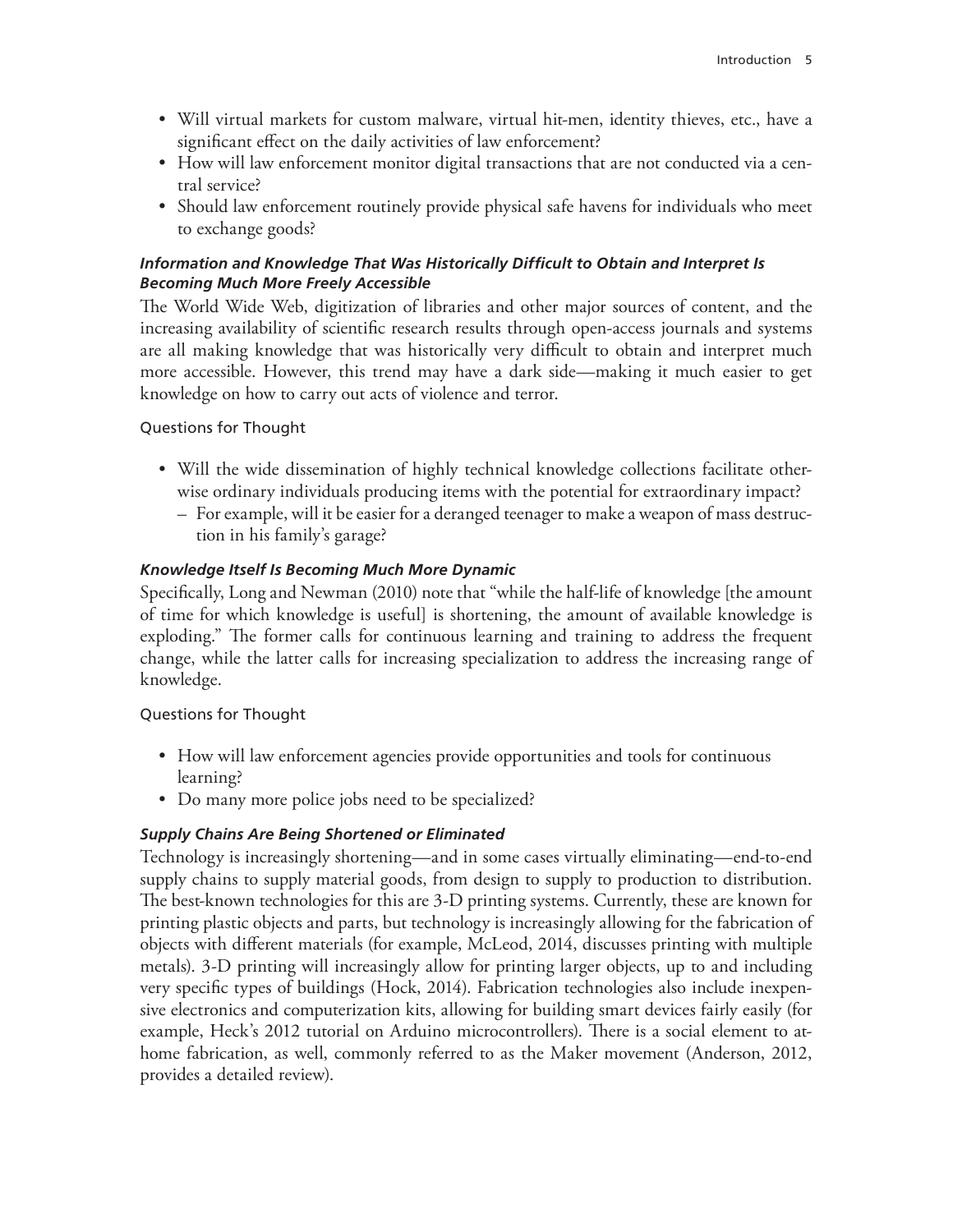- Will virtual markets for custom malware, virtual hit-men, identity thieves, etc., have a significant effect on the daily activities of law enforcement?
- How will law enforcement monitor digital transactions that are not conducted via a central service?
- Should law enforcement routinely provide physical safe havens for individuals who meet to exchange goods?

## *Information and Knowledge That Was Historically Difficult to Obtain and Interpret Is Becoming Much More Freely Accessible*

The World Wide Web, digitization of libraries and other major sources of content, and the increasing availability of scientific research results through open-access journals and systems are all making knowledge that was historically very difficult to obtain and interpret much more accessible. However, this trend may have a dark side—making it much easier to get knowledge on how to carry out acts of violence and terror.

## Questions for Thought

- Will the wide dissemination of highly technical knowledge collections facilitate otherwise ordinary individuals producing items with the potential for extraordinary impact?
	- For example, will it be easier for a deranged teenager to make a weapon of mass destruction in his family's garage?

#### *Knowledge Itself Is Becoming Much More Dynamic*

Specifically, Long and Newman (2010) note that "while the half-life of knowledge [the amount of time for which knowledge is useful] is shortening, the amount of available knowledge is exploding." The former calls for continuous learning and training to address the frequent change, while the latter calls for increasing specialization to address the increasing range of knowledge.

Questions for Thought

- How will law enforcement agencies provide opportunities and tools for continuous learning?
- Do many more police jobs need to be specialized?

## *Supply Chains Are Being Shortened or Eliminated*

Technology is increasingly shortening—and in some cases virtually eliminating—end-to-end supply chains to supply material goods, from design to supply to production to distribution. The best-known technologies for this are 3-D printing systems. Currently, these are known for printing plastic objects and parts, but technology is increasingly allowing for the fabrication of objects with different materials (for example, McLeod, 2014, discusses printing with multiple metals). 3-D printing will increasingly allow for printing larger objects, up to and including very specific types of buildings (Hock, 2014). Fabrication technologies also include inexpensive electronics and computerization kits, allowing for building smart devices fairly easily (for example, Heck's 2012 tutorial on Arduino microcontrollers). There is a social element to athome fabrication, as well, commonly referred to as the Maker movement (Anderson, 2012, provides a detailed review).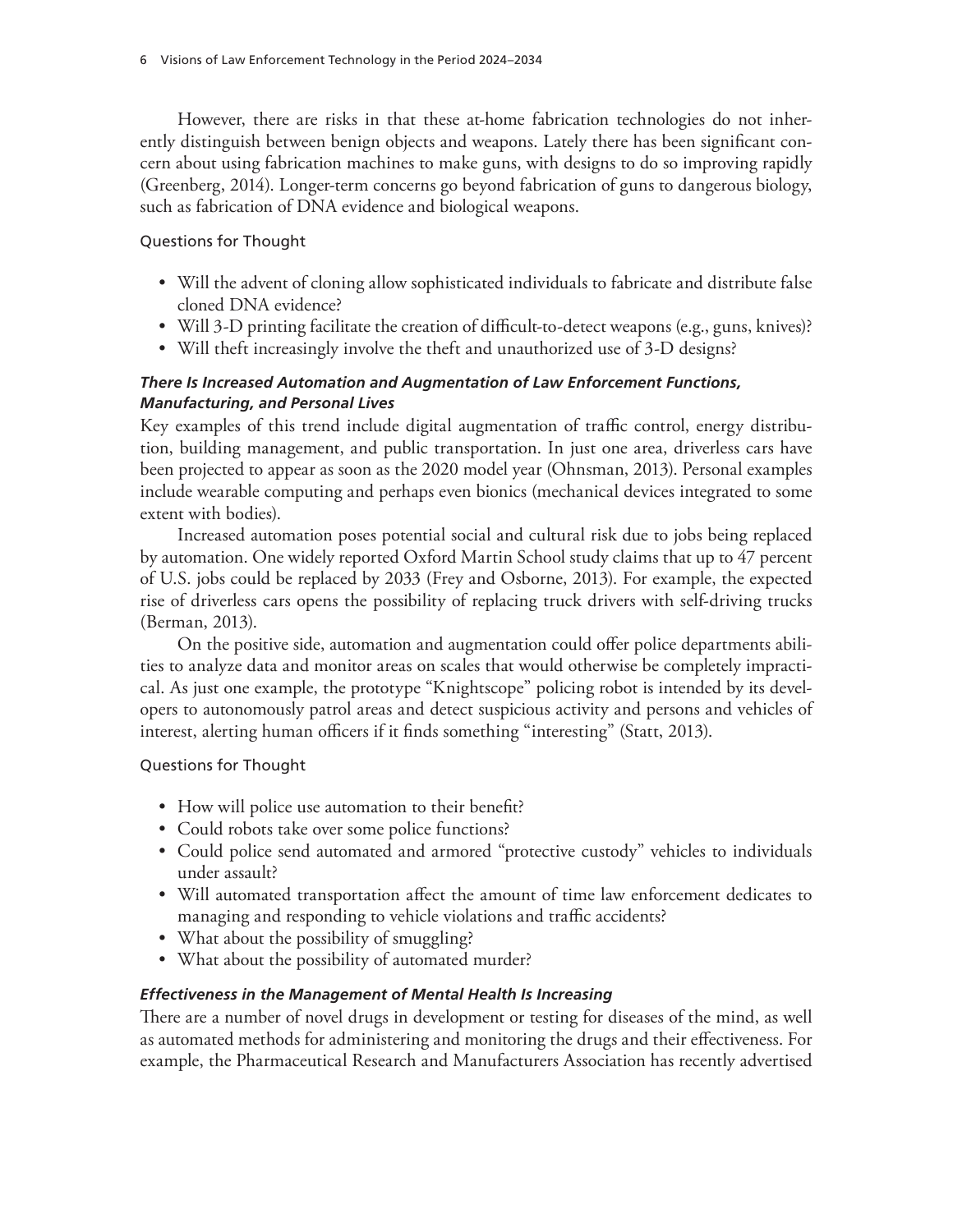However, there are risks in that these at-home fabrication technologies do not inherently distinguish between benign objects and weapons. Lately there has been significant concern about using fabrication machines to make guns, with designs to do so improving rapidly (Greenberg, 2014). Longer-term concerns go beyond fabrication of guns to dangerous biology, such as fabrication of DNA evidence and biological weapons.

#### Questions for Thought

- Will the advent of cloning allow sophisticated individuals to fabricate and distribute false cloned DNA evidence?
- Will 3-D printing facilitate the creation of difficult-to-detect weapons (e.g., guns, knives)?
- Will theft increasingly involve the theft and unauthorized use of 3-D designs?

# *There Is Increased Automation and Augmentation of Law Enforcement Functions, Manufacturing, and Personal Lives*

Key examples of this trend include digital augmentation of traffic control, energy distribution, building management, and public transportation. In just one area, driverless cars have been projected to appear as soon as the 2020 model year (Ohnsman, 2013). Personal examples include wearable computing and perhaps even bionics (mechanical devices integrated to some extent with bodies).

Increased automation poses potential social and cultural risk due to jobs being replaced by automation. One widely reported Oxford Martin School study claims that up to 47 percent of U.S. jobs could be replaced by 2033 (Frey and Osborne, 2013). For example, the expected rise of driverless cars opens the possibility of replacing truck drivers with self-driving trucks (Berman, 2013).

On the positive side, automation and augmentation could offer police departments abilities to analyze data and monitor areas on scales that would otherwise be completely impractical. As just one example, the prototype "Knightscope" policing robot is intended by its developers to autonomously patrol areas and detect suspicious activity and persons and vehicles of interest, alerting human officers if it finds something "interesting" (Statt, 2013).

## Questions for Thought

- How will police use automation to their benefit?
- Could robots take over some police functions?
- Could police send automated and armored "protective custody" vehicles to individuals under assault?
- Will automated transportation affect the amount of time law enforcement dedicates to managing and responding to vehicle violations and traffic accidents?
- What about the possibility of smuggling?
- What about the possibility of automated murder?

## *Effectiveness in the Management of Mental Health Is Increasing*

There are a number of novel drugs in development or testing for diseases of the mind, as well as automated methods for administering and monitoring the drugs and their effectiveness. For example, the Pharmaceutical Research and Manufacturers Association has recently advertised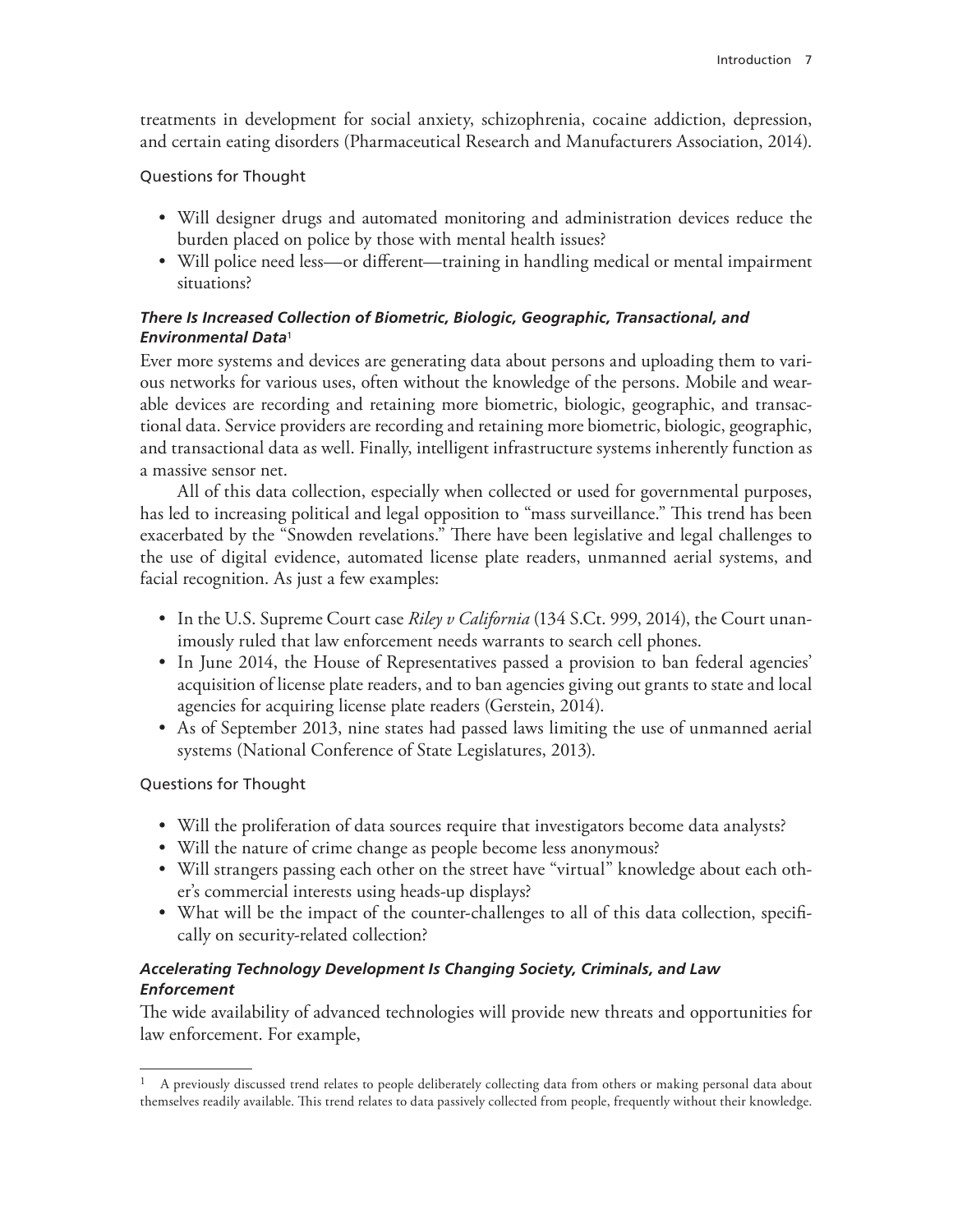treatments in development for social anxiety, schizophrenia, cocaine addiction, depression, and certain eating disorders (Pharmaceutical Research and Manufacturers Association, 2014).

#### Questions for Thought

- Will designer drugs and automated monitoring and administration devices reduce the burden placed on police by those with mental health issues?
- Will police need less—or different—training in handling medical or mental impairment situations?

# *There Is Increased Collection of Biometric, Biologic, Geographic, Transactional, and Environmental Data*<sup>1</sup>

Ever more systems and devices are generating data about persons and uploading them to various networks for various uses, often without the knowledge of the persons. Mobile and wearable devices are recording and retaining more biometric, biologic, geographic, and transactional data. Service providers are recording and retaining more biometric, biologic, geographic, and transactional data as well. Finally, intelligent infrastructure systems inherently function as a massive sensor net.

All of this data collection, especially when collected or used for governmental purposes, has led to increasing political and legal opposition to "mass surveillance." This trend has been exacerbated by the "Snowden revelations." There have been legislative and legal challenges to the use of digital evidence, automated license plate readers, unmanned aerial systems, and facial recognition. As just a few examples:

- In the U.S. Supreme Court case *Riley v California* (134 S.Ct. 999, 2014), the Court unanimously ruled that law enforcement needs warrants to search cell phones.
- In June 2014, the House of Representatives passed a provision to ban federal agencies' acquisition of license plate readers, and to ban agencies giving out grants to state and local agencies for acquiring license plate readers (Gerstein, 2014).
- As of September 2013, nine states had passed laws limiting the use of unmanned aerial systems (National Conference of State Legislatures, 2013).

## Questions for Thought

- Will the proliferation of data sources require that investigators become data analysts?
- Will the nature of crime change as people become less anonymous?
- Will strangers passing each other on the street have "virtual" knowledge about each other's commercial interests using heads-up displays?
- What will be the impact of the counter-challenges to all of this data collection, specifically on security-related collection?

#### *Accelerating Technology Development Is Changing Society, Criminals, and Law Enforcement*

The wide availability of advanced technologies will provide new threats and opportunities for law enforcement. For example,

<sup>1</sup> A previously discussed trend relates to people deliberately collecting data from others or making personal data about themselves readily available. This trend relates to data passively collected from people, frequently without their knowledge.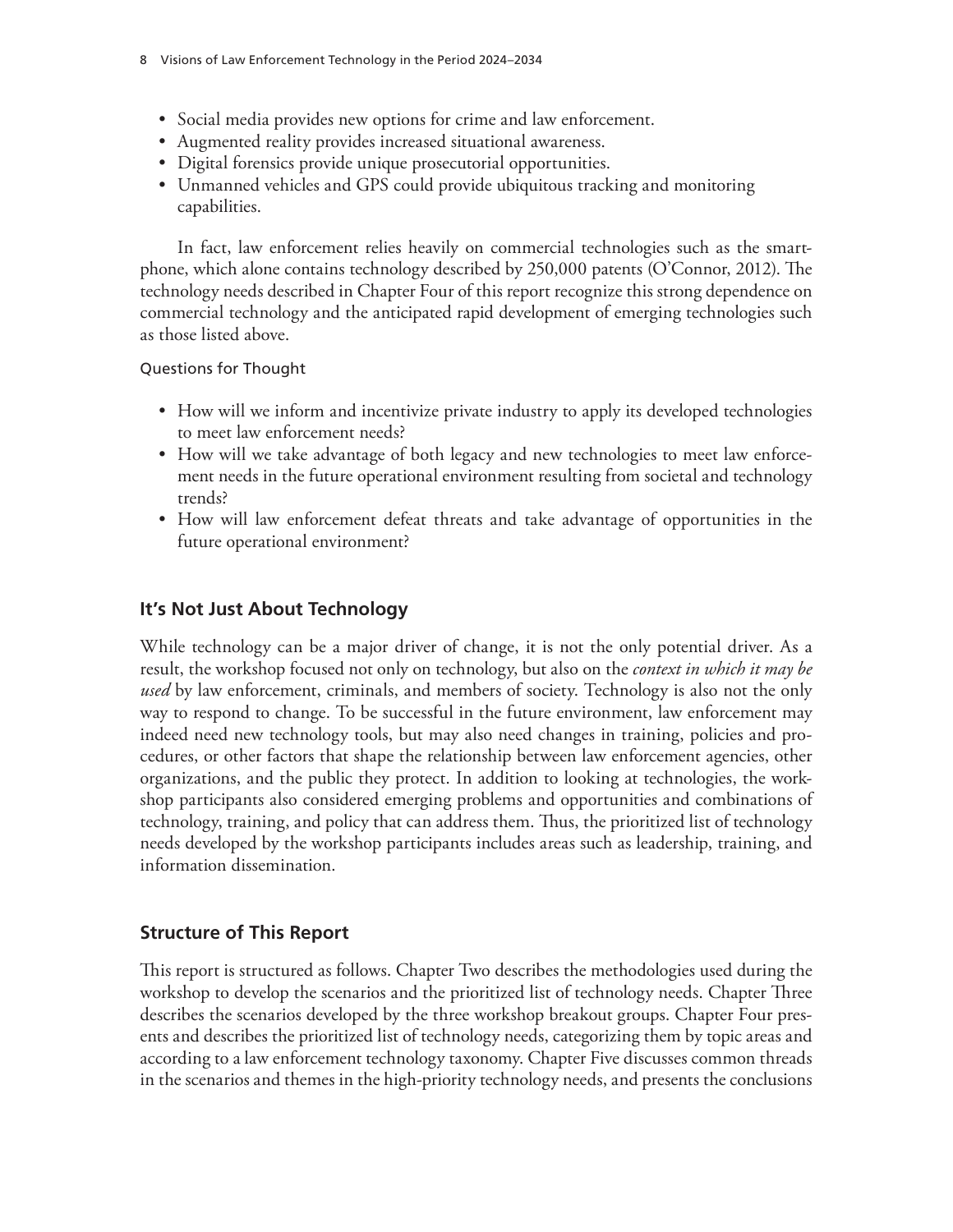- Social media provides new options for crime and law enforcement.
- Augmented reality provides increased situational awareness.
- Digital forensics provide unique prosecutorial opportunities.
- Unmanned vehicles and GPS could provide ubiquitous tracking and monitoring capabilities.

In fact, law enforcement relies heavily on commercial technologies such as the smartphone, which alone contains technology described by 250,000 patents (O'Connor, 2012). The technology needs described in Chapter Four of this report recognize this strong dependence on commercial technology and the anticipated rapid development of emerging technologies such as those listed above.

Questions for Thought

- How will we inform and incentivize private industry to apply its developed technologies to meet law enforcement needs?
- How will we take advantage of both legacy and new technologies to meet law enforcement needs in the future operational environment resulting from societal and technology trends?
- How will law enforcement defeat threats and take advantage of opportunities in the future operational environment?

# **It's Not Just About Technology**

While technology can be a major driver of change, it is not the only potential driver. As a result, the workshop focused not only on technology, but also on the *context in which it may be used* by law enforcement, criminals, and members of society. Technology is also not the only way to respond to change. To be successful in the future environment, law enforcement may indeed need new technology tools, but may also need changes in training, policies and procedures, or other factors that shape the relationship between law enforcement agencies, other organizations, and the public they protect. In addition to looking at technologies, the workshop participants also considered emerging problems and opportunities and combinations of technology, training, and policy that can address them. Thus, the prioritized list of technology needs developed by the workshop participants includes areas such as leadership, training, and information dissemination.

## **Structure of This Report**

This report is structured as follows. Chapter Two describes the methodologies used during the workshop to develop the scenarios and the prioritized list of technology needs. Chapter Three describes the scenarios developed by the three workshop breakout groups. Chapter Four presents and describes the prioritized list of technology needs, categorizing them by topic areas and according to a law enforcement technology taxonomy. Chapter Five discusses common threads in the scenarios and themes in the high-priority technology needs, and presents the conclusions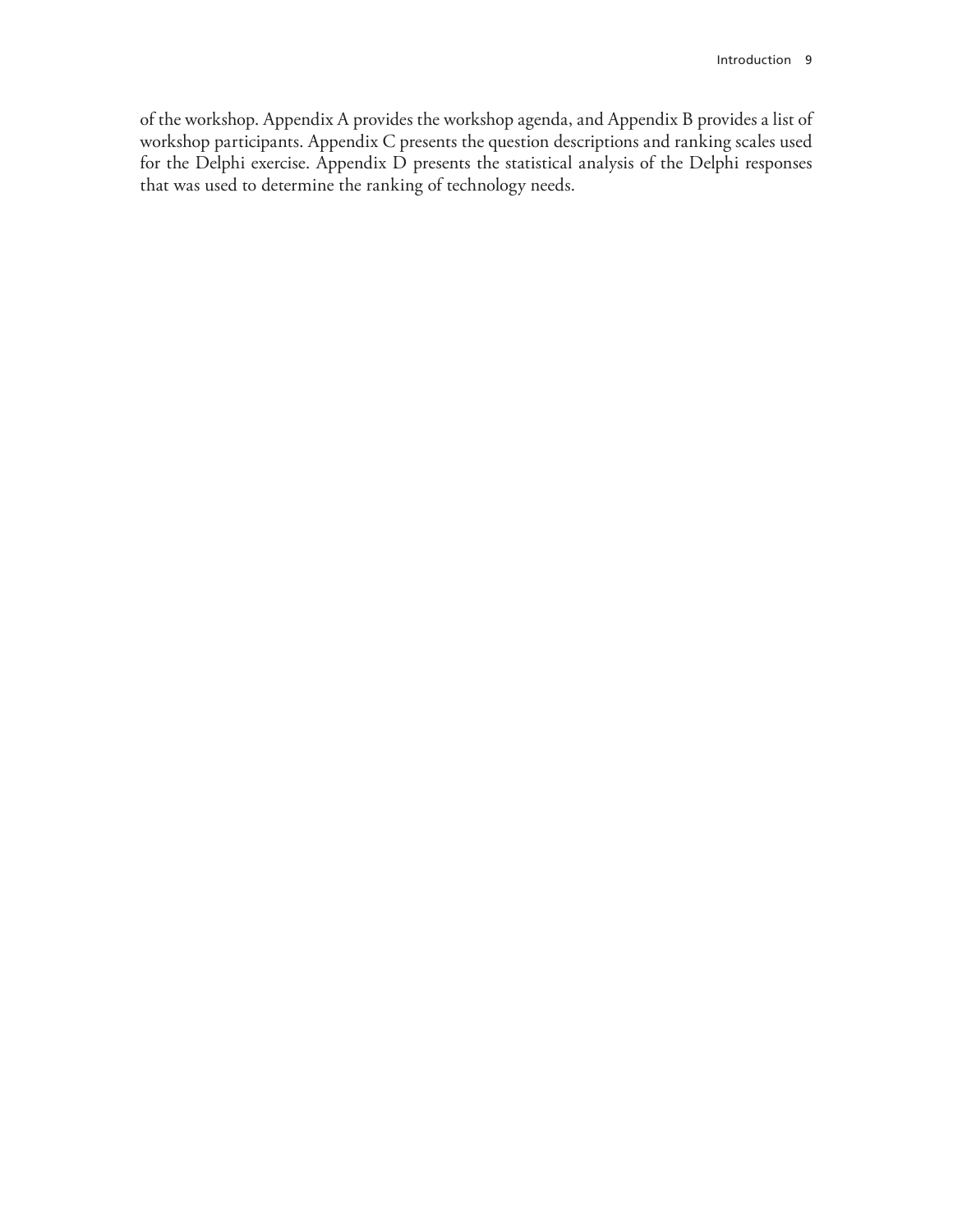of the workshop. Appendix A provides the workshop agenda, and Appendix B provides a list of workshop participants. Appendix C presents the question descriptions and ranking scales used for the Delphi exercise. Appendix D presents the statistical analysis of the Delphi responses that was used to determine the ranking of technology needs.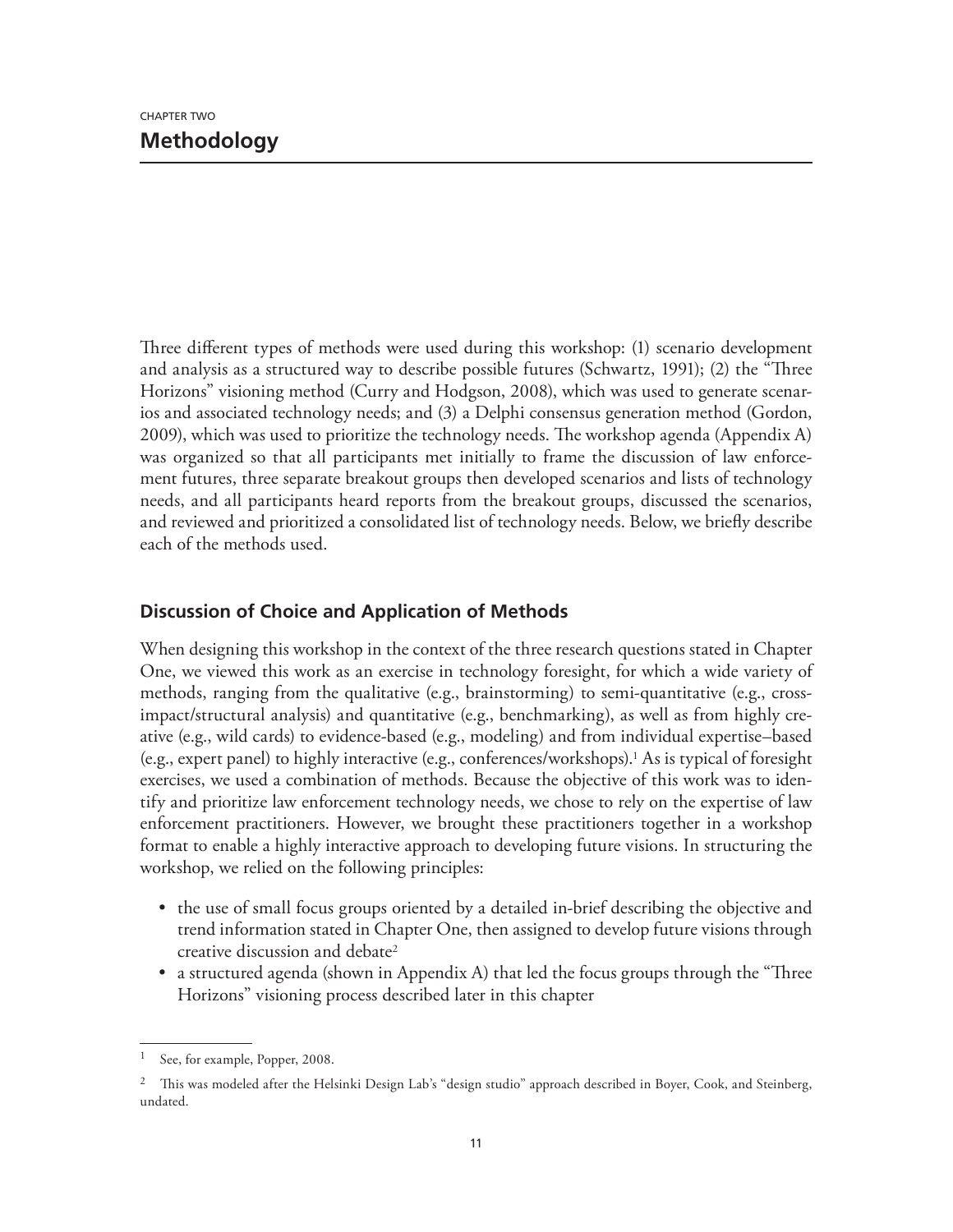Three different types of methods were used during this workshop: (1) scenario development and analysis as a structured way to describe possible futures (Schwartz, 1991); (2) the "Three Horizons" visioning method (Curry and Hodgson, 2008), which was used to generate scenarios and associated technology needs; and (3) a Delphi consensus generation method (Gordon, 2009), which was used to prioritize the technology needs. The workshop agenda (Appendix A) was organized so that all participants met initially to frame the discussion of law enforcement futures, three separate breakout groups then developed scenarios and lists of technology needs, and all participants heard reports from the breakout groups, discussed the scenarios, and reviewed and prioritized a consolidated list of technology needs. Below, we briefly describe each of the methods used.

# **Discussion of Choice and Application of Methods**

When designing this workshop in the context of the three research questions stated in Chapter One, we viewed this work as an exercise in technology foresight, for which a wide variety of methods, ranging from the qualitative (e.g., brainstorming) to semi-quantitative (e.g., crossimpact/structural analysis) and quantitative (e.g., benchmarking), as well as from highly creative (e.g., wild cards) to evidence-based (e.g., modeling) and from individual expertise–based (e.g., expert panel) to highly interactive (e.g., conferences/workshops).1 As is typical of foresight exercises, we used a combination of methods. Because the objective of this work was to identify and prioritize law enforcement technology needs, we chose to rely on the expertise of law enforcement practitioners. However, we brought these practitioners together in a workshop format to enable a highly interactive approach to developing future visions. In structuring the workshop, we relied on the following principles:

- the use of small focus groups oriented by a detailed in-brief describing the objective and trend information stated in Chapter One, then assigned to develop future visions through creative discussion and debate2
- a structured agenda (shown in Appendix A) that led the focus groups through the "Three Horizons" visioning process described later in this chapter

<sup>1</sup> See, for example, Popper, 2008.

<sup>&</sup>lt;sup>2</sup> This was modeled after the Helsinki Design Lab's "design studio" approach described in Boyer, Cook, and Steinberg, undated.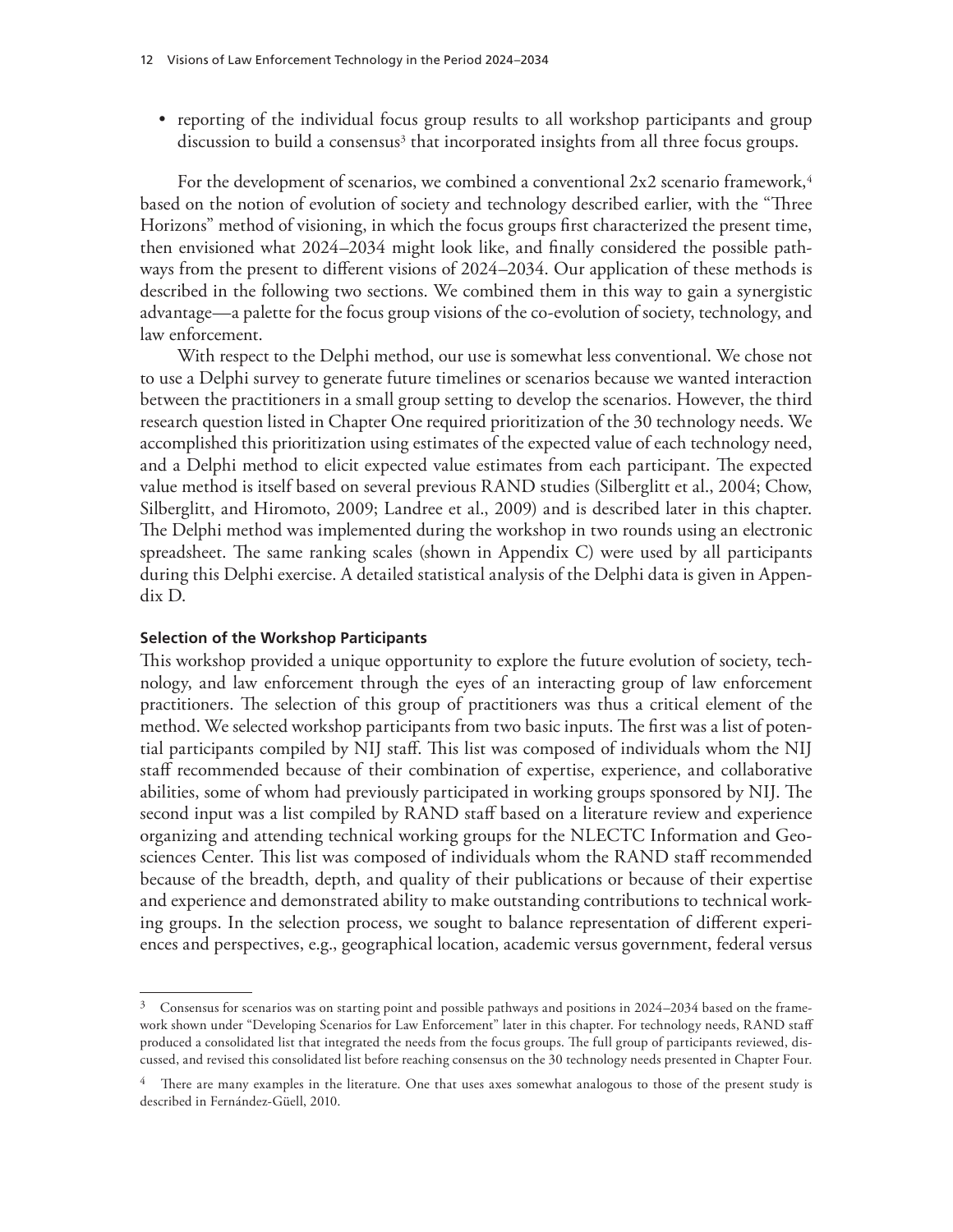• reporting of the individual focus group results to all workshop participants and group discussion to build a consensus<sup>3</sup> that incorporated insights from all three focus groups.

For the development of scenarios, we combined a conventional  $2x2$  scenario framework,<sup>4</sup> based on the notion of evolution of society and technology described earlier, with the "Three Horizons" method of visioning, in which the focus groups first characterized the present time, then envisioned what 2024–2034 might look like, and finally considered the possible pathways from the present to different visions of 2024–2034. Our application of these methods is described in the following two sections. We combined them in this way to gain a synergistic advantage—a palette for the focus group visions of the co-evolution of society, technology, and law enforcement.

With respect to the Delphi method, our use is somewhat less conventional. We chose not to use a Delphi survey to generate future timelines or scenarios because we wanted interaction between the practitioners in a small group setting to develop the scenarios. However, the third research question listed in Chapter One required prioritization of the 30 technology needs. We accomplished this prioritization using estimates of the expected value of each technology need, and a Delphi method to elicit expected value estimates from each participant. The expected value method is itself based on several previous RAND studies (Silberglitt et al., 2004; Chow, Silberglitt, and Hiromoto, 2009; Landree et al., 2009) and is described later in this chapter. The Delphi method was implemented during the workshop in two rounds using an electronic spreadsheet. The same ranking scales (shown in Appendix C) were used by all participants during this Delphi exercise. A detailed statistical analysis of the Delphi data is given in Appendix D.

#### **Selection of the Workshop Participants**

This workshop provided a unique opportunity to explore the future evolution of society, technology, and law enforcement through the eyes of an interacting group of law enforcement practitioners. The selection of this group of practitioners was thus a critical element of the method. We selected workshop participants from two basic inputs. The first was a list of potential participants compiled by NIJ staff. This list was composed of individuals whom the NIJ staff recommended because of their combination of expertise, experience, and collaborative abilities, some of whom had previously participated in working groups sponsored by NIJ. The second input was a list compiled by RAND staff based on a literature review and experience organizing and attending technical working groups for the NLECTC Information and Geosciences Center. This list was composed of individuals whom the RAND staff recommended because of the breadth, depth, and quality of their publications or because of their expertise and experience and demonstrated ability to make outstanding contributions to technical working groups. In the selection process, we sought to balance representation of different experiences and perspectives, e.g., geographical location, academic versus government, federal versus

<sup>&</sup>lt;sup>3</sup> Consensus for scenarios was on starting point and possible pathways and positions in 2024–2034 based on the framework shown under "Developing Scenarios for Law Enforcement" later in this chapter. For technology needs, RAND staff produced a consolidated list that integrated the needs from the focus groups. The full group of participants reviewed, discussed, and revised this consolidated list before reaching consensus on the 30 technology needs presented in Chapter Four.

 $4$  There are many examples in the literature. One that uses axes somewhat analogous to those of the present study is described in Fernández-Güell, 2010.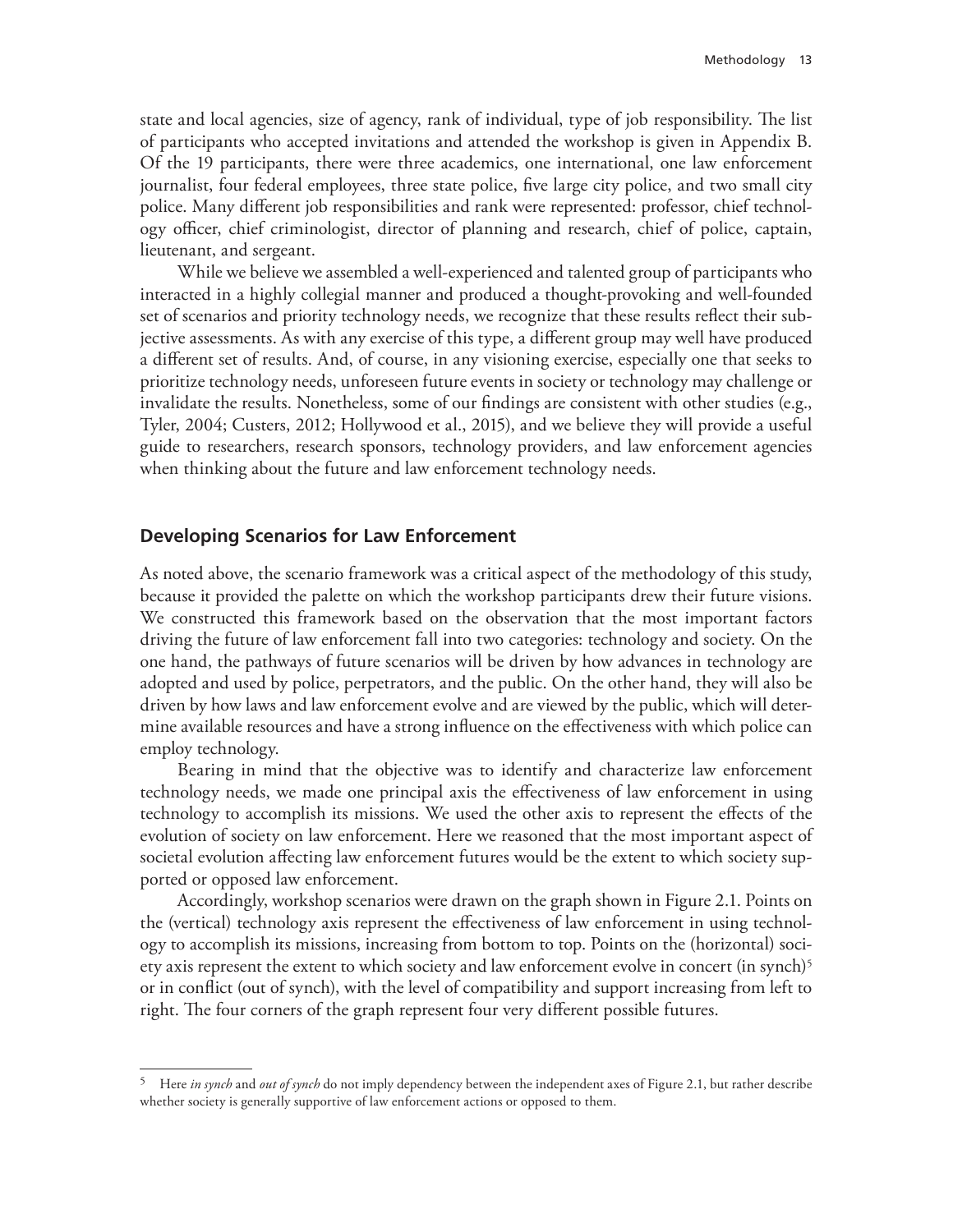state and local agencies, size of agency, rank of individual, type of job responsibility. The list of participants who accepted invitations and attended the workshop is given in Appendix B. Of the 19 participants, there were three academics, one international, one law enforcement journalist, four federal employees, three state police, five large city police, and two small city police. Many different job responsibilities and rank were represented: professor, chief technology officer, chief criminologist, director of planning and research, chief of police, captain, lieutenant, and sergeant.

While we believe we assembled a well-experienced and talented group of participants who interacted in a highly collegial manner and produced a thought-provoking and well-founded set of scenarios and priority technology needs, we recognize that these results reflect their subjective assessments. As with any exercise of this type, a different group may well have produced a different set of results. And, of course, in any visioning exercise, especially one that seeks to prioritize technology needs, unforeseen future events in society or technology may challenge or invalidate the results. Nonetheless, some of our findings are consistent with other studies (e.g., Tyler, 2004; Custers, 2012; Hollywood et al., 2015), and we believe they will provide a useful guide to researchers, research sponsors, technology providers, and law enforcement agencies when thinking about the future and law enforcement technology needs.

#### **Developing Scenarios for Law Enforcement**

As noted above, the scenario framework was a critical aspect of the methodology of this study, because it provided the palette on which the workshop participants drew their future visions. We constructed this framework based on the observation that the most important factors driving the future of law enforcement fall into two categories: technology and society. On the one hand, the pathways of future scenarios will be driven by how advances in technology are adopted and used by police, perpetrators, and the public. On the other hand, they will also be driven by how laws and law enforcement evolve and are viewed by the public, which will determine available resources and have a strong influence on the effectiveness with which police can employ technology.

Bearing in mind that the objective was to identify and characterize law enforcement technology needs, we made one principal axis the effectiveness of law enforcement in using technology to accomplish its missions. We used the other axis to represent the effects of the evolution of society on law enforcement. Here we reasoned that the most important aspect of societal evolution affecting law enforcement futures would be the extent to which society supported or opposed law enforcement.

Accordingly, workshop scenarios were drawn on the graph shown in Figure 2.1. Points on the (vertical) technology axis represent the effectiveness of law enforcement in using technology to accomplish its missions, increasing from bottom to top. Points on the (horizontal) society axis represent the extent to which society and law enforcement evolve in concert (in synch)<sup>5</sup> or in conflict (out of synch), with the level of compatibility and support increasing from left to right. The four corners of the graph represent four very different possible futures.

<sup>5</sup> Here *in synch* and *out of synch* do not imply dependency between the independent axes of Figure 2.1, but rather describe whether society is generally supportive of law enforcement actions or opposed to them.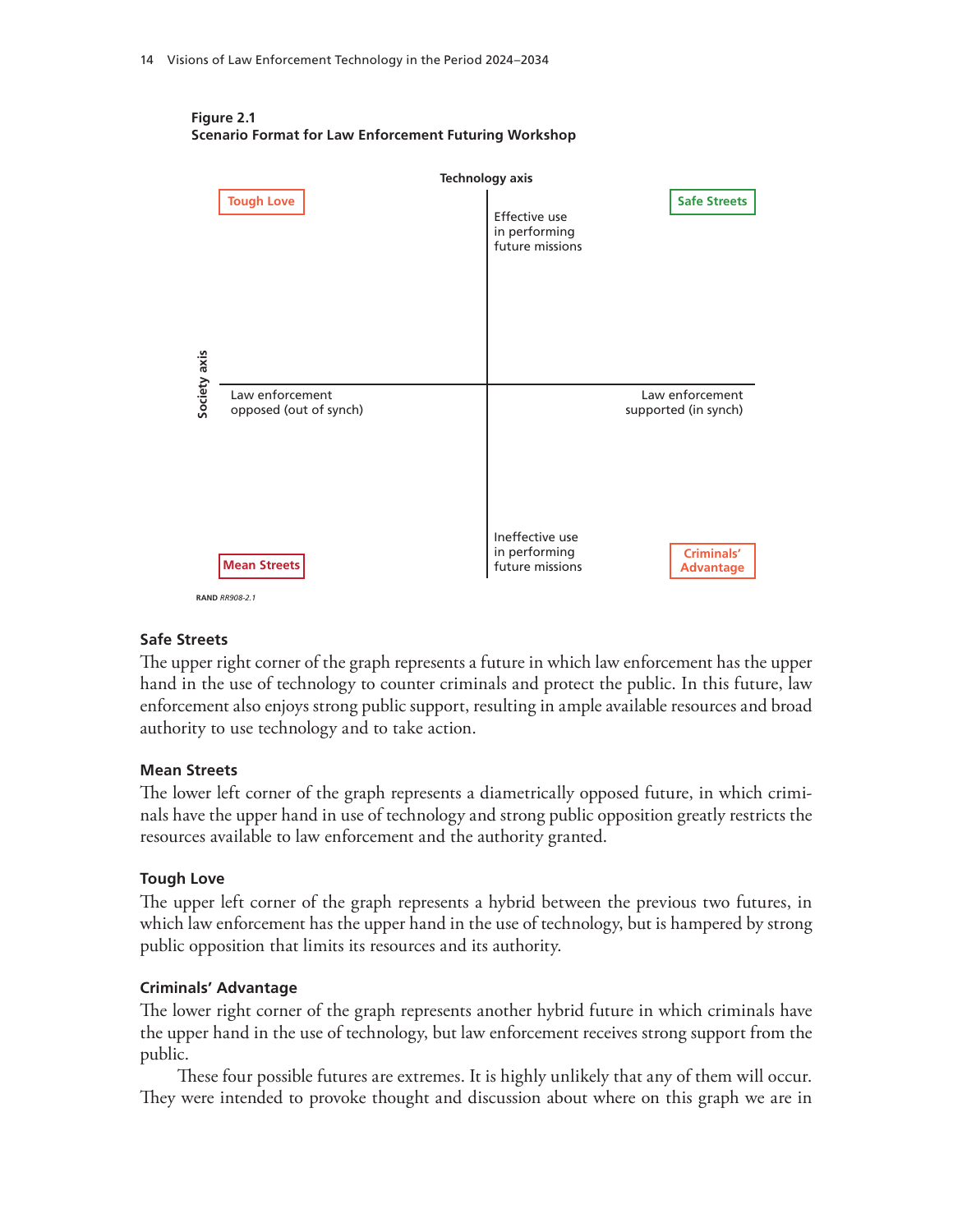



#### **Safe Streets**

The upper right corner of the graph represents a future in which law enforcement has the upper hand in the use of technology to counter criminals and protect the public. In this future, law enforcement also enjoys strong public support, resulting in ample available resources and broad authority to use technology and to take action.

#### **Mean Streets**

The lower left corner of the graph represents a diametrically opposed future, in which criminals have the upper hand in use of technology and strong public opposition greatly restricts the resources available to law enforcement and the authority granted.

#### **Tough Love**

The upper left corner of the graph represents a hybrid between the previous two futures, in which law enforcement has the upper hand in the use of technology, but is hampered by strong public opposition that limits its resources and its authority.

#### **Criminals' Advantage**

The lower right corner of the graph represents another hybrid future in which criminals have the upper hand in the use of technology, but law enforcement receives strong support from the public.

These four possible futures are extremes. It is highly unlikely that any of them will occur. They were intended to provoke thought and discussion about where on this graph we are in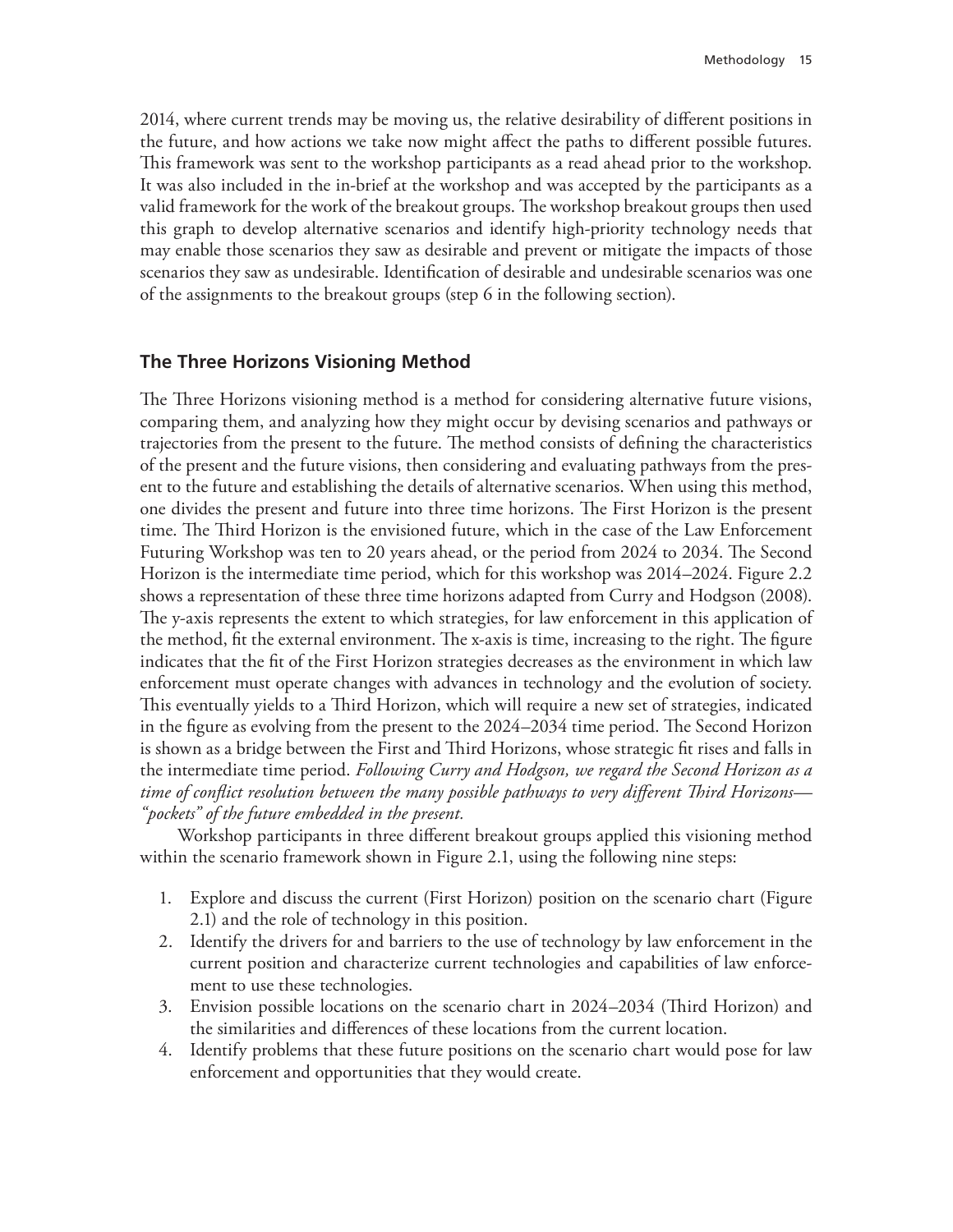2014, where current trends may be moving us, the relative desirability of different positions in the future, and how actions we take now might affect the paths to different possible futures. This framework was sent to the workshop participants as a read ahead prior to the workshop. It was also included in the in-brief at the workshop and was accepted by the participants as a valid framework for the work of the breakout groups. The workshop breakout groups then used this graph to develop alternative scenarios and identify high-priority technology needs that may enable those scenarios they saw as desirable and prevent or mitigate the impacts of those scenarios they saw as undesirable. Identification of desirable and undesirable scenarios was one of the assignments to the breakout groups (step 6 in the following section).

## **The Three Horizons Visioning Method**

The Three Horizons visioning method is a method for considering alternative future visions, comparing them, and analyzing how they might occur by devising scenarios and pathways or trajectories from the present to the future. The method consists of defining the characteristics of the present and the future visions, then considering and evaluating pathways from the present to the future and establishing the details of alternative scenarios. When using this method, one divides the present and future into three time horizons. The First Horizon is the present time. The Third Horizon is the envisioned future, which in the case of the Law Enforcement Futuring Workshop was ten to 20 years ahead, or the period from 2024 to 2034. The Second Horizon is the intermediate time period, which for this workshop was 2014–2024. Figure 2.2 shows a representation of these three time horizons adapted from Curry and Hodgson (2008). The y-axis represents the extent to which strategies, for law enforcement in this application of the method, fit the external environment. The x-axis is time, increasing to the right. The figure indicates that the fit of the First Horizon strategies decreases as the environment in which law enforcement must operate changes with advances in technology and the evolution of society. This eventually yields to a Third Horizon, which will require a new set of strategies, indicated in the figure as evolving from the present to the 2024–2034 time period. The Second Horizon is shown as a bridge between the First and Third Horizons, whose strategic fit rises and falls in the intermediate time period. *Following Curry and Hodgson, we regard the Second Horizon as a time of conflict resolution between the many possible pathways to very different Third Horizons— "pockets" of the future embedded in the present.*

Workshop participants in three different breakout groups applied this visioning method within the scenario framework shown in Figure 2.1, using the following nine steps:

- 1. Explore and discuss the current (First Horizon) position on the scenario chart (Figure 2.1) and the role of technology in this position.
- 2. Identify the drivers for and barriers to the use of technology by law enforcement in the current position and characterize current technologies and capabilities of law enforcement to use these technologies.
- 3. Envision possible locations on the scenario chart in 2024–2034 (Third Horizon) and the similarities and differences of these locations from the current location.
- 4. Identify problems that these future positions on the scenario chart would pose for law enforcement and opportunities that they would create.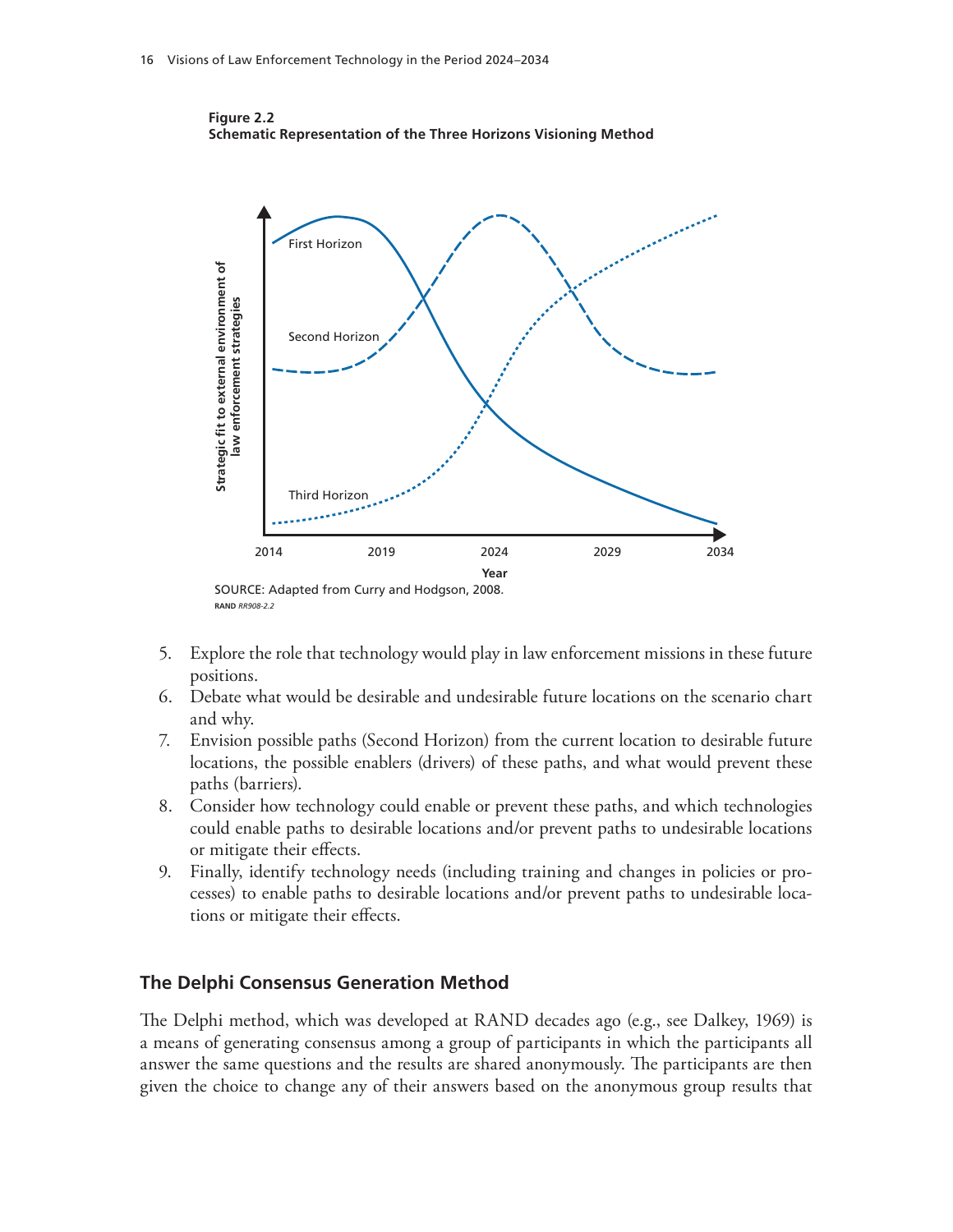

**Figure 2.2 Schematic Representation of the Three Horizons Visioning Method** 

- 5. Explore the role that technology would play in law enforcement missions in these future positions.
- 6. Debate what would be desirable and undesirable future locations on the scenario chart and why.
- 7. Envision possible paths (Second Horizon) from the current location to desirable future locations, the possible enablers (drivers) of these paths, and what would prevent these paths (barriers).
- 8. Consider how technology could enable or prevent these paths, and which technologies could enable paths to desirable locations and/or prevent paths to undesirable locations or mitigate their effects.
- 9. Finally, identify technology needs (including training and changes in policies or processes) to enable paths to desirable locations and/or prevent paths to undesirable locations or mitigate their effects.

#### **The Delphi Consensus Generation Method**

The Delphi method, which was developed at RAND decades ago (e.g., see Dalkey, 1969) is a means of generating consensus among a group of participants in which the participants all answer the same questions and the results are shared anonymously. The participants are then given the choice to change any of their answers based on the anonymous group results that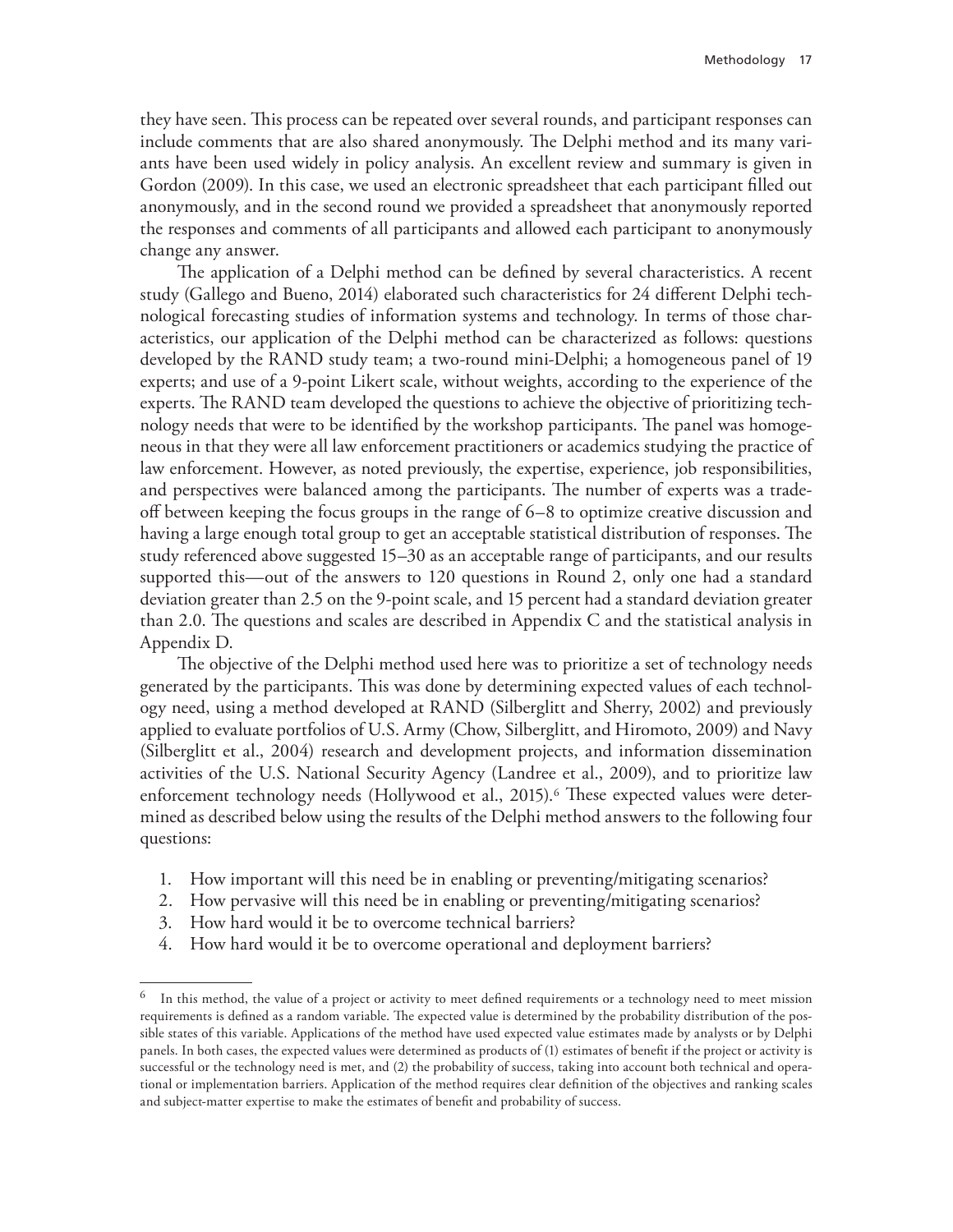they have seen. This process can be repeated over several rounds, and participant responses can include comments that are also shared anonymously. The Delphi method and its many variants have been used widely in policy analysis. An excellent review and summary is given in Gordon (2009). In this case, we used an electronic spreadsheet that each participant filled out anonymously, and in the second round we provided a spreadsheet that anonymously reported the responses and comments of all participants and allowed each participant to anonymously change any answer.

The application of a Delphi method can be defined by several characteristics. A recent study (Gallego and Bueno, 2014) elaborated such characteristics for 24 different Delphi technological forecasting studies of information systems and technology. In terms of those characteristics, our application of the Delphi method can be characterized as follows: questions developed by the RAND study team; a two-round mini-Delphi; a homogeneous panel of 19 experts; and use of a 9-point Likert scale, without weights, according to the experience of the experts. The RAND team developed the questions to achieve the objective of prioritizing technology needs that were to be identified by the workshop participants. The panel was homogeneous in that they were all law enforcement practitioners or academics studying the practice of law enforcement. However, as noted previously, the expertise, experience, job responsibilities, and perspectives were balanced among the participants. The number of experts was a tradeoff between keeping the focus groups in the range of 6–8 to optimize creative discussion and having a large enough total group to get an acceptable statistical distribution of responses. The study referenced above suggested 15–30 as an acceptable range of participants, and our results supported this—out of the answers to 120 questions in Round 2, only one had a standard deviation greater than 2.5 on the 9-point scale, and 15 percent had a standard deviation greater than 2.0. The questions and scales are described in Appendix C and the statistical analysis in Appendix D.

The objective of the Delphi method used here was to prioritize a set of technology needs generated by the participants. This was done by determining expected values of each technology need, using a method developed at RAND (Silberglitt and Sherry, 2002) and previously applied to evaluate portfolios of U.S. Army (Chow, Silberglitt, and Hiromoto, 2009) and Navy (Silberglitt et al., 2004) research and development projects, and information dissemination activities of the U.S. National Security Agency (Landree et al., 2009), and to prioritize law enforcement technology needs (Hollywood et al., 2015).<sup>6</sup> These expected values were determined as described below using the results of the Delphi method answers to the following four questions:

- 1. How important will this need be in enabling or preventing/mitigating scenarios?
- 2. How pervasive will this need be in enabling or preventing/mitigating scenarios?
- 3. How hard would it be to overcome technical barriers?
- 4. How hard would it be to overcome operational and deployment barriers?

In this method, the value of a project or activity to meet defined requirements or a technology need to meet mission requirements is defined as a random variable. The expected value is determined by the probability distribution of the possible states of this variable. Applications of the method have used expected value estimates made by analysts or by Delphi panels. In both cases, the expected values were determined as products of (1) estimates of benefit if the project or activity is successful or the technology need is met, and (2) the probability of success, taking into account both technical and operational or implementation barriers. Application of the method requires clear definition of the objectives and ranking scales and subject-matter expertise to make the estimates of benefit and probability of success.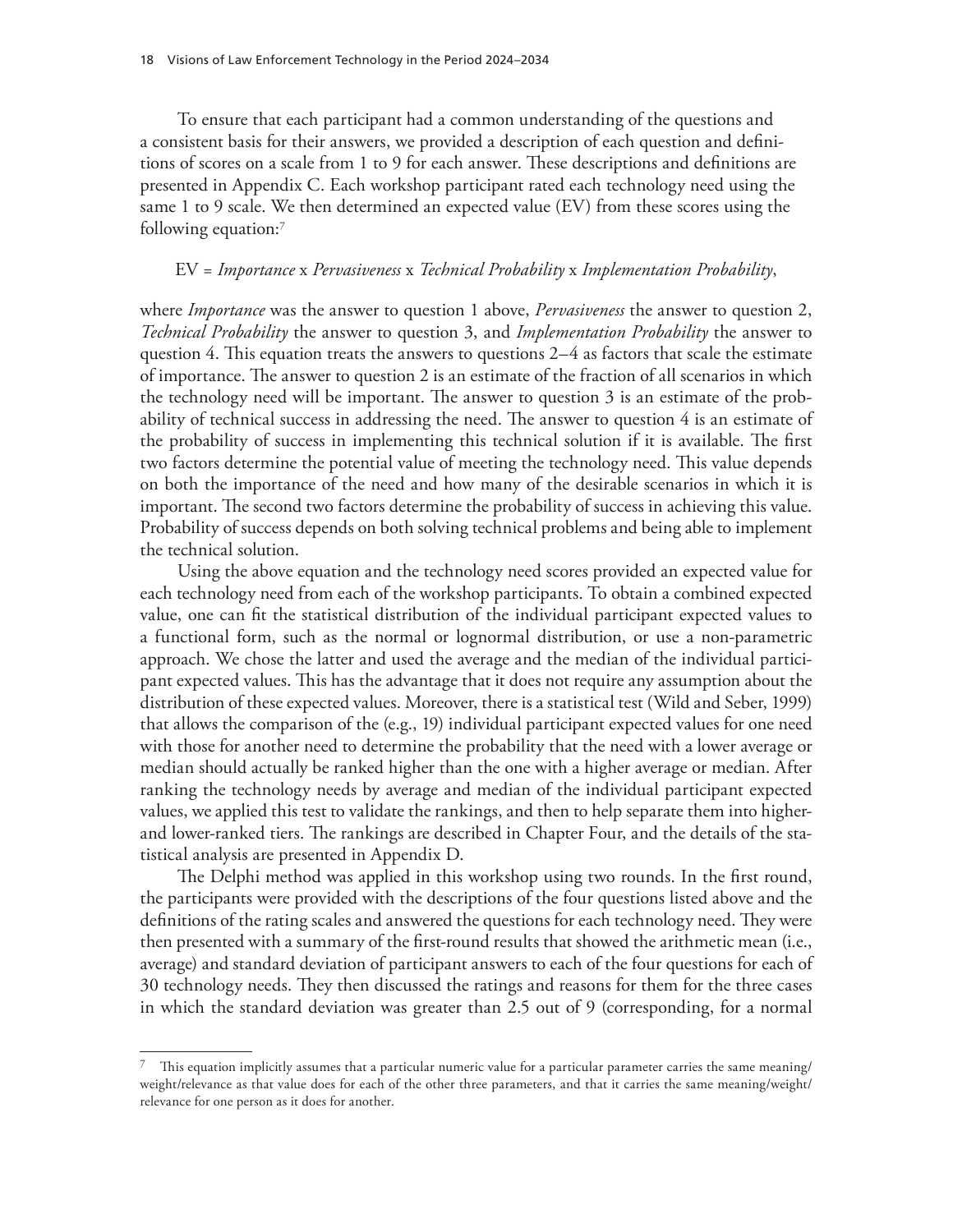To ensure that each participant had a common understanding of the questions and a consistent basis for their answers, we provided a description of each question and definitions of scores on a scale from 1 to 9 for each answer. These descriptions and definitions are presented in Appendix C. Each workshop participant rated each technology need using the same 1 to 9 scale. We then determined an expected value (EV) from these scores using the following equation:7

#### EV = *Importance* x *Pervasiveness* x *Technical Probability* x *Implementation Probability*,

where *Importance* was the answer to question 1 above, *Pervasiveness* the answer to question 2, *Technical Probability* the answer to question 3, and *Implementation Probability* the answer to question 4. This equation treats the answers to questions 2–4 as factors that scale the estimate of importance. The answer to question 2 is an estimate of the fraction of all scenarios in which the technology need will be important. The answer to question 3 is an estimate of the probability of technical success in addressing the need. The answer to question 4 is an estimate of the probability of success in implementing this technical solution if it is available. The first two factors determine the potential value of meeting the technology need. This value depends on both the importance of the need and how many of the desirable scenarios in which it is important. The second two factors determine the probability of success in achieving this value. Probability of success depends on both solving technical problems and being able to implement the technical solution.

Using the above equation and the technology need scores provided an expected value for each technology need from each of the workshop participants. To obtain a combined expected value, one can fit the statistical distribution of the individual participant expected values to a functional form, such as the normal or lognormal distribution, or use a non-parametric approach. We chose the latter and used the average and the median of the individual participant expected values. This has the advantage that it does not require any assumption about the distribution of these expected values. Moreover, there is a statistical test (Wild and Seber, 1999) that allows the comparison of the (e.g., 19) individual participant expected values for one need with those for another need to determine the probability that the need with a lower average or median should actually be ranked higher than the one with a higher average or median. After ranking the technology needs by average and median of the individual participant expected values, we applied this test to validate the rankings, and then to help separate them into higherand lower-ranked tiers. The rankings are described in Chapter Four, and the details of the statistical analysis are presented in Appendix D.

The Delphi method was applied in this workshop using two rounds. In the first round, the participants were provided with the descriptions of the four questions listed above and the definitions of the rating scales and answered the questions for each technology need. They were then presented with a summary of the first-round results that showed the arithmetic mean (i.e., average) and standard deviation of participant answers to each of the four questions for each of 30 technology needs. They then discussed the ratings and reasons for them for the three cases in which the standard deviation was greater than 2.5 out of 9 (corresponding, for a normal

This equation implicitly assumes that a particular numeric value for a particular parameter carries the same meaning/ weight/relevance as that value does for each of the other three parameters, and that it carries the same meaning/weight/ relevance for one person as it does for another.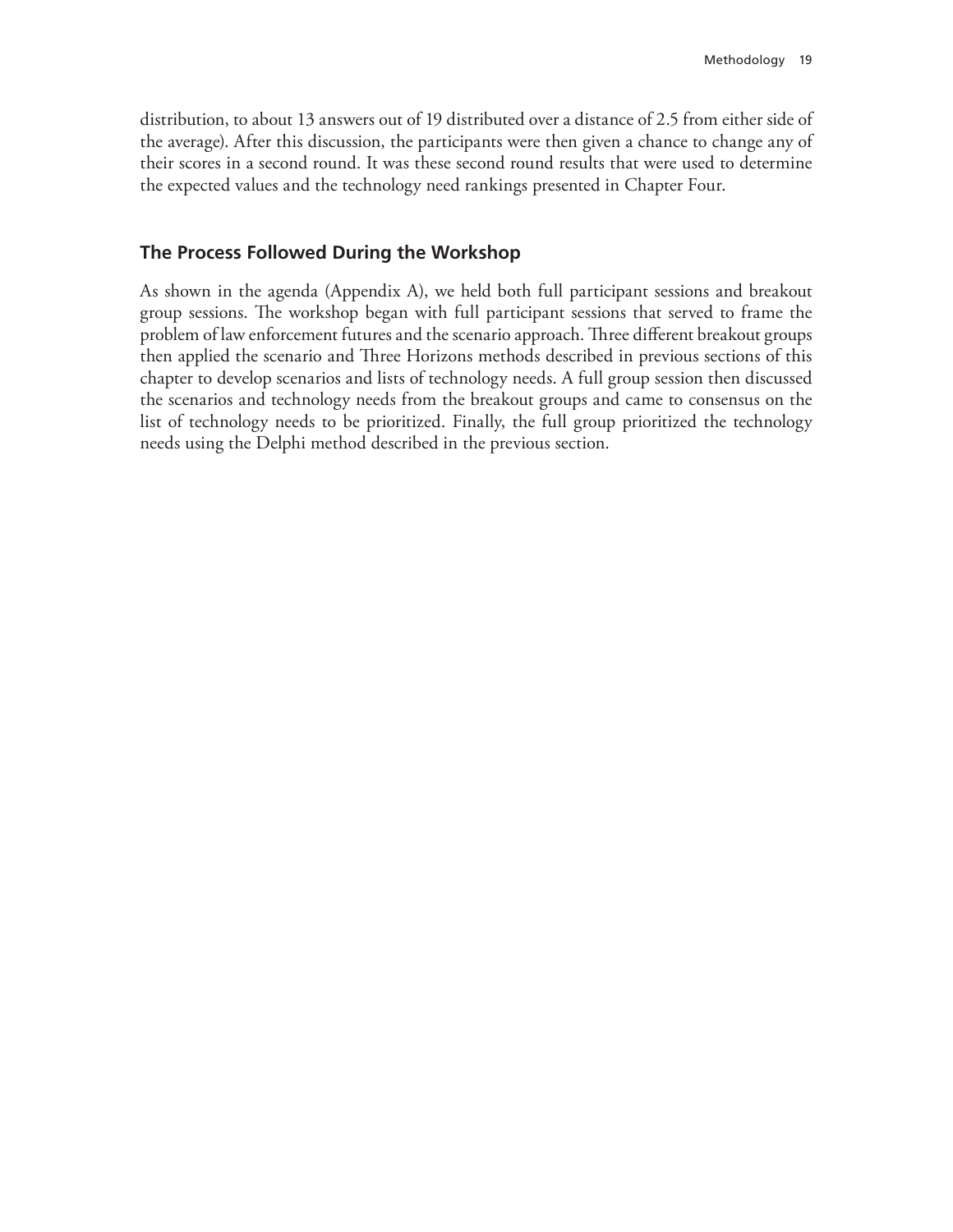distribution, to about 13 answers out of 19 distributed over a distance of 2.5 from either side of the average). After this discussion, the participants were then given a chance to change any of their scores in a second round. It was these second round results that were used to determine the expected values and the technology need rankings presented in Chapter Four.

### **The Process Followed During the Workshop**

As shown in the agenda (Appendix A), we held both full participant sessions and breakout group sessions. The workshop began with full participant sessions that served to frame the problem of law enforcement futures and the scenario approach. Three different breakout groups then applied the scenario and Three Horizons methods described in previous sections of this chapter to develop scenarios and lists of technology needs. A full group session then discussed the scenarios and technology needs from the breakout groups and came to consensus on the list of technology needs to be prioritized. Finally, the full group prioritized the technology needs using the Delphi method described in the previous section.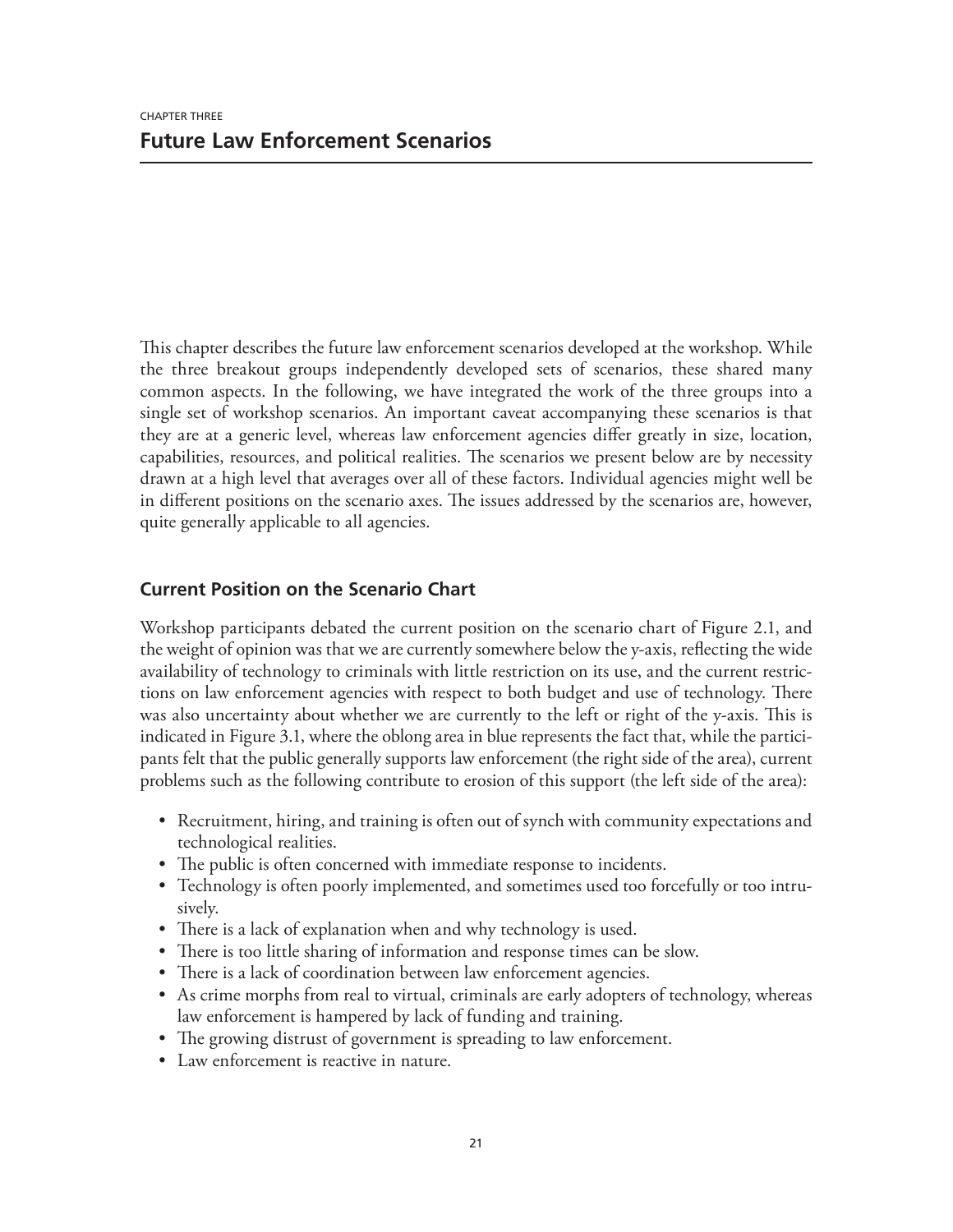This chapter describes the future law enforcement scenarios developed at the workshop. While the three breakout groups independently developed sets of scenarios, these shared many common aspects. In the following, we have integrated the work of the three groups into a single set of workshop scenarios. An important caveat accompanying these scenarios is that they are at a generic level, whereas law enforcement agencies differ greatly in size, location, capabilities, resources, and political realities. The scenarios we present below are by necessity drawn at a high level that averages over all of these factors. Individual agencies might well be in different positions on the scenario axes. The issues addressed by the scenarios are, however, quite generally applicable to all agencies.

## **Current Position on the Scenario Chart**

Workshop participants debated the current position on the scenario chart of Figure 2.1, and the weight of opinion was that we are currently somewhere below the y-axis, reflecting the wide availability of technology to criminals with little restriction on its use, and the current restrictions on law enforcement agencies with respect to both budget and use of technology. There was also uncertainty about whether we are currently to the left or right of the y-axis. This is indicated in Figure 3.1, where the oblong area in blue represents the fact that, while the participants felt that the public generally supports law enforcement (the right side of the area), current problems such as the following contribute to erosion of this support (the left side of the area):

- Recruitment, hiring, and training is often out of synch with community expectations and technological realities.
- The public is often concerned with immediate response to incidents.
- Technology is often poorly implemented, and sometimes used too forcefully or too intrusively.
- There is a lack of explanation when and why technology is used.
- There is too little sharing of information and response times can be slow.
- There is a lack of coordination between law enforcement agencies.
- As crime morphs from real to virtual, criminals are early adopters of technology, whereas law enforcement is hampered by lack of funding and training.
- The growing distrust of government is spreading to law enforcement.
- Law enforcement is reactive in nature.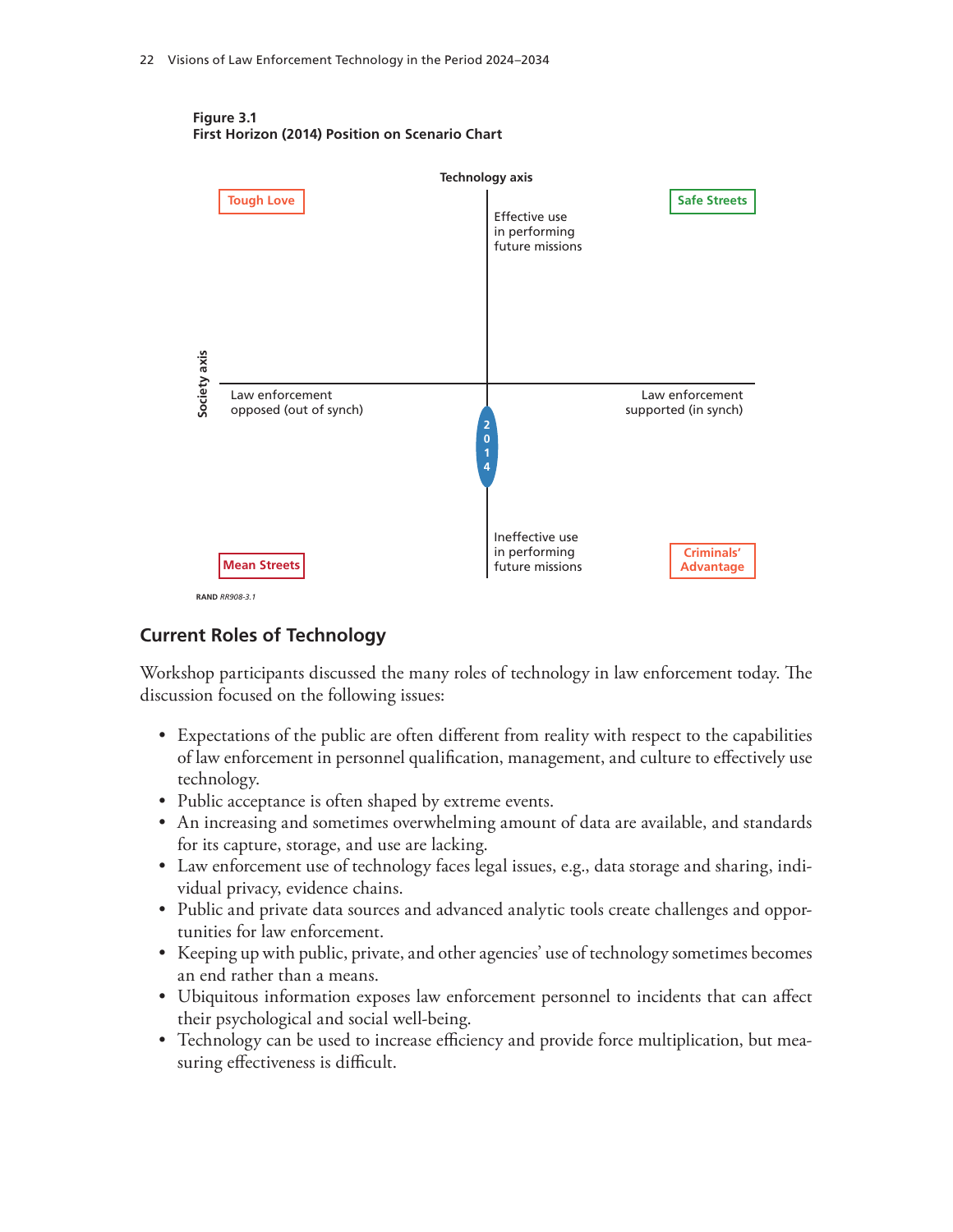

**Figure 3.1 First Horizon (2014) Position on Scenario Chart**

## **Current Roles of Technology**

Workshop participants discussed the many roles of technology in law enforcement today. The discussion focused on the following issues:

- Expectations of the public are often different from reality with respect to the capabilities of law enforcement in personnel qualification, management, and culture to effectively use technology.
- Public acceptance is often shaped by extreme events.
- An increasing and sometimes overwhelming amount of data are available, and standards for its capture, storage, and use are lacking.
- Law enforcement use of technology faces legal issues, e.g., data storage and sharing, individual privacy, evidence chains.
- Public and private data sources and advanced analytic tools create challenges and opportunities for law enforcement.
- Keeping up with public, private, and other agencies' use of technology sometimes becomes an end rather than a means.
- Ubiquitous information exposes law enforcement personnel to incidents that can affect their psychological and social well-being.
- Technology can be used to increase efficiency and provide force multiplication, but measuring effectiveness is difficult.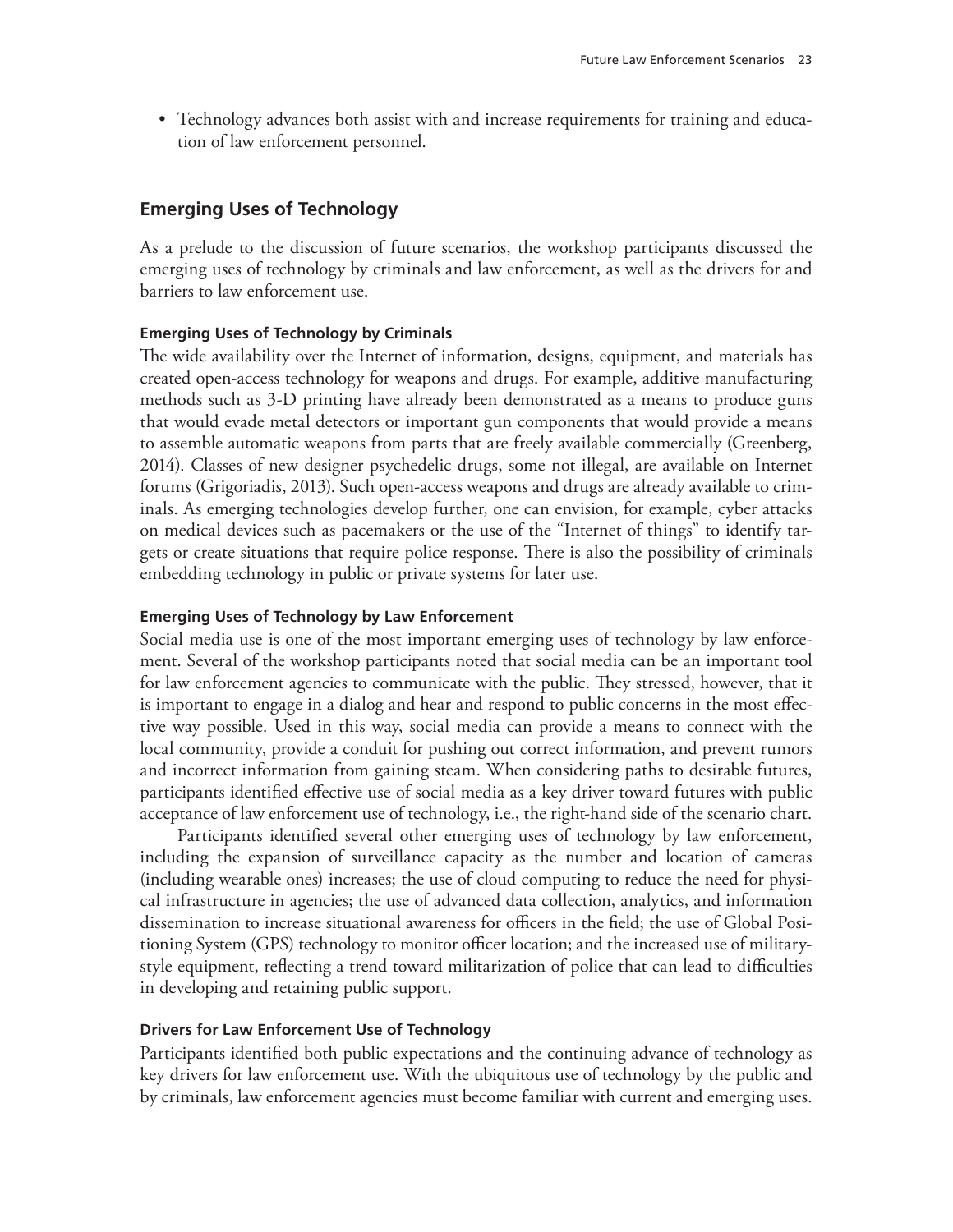• Technology advances both assist with and increase requirements for training and education of law enforcement personnel.

## **Emerging Uses of Technology**

As a prelude to the discussion of future scenarios, the workshop participants discussed the emerging uses of technology by criminals and law enforcement, as well as the drivers for and barriers to law enforcement use.

#### **Emerging Uses of Technology by Criminals**

The wide availability over the Internet of information, designs, equipment, and materials has created open-access technology for weapons and drugs. For example, additive manufacturing methods such as 3-D printing have already been demonstrated as a means to produce guns that would evade metal detectors or important gun components that would provide a means to assemble automatic weapons from parts that are freely available commercially (Greenberg, 2014). Classes of new designer psychedelic drugs, some not illegal, are available on Internet forums (Grigoriadis, 2013). Such open-access weapons and drugs are already available to criminals. As emerging technologies develop further, one can envision, for example, cyber attacks on medical devices such as pacemakers or the use of the "Internet of things" to identify targets or create situations that require police response. There is also the possibility of criminals embedding technology in public or private systems for later use.

#### **Emerging Uses of Technology by Law Enforcement**

Social media use is one of the most important emerging uses of technology by law enforcement. Several of the workshop participants noted that social media can be an important tool for law enforcement agencies to communicate with the public. They stressed, however, that it is important to engage in a dialog and hear and respond to public concerns in the most effective way possible. Used in this way, social media can provide a means to connect with the local community, provide a conduit for pushing out correct information, and prevent rumors and incorrect information from gaining steam. When considering paths to desirable futures, participants identified effective use of social media as a key driver toward futures with public acceptance of law enforcement use of technology, i.e., the right-hand side of the scenario chart.

Participants identified several other emerging uses of technology by law enforcement, including the expansion of surveillance capacity as the number and location of cameras (including wearable ones) increases; the use of cloud computing to reduce the need for physical infrastructure in agencies; the use of advanced data collection, analytics, and information dissemination to increase situational awareness for officers in the field; the use of Global Positioning System (GPS) technology to monitor officer location; and the increased use of militarystyle equipment, reflecting a trend toward militarization of police that can lead to difficulties in developing and retaining public support.

#### **Drivers for Law Enforcement Use of Technology**

Participants identified both public expectations and the continuing advance of technology as key drivers for law enforcement use. With the ubiquitous use of technology by the public and by criminals, law enforcement agencies must become familiar with current and emerging uses.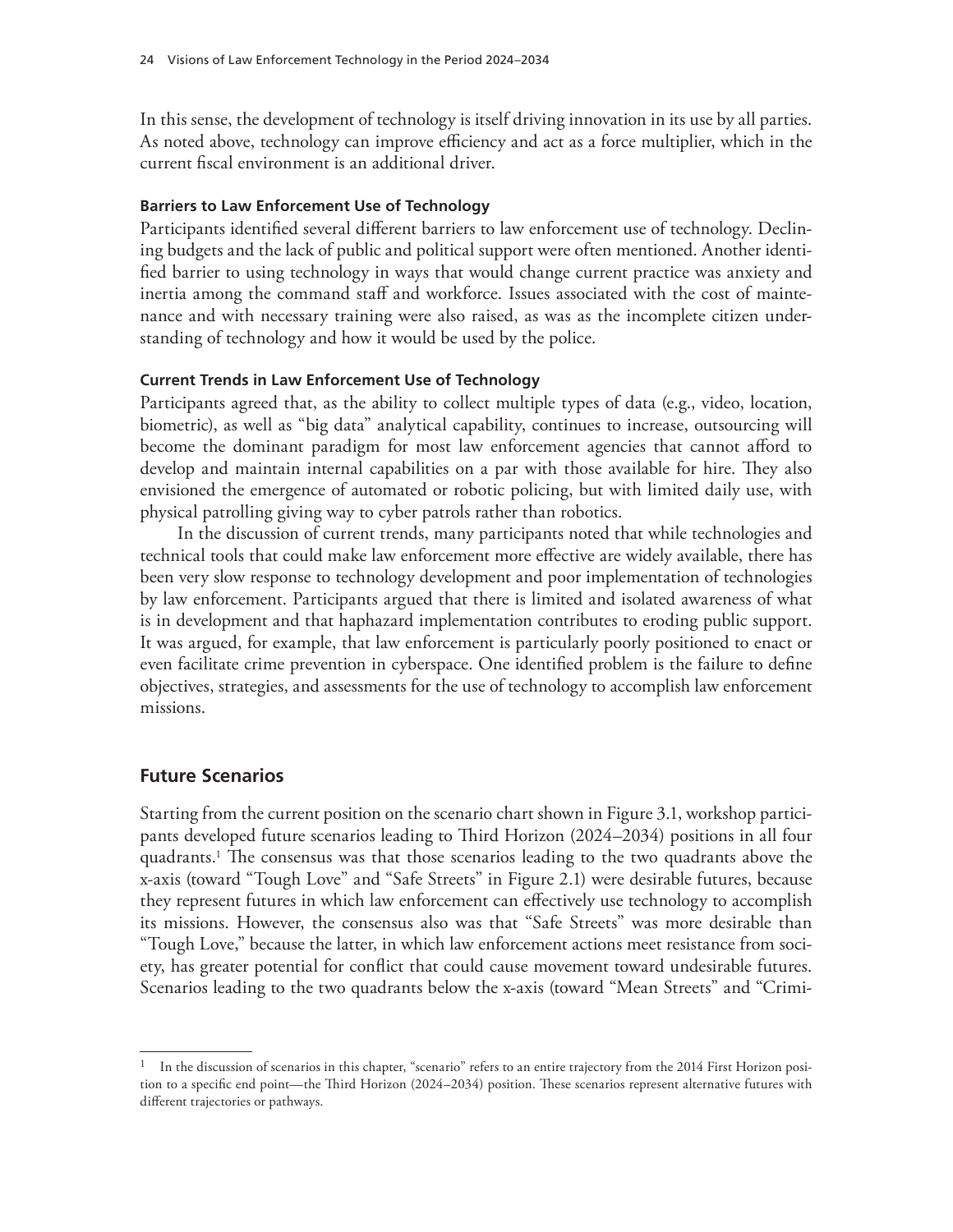In this sense, the development of technology is itself driving innovation in its use by all parties. As noted above, technology can improve efficiency and act as a force multiplier, which in the current fiscal environment is an additional driver.

#### **Barriers to Law Enforcement Use of Technology**

Participants identified several different barriers to law enforcement use of technology. Declining budgets and the lack of public and political support were often mentioned. Another identified barrier to using technology in ways that would change current practice was anxiety and inertia among the command staff and workforce. Issues associated with the cost of maintenance and with necessary training were also raised, as was as the incomplete citizen understanding of technology and how it would be used by the police.

#### **Current Trends in Law Enforcement Use of Technology**

Participants agreed that, as the ability to collect multiple types of data (e.g., video, location, biometric), as well as "big data" analytical capability, continues to increase, outsourcing will become the dominant paradigm for most law enforcement agencies that cannot afford to develop and maintain internal capabilities on a par with those available for hire. They also envisioned the emergence of automated or robotic policing, but with limited daily use, with physical patrolling giving way to cyber patrols rather than robotics.

In the discussion of current trends, many participants noted that while technologies and technical tools that could make law enforcement more effective are widely available, there has been very slow response to technology development and poor implementation of technologies by law enforcement. Participants argued that there is limited and isolated awareness of what is in development and that haphazard implementation contributes to eroding public support. It was argued, for example, that law enforcement is particularly poorly positioned to enact or even facilitate crime prevention in cyberspace. One identified problem is the failure to define objectives, strategies, and assessments for the use of technology to accomplish law enforcement missions.

#### **Future Scenarios**

Starting from the current position on the scenario chart shown in Figure 3.1, workshop participants developed future scenarios leading to Third Horizon (2024–2034) positions in all four quadrants.1 The consensus was that those scenarios leading to the two quadrants above the x-axis (toward "Tough Love" and "Safe Streets" in Figure 2.1) were desirable futures, because they represent futures in which law enforcement can effectively use technology to accomplish its missions. However, the consensus also was that "Safe Streets" was more desirable than "Tough Love," because the latter, in which law enforcement actions meet resistance from society, has greater potential for conflict that could cause movement toward undesirable futures. Scenarios leading to the two quadrants below the x-axis (toward "Mean Streets" and "Crimi-

<sup>&</sup>lt;sup>1</sup> In the discussion of scenarios in this chapter, "scenario" refers to an entire trajectory from the 2014 First Horizon position to a specific end point—the Third Horizon (2024–2034) position. These scenarios represent alternative futures with different trajectories or pathways.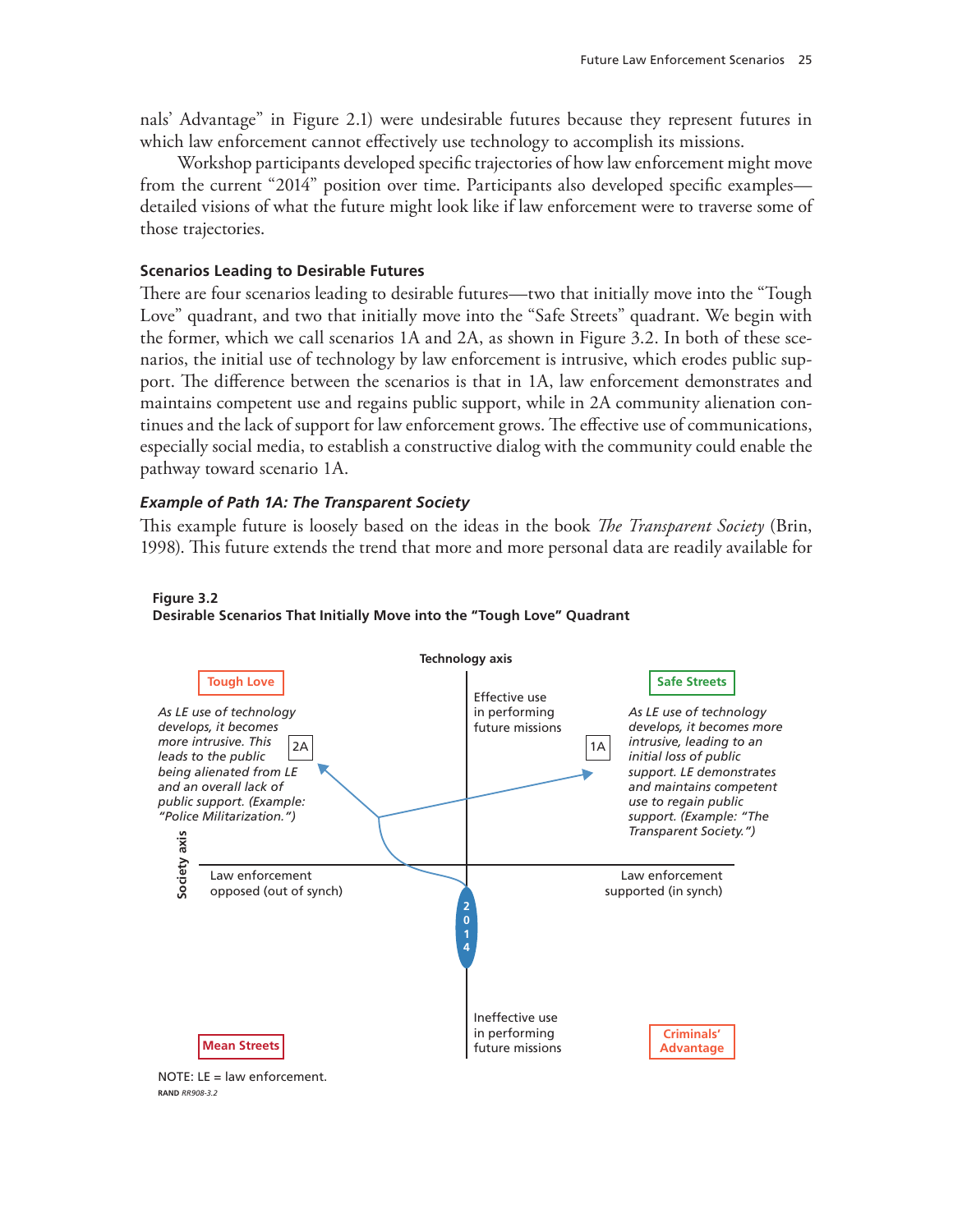nals' Advantage" in Figure 2.1) were undesirable futures because they represent futures in which law enforcement cannot effectively use technology to accomplish its missions.

Workshop participants developed specific trajectories of how law enforcement might move from the current "2014" position over time. Participants also developed specific examples detailed visions of what the future might look like if law enforcement were to traverse some of those trajectories.

#### **Scenarios Leading to Desirable Futures**

There are four scenarios leading to desirable futures—two that initially move into the "Tough Love" quadrant, and two that initially move into the "Safe Streets" quadrant. We begin with the former, which we call scenarios 1A and 2A, as shown in Figure 3.2. In both of these scenarios, the initial use of technology by law enforcement is intrusive, which erodes public support. The difference between the scenarios is that in 1A, law enforcement demonstrates and maintains competent use and regains public support, while in 2A community alienation continues and the lack of support for law enforcement grows. The effective use of communications, especially social media, to establish a constructive dialog with the community could enable the pathway toward scenario 1A.

#### *Example of Path 1A: The Transparent Society*

This example future is loosely based on the ideas in the book *The Transparent Society* (Brin, 1998). This future extends the trend that more and more personal data are readily available for



#### **Figure 3.2 Desirable Scenarios That Initially Move into the "Tough Love" Quadrant**

 $NOTF: IF = law enforcement.$ **RAND** *RR908-3.2*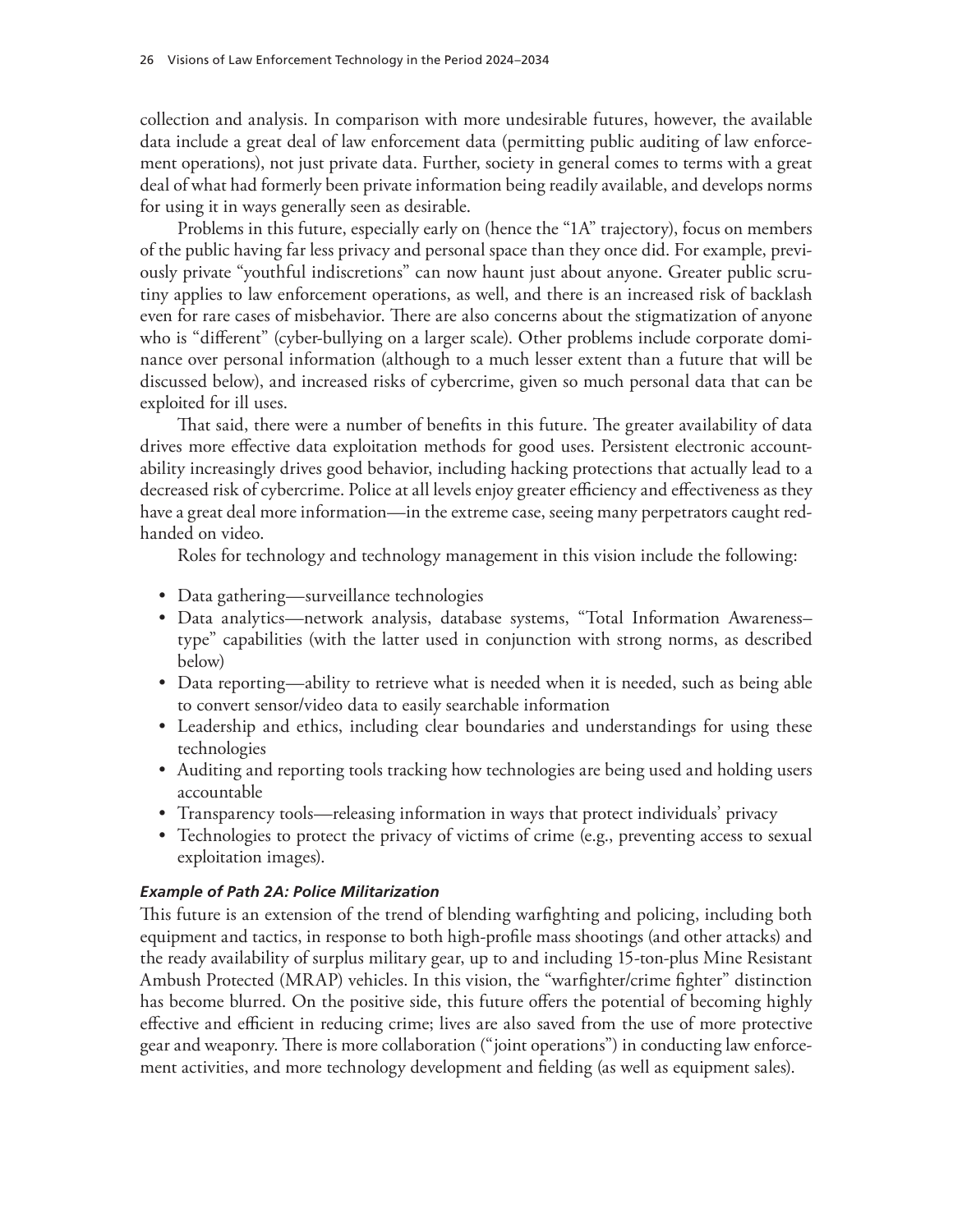collection and analysis. In comparison with more undesirable futures, however, the available data include a great deal of law enforcement data (permitting public auditing of law enforcement operations), not just private data. Further, society in general comes to terms with a great deal of what had formerly been private information being readily available, and develops norms for using it in ways generally seen as desirable.

Problems in this future, especially early on (hence the "1A" trajectory), focus on members of the public having far less privacy and personal space than they once did. For example, previously private "youthful indiscretions" can now haunt just about anyone. Greater public scrutiny applies to law enforcement operations, as well, and there is an increased risk of backlash even for rare cases of misbehavior. There are also concerns about the stigmatization of anyone who is "different" (cyber-bullying on a larger scale). Other problems include corporate dominance over personal information (although to a much lesser extent than a future that will be discussed below), and increased risks of cybercrime, given so much personal data that can be exploited for ill uses.

That said, there were a number of benefits in this future. The greater availability of data drives more effective data exploitation methods for good uses. Persistent electronic accountability increasingly drives good behavior, including hacking protections that actually lead to a decreased risk of cybercrime. Police at all levels enjoy greater efficiency and effectiveness as they have a great deal more information—in the extreme case, seeing many perpetrators caught redhanded on video.

Roles for technology and technology management in this vision include the following:

- Data gathering—surveillance technologies
- Data analytics—network analysis, database systems, "Total Information Awareness– type" capabilities (with the latter used in conjunction with strong norms, as described below)
- Data reporting—ability to retrieve what is needed when it is needed, such as being able to convert sensor/video data to easily searchable information
- Leadership and ethics, including clear boundaries and understandings for using these technologies
- Auditing and reporting tools tracking how technologies are being used and holding users accountable
- Transparency tools—releasing information in ways that protect individuals' privacy
- Technologies to protect the privacy of victims of crime (e.g., preventing access to sexual exploitation images).

## *Example of Path 2A: Police Militarization*

This future is an extension of the trend of blending warfighting and policing, including both equipment and tactics, in response to both high-profile mass shootings (and other attacks) and the ready availability of surplus military gear, up to and including 15-ton-plus Mine Resistant Ambush Protected (MRAP) vehicles. In this vision, the "warfighter/crime fighter" distinction has become blurred. On the positive side, this future offers the potential of becoming highly effective and efficient in reducing crime; lives are also saved from the use of more protective gear and weaponry. There is more collaboration ("joint operations") in conducting law enforcement activities, and more technology development and fielding (as well as equipment sales).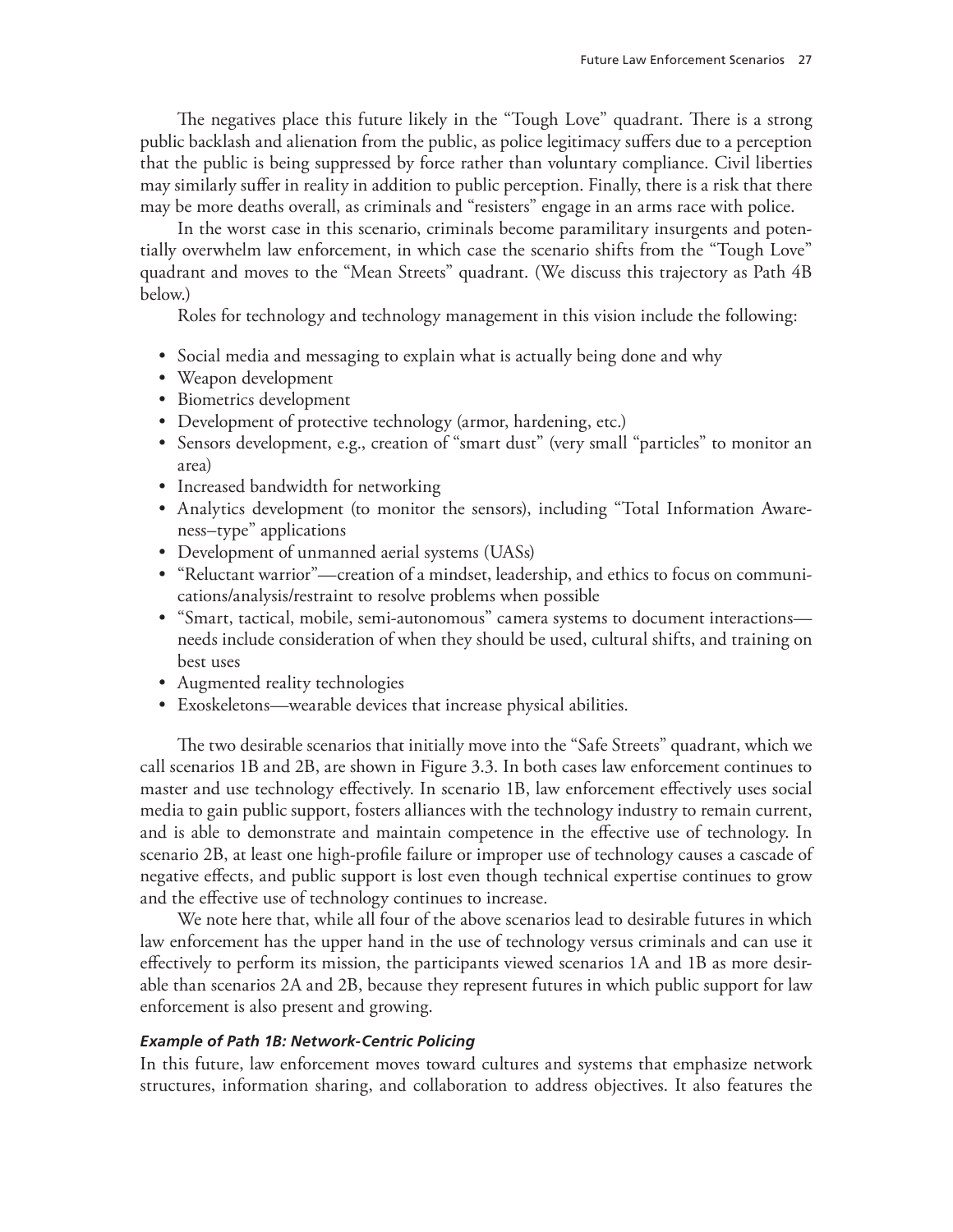The negatives place this future likely in the "Tough Love" quadrant. There is a strong public backlash and alienation from the public, as police legitimacy suffers due to a perception that the public is being suppressed by force rather than voluntary compliance. Civil liberties may similarly suffer in reality in addition to public perception. Finally, there is a risk that there may be more deaths overall, as criminals and "resisters" engage in an arms race with police.

In the worst case in this scenario, criminals become paramilitary insurgents and potentially overwhelm law enforcement, in which case the scenario shifts from the "Tough Love" quadrant and moves to the "Mean Streets" quadrant. (We discuss this trajectory as Path 4B below.)

Roles for technology and technology management in this vision include the following:

- Social media and messaging to explain what is actually being done and why
- Weapon development
- Biometrics development
- Development of protective technology (armor, hardening, etc.)
- Sensors development, e.g., creation of "smart dust" (very small "particles" to monitor an area)
- Increased bandwidth for networking
- Analytics development (to monitor the sensors), including "Total Information Awareness–type" applications
- Development of unmanned aerial systems (UASs)
- "Reluctant warrior"—creation of a mindset, leadership, and ethics to focus on communications/analysis/restraint to resolve problems when possible
- "Smart, tactical, mobile, semi-autonomous" camera systems to document interactions needs include consideration of when they should be used, cultural shifts, and training on best uses
- Augmented reality technologies
- Exoskeletons—wearable devices that increase physical abilities.

The two desirable scenarios that initially move into the "Safe Streets" quadrant, which we call scenarios 1B and 2B, are shown in Figure 3.3. In both cases law enforcement continues to master and use technology effectively. In scenario 1B, law enforcement effectively uses social media to gain public support, fosters alliances with the technology industry to remain current, and is able to demonstrate and maintain competence in the effective use of technology. In scenario 2B, at least one high-profile failure or improper use of technology causes a cascade of negative effects, and public support is lost even though technical expertise continues to grow and the effective use of technology continues to increase.

We note here that, while all four of the above scenarios lead to desirable futures in which law enforcement has the upper hand in the use of technology versus criminals and can use it effectively to perform its mission, the participants viewed scenarios 1A and 1B as more desirable than scenarios 2A and 2B, because they represent futures in which public support for law enforcement is also present and growing.

#### *Example of Path 1B: Network-Centric Policing*

In this future, law enforcement moves toward cultures and systems that emphasize network structures, information sharing, and collaboration to address objectives. It also features the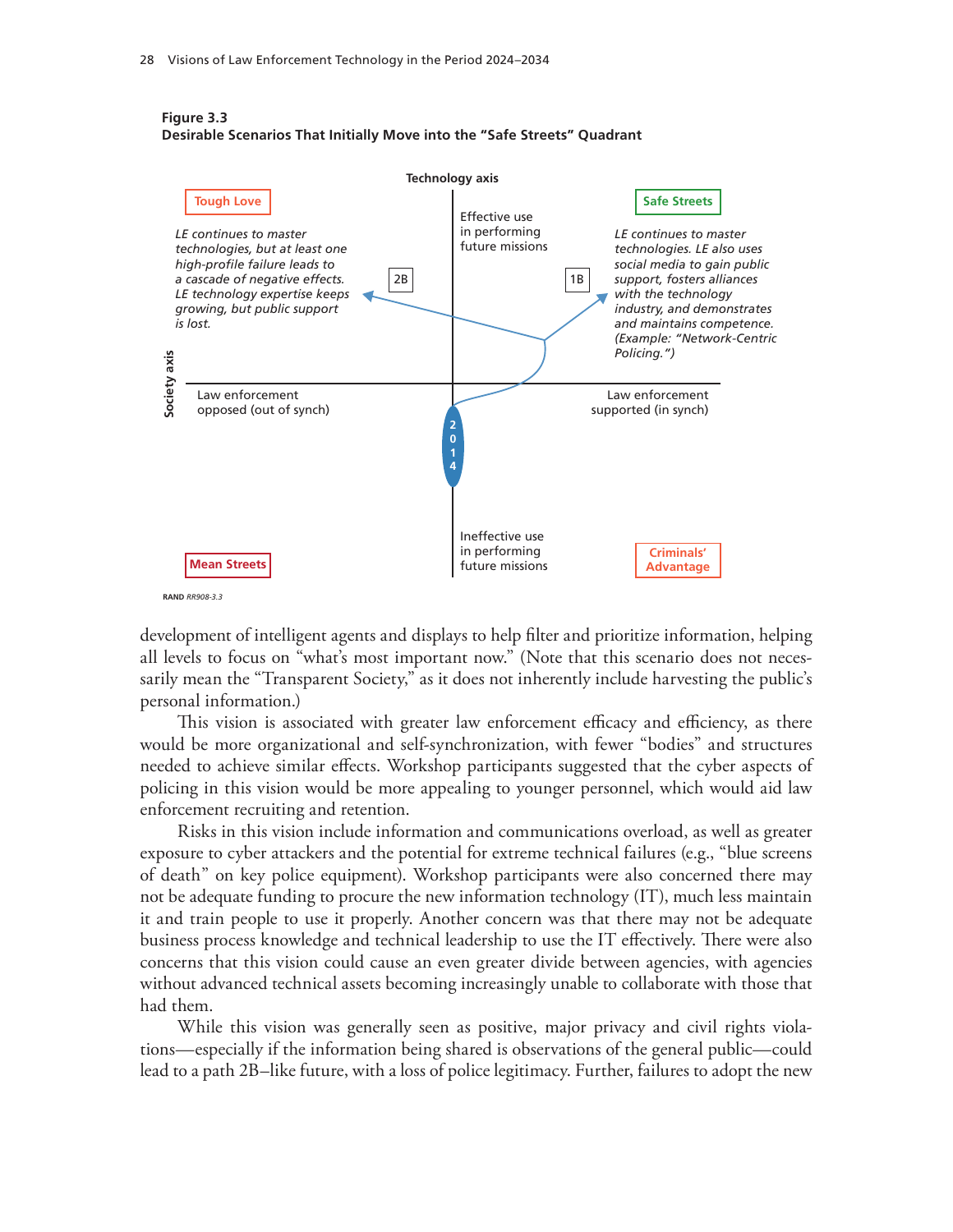

#### **Figure 3.3 Desirable Scenarios That Initially Move into the "Safe Streets" Quadrant**

development of intelligent agents and displays to help filter and prioritize information, helping all levels to focus on "what's most important now." (Note that this scenario does not necessarily mean the "Transparent Society," as it does not inherently include harvesting the public's personal information.)

This vision is associated with greater law enforcement efficacy and efficiency, as there would be more organizational and self-synchronization, with fewer "bodies" and structures needed to achieve similar effects. Workshop participants suggested that the cyber aspects of policing in this vision would be more appealing to younger personnel, which would aid law enforcement recruiting and retention.

Risks in this vision include information and communications overload, as well as greater exposure to cyber attackers and the potential for extreme technical failures (e.g., "blue screens of death" on key police equipment). Workshop participants were also concerned there may not be adequate funding to procure the new information technology (IT), much less maintain it and train people to use it properly. Another concern was that there may not be adequate business process knowledge and technical leadership to use the IT effectively. There were also concerns that this vision could cause an even greater divide between agencies, with agencies without advanced technical assets becoming increasingly unable to collaborate with those that had them.

While this vision was generally seen as positive, major privacy and civil rights violations—especially if the information being shared is observations of the general public—could lead to a path 2B–like future, with a loss of police legitimacy. Further, failures to adopt the new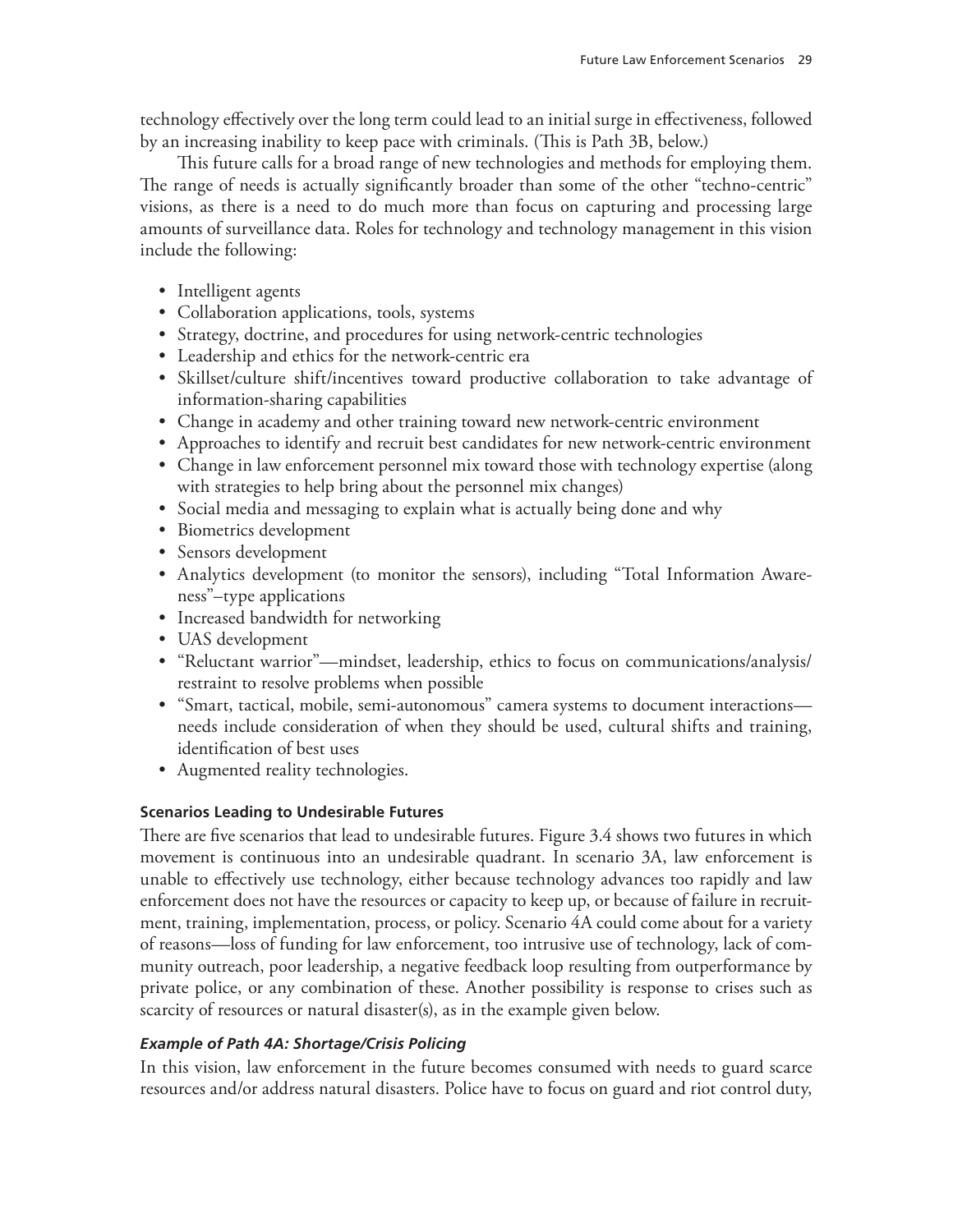technology effectively over the long term could lead to an initial surge in effectiveness, followed by an increasing inability to keep pace with criminals. (This is Path 3B, below.)

This future calls for a broad range of new technologies and methods for employing them. The range of needs is actually significantly broader than some of the other "techno-centric" visions, as there is a need to do much more than focus on capturing and processing large amounts of surveillance data. Roles for technology and technology management in this vision include the following:

- Intelligent agents
- Collaboration applications, tools, systems
- Strategy, doctrine, and procedures for using network-centric technologies
- Leadership and ethics for the network-centric era
- Skillset/culture shift/incentives toward productive collaboration to take advantage of information-sharing capabilities
- Change in academy and other training toward new network-centric environment
- Approaches to identify and recruit best candidates for new network-centric environment
- Change in law enforcement personnel mix toward those with technology expertise (along with strategies to help bring about the personnel mix changes)
- Social media and messaging to explain what is actually being done and why
- Biometrics development
- Sensors development
- Analytics development (to monitor the sensors), including "Total Information Awareness"–type applications
- Increased bandwidth for networking
- UAS development
- "Reluctant warrior"—mindset, leadership, ethics to focus on communications/analysis/ restraint to resolve problems when possible
- "Smart, tactical, mobile, semi-autonomous" camera systems to document interactions needs include consideration of when they should be used, cultural shifts and training, identification of best uses
- Augmented reality technologies.

#### **Scenarios Leading to Undesirable Futures**

There are five scenarios that lead to undesirable futures. Figure 3.4 shows two futures in which movement is continuous into an undesirable quadrant. In scenario 3A, law enforcement is unable to effectively use technology, either because technology advances too rapidly and law enforcement does not have the resources or capacity to keep up, or because of failure in recruitment, training, implementation, process, or policy. Scenario 4A could come about for a variety of reasons—loss of funding for law enforcement, too intrusive use of technology, lack of community outreach, poor leadership, a negative feedback loop resulting from outperformance by private police, or any combination of these. Another possibility is response to crises such as scarcity of resources or natural disaster(s), as in the example given below.

#### *Example of Path 4A: Shortage/Crisis Policing*

In this vision, law enforcement in the future becomes consumed with needs to guard scarce resources and/or address natural disasters. Police have to focus on guard and riot control duty,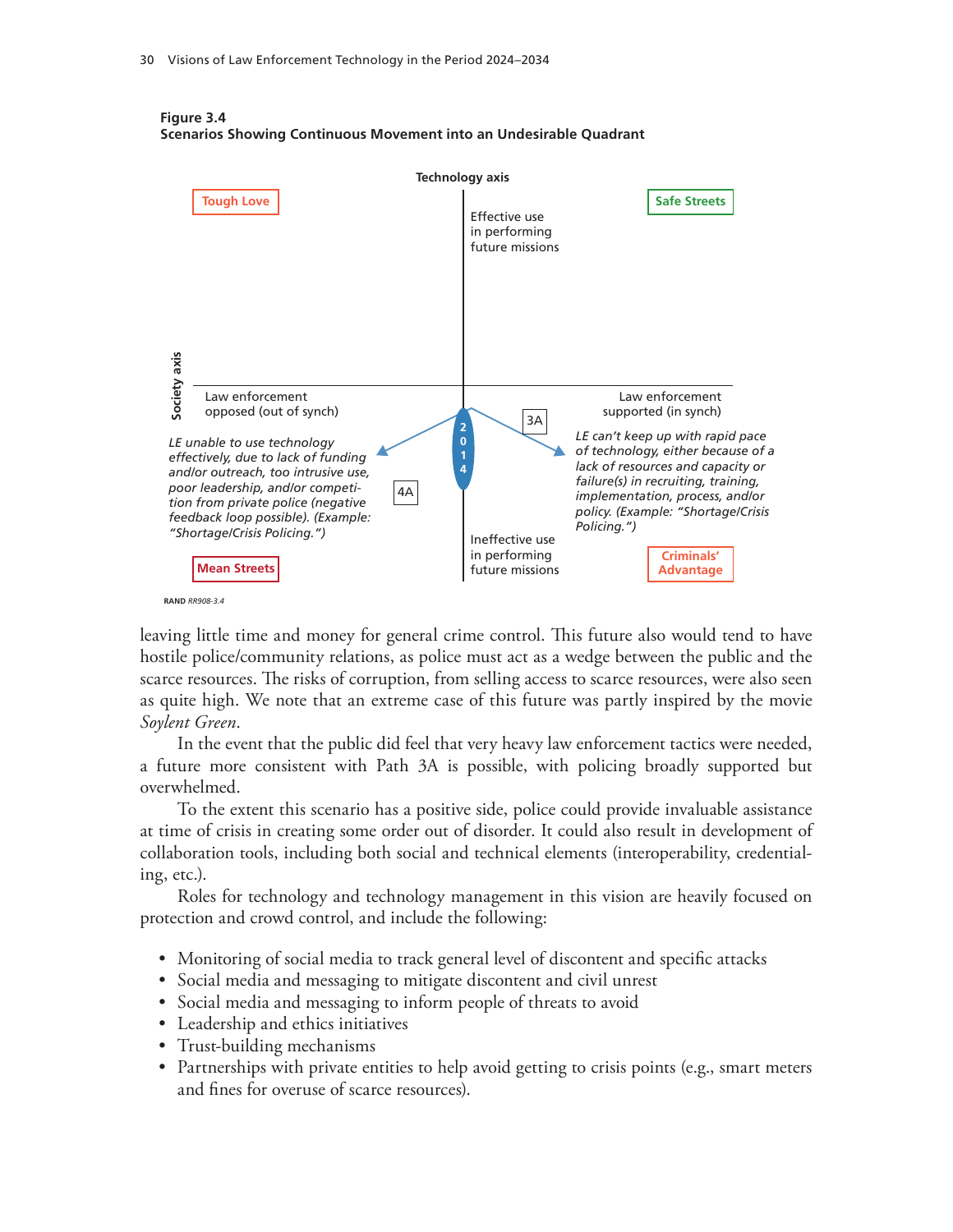



leaving little time and money for general crime control. This future also would tend to have hostile police/community relations, as police must act as a wedge between the public and the scarce resources. The risks of corruption, from selling access to scarce resources, were also seen as quite high. We note that an extreme case of this future was partly inspired by the movie *Soylent Green*.

In the event that the public did feel that very heavy law enforcement tactics were needed, a future more consistent with Path 3A is possible, with policing broadly supported but overwhelmed.

To the extent this scenario has a positive side, police could provide invaluable assistance at time of crisis in creating some order out of disorder. It could also result in development of collaboration tools, including both social and technical elements (interoperability, credentialing, etc.).

Roles for technology and technology management in this vision are heavily focused on protection and crowd control, and include the following:

- Monitoring of social media to track general level of discontent and specific attacks
- Social media and messaging to mitigate discontent and civil unrest
- Social media and messaging to inform people of threats to avoid
- Leadership and ethics initiatives
- Trust-building mechanisms
- Partnerships with private entities to help avoid getting to crisis points (e.g., smart meters and fines for overuse of scarce resources).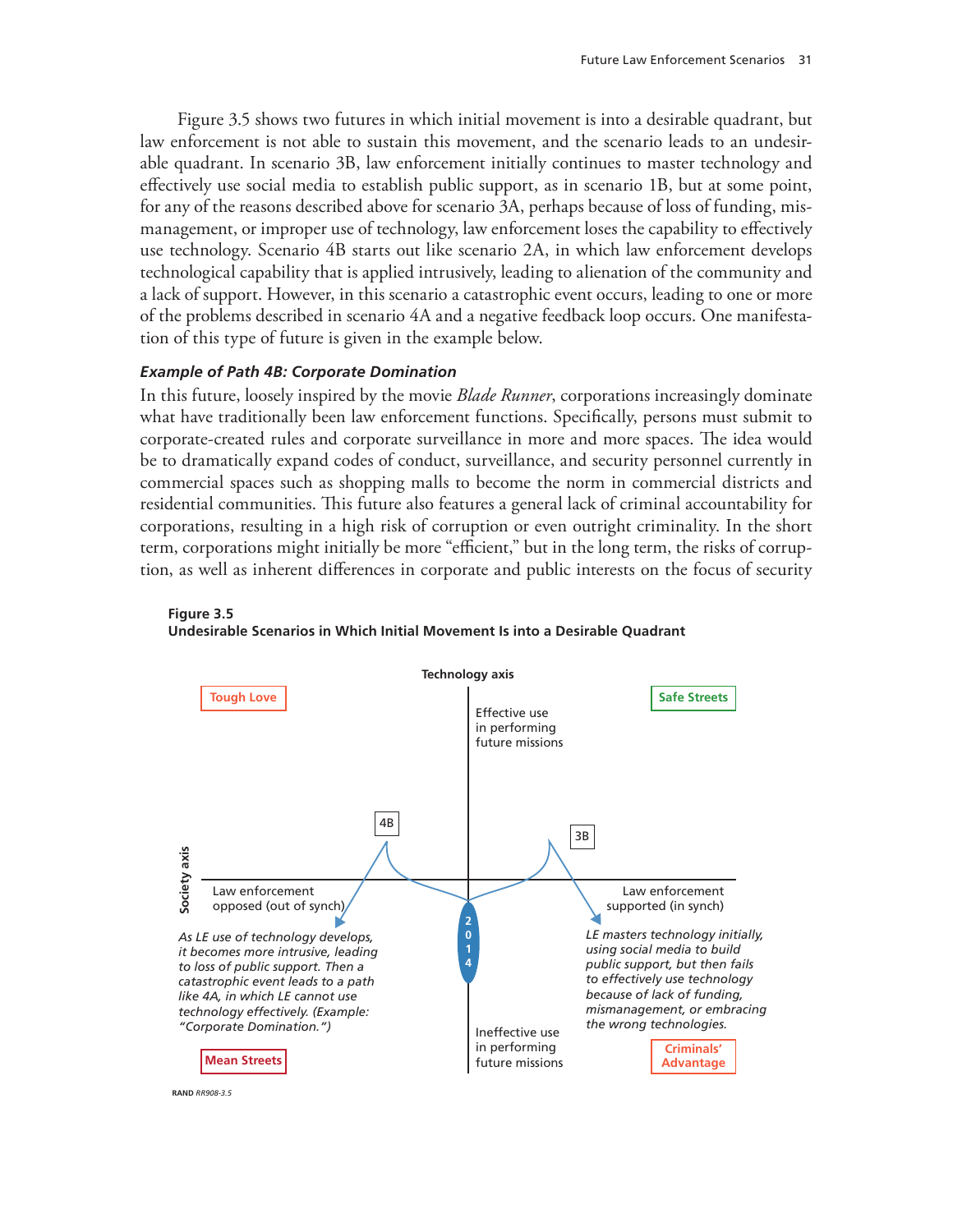Figure 3.5 shows two futures in which initial movement is into a desirable quadrant, but law enforcement is not able to sustain this movement, and the scenario leads to an undesirable quadrant. In scenario 3B, law enforcement initially continues to master technology and effectively use social media to establish public support, as in scenario 1B, but at some point, for any of the reasons described above for scenario 3A, perhaps because of loss of funding, mismanagement, or improper use of technology, law enforcement loses the capability to effectively use technology. Scenario 4B starts out like scenario 2A, in which law enforcement develops technological capability that is applied intrusively, leading to alienation of the community and a lack of support. However, in this scenario a catastrophic event occurs, leading to one or more of the problems described in scenario 4A and a negative feedback loop occurs. One manifestation of this type of future is given in the example below.

#### *Example of Path 4B: Corporate Domination*

In this future, loosely inspired by the movie *Blade Runner*, corporations increasingly dominate what have traditionally been law enforcement functions. Specifically, persons must submit to corporate-created rules and corporate surveillance in more and more spaces. The idea would be to dramatically expand codes of conduct, surveillance, and security personnel currently in commercial spaces such as shopping malls to become the norm in commercial districts and residential communities. This future also features a general lack of criminal accountability for corporations, resulting in a high risk of corruption or even outright criminality. In the short term, corporations might initially be more "efficient," but in the long term, the risks of corruption, as well as inherent differences in corporate and public interests on the focus of security



**Figure 3.5 Undesirable Scenarios in Which Initial Movement Is into a Desirable Quadrant**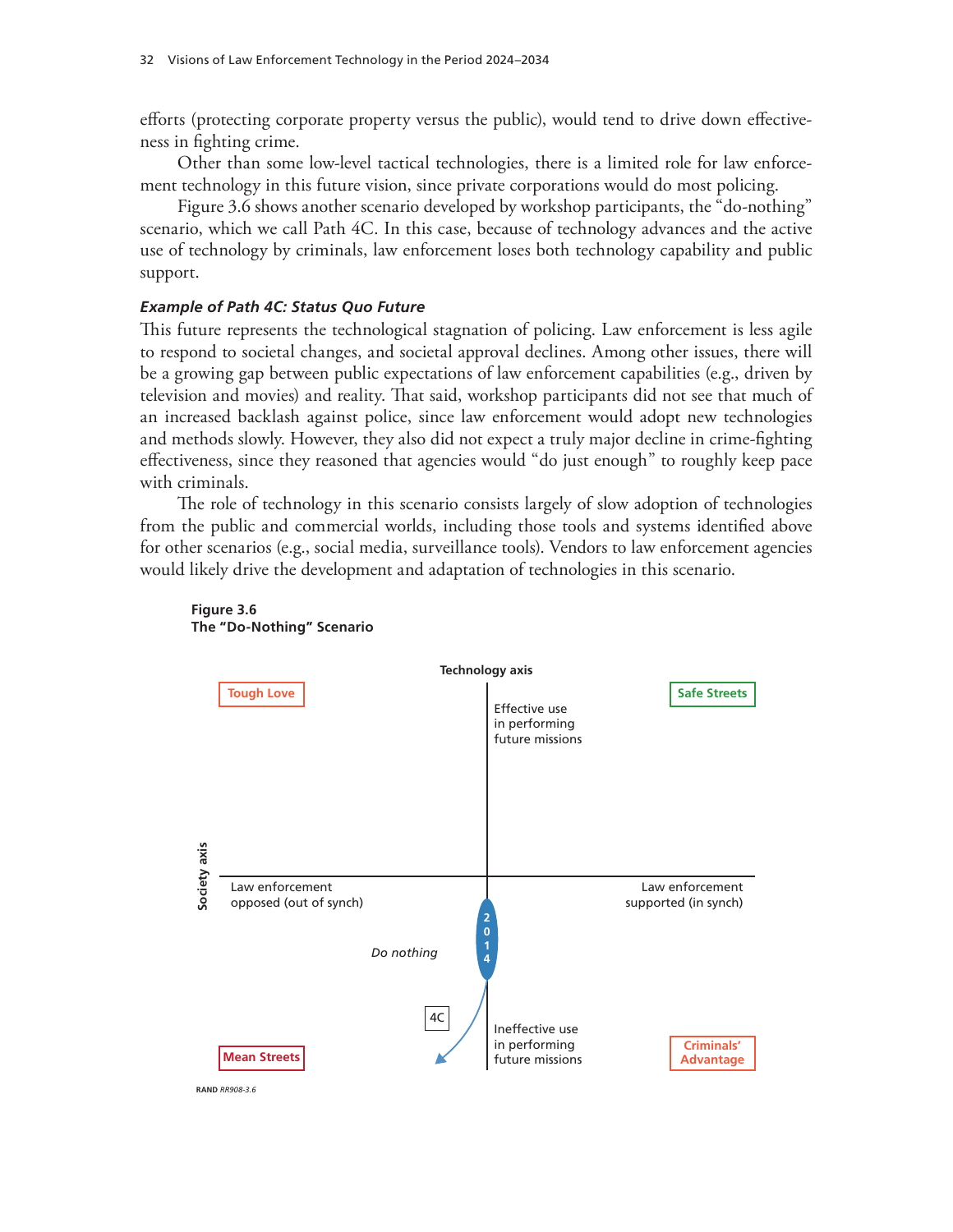efforts (protecting corporate property versus the public), would tend to drive down effectiveness in fighting crime.

Other than some low-level tactical technologies, there is a limited role for law enforcement technology in this future vision, since private corporations would do most policing.

Figure 3.6 shows another scenario developed by workshop participants, the "do-nothing" scenario, which we call Path 4C. In this case, because of technology advances and the active use of technology by criminals, law enforcement loses both technology capability and public support.

#### *Example of Path 4C: Status Quo Future*

This future represents the technological stagnation of policing. Law enforcement is less agile to respond to societal changes, and societal approval declines. Among other issues, there will be a growing gap between public expectations of law enforcement capabilities (e.g., driven by television and movies) and reality. That said, workshop participants did not see that much of an increased backlash against police, since law enforcement would adopt new technologies and methods slowly. However, they also did not expect a truly major decline in crime-fighting effectiveness, since they reasoned that agencies would "do just enough" to roughly keep pace with criminals.

The role of technology in this scenario consists largely of slow adoption of technologies from the public and commercial worlds, including those tools and systems identified above for other scenarios (e.g., social media, surveillance tools). Vendors to law enforcement agencies would likely drive the development and adaptation of technologies in this scenario.



#### **Figure 3.6 The "Do-Nothing" Scenario**

**RAND** *RR908-3.6*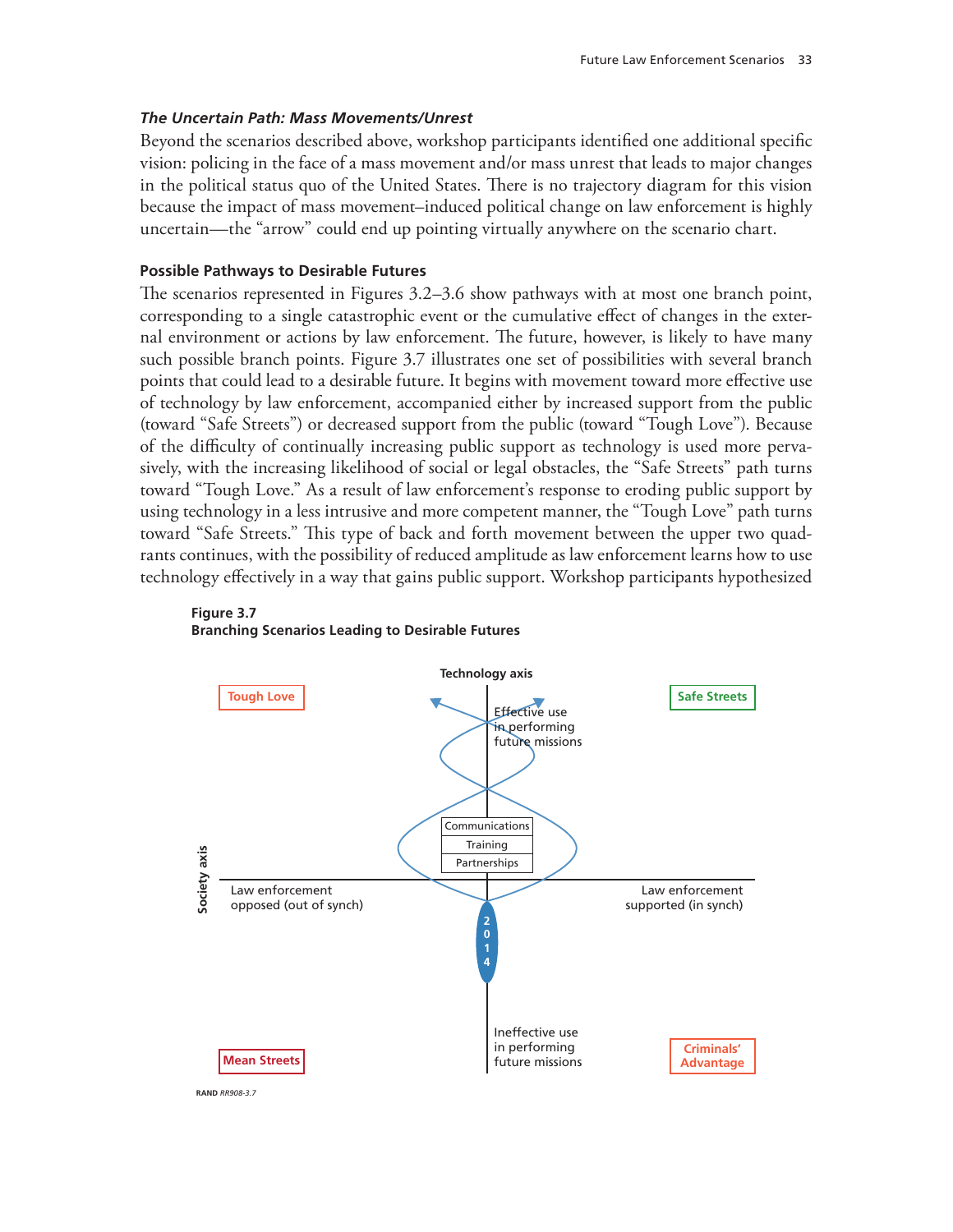#### *The Uncertain Path: Mass Movements/Unrest*

Beyond the scenarios described above, workshop participants identified one additional specific vision: policing in the face of a mass movement and/or mass unrest that leads to major changes in the political status quo of the United States. There is no trajectory diagram for this vision because the impact of mass movement–induced political change on law enforcement is highly uncertain—the "arrow" could end up pointing virtually anywhere on the scenario chart.

#### **Possible Pathways to Desirable Futures**

The scenarios represented in Figures 3.2–3.6 show pathways with at most one branch point, corresponding to a single catastrophic event or the cumulative effect of changes in the external environment or actions by law enforcement. The future, however, is likely to have many such possible branch points. Figure 3.7 illustrates one set of possibilities with several branch points that could lead to a desirable future. It begins with movement toward more effective use of technology by law enforcement, accompanied either by increased support from the public (toward "Safe Streets") or decreased support from the public (toward "Tough Love"). Because of the difficulty of continually increasing public support as technology is used more pervasively, with the increasing likelihood of social or legal obstacles, the "Safe Streets" path turns toward "Tough Love." As a result of law enforcement's response to eroding public support by using technology in a less intrusive and more competent manner, the "Tough Love" path turns toward "Safe Streets." This type of back and forth movement between the upper two quadrants continues, with the possibility of reduced amplitude as law enforcement learns how to use technology effectively in a way that gains public support. Workshop participants hypothesized





**RAND** *RR908-3.7*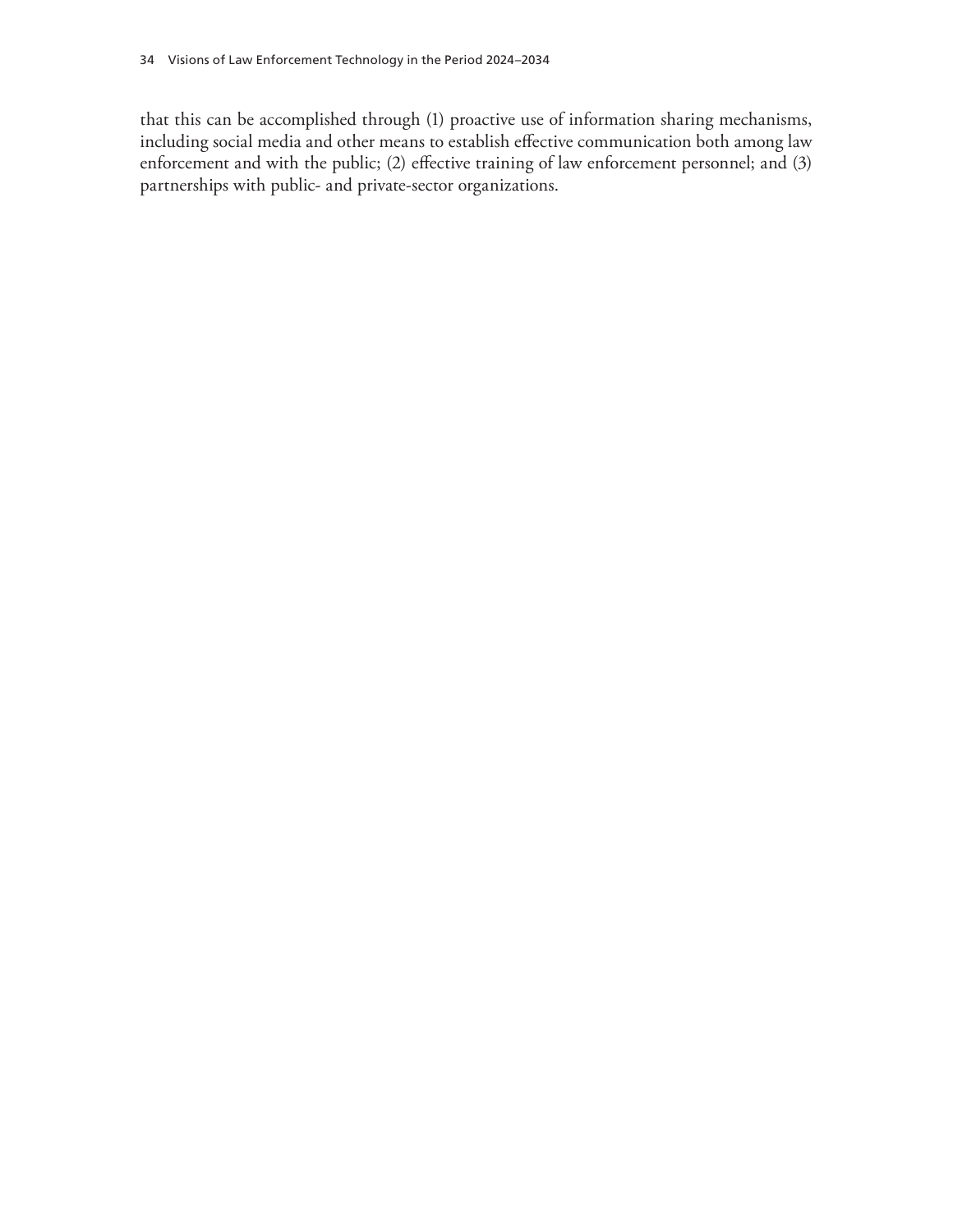that this can be accomplished through (1) proactive use of information sharing mechanisms, including social media and other means to establish effective communication both among law enforcement and with the public; (2) effective training of law enforcement personnel; and (3) partnerships with public- and private-sector organizations.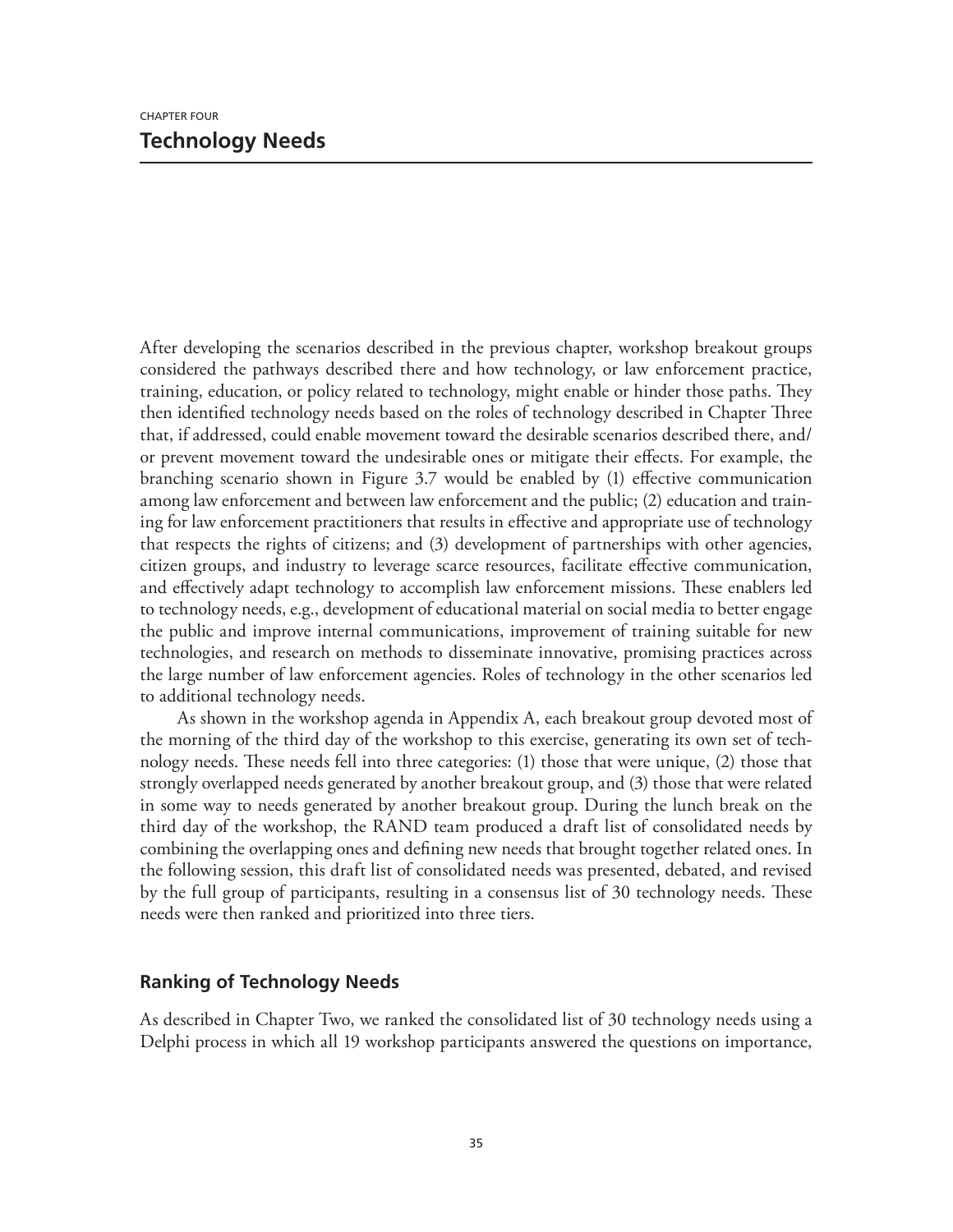After developing the scenarios described in the previous chapter, workshop breakout groups considered the pathways described there and how technology, or law enforcement practice, training, education, or policy related to technology, might enable or hinder those paths. They then identified technology needs based on the roles of technology described in Chapter Three that, if addressed, could enable movement toward the desirable scenarios described there, and/ or prevent movement toward the undesirable ones or mitigate their effects. For example, the branching scenario shown in Figure 3.7 would be enabled by (1) effective communication among law enforcement and between law enforcement and the public; (2) education and training for law enforcement practitioners that results in effective and appropriate use of technology that respects the rights of citizens; and (3) development of partnerships with other agencies, citizen groups, and industry to leverage scarce resources, facilitate effective communication, and effectively adapt technology to accomplish law enforcement missions. These enablers led to technology needs, e.g., development of educational material on social media to better engage the public and improve internal communications, improvement of training suitable for new technologies, and research on methods to disseminate innovative, promising practices across the large number of law enforcement agencies. Roles of technology in the other scenarios led to additional technology needs.

As shown in the workshop agenda in Appendix A, each breakout group devoted most of the morning of the third day of the workshop to this exercise, generating its own set of technology needs. These needs fell into three categories: (1) those that were unique, (2) those that strongly overlapped needs generated by another breakout group, and (3) those that were related in some way to needs generated by another breakout group. During the lunch break on the third day of the workshop, the RAND team produced a draft list of consolidated needs by combining the overlapping ones and defining new needs that brought together related ones. In the following session, this draft list of consolidated needs was presented, debated, and revised by the full group of participants, resulting in a consensus list of 30 technology needs. These needs were then ranked and prioritized into three tiers.

## **Ranking of Technology Needs**

As described in Chapter Two, we ranked the consolidated list of 30 technology needs using a Delphi process in which all 19 workshop participants answered the questions on importance,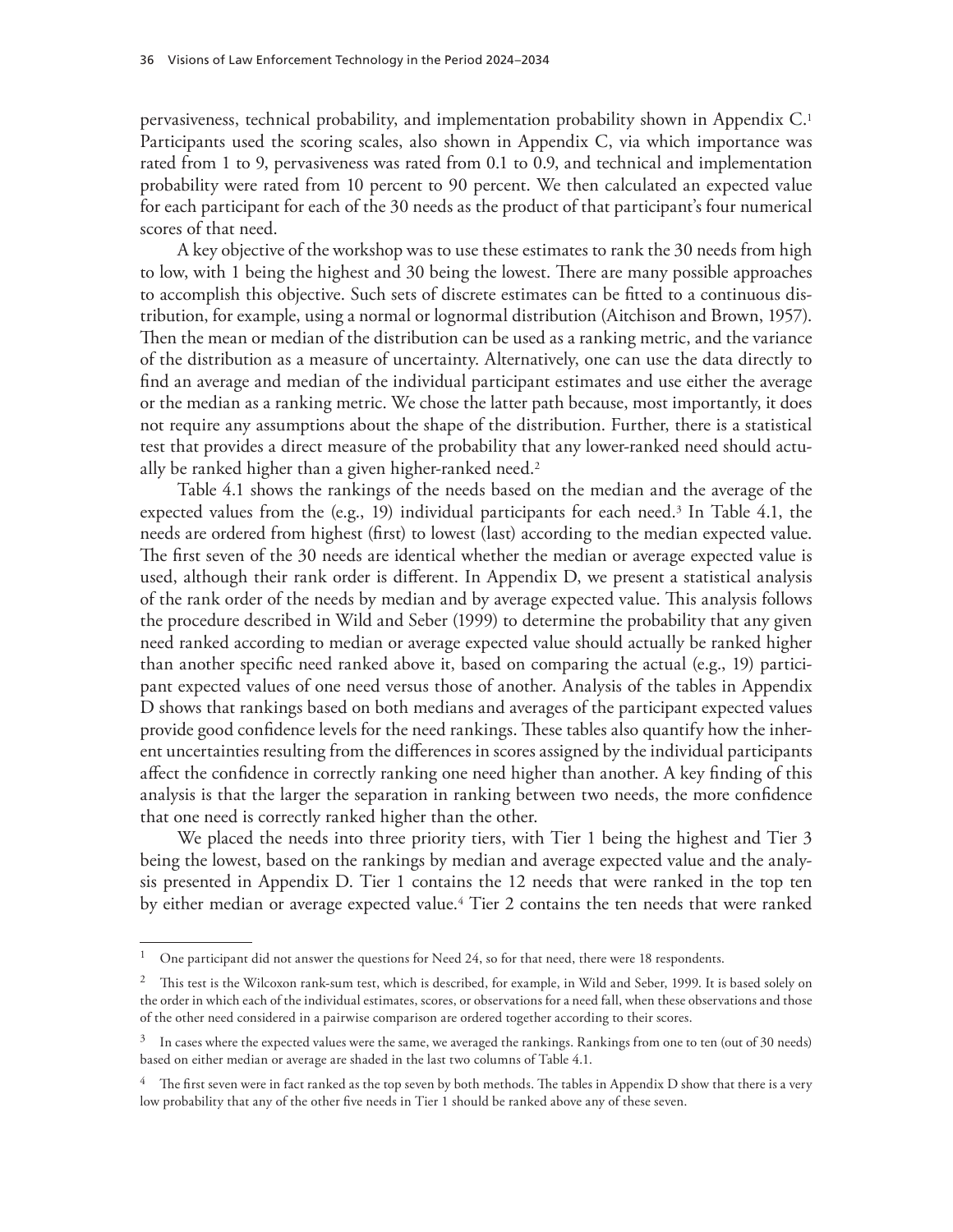pervasiveness, technical probability, and implementation probability shown in Appendix C.1 Participants used the scoring scales, also shown in Appendix C, via which importance was rated from 1 to 9, pervasiveness was rated from 0.1 to 0.9, and technical and implementation probability were rated from 10 percent to 90 percent. We then calculated an expected value for each participant for each of the 30 needs as the product of that participant's four numerical scores of that need.

A key objective of the workshop was to use these estimates to rank the 30 needs from high to low, with 1 being the highest and 30 being the lowest. There are many possible approaches to accomplish this objective. Such sets of discrete estimates can be fitted to a continuous distribution, for example, using a normal or lognormal distribution (Aitchison and Brown, 1957). Then the mean or median of the distribution can be used as a ranking metric, and the variance of the distribution as a measure of uncertainty. Alternatively, one can use the data directly to find an average and median of the individual participant estimates and use either the average or the median as a ranking metric. We chose the latter path because, most importantly, it does not require any assumptions about the shape of the distribution. Further, there is a statistical test that provides a direct measure of the probability that any lower-ranked need should actually be ranked higher than a given higher-ranked need.<sup>2</sup>

Table 4.1 shows the rankings of the needs based on the median and the average of the expected values from the (e.g., 19) individual participants for each need.<sup>3</sup> In Table 4.1, the needs are ordered from highest (first) to lowest (last) according to the median expected value. The first seven of the 30 needs are identical whether the median or average expected value is used, although their rank order is different. In Appendix D, we present a statistical analysis of the rank order of the needs by median and by average expected value. This analysis follows the procedure described in Wild and Seber (1999) to determine the probability that any given need ranked according to median or average expected value should actually be ranked higher than another specific need ranked above it, based on comparing the actual (e.g., 19) participant expected values of one need versus those of another. Analysis of the tables in Appendix D shows that rankings based on both medians and averages of the participant expected values provide good confidence levels for the need rankings. These tables also quantify how the inherent uncertainties resulting from the differences in scores assigned by the individual participants affect the confidence in correctly ranking one need higher than another. A key finding of this analysis is that the larger the separation in ranking between two needs, the more confidence that one need is correctly ranked higher than the other.

We placed the needs into three priority tiers, with Tier 1 being the highest and Tier 3 being the lowest, based on the rankings by median and average expected value and the analysis presented in Appendix D. Tier 1 contains the 12 needs that were ranked in the top ten by either median or average expected value.4 Tier 2 contains the ten needs that were ranked

<sup>&</sup>lt;sup>1</sup> One participant did not answer the questions for Need 24, so for that need, there were 18 respondents.

<sup>&</sup>lt;sup>2</sup> This test is the Wilcoxon rank-sum test, which is described, for example, in Wild and Seber, 1999. It is based solely on the order in which each of the individual estimates, scores, or observations for a need fall, when these observations and those of the other need considered in a pairwise comparison are ordered together according to their scores.

 $3$  In cases where the expected values were the same, we averaged the rankings. Rankings from one to ten (out of 30 needs) based on either median or average are shaded in the last two columns of Table 4.1.

 $4$  The first seven were in fact ranked as the top seven by both methods. The tables in Appendix D show that there is a very low probability that any of the other five needs in Tier 1 should be ranked above any of these seven.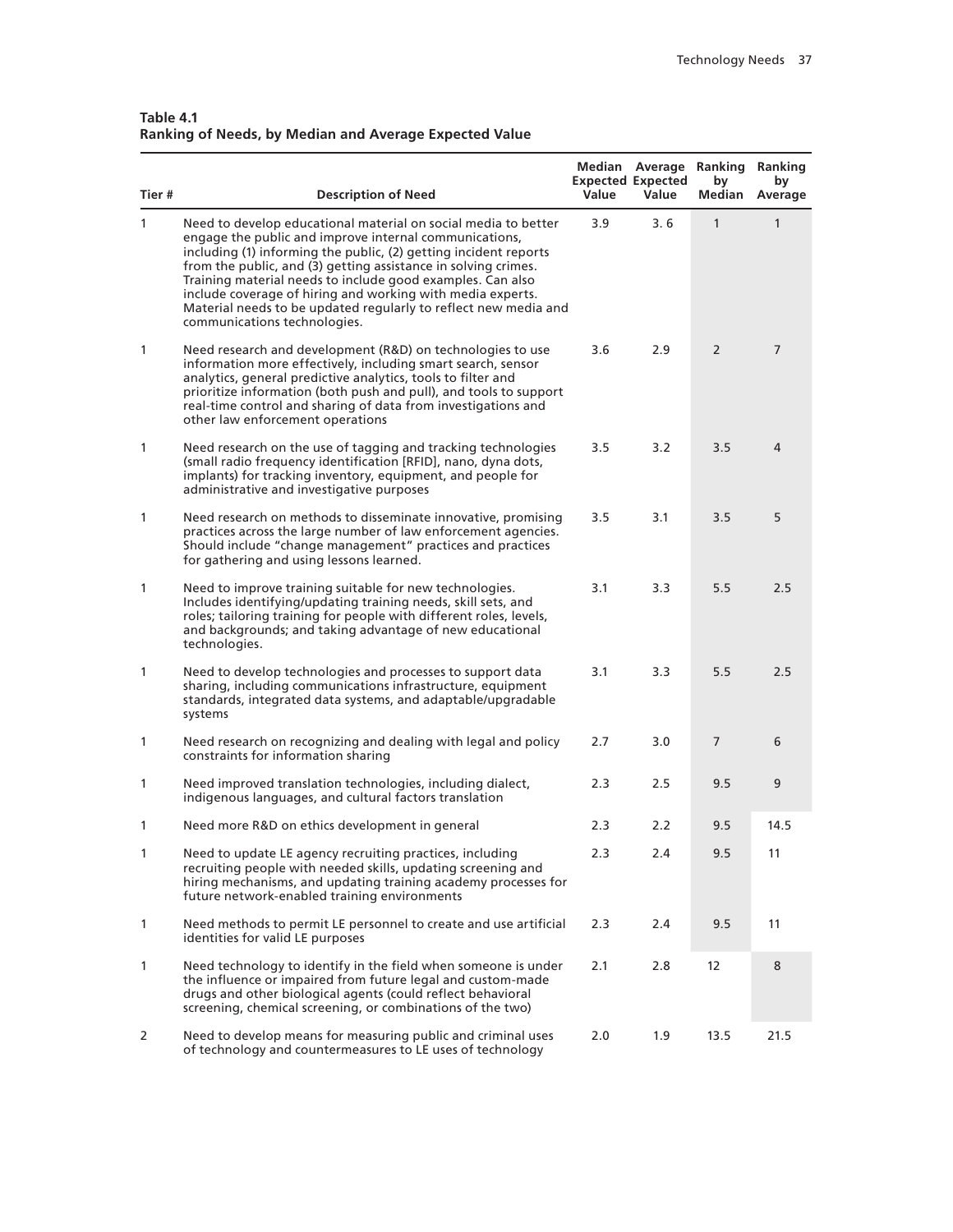| Table 4.1                                                     |  |
|---------------------------------------------------------------|--|
| <b>Ranking of Needs, by Median and Average Expected Value</b> |  |

| Tier# | <b>Description of Need</b>                                                                                                                                                                                                                                                                                                                                                                                                                                                                    | Value | Median Average<br><b>Expected Expected</b><br>Value | Ranking<br>by<br>Median | Ranking<br>by<br>Average |
|-------|-----------------------------------------------------------------------------------------------------------------------------------------------------------------------------------------------------------------------------------------------------------------------------------------------------------------------------------------------------------------------------------------------------------------------------------------------------------------------------------------------|-------|-----------------------------------------------------|-------------------------|--------------------------|
| 1     | Need to develop educational material on social media to better<br>engage the public and improve internal communications,<br>including (1) informing the public, (2) getting incident reports<br>from the public, and (3) getting assistance in solving crimes.<br>Training material needs to include good examples. Can also<br>include coverage of hiring and working with media experts.<br>Material needs to be updated regularly to reflect new media and<br>communications technologies. | 3.9   | 3.6                                                 | 1                       | 1                        |
| 1     | Need research and development (R&D) on technologies to use<br>information more effectively, including smart search, sensor<br>analytics, general predictive analytics, tools to filter and<br>prioritize information (both push and pull), and tools to support<br>real-time control and sharing of data from investigations and<br>other law enforcement operations                                                                                                                          | 3.6   | 2.9                                                 | 2                       | 7                        |
| 1     | Need research on the use of tagging and tracking technologies<br>(small radio frequency identification [RFID], nano, dyna dots,<br>implants) for tracking inventory, equipment, and people for<br>administrative and investigative purposes                                                                                                                                                                                                                                                   | 3.5   | 3.2                                                 | 3.5                     | 4                        |
| 1     | Need research on methods to disseminate innovative, promising<br>practices across the large number of law enforcement agencies.<br>Should include "change management" practices and practices<br>for gathering and using lessons learned.                                                                                                                                                                                                                                                     | 3.5   | 3.1                                                 | 3.5                     | 5                        |
| 1     | Need to improve training suitable for new technologies.<br>Includes identifying/updating training needs, skill sets, and<br>roles; tailoring training for people with different roles, levels,<br>and backgrounds; and taking advantage of new educational<br>technologies.                                                                                                                                                                                                                   | 3.1   | 3.3                                                 | 5.5                     | 2.5                      |
| 1     | Need to develop technologies and processes to support data<br>sharing, including communications infrastructure, equipment<br>standards, integrated data systems, and adaptable/upgradable<br>systems                                                                                                                                                                                                                                                                                          | 3.1   | 3.3                                                 | 5.5                     | 2.5                      |
| 1     | Need research on recognizing and dealing with legal and policy<br>constraints for information sharing                                                                                                                                                                                                                                                                                                                                                                                         | 2.7   | 3.0                                                 | 7                       | 6                        |
| 1     | Need improved translation technologies, including dialect,<br>indigenous languages, and cultural factors translation                                                                                                                                                                                                                                                                                                                                                                          | 2.3   | 2.5                                                 | 9.5                     | 9                        |
| 1     | Need more R&D on ethics development in general                                                                                                                                                                                                                                                                                                                                                                                                                                                | 2.3   | 2.2                                                 | 9.5                     | 14.5                     |
| 1     | Need to update LE agency recruiting practices, including<br>recruiting people with needed skills, updating screening and<br>hiring mechanisms, and updating training academy processes for<br>future network-enabled training environments                                                                                                                                                                                                                                                    | 2.3   | 2.4                                                 | 9.5                     | 11                       |
| 1     | Need methods to permit LE personnel to create and use artificial<br>identities for valid LE purposes                                                                                                                                                                                                                                                                                                                                                                                          | 2.3   | 2.4                                                 | 9.5                     | 11                       |
| 1     | Need technology to identify in the field when someone is under<br>the influence or impaired from future legal and custom-made<br>drugs and other biological agents (could reflect behavioral<br>screening, chemical screening, or combinations of the two)                                                                                                                                                                                                                                    | 2.1   | 2.8                                                 | 12                      | 8                        |
| 2     | Need to develop means for measuring public and criminal uses<br>of technology and countermeasures to LE uses of technology                                                                                                                                                                                                                                                                                                                                                                    | 2.0   | 1.9                                                 | 13.5                    | 21.5                     |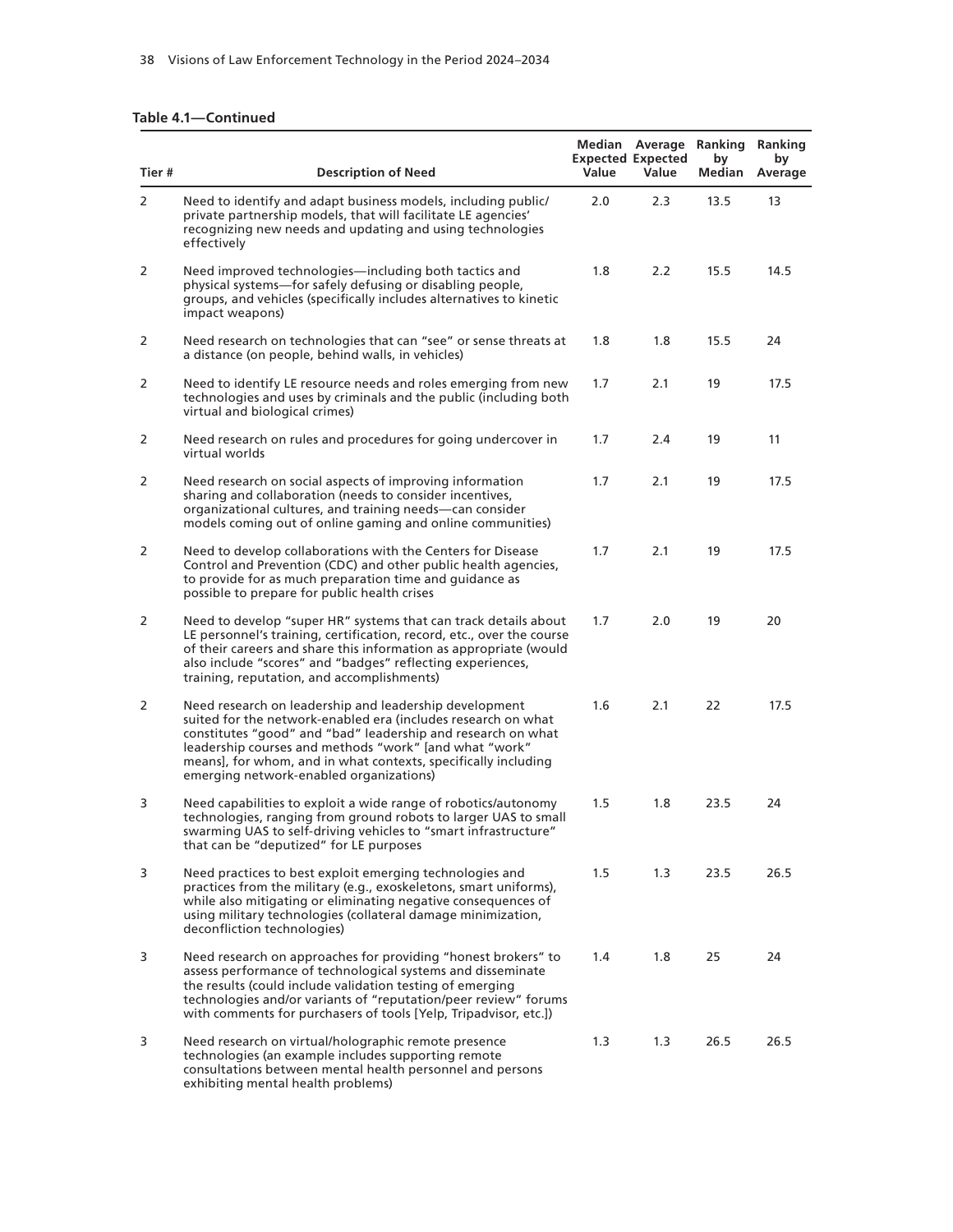#### **Table 4.1—Continued**

| Tier # | <b>Description of Need</b>                                                                                                                                                                                                                                                                                                                                     | Value | Median Average Ranking Ranking<br><b>Expected Expected</b><br>Value | by<br>Median | by<br>Average |
|--------|----------------------------------------------------------------------------------------------------------------------------------------------------------------------------------------------------------------------------------------------------------------------------------------------------------------------------------------------------------------|-------|---------------------------------------------------------------------|--------------|---------------|
| 2      | Need to identify and adapt business models, including public/<br>private partnership models, that will facilitate LE agencies'<br>recognizing new needs and updating and using technologies<br>effectively                                                                                                                                                     | 2.0   | 2.3                                                                 | 13.5         | 13            |
| 2      | Need improved technologies—including both tactics and<br>physical systems-for safely defusing or disabling people,<br>groups, and vehicles (specifically includes alternatives to kinetic<br>impact weapons)                                                                                                                                                   | 1.8   | 2.2                                                                 | 15.5         | 14.5          |
| 2      | Need research on technologies that can "see" or sense threats at<br>a distance (on people, behind walls, in vehicles)                                                                                                                                                                                                                                          | 1.8   | 1.8                                                                 | 15.5         | 24            |
| 2      | Need to identify LE resource needs and roles emerging from new<br>technologies and uses by criminals and the public (including both<br>virtual and biological crimes)                                                                                                                                                                                          | 1.7   | 2.1                                                                 | 19           | 17.5          |
| 2      | Need research on rules and procedures for going undercover in<br>virtual worlds                                                                                                                                                                                                                                                                                | 1.7   | 2.4                                                                 | 19           | 11            |
| 2      | Need research on social aspects of improving information<br>sharing and collaboration (needs to consider incentives,<br>organizational cultures, and training needs-can consider<br>models coming out of online gaming and online communities)                                                                                                                 | 1.7   | 2.1                                                                 | 19           | 17.5          |
| 2      | Need to develop collaborations with the Centers for Disease<br>Control and Prevention (CDC) and other public health agencies,<br>to provide for as much preparation time and guidance as<br>possible to prepare for public health crises                                                                                                                       | 1.7   | 2.1                                                                 | 19           | 17.5          |
| 2      | Need to develop "super HR" systems that can track details about<br>LE personnel's training, certification, record, etc., over the course<br>of their careers and share this information as appropriate (would<br>also include "scores" and "badges" reflecting experiences,<br>training, reputation, and accomplishments)                                      | 1.7   | 2.0                                                                 | 19           | 20            |
| 2      | Need research on leadership and leadership development<br>suited for the network-enabled era (includes research on what<br>constitutes "good" and "bad" leadership and research on what<br>leadership courses and methods "work" [and what "work"<br>means], for whom, and in what contexts, specifically including<br>emerging network-enabled organizations) | 1.6   | 2.1                                                                 | 22           | 17.5          |
| 3      | Need capabilities to exploit a wide range of robotics/autonomy<br>technologies, ranging from ground robots to larger UAS to small<br>swarming UAS to self-driving vehicles to "smart infrastructure"<br>that can be "deputized" for LE purposes                                                                                                                | 1.5   | 1.8                                                                 | 23.5         | 24            |
| 3      | Need practices to best exploit emerging technologies and<br>practices from the military (e.g., exoskeletons, smart uniforms),<br>while also mitigating or eliminating negative consequences of<br>using military technologies (collateral damage minimization,<br>deconfliction technologies)                                                                  | 1.5   | 1.3                                                                 | 23.5         | 26.5          |
| 3      | Need research on approaches for providing "honest brokers" to<br>assess performance of technological systems and disseminate<br>the results (could include validation testing of emerging<br>technologies and/or variants of "reputation/peer review" forums<br>with comments for purchasers of tools [Yelp, Tripadvisor, etc.])                               | 1.4   | 1.8                                                                 | 25           | 24            |
| 3      | Need research on virtual/holographic remote presence<br>technologies (an example includes supporting remote<br>consultations between mental health personnel and persons<br>exhibiting mental health problems)                                                                                                                                                 | 1.3   | 1.3                                                                 | 26.5         | 26.5          |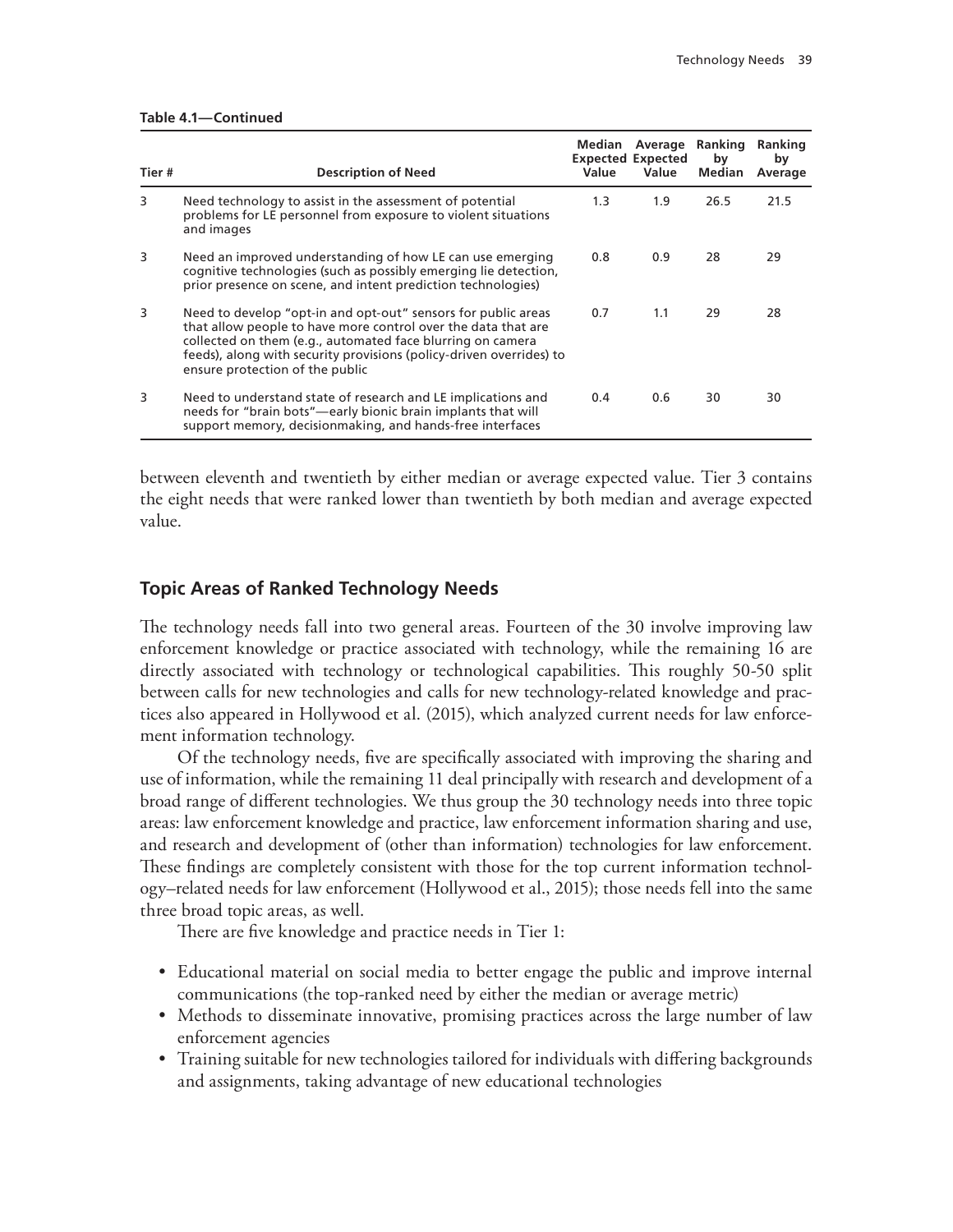|  |  | Table 4.1—Continued |  |
|--|--|---------------------|--|
|--|--|---------------------|--|

| Tier# | <b>Description of Need</b>                                                                                                                                                                                                                                                                             | <b>Median</b><br>Value | <b>Expected Expected</b><br>Value | Average Ranking<br>by<br><b>Median</b> | <b>Ranking</b><br>by<br>Average |
|-------|--------------------------------------------------------------------------------------------------------------------------------------------------------------------------------------------------------------------------------------------------------------------------------------------------------|------------------------|-----------------------------------|----------------------------------------|---------------------------------|
| 3     | Need technology to assist in the assessment of potential<br>problems for LE personnel from exposure to violent situations<br>and images                                                                                                                                                                | 1.3                    | 1.9                               | 26.5                                   | 21.5                            |
| 3     | Need an improved understanding of how LE can use emerging<br>cognitive technologies (such as possibly emerging lie detection,<br>prior presence on scene, and intent prediction technologies)                                                                                                          | 0.8                    | 0.9                               | 28                                     | 29                              |
| 3     | Need to develop "opt-in and opt-out" sensors for public areas<br>that allow people to have more control over the data that are<br>collected on them (e.g., automated face blurring on camera<br>feeds), along with security provisions (policy-driven overrides) to<br>ensure protection of the public | 0.7                    | 1.1                               | 29                                     | 28                              |
| 3     | Need to understand state of research and LE implications and<br>needs for "brain bots"—early bionic brain implants that will<br>support memory, decisionmaking, and hands-free interfaces                                                                                                              | 0.4                    | 0.6                               | 30                                     | 30                              |

between eleventh and twentieth by either median or average expected value. Tier 3 contains the eight needs that were ranked lower than twentieth by both median and average expected value.

#### **Topic Areas of Ranked Technology Needs**

The technology needs fall into two general areas. Fourteen of the 30 involve improving law enforcement knowledge or practice associated with technology, while the remaining 16 are directly associated with technology or technological capabilities. This roughly 50-50 split between calls for new technologies and calls for new technology-related knowledge and practices also appeared in Hollywood et al. (2015), which analyzed current needs for law enforcement information technology.

Of the technology needs, five are specifically associated with improving the sharing and use of information, while the remaining 11 deal principally with research and development of a broad range of different technologies. We thus group the 30 technology needs into three topic areas: law enforcement knowledge and practice, law enforcement information sharing and use, and research and development of (other than information) technologies for law enforcement. These findings are completely consistent with those for the top current information technology–related needs for law enforcement (Hollywood et al., 2015); those needs fell into the same three broad topic areas, as well.

There are five knowledge and practice needs in Tier 1:

- Educational material on social media to better engage the public and improve internal communications (the top-ranked need by either the median or average metric)
- Methods to disseminate innovative, promising practices across the large number of law enforcement agencies
- Training suitable for new technologies tailored for individuals with differing backgrounds and assignments, taking advantage of new educational technologies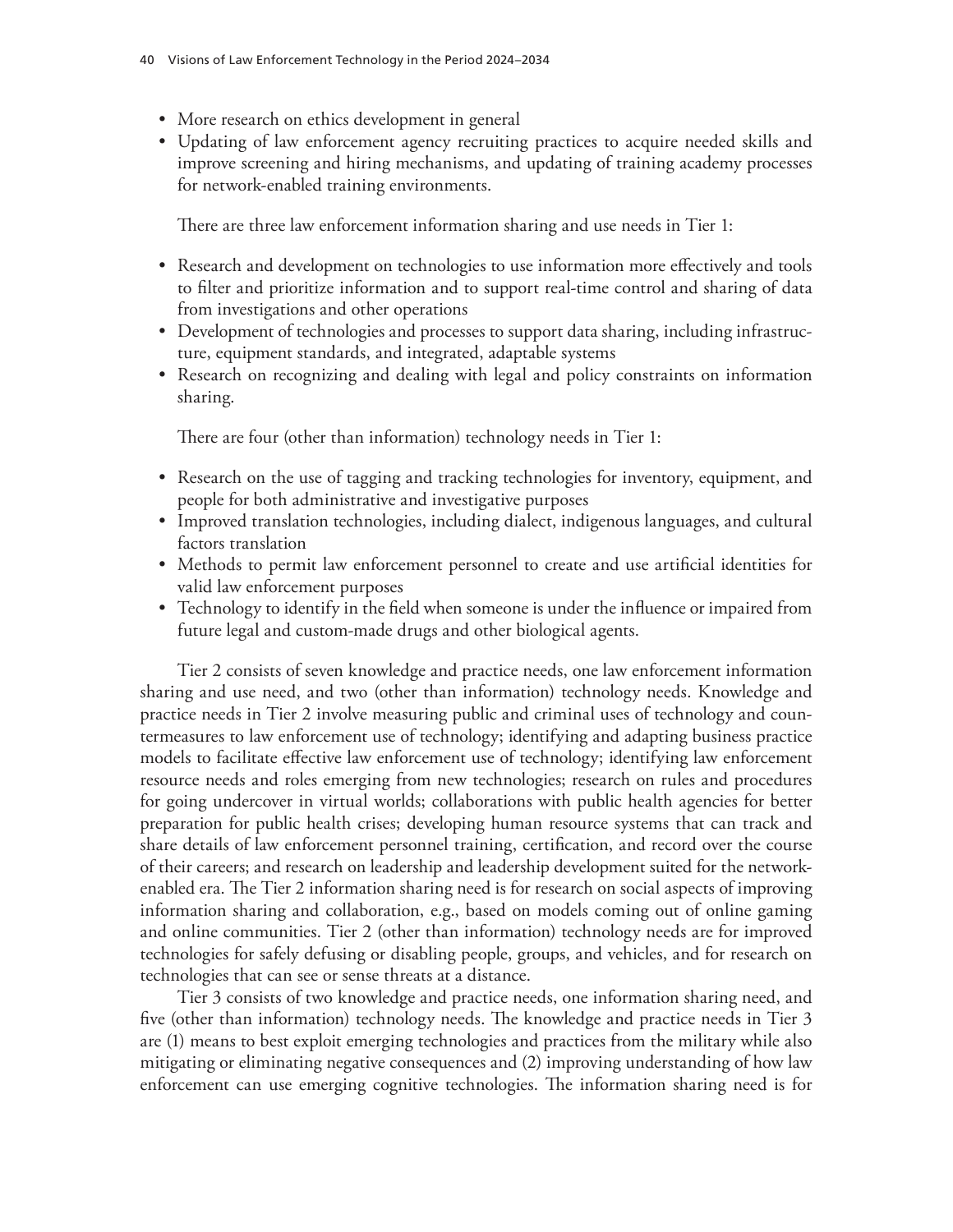- More research on ethics development in general
- Updating of law enforcement agency recruiting practices to acquire needed skills and improve screening and hiring mechanisms, and updating of training academy processes for network-enabled training environments.

There are three law enforcement information sharing and use needs in Tier 1:

- Research and development on technologies to use information more effectively and tools to filter and prioritize information and to support real-time control and sharing of data from investigations and other operations
- Development of technologies and processes to support data sharing, including infrastructure, equipment standards, and integrated, adaptable systems
- Research on recognizing and dealing with legal and policy constraints on information sharing.

There are four (other than information) technology needs in Tier 1:

- Research on the use of tagging and tracking technologies for inventory, equipment, and people for both administrative and investigative purposes
- Improved translation technologies, including dialect, indigenous languages, and cultural factors translation
- Methods to permit law enforcement personnel to create and use artificial identities for valid law enforcement purposes
- Technology to identify in the field when someone is under the influence or impaired from future legal and custom-made drugs and other biological agents.

Tier 2 consists of seven knowledge and practice needs, one law enforcement information sharing and use need, and two (other than information) technology needs. Knowledge and practice needs in Tier 2 involve measuring public and criminal uses of technology and countermeasures to law enforcement use of technology; identifying and adapting business practice models to facilitate effective law enforcement use of technology; identifying law enforcement resource needs and roles emerging from new technologies; research on rules and procedures for going undercover in virtual worlds; collaborations with public health agencies for better preparation for public health crises; developing human resource systems that can track and share details of law enforcement personnel training, certification, and record over the course of their careers; and research on leadership and leadership development suited for the networkenabled era. The Tier 2 information sharing need is for research on social aspects of improving information sharing and collaboration, e.g., based on models coming out of online gaming and online communities. Tier 2 (other than information) technology needs are for improved technologies for safely defusing or disabling people, groups, and vehicles, and for research on technologies that can see or sense threats at a distance.

Tier 3 consists of two knowledge and practice needs, one information sharing need, and five (other than information) technology needs. The knowledge and practice needs in Tier 3 are (1) means to best exploit emerging technologies and practices from the military while also mitigating or eliminating negative consequences and (2) improving understanding of how law enforcement can use emerging cognitive technologies. The information sharing need is for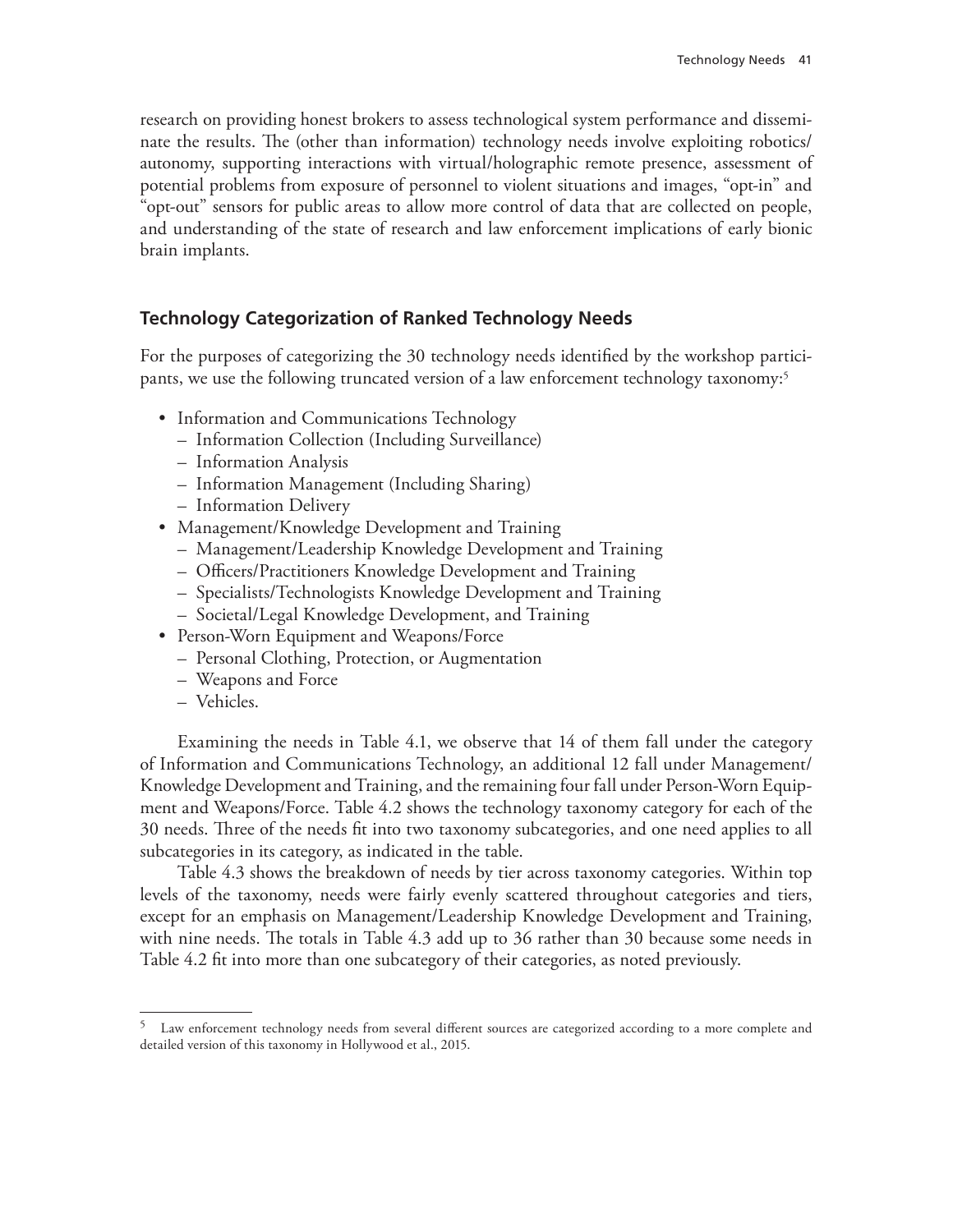research on providing honest brokers to assess technological system performance and disseminate the results. The (other than information) technology needs involve exploiting robotics/ autonomy, supporting interactions with virtual/holographic remote presence, assessment of potential problems from exposure of personnel to violent situations and images, "opt-in" and "opt-out" sensors for public areas to allow more control of data that are collected on people, and understanding of the state of research and law enforcement implications of early bionic brain implants.

## **Technology Categorization of Ranked Technology Needs**

For the purposes of categorizing the 30 technology needs identified by the workshop participants, we use the following truncated version of a law enforcement technology taxonomy:5

- Information and Communications Technology
	- Information Collection (Including Surveillance)
	- Information Analysis
	- Information Management (Including Sharing)
	- Information Delivery
- Management/Knowledge Development and Training
	- Management/Leadership Knowledge Development and Training
	- Officers/Practitioners Knowledge Development and Training
	- Specialists/Technologists Knowledge Development and Training
	- Societal/Legal Knowledge Development, and Training
- Person-Worn Equipment and Weapons/Force
	- Personal Clothing, Protection, or Augmentation
	- Weapons and Force
	- Vehicles.

Examining the needs in Table 4.1, we observe that 14 of them fall under the category of Information and Communications Technology, an additional 12 fall under Management/ Knowledge Development and Training, and the remaining four fall under Person-Worn Equipment and Weapons/Force. Table 4.2 shows the technology taxonomy category for each of the 30 needs. Three of the needs fit into two taxonomy subcategories, and one need applies to all subcategories in its category, as indicated in the table.

Table 4.3 shows the breakdown of needs by tier across taxonomy categories. Within top levels of the taxonomy, needs were fairly evenly scattered throughout categories and tiers, except for an emphasis on Management/Leadership Knowledge Development and Training, with nine needs. The totals in Table 4.3 add up to 36 rather than 30 because some needs in Table 4.2 fit into more than one subcategory of their categories, as noted previously.

<sup>&</sup>lt;sup>5</sup> Law enforcement technology needs from several different sources are categorized according to a more complete and detailed version of this taxonomy in Hollywood et al., 2015.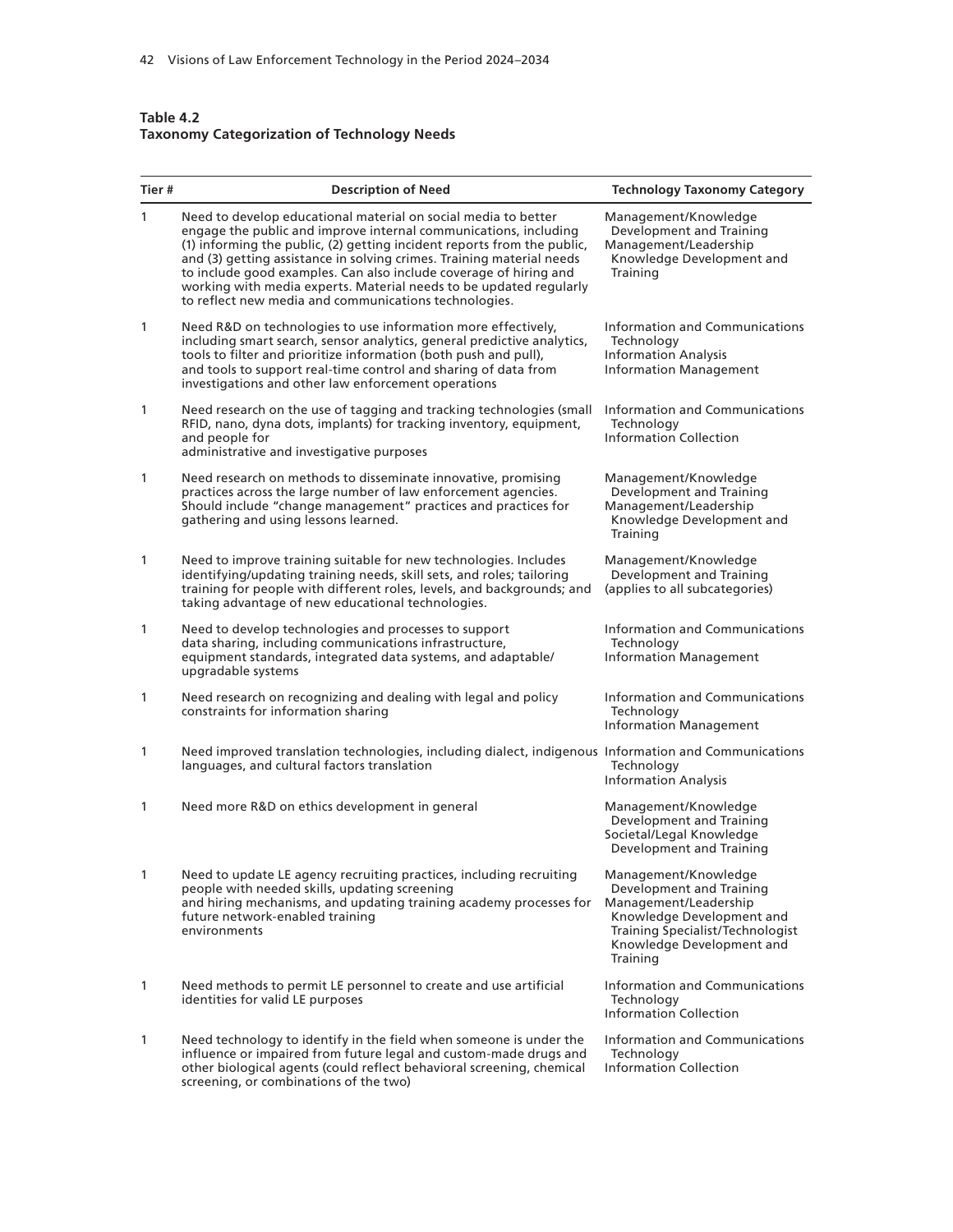#### **Table 4.2 Taxonomy Categorization of Technology Needs**

screening, or combinations of the two)

| Tier #       | <b>Description of Need</b>                                                                                                                                                                                                                                                                                                                                                                                                                                                                 | <b>Technology Taxonomy Category</b>                                                                                                                                                 |
|--------------|--------------------------------------------------------------------------------------------------------------------------------------------------------------------------------------------------------------------------------------------------------------------------------------------------------------------------------------------------------------------------------------------------------------------------------------------------------------------------------------------|-------------------------------------------------------------------------------------------------------------------------------------------------------------------------------------|
| 1            | Need to develop educational material on social media to better<br>engage the public and improve internal communications, including<br>(1) informing the public, (2) getting incident reports from the public,<br>and (3) getting assistance in solving crimes. Training material needs<br>to include good examples. Can also include coverage of hiring and<br>working with media experts. Material needs to be updated regularly<br>to reflect new media and communications technologies. | Management/Knowledge<br>Development and Training<br>Management/Leadership<br>Knowledge Development and<br>Training                                                                  |
| 1            | Need R&D on technologies to use information more effectively,<br>including smart search, sensor analytics, general predictive analytics,<br>tools to filter and prioritize information (both push and pull),<br>and tools to support real-time control and sharing of data from<br>investigations and other law enforcement operations                                                                                                                                                     | Information and Communications<br>Technology<br><b>Information Analysis</b><br><b>Information Management</b>                                                                        |
| 1            | Need research on the use of tagging and tracking technologies (small<br>RFID, nano, dyna dots, implants) for tracking inventory, equipment,<br>and people for<br>administrative and investigative purposes                                                                                                                                                                                                                                                                                 | Information and Communications<br>Technology<br><b>Information Collection</b>                                                                                                       |
| 1            | Need research on methods to disseminate innovative, promising<br>practices across the large number of law enforcement agencies.<br>Should include "change management" practices and practices for<br>gathering and using lessons learned.                                                                                                                                                                                                                                                  | Management/Knowledge<br>Development and Training<br>Management/Leadership<br>Knowledge Development and<br>Training                                                                  |
| 1            | Need to improve training suitable for new technologies. Includes<br>identifying/updating training needs, skill sets, and roles; tailoring<br>training for people with different roles, levels, and backgrounds; and<br>taking advantage of new educational technologies.                                                                                                                                                                                                                   | Management/Knowledge<br>Development and Training<br>(applies to all subcategories)                                                                                                  |
| 1            | Need to develop technologies and processes to support<br>data sharing, including communications infrastructure,<br>equipment standards, integrated data systems, and adaptable/<br>upgradable systems                                                                                                                                                                                                                                                                                      | Information and Communications<br>Technology<br><b>Information Management</b>                                                                                                       |
| 1            | Need research on recognizing and dealing with legal and policy<br>constraints for information sharing                                                                                                                                                                                                                                                                                                                                                                                      | Information and Communications<br>Technology<br><b>Information Management</b>                                                                                                       |
| 1            | Need improved translation technologies, including dialect, indigenous Information and Communications<br>languages, and cultural factors translation                                                                                                                                                                                                                                                                                                                                        | Technology<br><b>Information Analysis</b>                                                                                                                                           |
| 1            | Need more R&D on ethics development in general                                                                                                                                                                                                                                                                                                                                                                                                                                             | Management/Knowledge<br>Development and Training<br>Societal/Legal Knowledge<br>Development and Training                                                                            |
| 1            | Need to update LE agency recruiting practices, including recruiting<br>people with needed skills, updating screening<br>and hiring mechanisms, and updating training academy processes for<br>future network-enabled training<br>environments                                                                                                                                                                                                                                              | Management/Knowledge<br>Development and Training<br>Management/Leadership<br>Knowledge Development and<br>Training Specialist/Technologist<br>Knowledge Development and<br>Training |
| $\mathbf{1}$ | Need methods to permit LE personnel to create and use artificial<br>identities for valid LE purposes                                                                                                                                                                                                                                                                                                                                                                                       | <b>Information and Communications</b><br>Technology<br><b>Information Collection</b>                                                                                                |
| 1            | Need technology to identify in the field when someone is under the<br>influence or impaired from future legal and custom-made drugs and<br>other biological agents (could reflect behavioral screening, chemical                                                                                                                                                                                                                                                                           | Information and Communications<br>Technology<br>Information Collection                                                                                                              |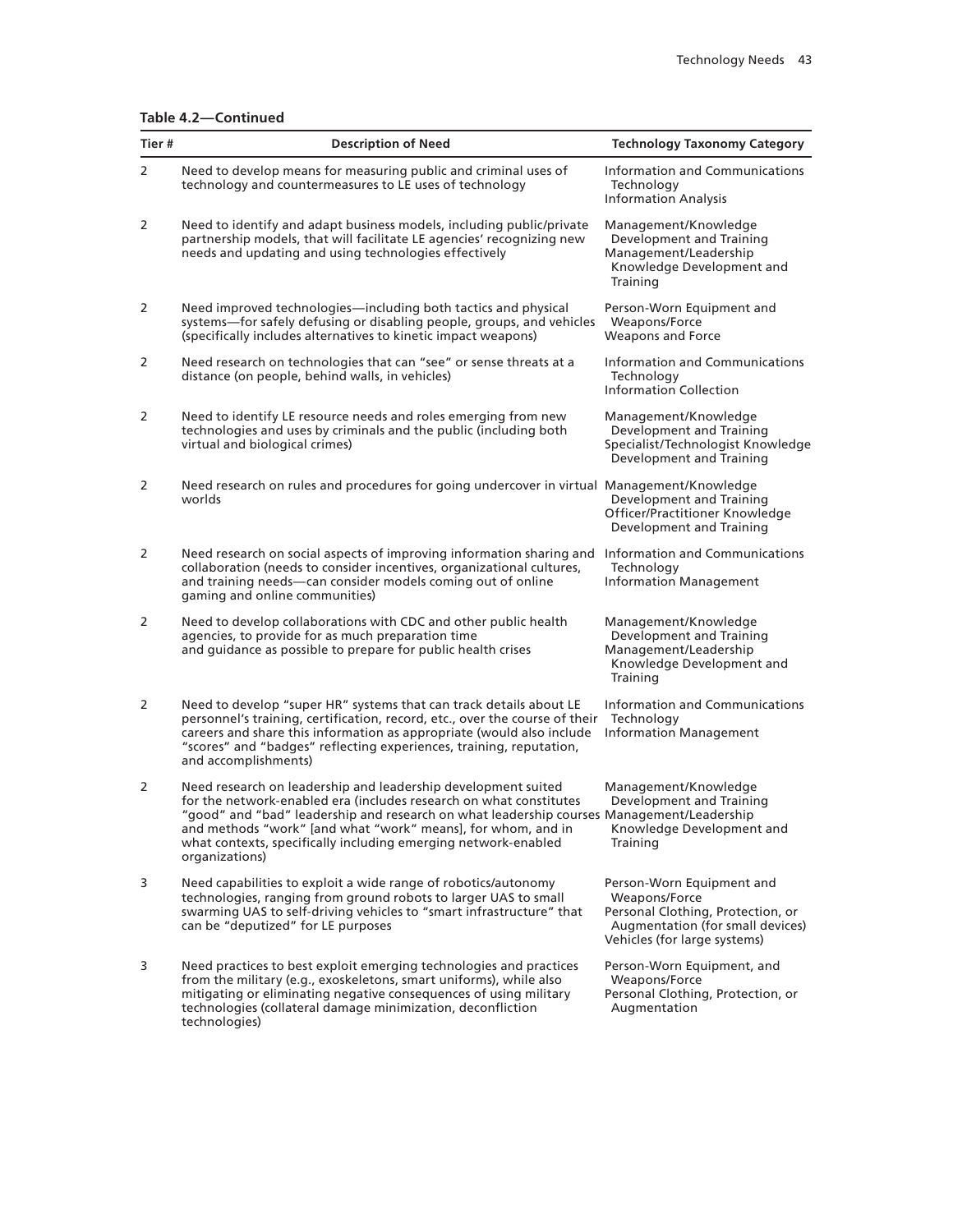#### **Table 4.2—Continued**

| Tier # | <b>Description of Need</b>                                                                                                                                                                                                                                                                                                                                                           | <b>Technology Taxonomy Category</b>                                                                                                                 |
|--------|--------------------------------------------------------------------------------------------------------------------------------------------------------------------------------------------------------------------------------------------------------------------------------------------------------------------------------------------------------------------------------------|-----------------------------------------------------------------------------------------------------------------------------------------------------|
| 2      | Need to develop means for measuring public and criminal uses of<br>technology and countermeasures to LE uses of technology                                                                                                                                                                                                                                                           | Information and Communications<br>Technology<br><b>Information Analysis</b>                                                                         |
| 2      | Need to identify and adapt business models, including public/private<br>partnership models, that will facilitate LE agencies' recognizing new<br>needs and updating and using technologies effectively                                                                                                                                                                               | Management/Knowledge<br>Development and Training<br>Management/Leadership<br>Knowledge Development and<br>Training                                  |
| 2      | Need improved technologies-including both tactics and physical<br>systems-for safely defusing or disabling people, groups, and vehicles<br>(specifically includes alternatives to kinetic impact weapons)                                                                                                                                                                            | Person-Worn Equipment and<br>Weapons/Force<br>Weapons and Force                                                                                     |
| 2      | Need research on technologies that can "see" or sense threats at a<br>distance (on people, behind walls, in vehicles)                                                                                                                                                                                                                                                                | Information and Communications<br>Technology<br>Information Collection                                                                              |
| 2      | Need to identify LE resource needs and roles emerging from new<br>technologies and uses by criminals and the public (including both<br>virtual and biological crimes)                                                                                                                                                                                                                | Management/Knowledge<br>Development and Training<br>Specialist/Technologist Knowledge<br>Development and Training                                   |
| 2      | Need research on rules and procedures for going undercover in virtual Management/Knowledge<br>worlds                                                                                                                                                                                                                                                                                 | Development and Training<br>Officer/Practitioner Knowledge<br>Development and Training                                                              |
| 2      | Need research on social aspects of improving information sharing and<br>collaboration (needs to consider incentives, organizational cultures,<br>and training needs-can consider models coming out of online<br>gaming and online communities)                                                                                                                                       | Information and Communications<br>Technology<br><b>Information Management</b>                                                                       |
| 2      | Need to develop collaborations with CDC and other public health<br>agencies, to provide for as much preparation time<br>and guidance as possible to prepare for public health crises                                                                                                                                                                                                 | Management/Knowledge<br>Development and Training<br>Management/Leadership<br>Knowledge Development and<br>Training                                  |
| 2      | Need to develop "super HR" systems that can track details about LE<br>personnel's training, certification, record, etc., over the course of their<br>careers and share this information as appropriate (would also include<br>"scores" and "badges" reflecting experiences, training, reputation,<br>and accomplishments)                                                            | Information and Communications<br>Technology<br><b>Information Management</b>                                                                       |
| 2      | Need research on leadership and leadership development suited<br>for the network-enabled era (includes research on what constitutes<br>"good" and "bad" leadership and research on what leadership courses Management/Leadership<br>and methods "work" [and what "work" means], for whom, and in<br>what contexts, specifically including emerging network-enabled<br>organizations) | Management/Knowledge<br>Development and Training<br>Knowledge Development and<br>Training                                                           |
| 3      | Need capabilities to exploit a wide range of robotics/autonomy<br>technologies, ranging from ground robots to larger UAS to small<br>swarming UAS to self-driving vehicles to "smart infrastructure" that<br>can be "deputized" for LE purposes                                                                                                                                      | Person-Worn Equipment and<br>Weapons/Force<br>Personal Clothing, Protection, or<br>Augmentation (for small devices)<br>Vehicles (for large systems) |
| 3      | Need practices to best exploit emerging technologies and practices<br>from the military (e.g., exoskeletons, smart uniforms), while also<br>mitigating or eliminating negative consequences of using military<br>technologies (collateral damage minimization, deconfliction<br>technologies)                                                                                        | Person-Worn Equipment, and<br>Weapons/Force<br>Personal Clothing, Protection, or<br>Augmentation                                                    |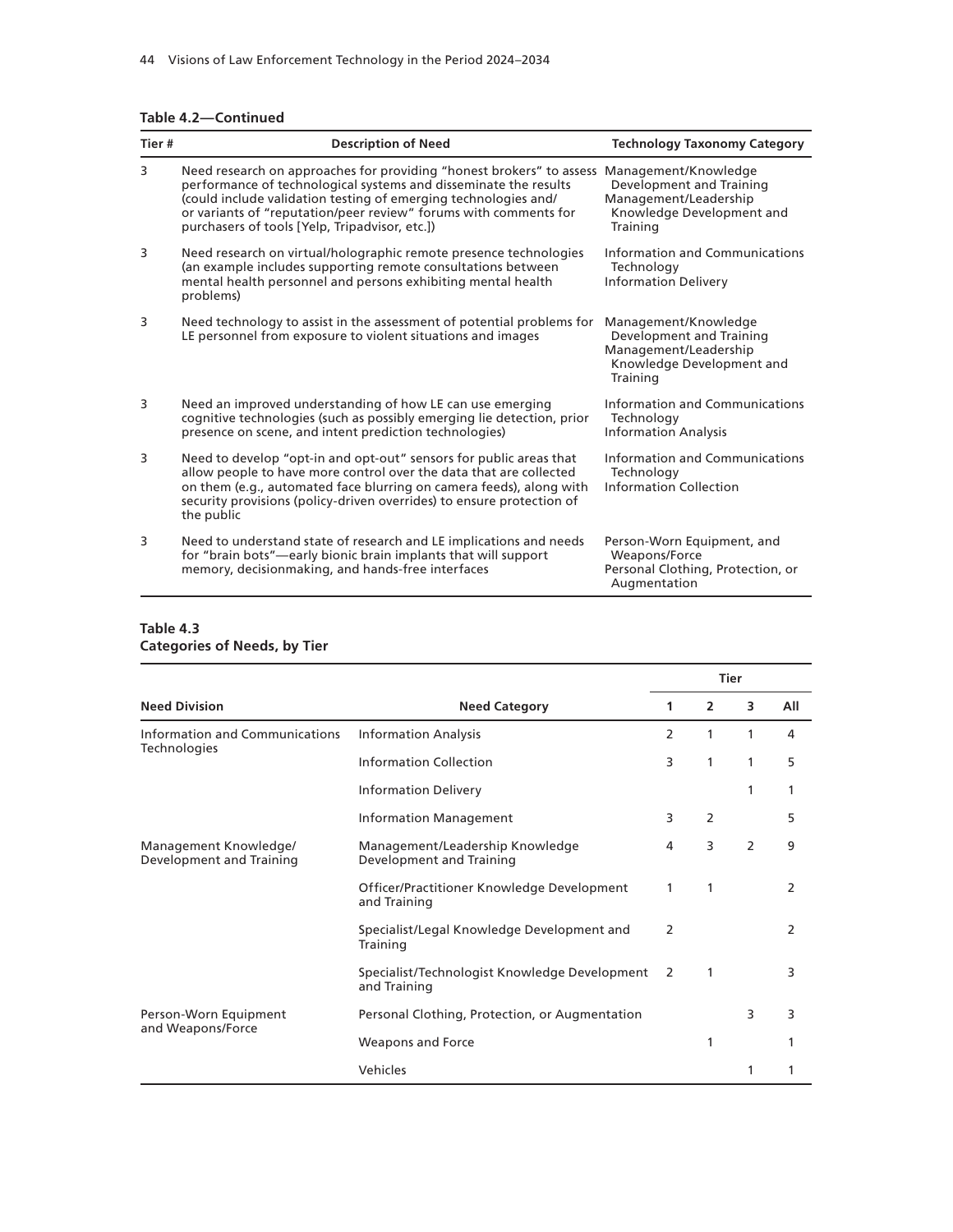|  |  | Table 4.2-Continued |  |
|--|--|---------------------|--|
|--|--|---------------------|--|

|       | Table 4.2-Continued                                                                                                                                                                                                                                                                                                               |                                                                                                                    |  |  |
|-------|-----------------------------------------------------------------------------------------------------------------------------------------------------------------------------------------------------------------------------------------------------------------------------------------------------------------------------------|--------------------------------------------------------------------------------------------------------------------|--|--|
| Tier# | <b>Description of Need</b>                                                                                                                                                                                                                                                                                                        | <b>Technology Taxonomy Category</b>                                                                                |  |  |
| 3     | Need research on approaches for providing "honest brokers" to assess<br>performance of technological systems and disseminate the results<br>(could include validation testing of emerging technologies and/<br>or variants of "reputation/peer review" forums with comments for<br>purchasers of tools [Yelp, Tripadvisor, etc.]) | Management/Knowledge<br>Development and Training<br>Management/Leadership<br>Knowledge Development and<br>Training |  |  |
| 3     | Need research on virtual/holographic remote presence technologies<br>(an example includes supporting remote consultations between<br>mental health personnel and persons exhibiting mental health<br>problems)                                                                                                                    | Information and Communications<br>Technology<br><b>Information Delivery</b>                                        |  |  |
| 3     | Need technology to assist in the assessment of potential problems for<br>LE personnel from exposure to violent situations and images                                                                                                                                                                                              | Management/Knowledge<br>Development and Training<br>Management/Leadership<br>Knowledge Development and<br>Training |  |  |
| 3     | Need an improved understanding of how LE can use emerging<br>cognitive technologies (such as possibly emerging lie detection, prior<br>presence on scene, and intent prediction technologies)                                                                                                                                     | Information and Communications<br>Technology<br><b>Information Analysis</b>                                        |  |  |
| 3     | Need to develop "opt-in and opt-out" sensors for public areas that<br>allow people to have more control over the data that are collected<br>on them (e.g., automated face blurring on camera feeds), along with<br>security provisions (policy-driven overrides) to ensure protection of<br>the public                            | Information and Communications<br>Technology<br><b>Information Collection</b>                                      |  |  |
| 3     | Need to understand state of research and LE implications and needs<br>for "brain bots"—early bionic brain implants that will support<br>memory, decisionmaking, and hands-free interfaces                                                                                                                                         | Person-Worn Equipment, and<br>Weapons/Force<br>Personal Clothing, Protection, or<br>Augmentation                   |  |  |

#### **Table 4.3 Categories of Needs, by Tier**

|                                                   |                                                                 |   |                | <b>Tier</b> |     |
|---------------------------------------------------|-----------------------------------------------------------------|---|----------------|-------------|-----|
| <b>Need Division</b>                              | <b>Need Category</b>                                            | 1 | $\overline{2}$ | 3           | All |
| <b>Information and Communications</b>             | <b>Information Analysis</b>                                     | 2 | 1              | 1           | 4   |
| <b>Technologies</b>                               | Information Collection                                          | 3 | 1              | 1           | 5   |
|                                                   | <b>Information Delivery</b>                                     |   |                | 1           |     |
|                                                   | <b>Information Management</b>                                   | 3 | $\overline{2}$ |             | 5   |
| Management Knowledge/<br>Development and Training | Management/Leadership Knowledge<br>Development and Training     | 4 | 3              | 2           | 9   |
|                                                   | Officer/Practitioner Knowledge Development<br>and Training      | 1 | 1              |             | 2   |
|                                                   | Specialist/Legal Knowledge Development and<br>Training          | 2 |                |             | 2   |
|                                                   | Specialist/Technologist Knowledge Development 2<br>and Training |   | 1              |             | 3   |
| Person-Worn Equipment                             | Personal Clothing, Protection, or Augmentation                  |   |                | 3           | 3   |
| and Weapons/Force                                 | Weapons and Force                                               |   | 1              |             |     |
|                                                   | Vehicles                                                        |   |                | 1           |     |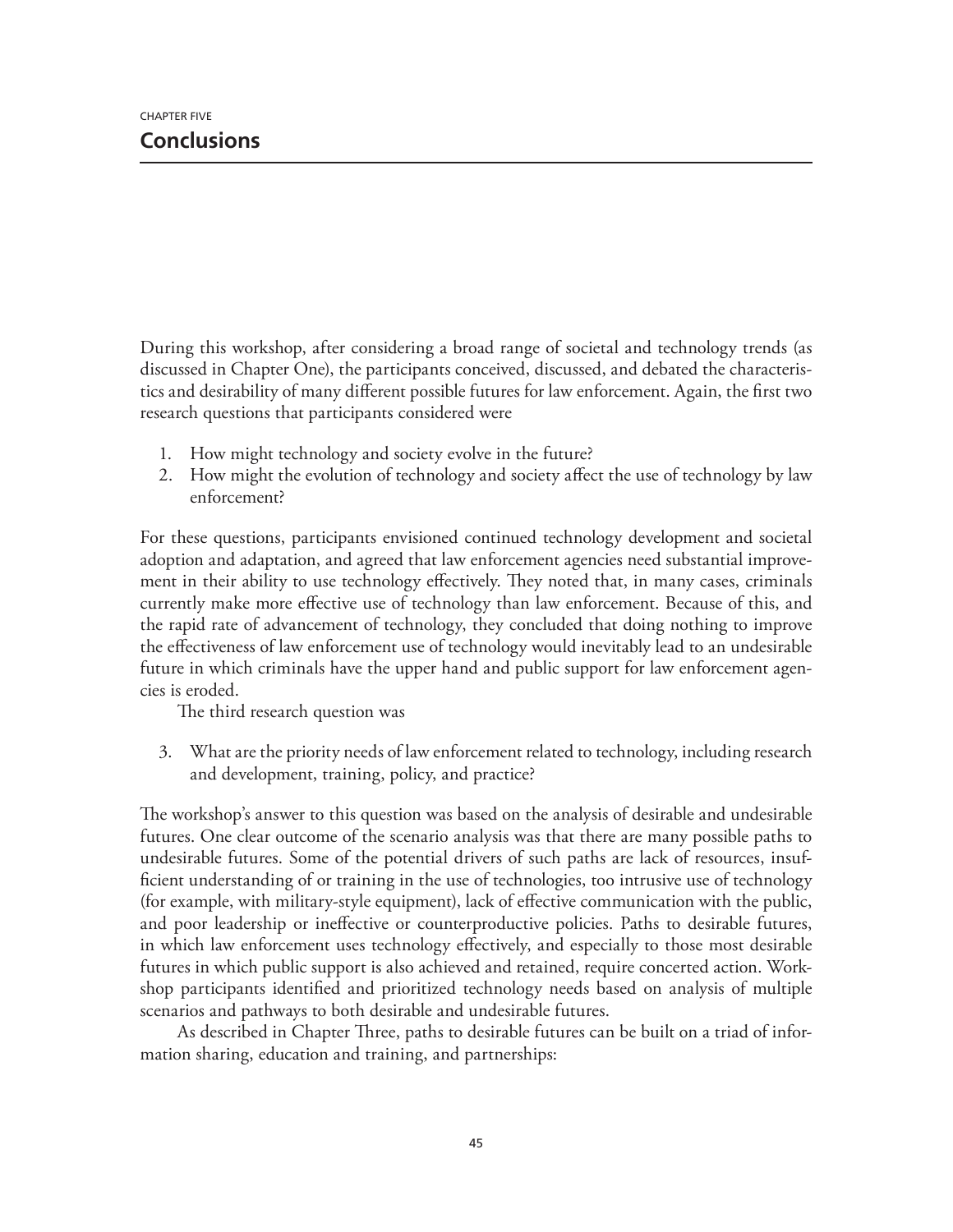During this workshop, after considering a broad range of societal and technology trends (as discussed in Chapter One), the participants conceived, discussed, and debated the characteristics and desirability of many different possible futures for law enforcement. Again, the first two research questions that participants considered were

- 1. How might technology and society evolve in the future?
- 2. How might the evolution of technology and society affect the use of technology by law enforcement?

For these questions, participants envisioned continued technology development and societal adoption and adaptation, and agreed that law enforcement agencies need substantial improvement in their ability to use technology effectively. They noted that, in many cases, criminals currently make more effective use of technology than law enforcement. Because of this, and the rapid rate of advancement of technology, they concluded that doing nothing to improve the effectiveness of law enforcement use of technology would inevitably lead to an undesirable future in which criminals have the upper hand and public support for law enforcement agencies is eroded.

The third research question was

3. What are the priority needs of law enforcement related to technology, including research and development, training, policy, and practice?

The workshop's answer to this question was based on the analysis of desirable and undesirable futures. One clear outcome of the scenario analysis was that there are many possible paths to undesirable futures. Some of the potential drivers of such paths are lack of resources, insufficient understanding of or training in the use of technologies, too intrusive use of technology (for example, with military-style equipment), lack of effective communication with the public, and poor leadership or ineffective or counterproductive policies. Paths to desirable futures, in which law enforcement uses technology effectively, and especially to those most desirable futures in which public support is also achieved and retained, require concerted action. Workshop participants identified and prioritized technology needs based on analysis of multiple scenarios and pathways to both desirable and undesirable futures.

As described in Chapter Three, paths to desirable futures can be built on a triad of information sharing, education and training, and partnerships: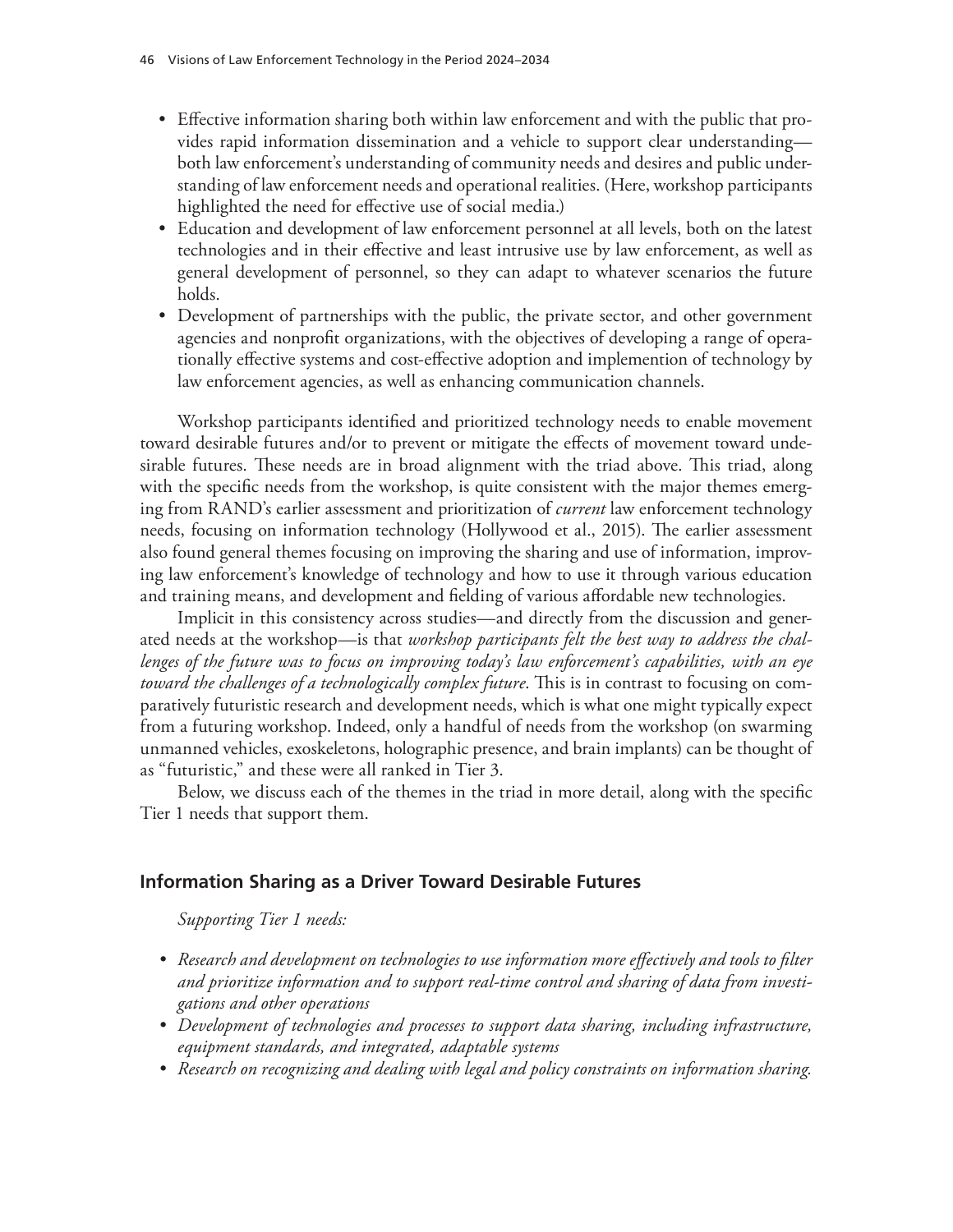- Effective information sharing both within law enforcement and with the public that provides rapid information dissemination and a vehicle to support clear understanding both law enforcement's understanding of community needs and desires and public understanding of law enforcement needs and operational realities. (Here, workshop participants highlighted the need for effective use of social media.)
- Education and development of law enforcement personnel at all levels, both on the latest technologies and in their effective and least intrusive use by law enforcement, as well as general development of personnel, so they can adapt to whatever scenarios the future holds.
- Development of partnerships with the public, the private sector, and other government agencies and nonprofit organizations, with the objectives of developing a range of operationally effective systems and cost-effective adoption and implemention of technology by law enforcement agencies, as well as enhancing communication channels.

Workshop participants identified and prioritized technology needs to enable movement toward desirable futures and/or to prevent or mitigate the effects of movement toward undesirable futures. These needs are in broad alignment with the triad above. This triad, along with the specific needs from the workshop, is quite consistent with the major themes emerging from RAND's earlier assessment and prioritization of *current* law enforcement technology needs, focusing on information technology (Hollywood et al., 2015). The earlier assessment also found general themes focusing on improving the sharing and use of information, improving law enforcement's knowledge of technology and how to use it through various education and training means, and development and fielding of various affordable new technologies.

Implicit in this consistency across studies—and directly from the discussion and generated needs at the workshop—is that *workshop participants felt the best way to address the challenges of the future was to focus on improving today's law enforcement's capabilities, with an eye toward the challenges of a technologically complex future*. This is in contrast to focusing on comparatively futuristic research and development needs, which is what one might typically expect from a futuring workshop. Indeed, only a handful of needs from the workshop (on swarming unmanned vehicles, exoskeletons, holographic presence, and brain implants) can be thought of as "futuristic," and these were all ranked in Tier 3.

Below, we discuss each of the themes in the triad in more detail, along with the specific Tier 1 needs that support them.

## **Information Sharing as a Driver Toward Desirable Futures**

*Supporting Tier 1 needs:*

- *• Research and development on technologies to use information more effectively and tools to filter and prioritize information and to support real-time control and sharing of data from investigations and other operations*
- *• Development of technologies and processes to support data sharing, including infrastructure, equipment standards, and integrated, adaptable systems*
- *• Research on recognizing and dealing with legal and policy constraints on information sharing.*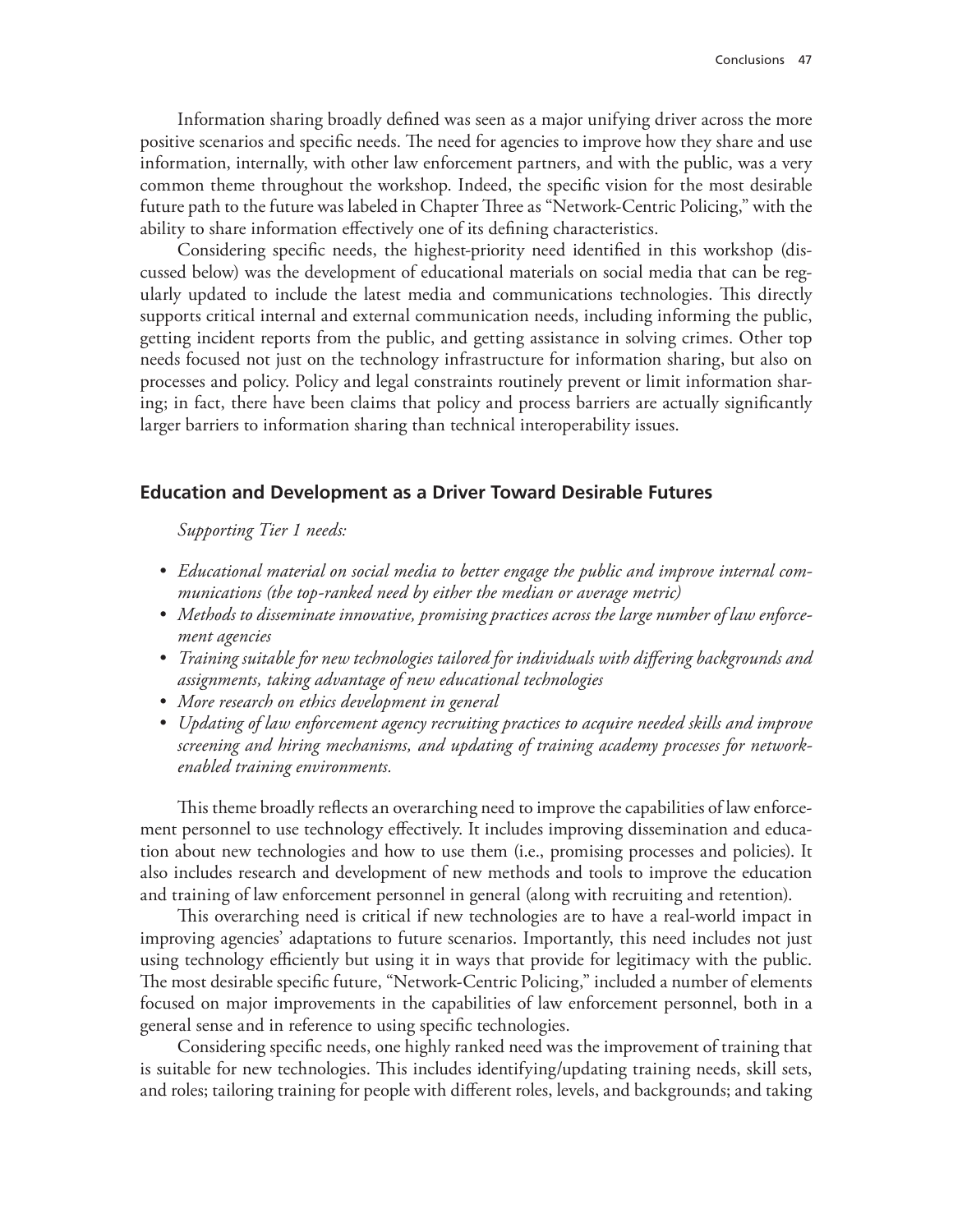Information sharing broadly defined was seen as a major unifying driver across the more positive scenarios and specific needs. The need for agencies to improve how they share and use information, internally, with other law enforcement partners, and with the public, was a very common theme throughout the workshop. Indeed, the specific vision for the most desirable future path to the future was labeled in Chapter Three as "Network-Centric Policing," with the ability to share information effectively one of its defining characteristics.

Considering specific needs, the highest-priority need identified in this workshop (discussed below) was the development of educational materials on social media that can be regularly updated to include the latest media and communications technologies. This directly supports critical internal and external communication needs, including informing the public, getting incident reports from the public, and getting assistance in solving crimes. Other top needs focused not just on the technology infrastructure for information sharing, but also on processes and policy. Policy and legal constraints routinely prevent or limit information sharing; in fact, there have been claims that policy and process barriers are actually significantly larger barriers to information sharing than technical interoperability issues.

#### **Education and Development as a Driver Toward Desirable Futures**

*Supporting Tier 1 needs:*

- *• Educational material on social media to better engage the public and improve internal communications (the top-ranked need by either the median or average metric)*
- *• Methods to disseminate innovative, promising practices across the large number of law enforcement agencies*
- *• Training suitable for new technologies tailored for individuals with differing backgrounds and assignments, taking advantage of new educational technologies*
- *• More research on ethics development in general*
- *• Updating of law enforcement agency recruiting practices to acquire needed skills and improve screening and hiring mechanisms, and updating of training academy processes for networkenabled training environments.*

This theme broadly reflects an overarching need to improve the capabilities of law enforcement personnel to use technology effectively. It includes improving dissemination and education about new technologies and how to use them (i.e., promising processes and policies). It also includes research and development of new methods and tools to improve the education and training of law enforcement personnel in general (along with recruiting and retention).

This overarching need is critical if new technologies are to have a real-world impact in improving agencies' adaptations to future scenarios. Importantly, this need includes not just using technology efficiently but using it in ways that provide for legitimacy with the public. The most desirable specific future, "Network-Centric Policing," included a number of elements focused on major improvements in the capabilities of law enforcement personnel, both in a general sense and in reference to using specific technologies.

Considering specific needs, one highly ranked need was the improvement of training that is suitable for new technologies. This includes identifying/updating training needs, skill sets, and roles; tailoring training for people with different roles, levels, and backgrounds; and taking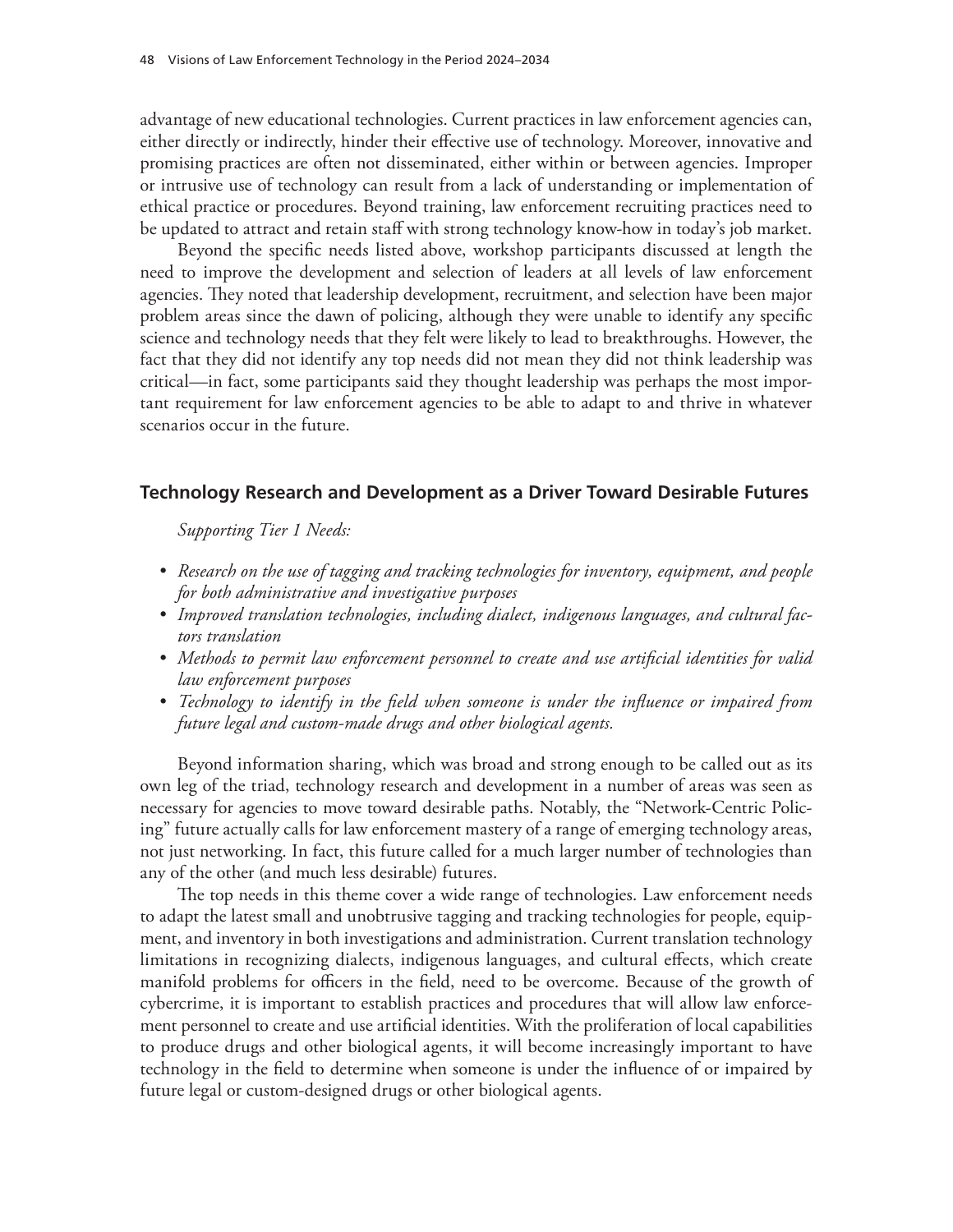advantage of new educational technologies. Current practices in law enforcement agencies can, either directly or indirectly, hinder their effective use of technology. Moreover, innovative and promising practices are often not disseminated, either within or between agencies. Improper or intrusive use of technology can result from a lack of understanding or implementation of ethical practice or procedures. Beyond training, law enforcement recruiting practices need to be updated to attract and retain staff with strong technology know-how in today's job market.

Beyond the specific needs listed above, workshop participants discussed at length the need to improve the development and selection of leaders at all levels of law enforcement agencies. They noted that leadership development, recruitment, and selection have been major problem areas since the dawn of policing, although they were unable to identify any specific science and technology needs that they felt were likely to lead to breakthroughs. However, the fact that they did not identify any top needs did not mean they did not think leadership was critical—in fact, some participants said they thought leadership was perhaps the most important requirement for law enforcement agencies to be able to adapt to and thrive in whatever scenarios occur in the future.

### **Technology Research and Development as a Driver Toward Desirable Futures**

*Supporting Tier 1 Needs:*

- *• Research on the use of tagging and tracking technologies for inventory, equipment, and people for both administrative and investigative purposes*
- *• Improved translation technologies, including dialect, indigenous languages, and cultural factors translation*
- *• Methods to permit law enforcement personnel to create and use artificial identities for valid law enforcement purposes*
- *• Technology to identify in the field when someone is under the influence or impaired from future legal and custom-made drugs and other biological agents.*

Beyond information sharing, which was broad and strong enough to be called out as its own leg of the triad, technology research and development in a number of areas was seen as necessary for agencies to move toward desirable paths. Notably, the "Network-Centric Policing" future actually calls for law enforcement mastery of a range of emerging technology areas, not just networking. In fact, this future called for a much larger number of technologies than any of the other (and much less desirable) futures.

The top needs in this theme cover a wide range of technologies. Law enforcement needs to adapt the latest small and unobtrusive tagging and tracking technologies for people, equipment, and inventory in both investigations and administration. Current translation technology limitations in recognizing dialects, indigenous languages, and cultural effects, which create manifold problems for officers in the field, need to be overcome. Because of the growth of cybercrime, it is important to establish practices and procedures that will allow law enforcement personnel to create and use artificial identities. With the proliferation of local capabilities to produce drugs and other biological agents, it will become increasingly important to have technology in the field to determine when someone is under the influence of or impaired by future legal or custom-designed drugs or other biological agents.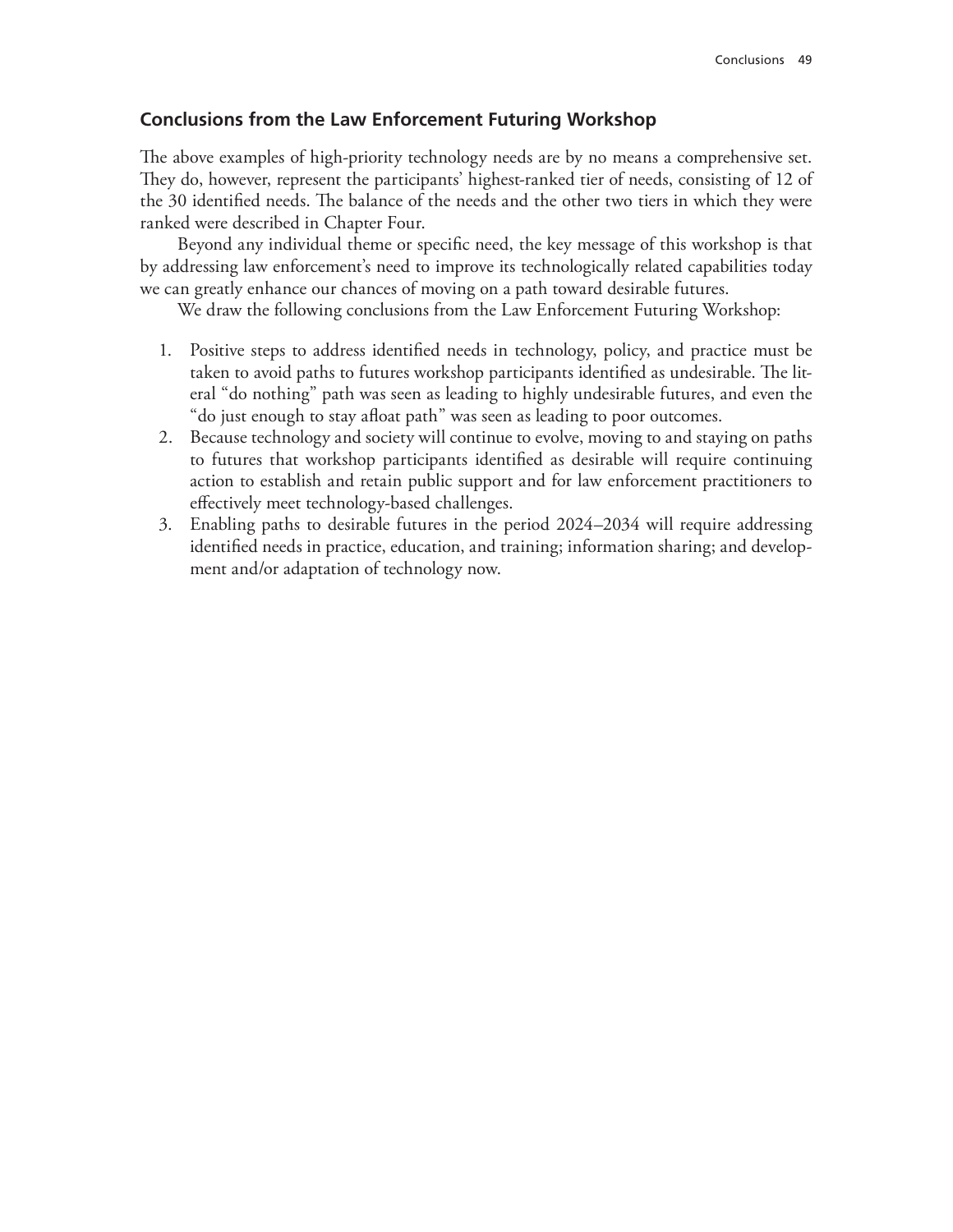## **Conclusions from the Law Enforcement Futuring Workshop**

The above examples of high-priority technology needs are by no means a comprehensive set. They do, however, represent the participants' highest-ranked tier of needs, consisting of 12 of the 30 identified needs. The balance of the needs and the other two tiers in which they were ranked were described in Chapter Four.

Beyond any individual theme or specific need, the key message of this workshop is that by addressing law enforcement's need to improve its technologically related capabilities today we can greatly enhance our chances of moving on a path toward desirable futures.

We draw the following conclusions from the Law Enforcement Futuring Workshop:

- 1. Positive steps to address identified needs in technology, policy, and practice must be taken to avoid paths to futures workshop participants identified as undesirable. The literal "do nothing" path was seen as leading to highly undesirable futures, and even the "do just enough to stay afloat path" was seen as leading to poor outcomes.
- 2. Because technology and society will continue to evolve, moving to and staying on paths to futures that workshop participants identified as desirable will require continuing action to establish and retain public support and for law enforcement practitioners to effectively meet technology-based challenges.
- 3. Enabling paths to desirable futures in the period 2024–2034 will require addressing identified needs in practice, education, and training; information sharing; and development and/or adaptation of technology now.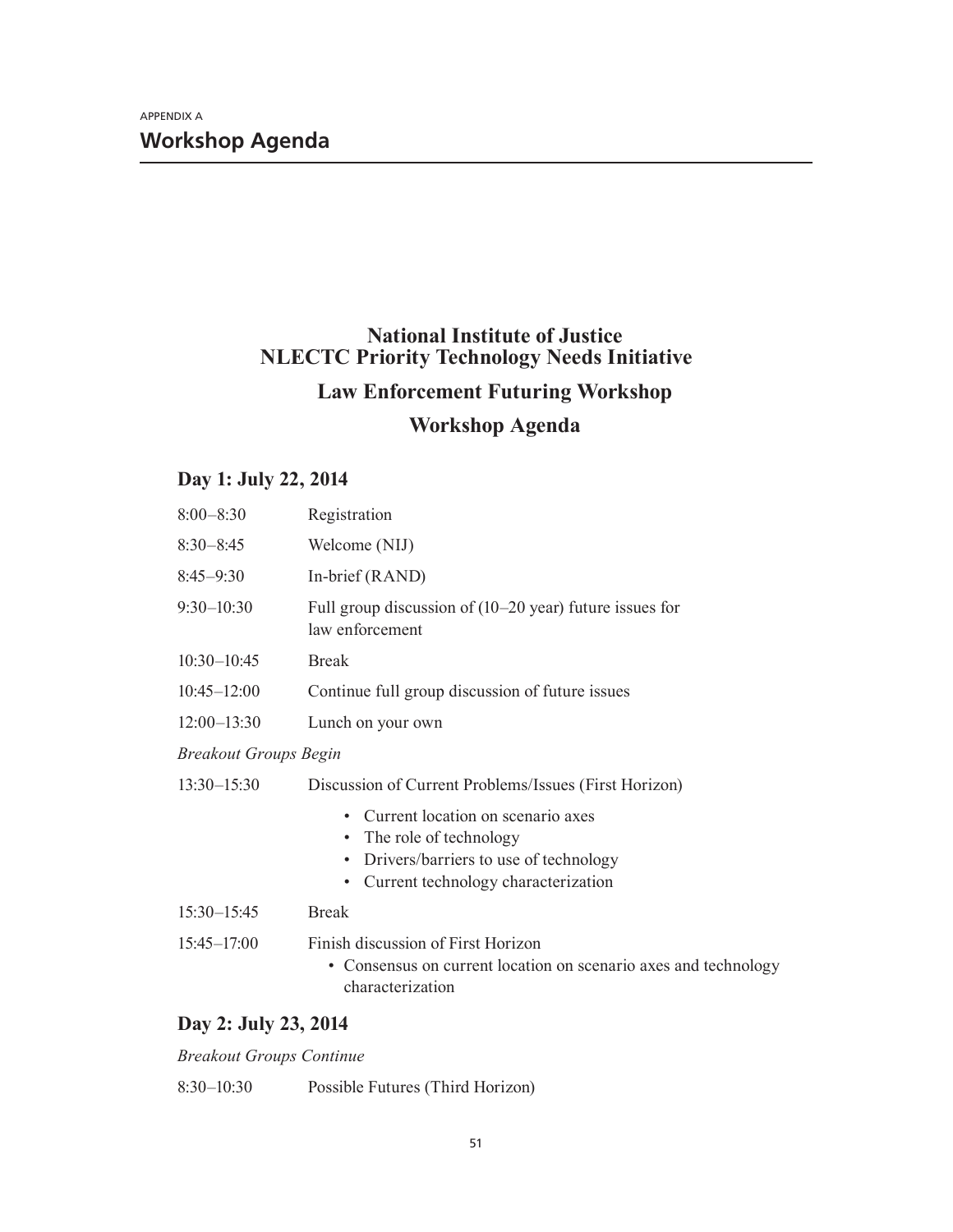# **National Institute of Justice NLECTC Priority Technology Needs Initiative Law Enforcement Futuring Workshop**

# **Workshop Agenda**

## **Day 1: July 22, 2014**

| $8:00 - 8:30$                | Registration                                                                                                                                               |
|------------------------------|------------------------------------------------------------------------------------------------------------------------------------------------------------|
| $8:30 - 8:45$                | Welcome (NIJ)                                                                                                                                              |
| $8:45-9:30$                  | In-brief (RAND)                                                                                                                                            |
| $9:30 - 10:30$               | Full group discussion of $(10-20 \text{ year})$ future issues for<br>law enforcement                                                                       |
| $10:30 - 10:45$              | <b>Break</b>                                                                                                                                               |
| $10:45 - 12:00$              | Continue full group discussion of future issues                                                                                                            |
| $12:00 - 13:30$              | Lunch on your own                                                                                                                                          |
| <b>Breakout Groups Begin</b> |                                                                                                                                                            |
| $13:30 - 15:30$              | Discussion of Current Problems/Issues (First Horizon)                                                                                                      |
|                              | Current location on scenario axes<br>• The role of technology<br>Drivers/barriers to use of technology<br>$\bullet$<br>Current technology characterization |
| $15:30 - 15:45$              | <b>Break</b>                                                                                                                                               |
| $15:45 - 17:00$              | Finish discussion of First Horizon<br>• Consensus on current location on scenario axes and technology<br>characterization                                  |

## **Day 2: July 23, 2014**

*Breakout Groups Continue*

8:30–10:30 Possible Futures (Third Horizon)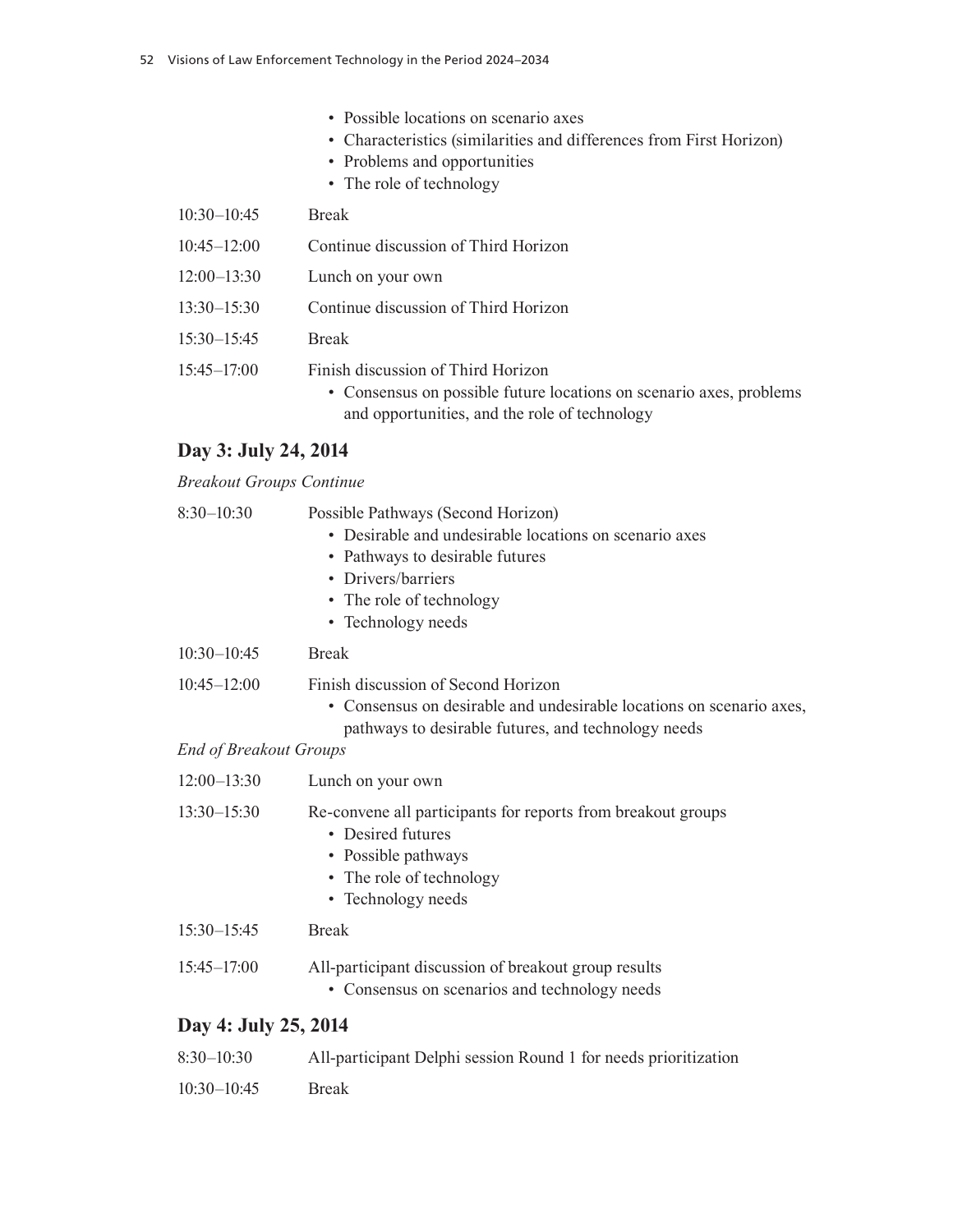- Possible locations on scenario axes
- Characteristics (similarities and differences from First Horizon)
- Problems and opportunities
- The role of technology

| $10:30 - 10:45$ | <b>Break</b>                                                                                                                                               |
|-----------------|------------------------------------------------------------------------------------------------------------------------------------------------------------|
| $10:45 - 12:00$ | Continue discussion of Third Horizon                                                                                                                       |
| $12:00 - 13:30$ | Lunch on your own                                                                                                                                          |
| $13:30 - 15:30$ | Continue discussion of Third Horizon                                                                                                                       |
| $15:30 - 15:45$ | <b>Break</b>                                                                                                                                               |
| $15:45 - 17:00$ | Finish discussion of Third Horizon<br>• Consensus on possible future locations on scenario axes, problems<br>and opportunities, and the role of technology |

# **Day 3: July 24, 2014**

#### *Breakout Groups Continue*

| $8:30 - 10:30$                                   | Possible Pathways (Second Horizon)<br>• Desirable and undesirable locations on scenario axes<br>• Pathways to desirable futures<br>• Drivers/barriers<br>• The role of technology<br>• Technology needs |
|--------------------------------------------------|---------------------------------------------------------------------------------------------------------------------------------------------------------------------------------------------------------|
| $10:30 - 10:45$                                  | <b>Break</b>                                                                                                                                                                                            |
| $10:45 - 12:00$<br><b>End of Breakout Groups</b> | Finish discussion of Second Horizon<br>• Consensus on desirable and undesirable locations on scenario axes,<br>pathways to desirable futures, and technology needs                                      |
| $12:00 - 13:30$                                  | Lunch on your own                                                                                                                                                                                       |
| $13:30 - 15:30$                                  | Re-convene all participants for reports from breakout groups<br>• Desired futures<br>• Possible pathways<br>• The role of technology<br>• Technology needs                                              |
|                                                  |                                                                                                                                                                                                         |

- 15:30–15:45 Break
- 15:45–17:00 All-participant discussion of breakout group results
	- Consensus on scenarios and technology needs

## **Day 4: July 25, 2014**

| $8:30-10:30$    | All-participant Delphi session Round 1 for needs prioritization |
|-----------------|-----------------------------------------------------------------|
| $10:30 - 10:45$ | <b>Break</b>                                                    |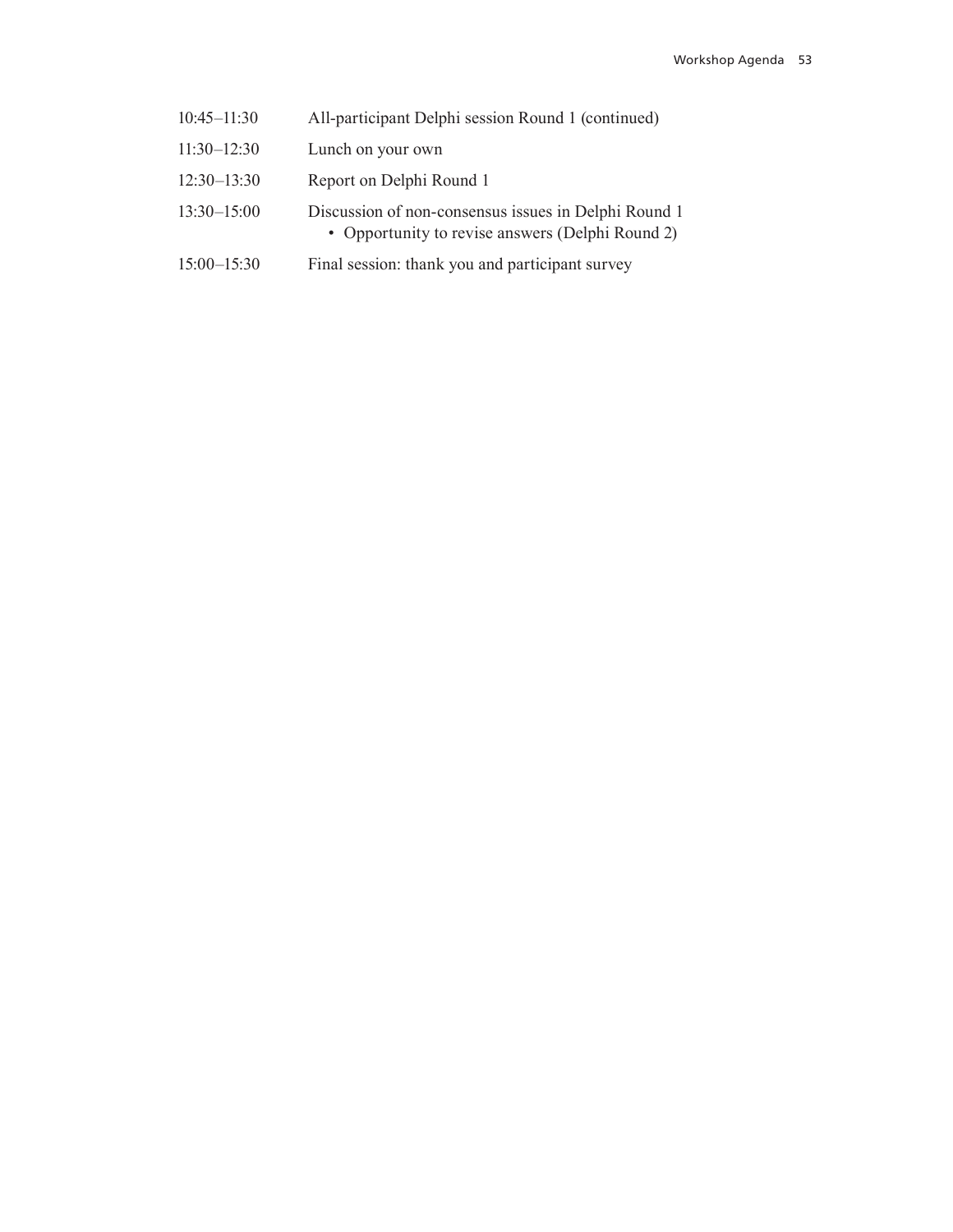- 10:45–11:30 All-participant Delphi session Round 1 (continued)
- 11:30–12:30 Lunch on your own
- 12:30–13:30 Report on Delphi Round 1
- 13:30–15:00 Discussion of non-consensus issues in Delphi Round 1 • Opportunity to revise answers (Delphi Round 2)
- 15:00–15:30 Final session: thank you and participant survey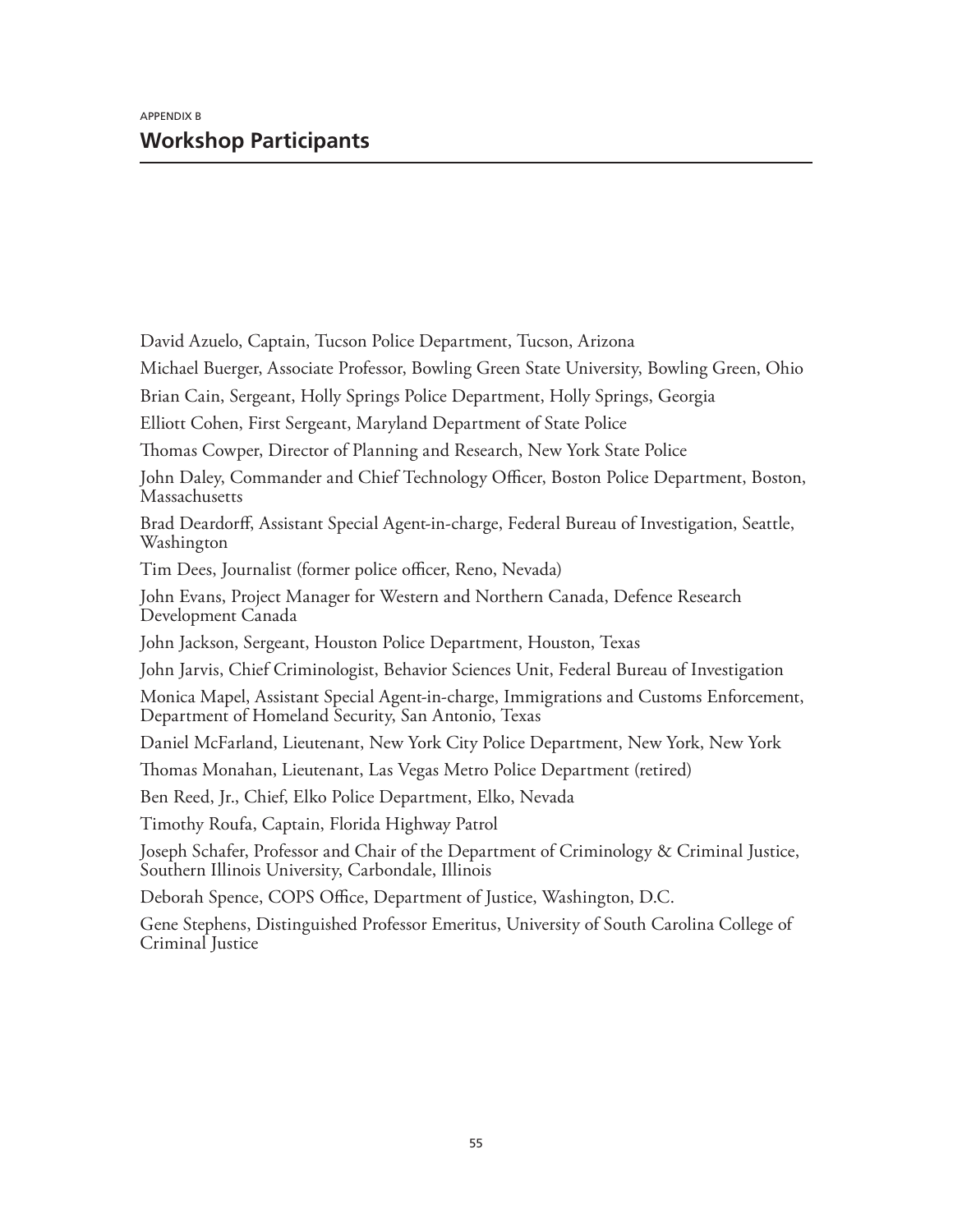David Azuelo, Captain, Tucson Police Department, Tucson, Arizona Michael Buerger, Associate Professor, Bowling Green State University, Bowling Green, Ohio Brian Cain, Sergeant, Holly Springs Police Department, Holly Springs, Georgia Elliott Cohen, First Sergeant, Maryland Department of State Police Thomas Cowper, Director of Planning and Research, New York State Police John Daley, Commander and Chief Technology Officer, Boston Police Department, Boston, Massachusetts Brad Deardorff, Assistant Special Agent-in-charge, Federal Bureau of Investigation, Seattle, Washington Tim Dees, Journalist (former police officer, Reno, Nevada) John Evans, Project Manager for Western and Northern Canada, Defence Research Development Canada John Jackson, Sergeant, Houston Police Department, Houston, Texas John Jarvis, Chief Criminologist, Behavior Sciences Unit, Federal Bureau of Investigation Monica Mapel, Assistant Special Agent-in-charge, Immigrations and Customs Enforcement, Department of Homeland Security, San Antonio, Texas Daniel McFarland, Lieutenant, New York City Police Department, New York, New York Thomas Monahan, Lieutenant, Las Vegas Metro Police Department (retired) Ben Reed, Jr., Chief, Elko Police Department, Elko, Nevada Timothy Roufa, Captain, Florida Highway Patrol Joseph Schafer, Professor and Chair of the Department of Criminology & Criminal Justice, Southern Illinois University, Carbondale, Illinois Deborah Spence, COPS Office, Department of Justice, Washington, D.C. Gene Stephens, Distinguished Professor Emeritus, University of South Carolina College of Criminal Justice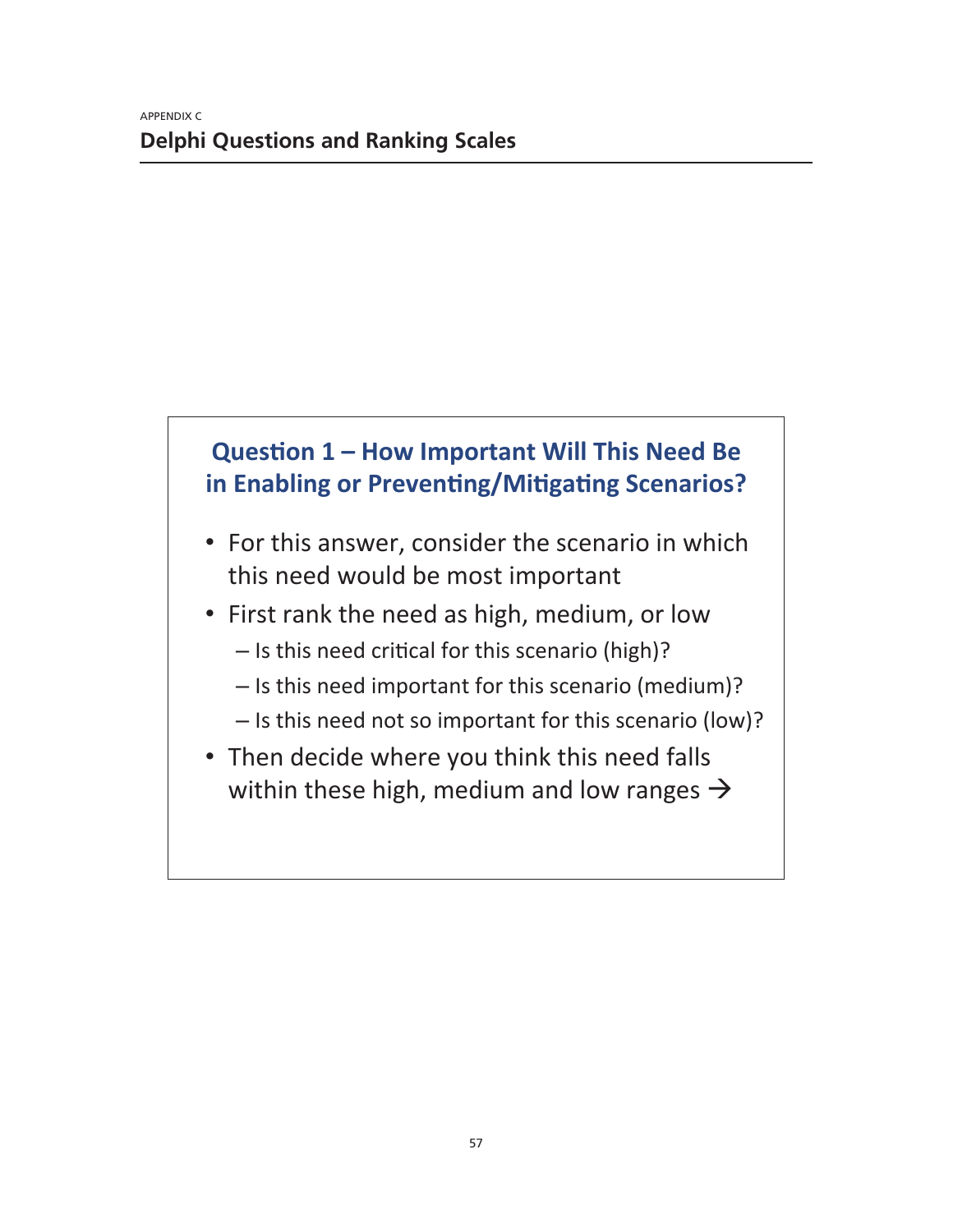## **Question 1 – How Important Will This Need Be** in Enabling or Preventing/Mitigating Scenarios?

- For this answer, consider the scenario in which this need would be most important
- First rank the need as high, medium, or low
	- $-$  Is this need critical for this scenario (high)?
	- Is this need important for this scenario (medium)?
	- $-$  Is this need not so important for this scenario (low)?
- Then decide where you think this need falls within these high, medium and low ranges  $\rightarrow$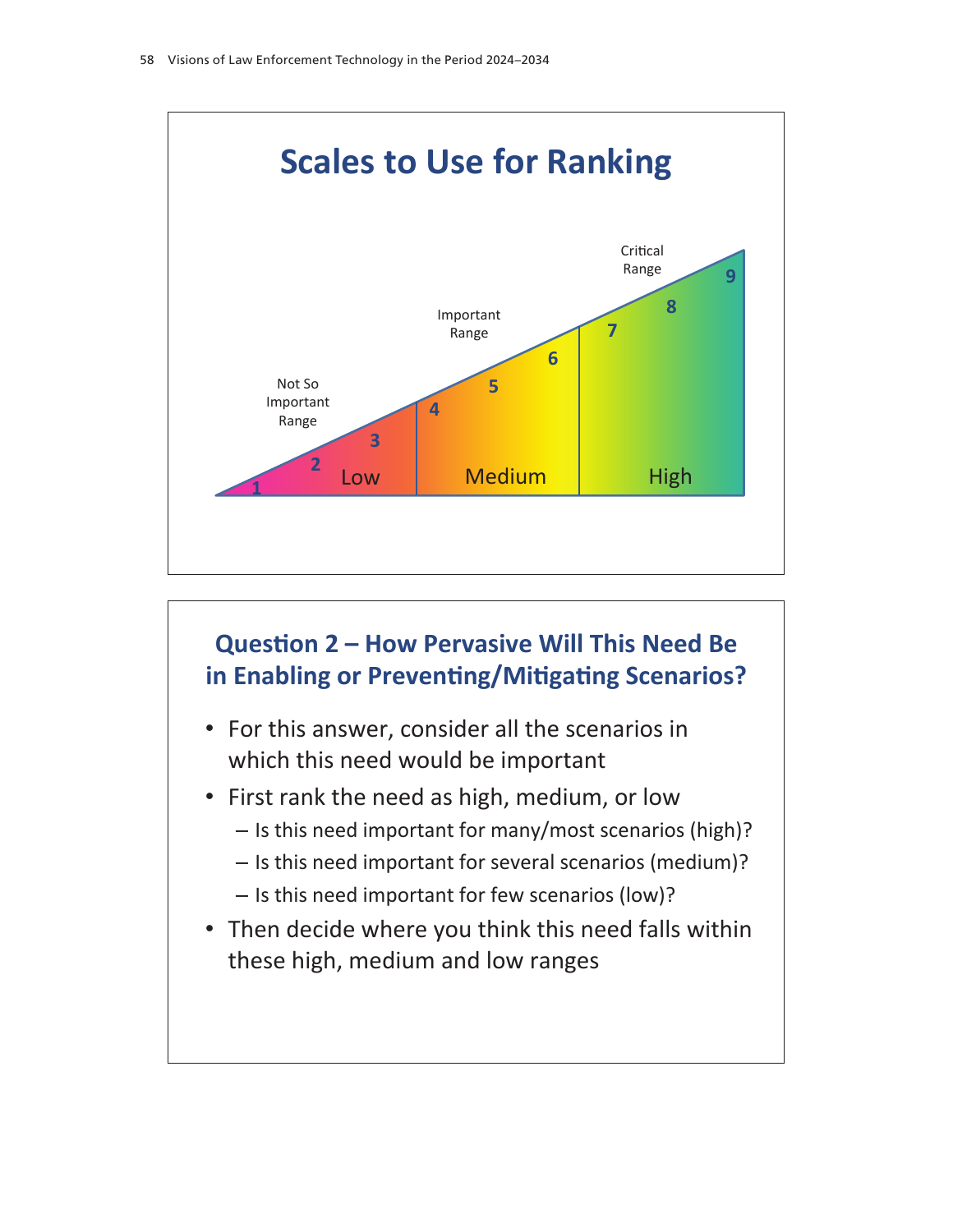

## **Question 2 – How Pervasive Will This Need Be** in Enabling or Preventing/Mitigating Scenarios?

- For this answer, consider all the scenarios in which this need would be important
- First rank the need as high, medium, or low
	- $-$  Is this need important for many/most scenarios (high)?
	- Is this need important for several scenarios (medium)?
	- Is this need important for few scenarios (low)?
- Then decide where you think this need falls within these high, medium and low ranges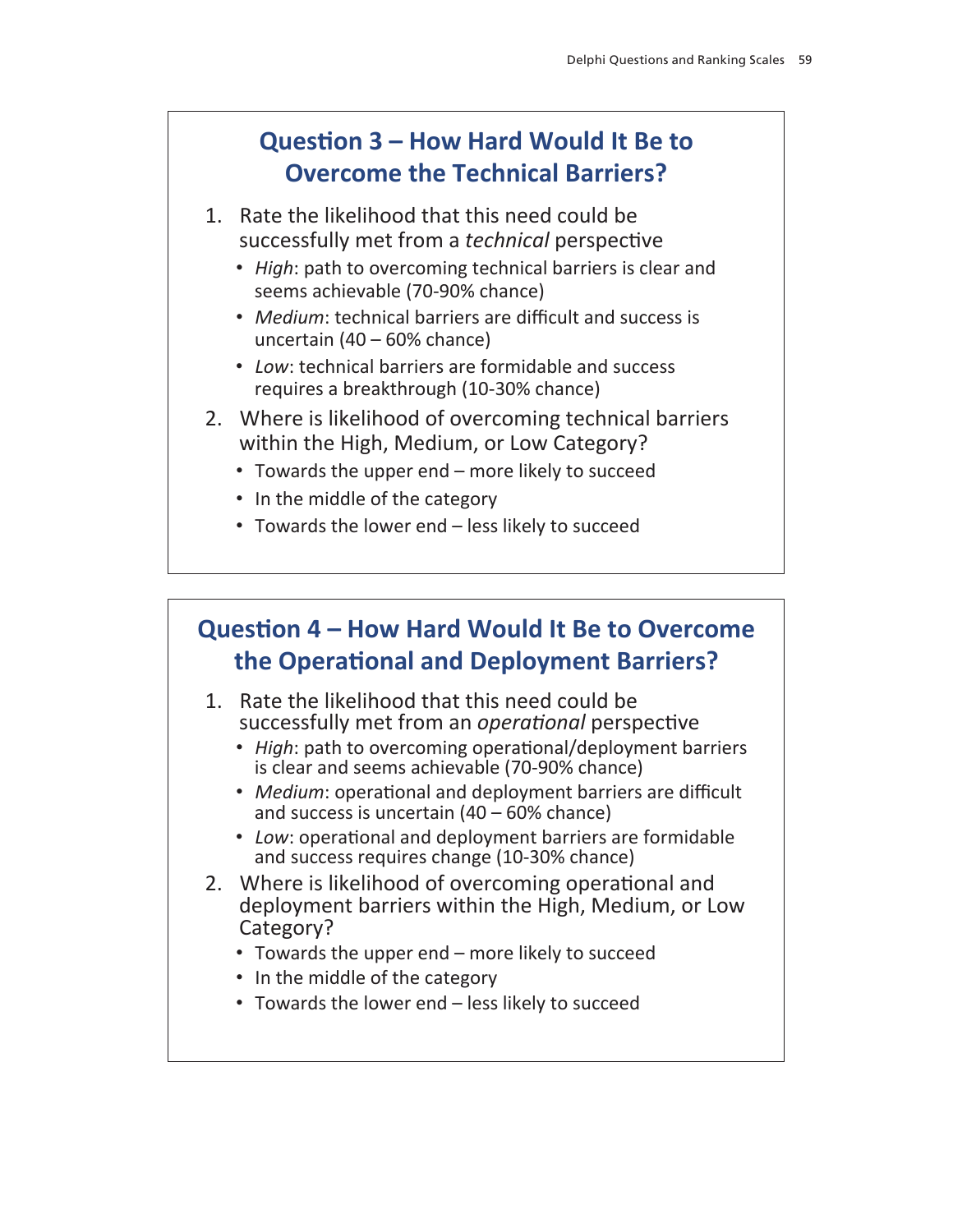### Question 3 - How Hard Would It Be to **Overcome the Technical Barriers?**

- 1. Rate the likelihood that this need could be successfully met from a *technical* perspective
	- High: path to overcoming technical barriers is clear and seems achievable (70-90% chance)
	- Medium: technical barriers are difficult and success is uncertain  $(40 - 60\% \text{ chance})$
	- Low: technical barriers are formidable and success requires a breakthrough (10-30% chance)
- 2. Where is likelihood of overcoming technical barriers within the High, Medium, or Low Category?
	- Towards the upper end more likely to succeed
	- In the middle of the category
	- Towards the lower end less likely to succeed

## Question 4 – How Hard Would It Be to Overcome the Operational and Deployment Barriers?

- 1. Rate the likelihood that this need could be successfully met from an *operational* perspective
	- High: path to overcoming operational/deployment barriers is clear and seems achievable (70-90% chance)
	- Medium: operational and deployment barriers are difficult and success is uncertain  $(40 - 60\% \text{ chance})$
	- Low: operational and deployment barriers are formidable and success requires change (10-30% chance)
- 2. Where is likelihood of overcoming operational and deployment barriers within the High, Medium, or Low Category?
	- Towards the upper end more likely to succeed
	- In the middle of the category
	- Towards the lower end less likely to succeed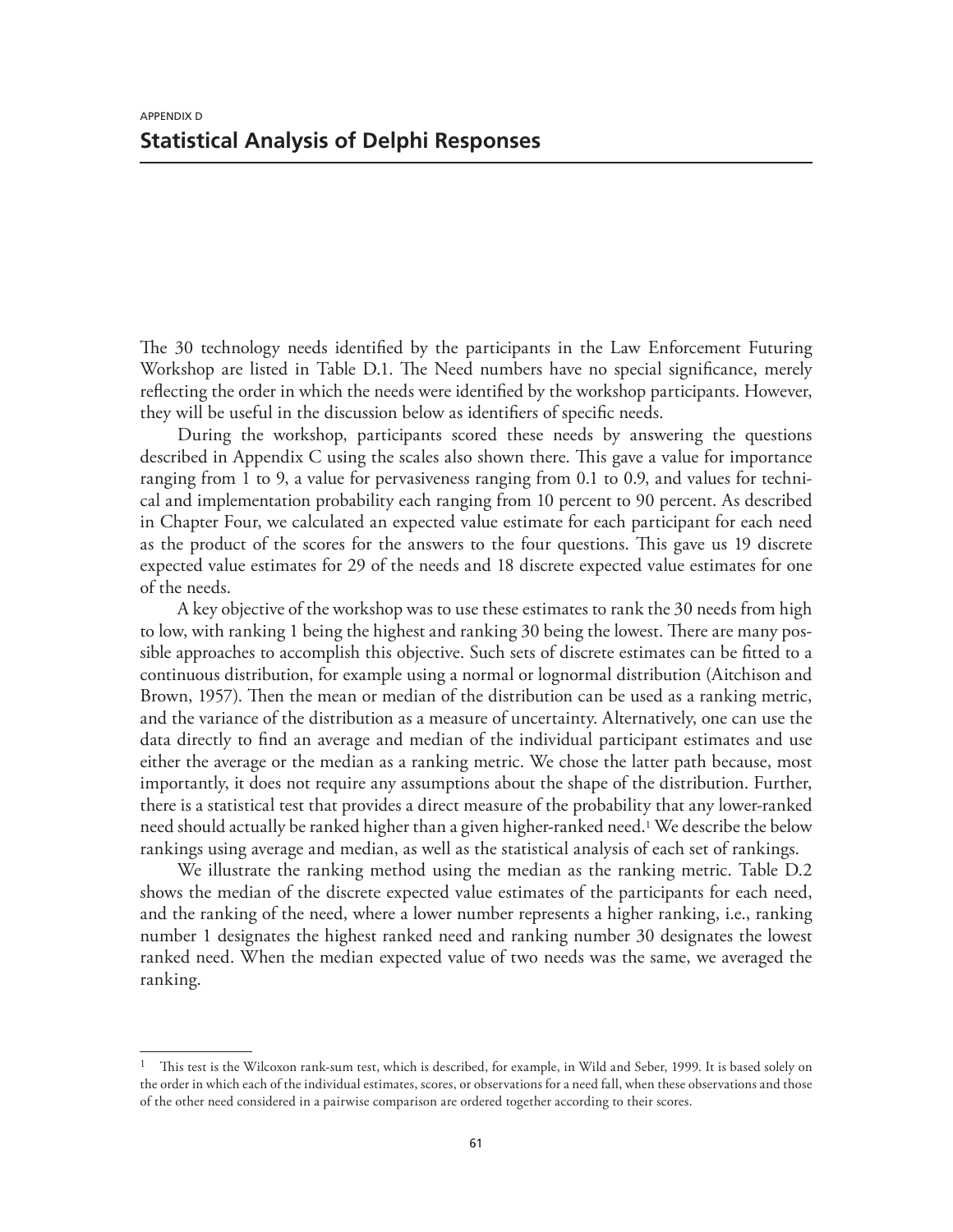The 30 technology needs identified by the participants in the Law Enforcement Futuring Workshop are listed in Table D.1. The Need numbers have no special significance, merely reflecting the order in which the needs were identified by the workshop participants. However, they will be useful in the discussion below as identifiers of specific needs.

During the workshop, participants scored these needs by answering the questions described in Appendix C using the scales also shown there. This gave a value for importance ranging from 1 to 9, a value for pervasiveness ranging from 0.1 to 0.9, and values for technical and implementation probability each ranging from 10 percent to 90 percent. As described in Chapter Four, we calculated an expected value estimate for each participant for each need as the product of the scores for the answers to the four questions. This gave us 19 discrete expected value estimates for 29 of the needs and 18 discrete expected value estimates for one of the needs.

A key objective of the workshop was to use these estimates to rank the 30 needs from high to low, with ranking 1 being the highest and ranking 30 being the lowest. There are many possible approaches to accomplish this objective. Such sets of discrete estimates can be fitted to a continuous distribution, for example using a normal or lognormal distribution (Aitchison and Brown, 1957). Then the mean or median of the distribution can be used as a ranking metric, and the variance of the distribution as a measure of uncertainty. Alternatively, one can use the data directly to find an average and median of the individual participant estimates and use either the average or the median as a ranking metric. We chose the latter path because, most importantly, it does not require any assumptions about the shape of the distribution. Further, there is a statistical test that provides a direct measure of the probability that any lower-ranked need should actually be ranked higher than a given higher-ranked need.<sup>1</sup> We describe the below rankings using average and median, as well as the statistical analysis of each set of rankings.

We illustrate the ranking method using the median as the ranking metric. Table D.2 shows the median of the discrete expected value estimates of the participants for each need, and the ranking of the need, where a lower number represents a higher ranking, i.e., ranking number 1 designates the highest ranked need and ranking number 30 designates the lowest ranked need. When the median expected value of two needs was the same, we averaged the ranking.

<sup>1</sup> This test is the Wilcoxon rank-sum test, which is described, for example, in Wild and Seber, 1999. It is based solely on the order in which each of the individual estimates, scores, or observations for a need fall, when these observations and those of the other need considered in a pairwise comparison are ordered together according to their scores.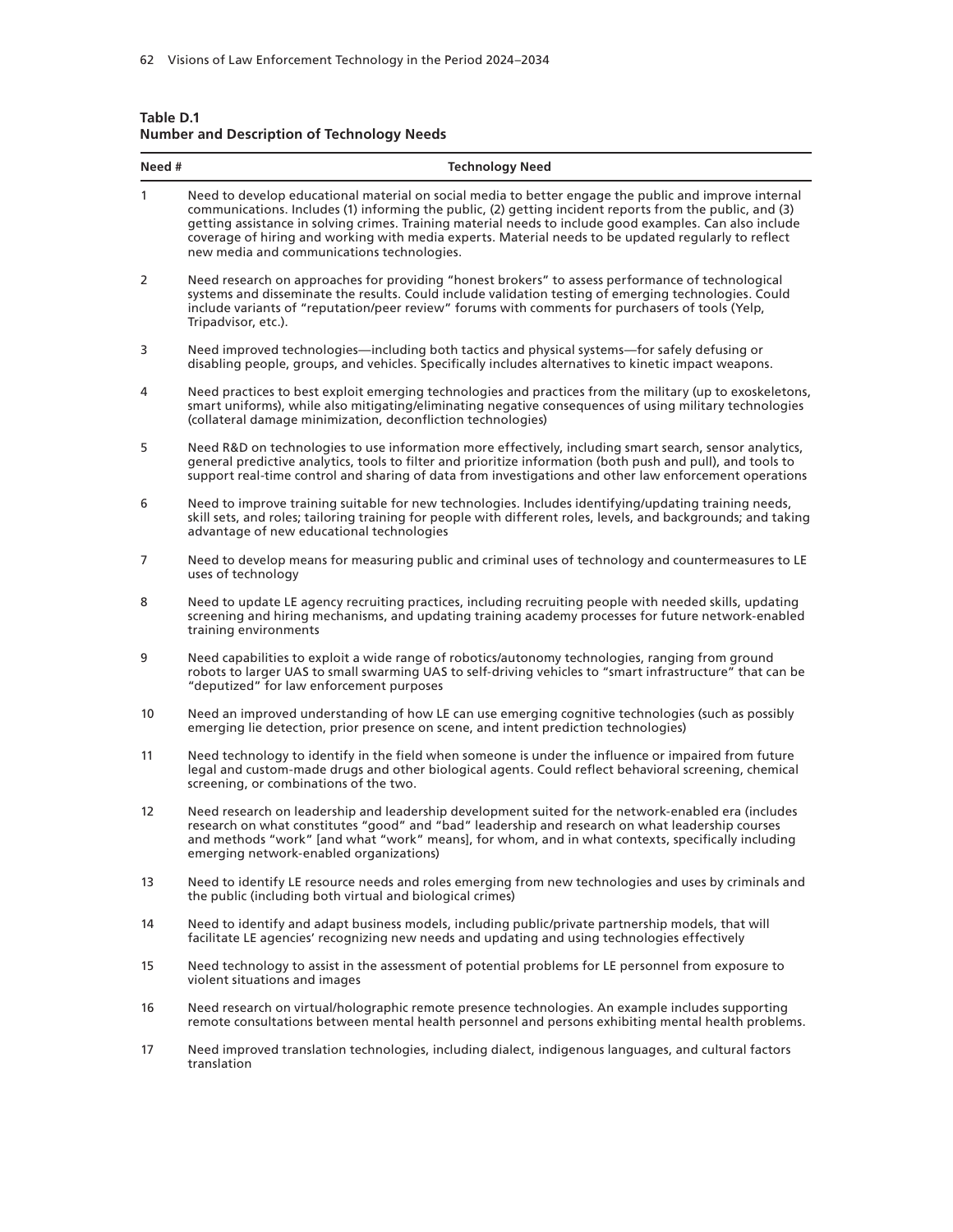| Table D.1 |                                                   |  |  |
|-----------|---------------------------------------------------|--|--|
|           | <b>Number and Description of Technology Needs</b> |  |  |

| Need #       | <b>Technology Need</b>                                                                                                                                                                                                                                                                                                                                                                                                                                                              |
|--------------|-------------------------------------------------------------------------------------------------------------------------------------------------------------------------------------------------------------------------------------------------------------------------------------------------------------------------------------------------------------------------------------------------------------------------------------------------------------------------------------|
| $\mathbf{1}$ | Need to develop educational material on social media to better engage the public and improve internal<br>communications. Includes (1) informing the public, (2) getting incident reports from the public, and (3)<br>getting assistance in solving crimes. Training material needs to include good examples. Can also include<br>coverage of hiring and working with media experts. Material needs to be updated regularly to reflect<br>new media and communications technologies. |
| 2            | Need research on approaches for providing "honest brokers" to assess performance of technological<br>systems and disseminate the results. Could include validation testing of emerging technologies. Could<br>include variants of "reputation/peer review" forums with comments for purchasers of tools (Yelp,<br>Tripadvisor, etc.).                                                                                                                                               |
| 3            | Need improved technologies—including both tactics and physical systems—for safely defusing or<br>disabling people, groups, and vehicles. Specifically includes alternatives to kinetic impact weapons.                                                                                                                                                                                                                                                                              |
| 4            | Need practices to best exploit emerging technologies and practices from the military (up to exoskeletons,<br>smart uniforms), while also mitigating/eliminating negative consequences of using military technologies<br>(collateral damage minimization, deconfliction technologies)                                                                                                                                                                                                |
| 5            | Need R&D on technologies to use information more effectively, including smart search, sensor analytics,<br>general predictive analytics, tools to filter and prioritize information (both push and pull), and tools to<br>support real-time control and sharing of data from investigations and other law enforcement operations                                                                                                                                                    |
| 6            | Need to improve training suitable for new technologies. Includes identifying/updating training needs,<br>skill sets, and roles; tailoring training for people with different roles, levels, and backgrounds; and taking<br>advantage of new educational technologies                                                                                                                                                                                                                |
| 7            | Need to develop means for measuring public and criminal uses of technology and countermeasures to LE<br>uses of technology                                                                                                                                                                                                                                                                                                                                                          |
| 8            | Need to update LE agency recruiting practices, including recruiting people with needed skills, updating<br>screening and hiring mechanisms, and updating training academy processes for future network-enabled<br>training environments                                                                                                                                                                                                                                             |
| 9            | Need capabilities to exploit a wide range of robotics/autonomy technologies, ranging from ground<br>robots to larger UAS to small swarming UAS to self-driving vehicles to "smart infrastructure" that can be<br>"deputized" for law enforcement purposes                                                                                                                                                                                                                           |
| 10           | Need an improved understanding of how LE can use emerging cognitive technologies (such as possibly<br>emerging lie detection, prior presence on scene, and intent prediction technologies)                                                                                                                                                                                                                                                                                          |
| 11           | Need technology to identify in the field when someone is under the influence or impaired from future<br>legal and custom-made drugs and other biological agents. Could reflect behavioral screening, chemical<br>screening, or combinations of the two.                                                                                                                                                                                                                             |
| 12           | Need research on leadership and leadership development suited for the network-enabled era (includes<br>research on what constitutes "good" and "bad" leadership and research on what leadership courses<br>and methods "work" [and what "work" means], for whom, and in what contexts, specifically including<br>emerging network-enabled organizations)                                                                                                                            |
| 13           | Need to identify LE resource needs and roles emerging from new technologies and uses by criminals and<br>the public (including both virtual and biological crimes)                                                                                                                                                                                                                                                                                                                  |
| 14           | Need to identify and adapt business models, including public/private partnership models, that will<br>facilitate LE agencies' recognizing new needs and updating and using technologies effectively                                                                                                                                                                                                                                                                                 |
| 15           | Need technology to assist in the assessment of potential problems for LE personnel from exposure to<br>violent situations and images                                                                                                                                                                                                                                                                                                                                                |
| 16           | Need research on virtual/holographic remote presence technologies. An example includes supporting<br>remote consultations between mental health personnel and persons exhibiting mental health problems.                                                                                                                                                                                                                                                                            |
| 17           | Need improved translation technologies, including dialect, indigenous languages, and cultural factors<br>translation                                                                                                                                                                                                                                                                                                                                                                |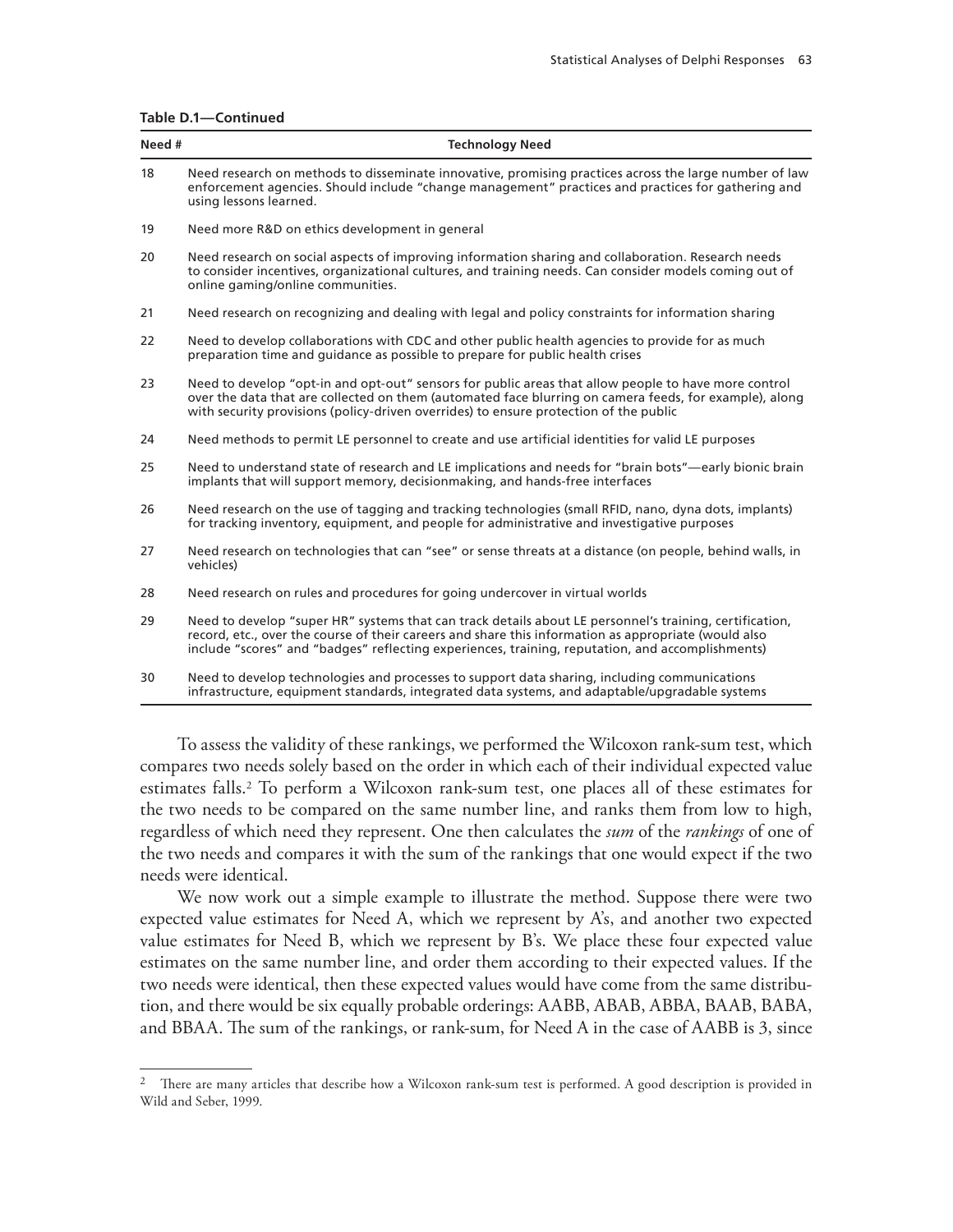| Table D.1-Continued |  |  |  |  |  |
|---------------------|--|--|--|--|--|
|---------------------|--|--|--|--|--|

| Need # | <b>Technology Need</b>                                                                                                                                                                                                                                                                                              |
|--------|---------------------------------------------------------------------------------------------------------------------------------------------------------------------------------------------------------------------------------------------------------------------------------------------------------------------|
| 18     | Need research on methods to disseminate innovative, promising practices across the large number of law<br>enforcement agencies. Should include "change management" practices and practices for gathering and<br>using lessons learned.                                                                              |
| 19     | Need more R&D on ethics development in general                                                                                                                                                                                                                                                                      |
| 20     | Need research on social aspects of improving information sharing and collaboration. Research needs<br>to consider incentives, organizational cultures, and training needs. Can consider models coming out of<br>online gaming/online communities.                                                                   |
| 21     | Need research on recognizing and dealing with legal and policy constraints for information sharing                                                                                                                                                                                                                  |
| 22     | Need to develop collaborations with CDC and other public health agencies to provide for as much<br>preparation time and quidance as possible to prepare for public health crises                                                                                                                                    |
| 23     | Need to develop "opt-in and opt-out" sensors for public areas that allow people to have more control<br>over the data that are collected on them (automated face blurring on camera feeds, for example), along<br>with security provisions (policy-driven overrides) to ensure protection of the public             |
| 24     | Need methods to permit LE personnel to create and use artificial identities for valid LE purposes                                                                                                                                                                                                                   |
| 25     | Need to understand state of research and LE implications and needs for "brain bots"—early bionic brain<br>implants that will support memory, decisionmaking, and hands-free interfaces                                                                                                                              |
| 26     | Need research on the use of tagging and tracking technologies (small RFID, nano, dyna dots, implants)<br>for tracking inventory, equipment, and people for administrative and investigative purposes                                                                                                                |
| 27     | Need research on technologies that can "see" or sense threats at a distance (on people, behind walls, in<br>vehicles)                                                                                                                                                                                               |
| 28     | Need research on rules and procedures for going undercover in virtual worlds                                                                                                                                                                                                                                        |
| 29     | Need to develop "super HR" systems that can track details about LE personnel's training, certification,<br>record, etc., over the course of their careers and share this information as appropriate (would also<br>include "scores" and "badges" reflecting experiences, training, reputation, and accomplishments) |
| 30     | Need to develop technologies and processes to support data sharing, including communications<br>infrastructure, equipment standards, integrated data systems, and adaptable/upgradable systems                                                                                                                      |

To assess the validity of these rankings, we performed the Wilcoxon rank-sum test, which compares two needs solely based on the order in which each of their individual expected value estimates falls.2 To perform a Wilcoxon rank-sum test, one places all of these estimates for the two needs to be compared on the same number line, and ranks them from low to high, regardless of which need they represent. One then calculates the *sum* of the *rankings* of one of the two needs and compares it with the sum of the rankings that one would expect if the two needs were identical.

We now work out a simple example to illustrate the method. Suppose there were two expected value estimates for Need A, which we represent by A's, and another two expected value estimates for Need B, which we represent by B's. We place these four expected value estimates on the same number line, and order them according to their expected values. If the two needs were identical, then these expected values would have come from the same distribution, and there would be six equally probable orderings: AABB, ABAB, ABBA, BAAB, BABA, and BBAA. The sum of the rankings, or rank-sum, for Need A in the case of AABB is 3, since

 $2$  There are many articles that describe how a Wilcoxon rank-sum test is performed. A good description is provided in Wild and Seber, 1999.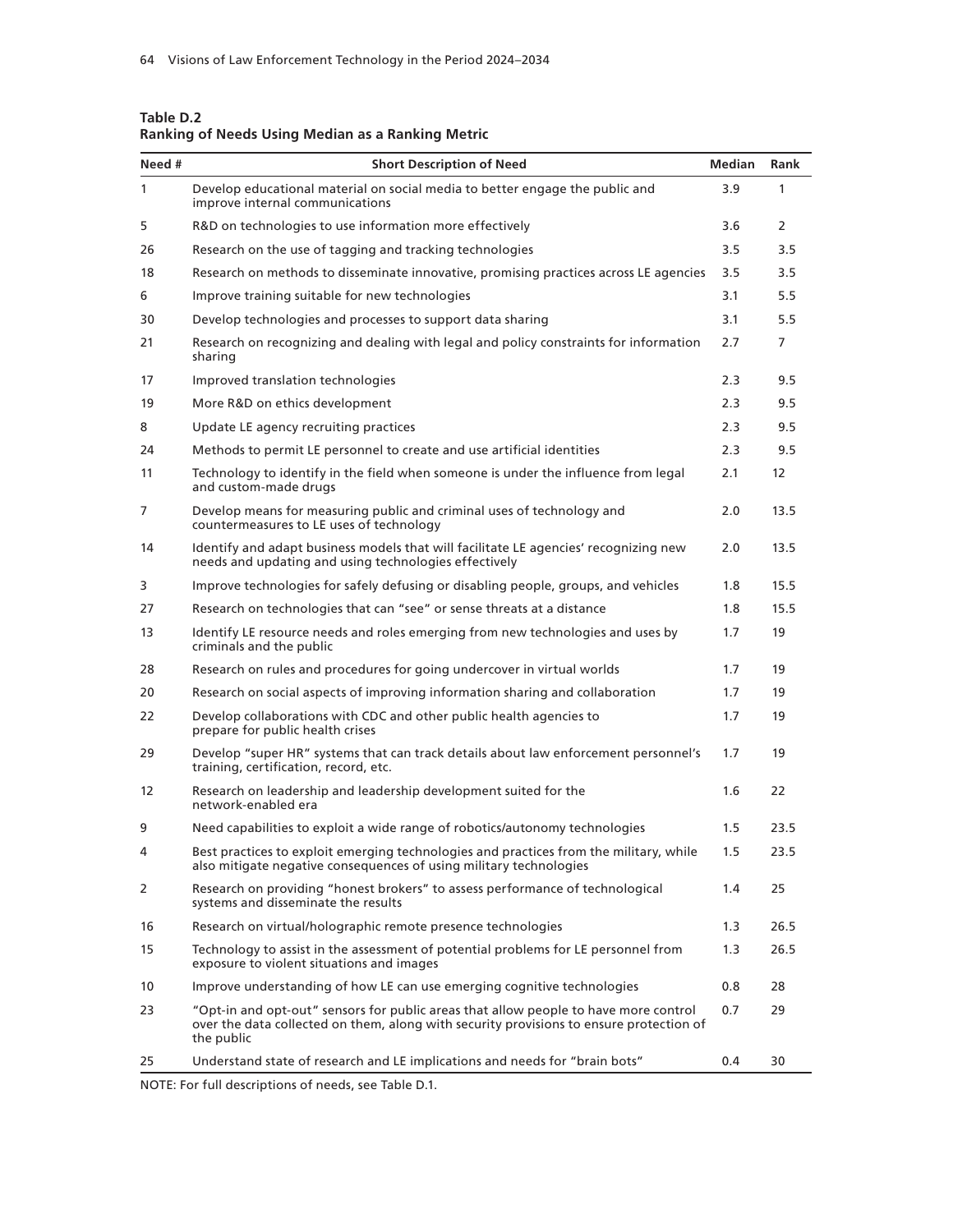| Need #       | <b>Short Description of Need</b>                                                                                                                                                              | Median | Rank                  |
|--------------|-----------------------------------------------------------------------------------------------------------------------------------------------------------------------------------------------|--------|-----------------------|
| $\mathbf{1}$ | Develop educational material on social media to better engage the public and<br>improve internal communications                                                                               | 3.9    | 1                     |
| 5            | R&D on technologies to use information more effectively                                                                                                                                       | 3.6    | $\mathbf{2}^{\prime}$ |
| 26           | Research on the use of tagging and tracking technologies                                                                                                                                      | 3.5    | 3.5                   |
| 18           | Research on methods to disseminate innovative, promising practices across LE agencies                                                                                                         | 3.5    | 3.5                   |
| 6            | Improve training suitable for new technologies                                                                                                                                                | 3.1    | 5.5                   |
| 30           | Develop technologies and processes to support data sharing                                                                                                                                    | 3.1    | 5.5                   |
| 21           | Research on recognizing and dealing with legal and policy constraints for information<br>sharing                                                                                              | 2.7    | 7                     |
| 17           | Improved translation technologies                                                                                                                                                             | 2.3    | 9.5                   |
| 19           | More R&D on ethics development                                                                                                                                                                | 2.3    | 9.5                   |
| 8            | Update LE agency recruiting practices                                                                                                                                                         | 2.3    | 9.5                   |
| 24           | Methods to permit LE personnel to create and use artificial identities                                                                                                                        | 2.3    | 9.5                   |
| 11           | Technology to identify in the field when someone is under the influence from legal<br>and custom-made drugs                                                                                   | 2.1    | 12                    |
| 7            | Develop means for measuring public and criminal uses of technology and<br>countermeasures to LE uses of technology                                                                            | 2.0    | 13.5                  |
| 14           | Identify and adapt business models that will facilitate LE agencies' recognizing new<br>needs and updating and using technologies effectively                                                 | 2.0    | 13.5                  |
| 3            | Improve technologies for safely defusing or disabling people, groups, and vehicles                                                                                                            | 1.8    | 15.5                  |
| 27           | Research on technologies that can "see" or sense threats at a distance                                                                                                                        | 1.8    | 15.5                  |
| 13           | Identify LE resource needs and roles emerging from new technologies and uses by<br>criminals and the public                                                                                   | 1.7    | 19                    |
| 28           | Research on rules and procedures for going undercover in virtual worlds                                                                                                                       | 1.7    | 19                    |
| 20           | Research on social aspects of improving information sharing and collaboration                                                                                                                 | 1.7    | 19                    |
| 22           | Develop collaborations with CDC and other public health agencies to<br>prepare for public health crises                                                                                       | 1.7    | 19                    |
| 29           | Develop "super HR" systems that can track details about law enforcement personnel's<br>training, certification, record, etc.                                                                  | 1.7    | 19                    |
| 12           | Research on leadership and leadership development suited for the<br>network-enabled era                                                                                                       | 1.6    | 22                    |
| 9            | Need capabilities to exploit a wide range of robotics/autonomy technologies                                                                                                                   | 1.5    | 23.5                  |
| 4            | Best practices to exploit emerging technologies and practices from the military, while<br>also mitigate negative consequences of using military technologies                                  | 1.5    | 23.5                  |
| 2            | Research on providing "honest brokers" to assess performance of technological<br>systems and disseminate the results                                                                          | 1.4    | 25                    |
| 16           | Research on virtual/holographic remote presence technologies                                                                                                                                  | 1.3    | 26.5                  |
| 15           | Technology to assist in the assessment of potential problems for LE personnel from<br>exposure to violent situations and images                                                               | 1.3    | 26.5                  |
| 10           | Improve understanding of how LE can use emerging cognitive technologies                                                                                                                       | 0.8    | 28                    |
| 23           | "Opt-in and opt-out" sensors for public areas that allow people to have more control<br>over the data collected on them, along with security provisions to ensure protection of<br>the public | 0.7    | 29                    |
| 25           | Understand state of research and LE implications and needs for "brain bots"                                                                                                                   | 0.4    | 30                    |

**Table D.2 Ranking of Needs Using Median as a Ranking Metric**

NOTE: For full descriptions of needs, see Table D.1.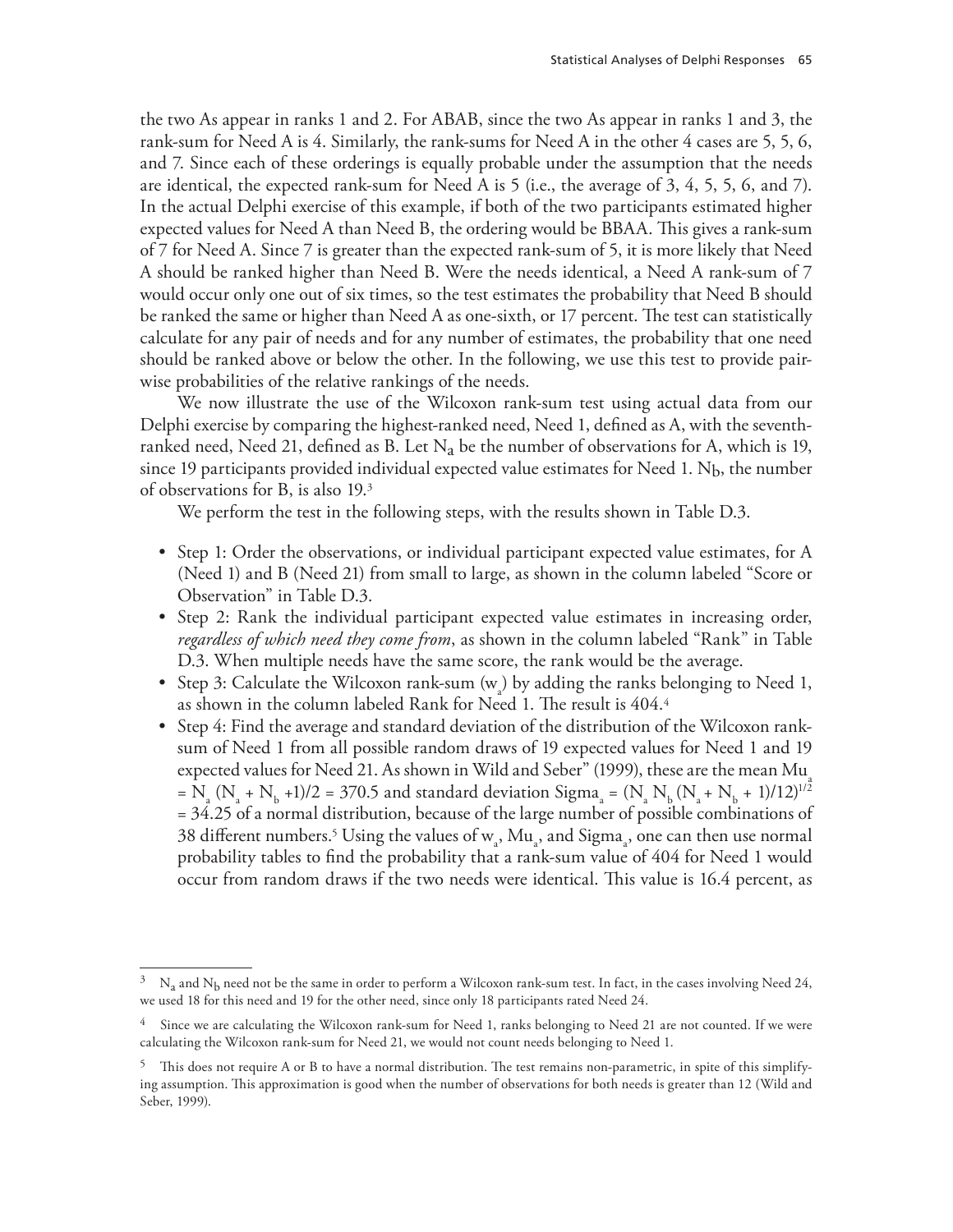the two As appear in ranks 1 and 2. For ABAB, since the two As appear in ranks 1 and 3, the rank-sum for Need A is 4. Similarly, the rank-sums for Need A in the other 4 cases are 5, 5, 6, and 7. Since each of these orderings is equally probable under the assumption that the needs are identical, the expected rank-sum for Need A is 5 (i.e., the average of 3, 4, 5, 5, 6, and 7). In the actual Delphi exercise of this example, if both of the two participants estimated higher expected values for Need A than Need B, the ordering would be BBAA. This gives a rank-sum of 7 for Need A. Since 7 is greater than the expected rank-sum of 5, it is more likely that Need A should be ranked higher than Need B. Were the needs identical, a Need A rank-sum of 7 would occur only one out of six times, so the test estimates the probability that Need B should be ranked the same or higher than Need A as one-sixth, or 17 percent. The test can statistically calculate for any pair of needs and for any number of estimates, the probability that one need should be ranked above or below the other. In the following, we use this test to provide pairwise probabilities of the relative rankings of the needs.

We now illustrate the use of the Wilcoxon rank-sum test using actual data from our Delphi exercise by comparing the highest-ranked need, Need 1, defined as A, with the seventhranked need, Need 21, defined as B. Let  $N_a$  be the number of observations for A, which is 19, since 19 participants provided individual expected value estimates for Need 1.  $N_b$ , the number of observations for B, is also 19.3

We perform the test in the following steps, with the results shown in Table D.3.

- Step 1: Order the observations, or individual participant expected value estimates, for A (Need 1) and B (Need 21) from small to large, as shown in the column labeled "Score or Observation" in Table D.3.
- Step 2: Rank the individual participant expected value estimates in increasing order, *regardless of which need they come from*, as shown in the column labeled "Rank" in Table D.3. When multiple needs have the same score, the rank would be the average.
- Step 3: Calculate the Wilcoxon rank-sum  $(w_a)$  by adding the ranks belonging to Need 1, as shown in the column labeled Rank for Need 1. The result is 404.4
- Step 4: Find the average and standard deviation of the distribution of the Wilcoxon ranksum of Need 1 from all possible random draws of 19 expected values for Need 1 and 19 expected values for Need 21. As shown in Wild and Seber" (1999), these are the mean Mu  $= N_a (N_a + N_b + 1)/2 = 370.5$  and standard deviation Sigma<sub>a</sub> = (N<sub>a</sub> N<sub>b</sub> (N<sub>a</sub> + N<sub>b</sub> + 1)/12)<sup>1/2</sup> = 34.25 of a normal distribution, because of the large number of possible combinations of 38 different numbers.<sup>5</sup> Using the values of  $w_a$ , Mu<sub>a</sub>, and Sigma<sub>a</sub>, one can then use normal probability tables to find the probability that a rank-sum value of 404 for Need 1 would occur from random draws if the two needs were identical. This value is 16.4 percent, as

 $^3$  N<sub>a</sub> and N<sub>b</sub> need not be the same in order to perform a Wilcoxon rank-sum test. In fact, in the cases involving Need 24, we used 18 for this need and 19 for the other need, since only 18 participants rated Need 24.

Since we are calculating the Wilcoxon rank-sum for Need 1, ranks belonging to Need 21 are not counted. If we were calculating the Wilcoxon rank-sum for Need 21, we would not count needs belonging to Need 1.

 $5$  This does not require A or B to have a normal distribution. The test remains non-parametric, in spite of this simplifying assumption. This approximation is good when the number of observations for both needs is greater than 12 (Wild and Seber, 1999).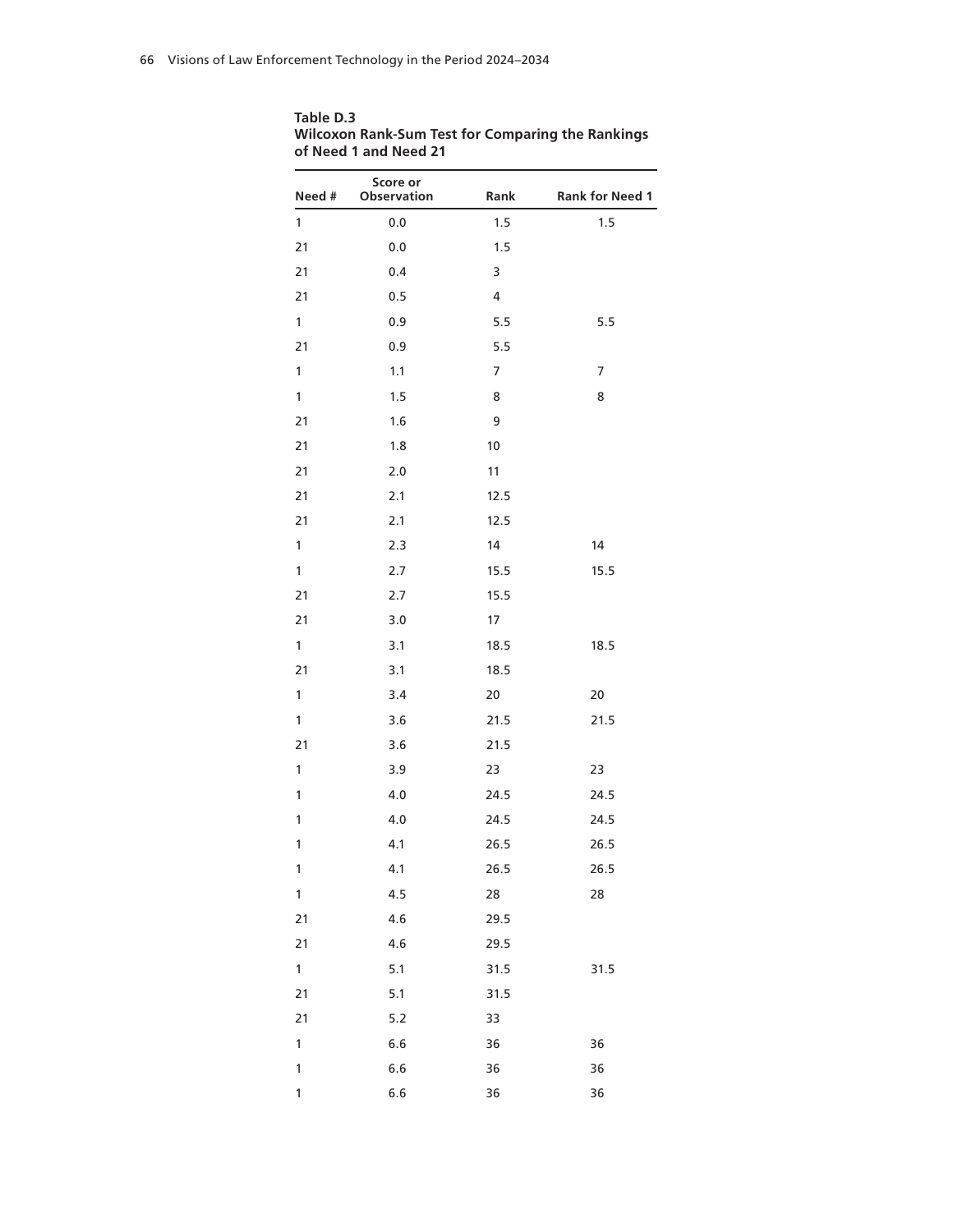| Table D.3                                                |
|----------------------------------------------------------|
| <b>Wilcoxon Rank-Sum Test for Comparing the Rankings</b> |
| of Need 1 and Need 21                                    |

| Need #       | Score or<br><b>Observation</b> | Rank | <b>Rank for Need 1</b>   |
|--------------|--------------------------------|------|--------------------------|
| $\mathbf{1}$ | 0.0                            | 1.5  | 1.5                      |
| 21           | 0.0                            | 1.5  |                          |
| 21           | 0.4                            | 3    |                          |
| 21           | 0.5                            | 4    |                          |
| 1            | 0.9                            | 5.5  | 5.5                      |
| 21           | 0.9                            | 5.5  |                          |
| 1            | 1.1                            | 7    | $\overline{\mathcal{I}}$ |
| 1            | 1.5                            | 8    | 8                        |
| 21           | 1.6                            | 9    |                          |
| 21           | 1.8                            | 10   |                          |
| 21           | 2.0                            | 11   |                          |
| 21           | 2.1                            | 12.5 |                          |
| 21           | 2.1                            | 12.5 |                          |
| 1            | 2.3                            | 14   | 14                       |
| 1            | 2.7                            | 15.5 | 15.5                     |
| 21           | 2.7                            | 15.5 |                          |
| 21           | 3.0                            | 17   |                          |
| 1            | 3.1                            | 18.5 | 18.5                     |
| 21           | 3.1                            | 18.5 |                          |
| 1            | 3.4                            | 20   | 20                       |
| 1            | 3.6                            | 21.5 | 21.5                     |
| 21           | 3.6                            | 21.5 |                          |
| 1            | 3.9                            | 23   | 23                       |
| 1            | 4.0                            | 24.5 | 24.5                     |
| 1            | 4.0                            | 24.5 | 24.5                     |
| $\mathbf{1}$ | 4.1                            | 26.5 | 26.5                     |
| 1            | 4.1                            | 26.5 | 26.5                     |
| $\mathbf{1}$ | 4.5                            | 28   | 28                       |
| 21           | 4.6                            | 29.5 |                          |
| 21           | 4.6                            | 29.5 |                          |
| $\mathbf{1}$ | 5.1                            | 31.5 | 31.5                     |
| 21           | 5.1                            | 31.5 |                          |
| 21           | $5.2$                          | 33   |                          |
| $\mathbf{1}$ | 6.6                            | 36   | 36                       |
| $\mathbf{1}$ | 6.6                            | 36   | 36                       |
| 1            | 6.6                            | 36   | 36                       |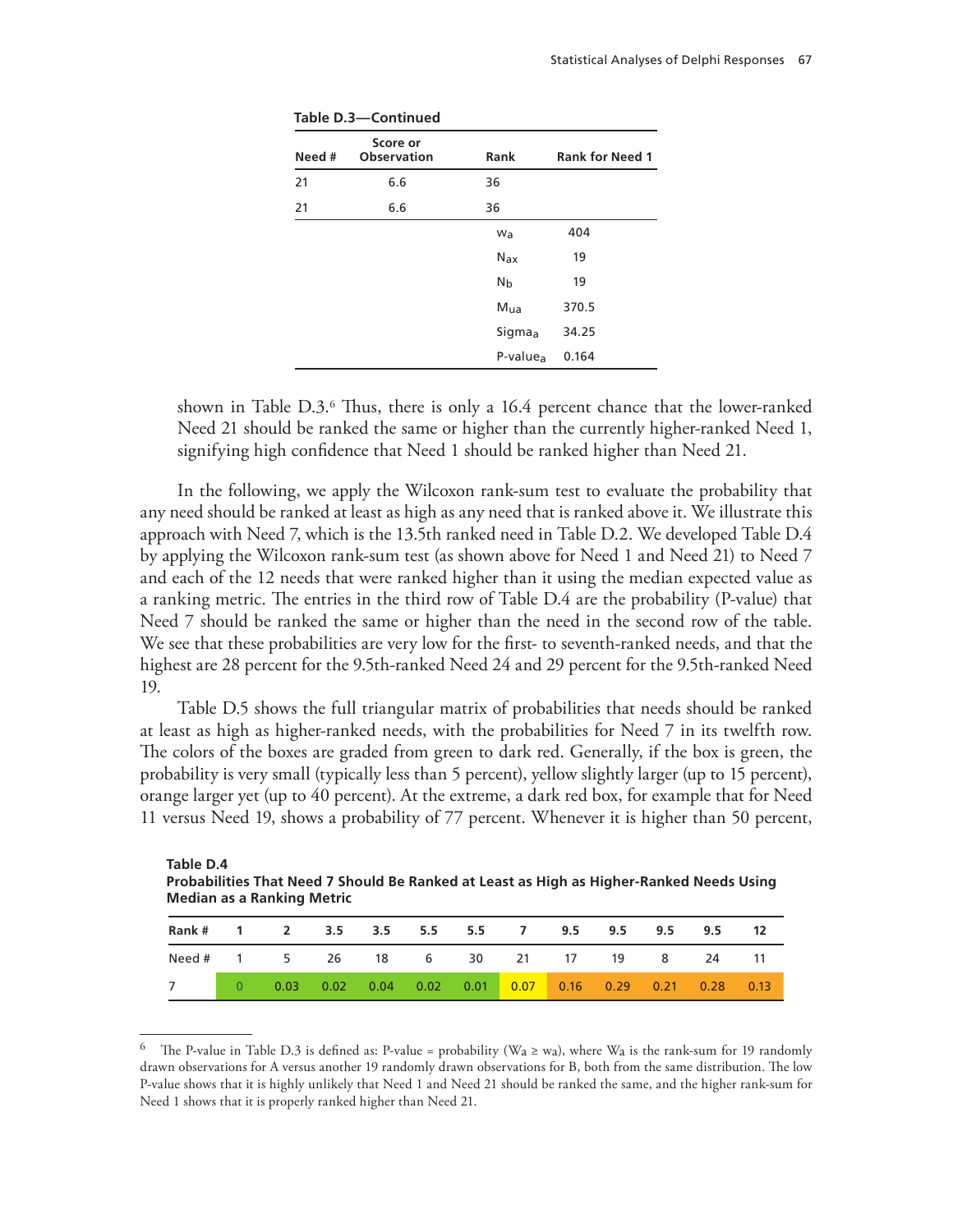| Need # | Score or<br><b>Observation</b> | Rank                 | <b>Rank for Need 1</b> |
|--------|--------------------------------|----------------------|------------------------|
| 21     | 6.6                            | 36                   |                        |
| 21     | 6.6                            | 36                   |                        |
|        |                                | Wa                   | 404                    |
|        |                                | Nax                  | 19                     |
|        |                                | N <sub>b</sub>       | 19                     |
|        |                                | M <sub>ua</sub>      | 370.5                  |
|        |                                | Sigmaa               | 34.25                  |
|        |                                | P-value <sub>a</sub> | 0.164                  |

**Table D.3—Continued**

shown in Table D.3.6 Thus, there is only a 16.4 percent chance that the lower-ranked Need 21 should be ranked the same or higher than the currently higher-ranked Need 1, signifying high confidence that Need 1 should be ranked higher than Need 21.

In the following, we apply the Wilcoxon rank-sum test to evaluate the probability that any need should be ranked at least as high as any need that is ranked above it. We illustrate this approach with Need 7, which is the 13.5th ranked need in Table D.2. We developed Table D.4 by applying the Wilcoxon rank-sum test (as shown above for Need 1 and Need 21) to Need 7 and each of the 12 needs that were ranked higher than it using the median expected value as a ranking metric. The entries in the third row of Table D.4 are the probability (P-value) that Need 7 should be ranked the same or higher than the need in the second row of the table. We see that these probabilities are very low for the first- to seventh-ranked needs, and that the highest are 28 percent for the 9.5th-ranked Need 24 and 29 percent for the 9.5th-ranked Need 19.

Table D.5 shows the full triangular matrix of probabilities that needs should be ranked at least as high as higher-ranked needs, with the probabilities for Need 7 in its twelfth row. The colors of the boxes are graded from green to dark red. Generally, if the box is green, the probability is very small (typically less than 5 percent), yellow slightly larger (up to 15 percent), orange larger yet (up to 40 percent). At the extreme, a dark red box, for example that for Need 11 versus Need 19, shows a probability of 77 percent. Whenever it is higher than 50 percent,

| Table D.4<br>Probabilities That Need 7 Should Be Ranked at Least as High as Higher-Ranked Needs Using<br><b>Median as a Ranking Metric</b> |   |      |               |      |      |      |                |      |      |      |      |      |
|--------------------------------------------------------------------------------------------------------------------------------------------|---|------|---------------|------|------|------|----------------|------|------|------|------|------|
| Rank #                                                                                                                                     |   | 2    | $3.5^{\circ}$ | 3.5  | 5.5  | 5.5  | $\overline{ }$ | 9.5  | 9.5  | 9.5  | 9.5  | 12   |
| Need #                                                                                                                                     |   | 5.   | 26            | 18   | - 6  | 30   | -21            | 17   | 19   | 8    | 24   | 11   |
|                                                                                                                                            | 0 | 0.03 | 0.02          | 0.04 | 0.02 | 0.01 | 0.07           | 0.16 | 0.29 | 0.21 | 0.28 | 0.13 |

<sup>&</sup>lt;sup>6</sup> The P-value in Table D.3 is defined as: P-value = probability ( $W_a \ge w_a$ ), where  $W_a$  is the rank-sum for 19 randomly drawn observations for A versus another 19 randomly drawn observations for B, both from the same distribution. The low P-value shows that it is highly unlikely that Need 1 and Need 21 should be ranked the same, and the higher rank-sum for Need 1 shows that it is properly ranked higher than Need 21.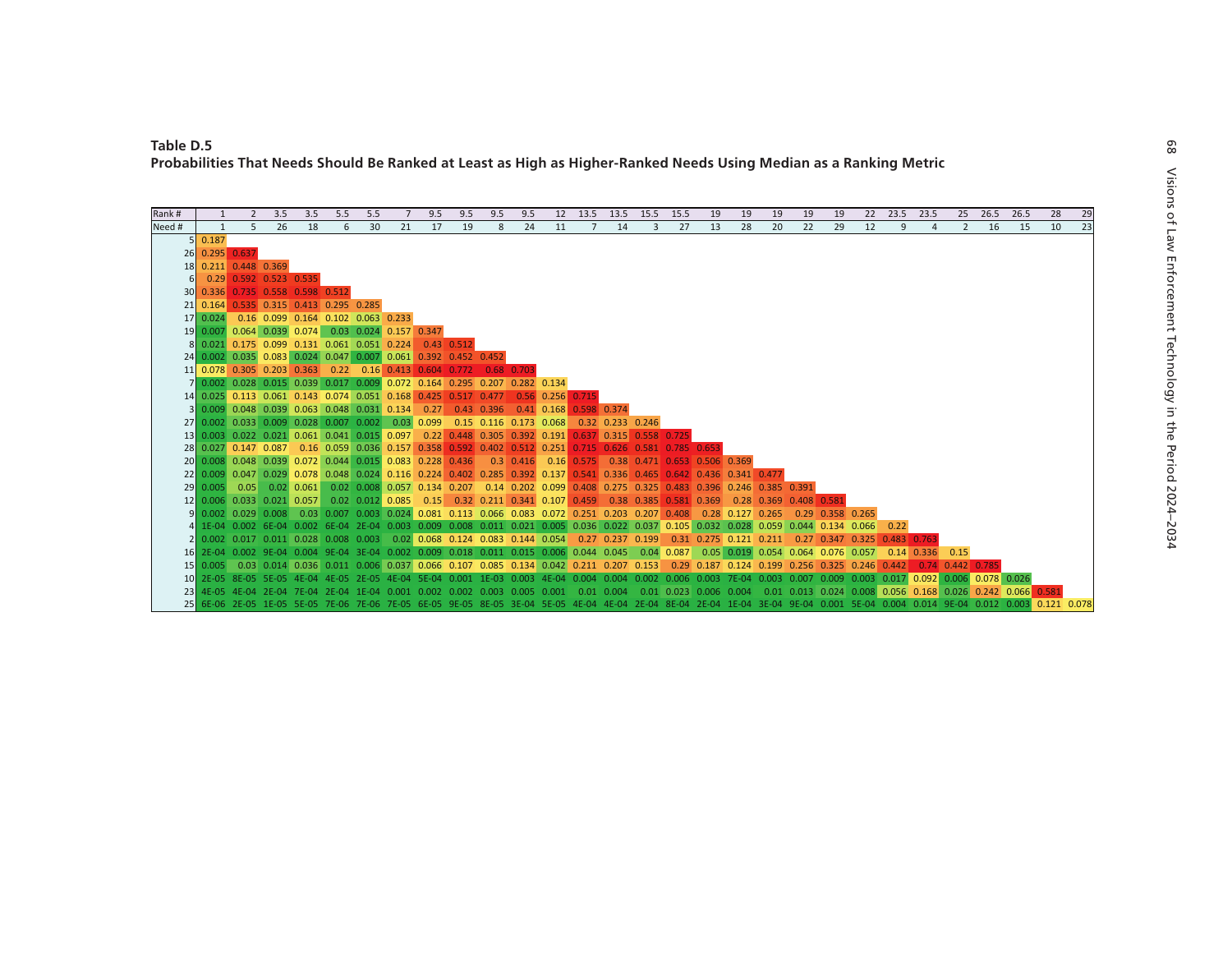| Rank # |                |                                                                                                                                                                      | 3.5 | 3.5 | 5.5 | 5.5 |    | 9.5 | 9.5 | 9.5 | 9.5 |    | 12 13.5            | 13.5                                                                                                          | 15.5         | 15.5 | 19                     | 19 | 19                                             | 19 | 19 | 22                           | 23.5         | 23.5                  | 25                                                                                 | 26.5 | 26.5                                                                                                                                                                    | 28                                                                                                                                                                               | 29 |
|--------|----------------|----------------------------------------------------------------------------------------------------------------------------------------------------------------------|-----|-----|-----|-----|----|-----|-----|-----|-----|----|--------------------|---------------------------------------------------------------------------------------------------------------|--------------|------|------------------------|----|------------------------------------------------|----|----|------------------------------|--------------|-----------------------|------------------------------------------------------------------------------------|------|-------------------------------------------------------------------------------------------------------------------------------------------------------------------------|----------------------------------------------------------------------------------------------------------------------------------------------------------------------------------|----|
| Need # | $\mathbf{1}$   | 5                                                                                                                                                                    | 26  | 18  | 6   | 30  | 21 | 17  | 19  | 8   | 24  | 11 |                    | 14                                                                                                            | $\mathbf{R}$ | 27   | 13                     | 28 | 20                                             | 22 | 29 | 12                           | $\mathbf{q}$ | $\overline{a}$        | 2                                                                                  | 16   | 15                                                                                                                                                                      | 10                                                                                                                                                                               | 23 |
|        | 5 0.187        |                                                                                                                                                                      |     |     |     |     |    |     |     |     |     |    |                    |                                                                                                               |              |      |                        |    |                                                |    |    |                              |              |                       |                                                                                    |      |                                                                                                                                                                         |                                                                                                                                                                                  |    |
|        | 26 0.295 0.637 |                                                                                                                                                                      |     |     |     |     |    |     |     |     |     |    |                    |                                                                                                               |              |      |                        |    |                                                |    |    |                              |              |                       |                                                                                    |      |                                                                                                                                                                         |                                                                                                                                                                                  |    |
|        |                | 18 0.211 0.448 0.369                                                                                                                                                 |     |     |     |     |    |     |     |     |     |    |                    |                                                                                                               |              |      |                        |    |                                                |    |    |                              |              |                       |                                                                                    |      |                                                                                                                                                                         |                                                                                                                                                                                  |    |
|        |                | 0.29 0.592 0.523 0.535                                                                                                                                               |     |     |     |     |    |     |     |     |     |    |                    |                                                                                                               |              |      |                        |    |                                                |    |    |                              |              |                       |                                                                                    |      |                                                                                                                                                                         |                                                                                                                                                                                  |    |
|        |                | 30 0.336 0.735 0.558 0.598 0.512                                                                                                                                     |     |     |     |     |    |     |     |     |     |    |                    |                                                                                                               |              |      |                        |    |                                                |    |    |                              |              |                       |                                                                                    |      |                                                                                                                                                                         |                                                                                                                                                                                  |    |
|        |                | 21 0.164 0.535 0.315 0.413 0.295 0.285                                                                                                                               |     |     |     |     |    |     |     |     |     |    |                    |                                                                                                               |              |      |                        |    |                                                |    |    |                              |              |                       |                                                                                    |      |                                                                                                                                                                         |                                                                                                                                                                                  |    |
|        |                | 17 0.024 0.16 0.099 0.164 0.102 0.063 0.233                                                                                                                          |     |     |     |     |    |     |     |     |     |    |                    |                                                                                                               |              |      |                        |    |                                                |    |    |                              |              |                       |                                                                                    |      |                                                                                                                                                                         |                                                                                                                                                                                  |    |
|        |                | 19 0.007 0.064 0.039 0.074 0.03 0.024 0.157 0.347                                                                                                                    |     |     |     |     |    |     |     |     |     |    |                    |                                                                                                               |              |      |                        |    |                                                |    |    |                              |              |                       |                                                                                    |      |                                                                                                                                                                         |                                                                                                                                                                                  |    |
|        |                | 8 0.021 0.175 0.099 0.131 0.061 0.051 0.224 0.43 0.512                                                                                                               |     |     |     |     |    |     |     |     |     |    |                    |                                                                                                               |              |      |                        |    |                                                |    |    |                              |              |                       |                                                                                    |      |                                                                                                                                                                         |                                                                                                                                                                                  |    |
|        |                | 24 0.002 0.035 0.083 0.024 0.047 0.007 0.061 0.392 0.452 0.452                                                                                                       |     |     |     |     |    |     |     |     |     |    |                    |                                                                                                               |              |      |                        |    |                                                |    |    |                              |              |                       |                                                                                    |      |                                                                                                                                                                         |                                                                                                                                                                                  |    |
|        |                | 11 0.078 0.305 0.203 0.363 0.22 0.16 0.413 0.604 0.772 0.68 0.703                                                                                                    |     |     |     |     |    |     |     |     |     |    |                    |                                                                                                               |              |      |                        |    |                                                |    |    |                              |              |                       |                                                                                    |      |                                                                                                                                                                         |                                                                                                                                                                                  |    |
|        |                | 7 0.002 0.028 0.015 0.039 0.017 0.009 0.072 0.164 0.295 0.207 0.282 0.134                                                                                            |     |     |     |     |    |     |     |     |     |    |                    |                                                                                                               |              |      |                        |    |                                                |    |    |                              |              |                       |                                                                                    |      |                                                                                                                                                                         |                                                                                                                                                                                  |    |
|        |                | 14 0.025 0.113 0.061 0.143 0.074 0.051 0.168 0.425 0.517 0.477<br>3 0.009 0.048 0.039 0.063 0.048 0.031 0.134 0.27 0.43 0.396 0.41 0.168 0.598 0.374                 |     |     |     |     |    |     |     |     |     |    | $0.56$ 0.256 0.715 |                                                                                                               |              |      |                        |    |                                                |    |    |                              |              |                       |                                                                                    |      |                                                                                                                                                                         |                                                                                                                                                                                  |    |
|        |                | 27 0.002 0.033 0.009 0.028 0.007 0.002 0.03 0.099 0.15 0.116 0.173 0.068 0.32 0.233 0.246                                                                            |     |     |     |     |    |     |     |     |     |    |                    |                                                                                                               |              |      |                        |    |                                                |    |    |                              |              |                       |                                                                                    |      |                                                                                                                                                                         |                                                                                                                                                                                  |    |
|        |                | 13 0.003 0.022 0.021 0.061 0.041 0.015 0.097 0.22 0.448 0.305 0.392 0.191 0.637 0.315 0.558 0.725                                                                    |     |     |     |     |    |     |     |     |     |    |                    |                                                                                                               |              |      |                        |    |                                                |    |    |                              |              |                       |                                                                                    |      |                                                                                                                                                                         |                                                                                                                                                                                  |    |
|        |                | 28 0.027 0.147 0.087 0.16 0.059 0.036 0.157 0.358 0.592 0.402 0.512 0.251 0.715 0.626 0.581 0.785 0.653                                                              |     |     |     |     |    |     |     |     |     |    |                    |                                                                                                               |              |      |                        |    |                                                |    |    |                              |              |                       |                                                                                    |      |                                                                                                                                                                         |                                                                                                                                                                                  |    |
|        |                | 20 0.008 0.048 0.039 0.072 0.044 0.015 0.083 0.228 0.436 0.3 0.416 0.16 0.575 0.38 0.471 0.653 0.506 0.369                                                           |     |     |     |     |    |     |     |     |     |    |                    |                                                                                                               |              |      |                        |    |                                                |    |    |                              |              |                       |                                                                                    |      |                                                                                                                                                                         |                                                                                                                                                                                  |    |
|        |                | 22 0.009 0.047 0.029 0.078 0.048 0.024 0.116 0.224 0.402 0.285 0.392 0.137 0.541 0.336 0.465 0.642 0.436 0.341 0.477                                                 |     |     |     |     |    |     |     |     |     |    |                    |                                                                                                               |              |      |                        |    |                                                |    |    |                              |              |                       |                                                                                    |      |                                                                                                                                                                         |                                                                                                                                                                                  |    |
|        | 29 0.005       |                                                                                                                                                                      |     |     |     |     |    |     |     |     |     |    |                    | 0.05 0.02 0.061 0.02 0.008 0.057 0.134 0.207 0.14 0.202 0.099 0.408 0.275 0.325 0.483 0.396 0.246 0.385 0.391 |              |      |                        |    |                                                |    |    |                              |              |                       |                                                                                    |      |                                                                                                                                                                         |                                                                                                                                                                                  |    |
|        |                | 12 0.006 0.033 0.021 0.057                                                                                                                                           |     |     |     |     |    |     |     |     |     |    |                    | 0.02 0.012 0.085 0.15 0.32 0.211 0.341 0.107 0.459 0.38 0.385 0.581 0.369 0.28 0.369 0.408 0.581              |              |      |                        |    |                                                |    |    |                              |              |                       |                                                                                    |      |                                                                                                                                                                         |                                                                                                                                                                                  |    |
|        |                | 9 0.002 0.029 0.008 0.03 0.007 0.003 0.024 0.081 0.113 0.066 0.083 0.072 0.251 0.203 0.207 0.408 0.28 0.127 0.265                                                    |     |     |     |     |    |     |     |     |     |    |                    |                                                                                                               |              |      |                        |    |                                                |    |    | $0.29$ $0.358$ $0.265$       |              |                       |                                                                                    |      |                                                                                                                                                                         |                                                                                                                                                                                  |    |
|        |                | 4 1E-04 0.002 6E-04 0.002 6E-04 2E-04 0.003 0.009 0.008 0.011 0.021 0.005 0.036 0.022 0.037 0.105 0.032 0.028 0.059 0.044 0.134 0.066 0.22                           |     |     |     |     |    |     |     |     |     |    |                    |                                                                                                               |              |      |                        |    |                                                |    |    |                              |              |                       |                                                                                    |      |                                                                                                                                                                         |                                                                                                                                                                                  |    |
|        |                | 2 0.002 0.017 0.011 0.028 0.008 0.003 0.02 0.068 0.124 0.083 0.144 0.054 0.27 0.237 0.199                                                                            |     |     |     |     |    |     |     |     |     |    |                    |                                                                                                               |              |      | 0.31 0.275 0.121 0.211 |    |                                                |    |    | 0.27 0.347 0.325 0.483 0.763 |              |                       |                                                                                    |      |                                                                                                                                                                         |                                                                                                                                                                                  |    |
|        |                | 16 2E-04 0.002 9E-04 0.004 9E-04 3E-04 0.002 0.009 0.018 0.011 0.015 0.006 0.044 0.045 0.04 0.087 0.05 0.019 0.054 0.064 0.076 0.057                                 |     |     |     |     |    |     |     |     |     |    |                    |                                                                                                               |              |      |                        |    |                                                |    |    |                              |              | $0.14$ $0.336$ $0.15$ |                                                                                    |      |                                                                                                                                                                         |                                                                                                                                                                                  |    |
|        |                | 15 0.005 0.03 0.014 0.036 0.011 0.006 0.037 0.066 0.107 0.085 0.134 0.042 0.211 0.207 0.153                                                                          |     |     |     |     |    |     |     |     |     |    |                    |                                                                                                               |              |      |                        |    | 0.29 0.187 0.124 0.199 0.256 0.325 0.246 0.442 |    |    |                              |              |                       | $\begin{array}{ c c c c c c c c } \hline \quad & 0.74 & 0.442 & 0.785 \end{array}$ |      |                                                                                                                                                                         |                                                                                                                                                                                  |    |
|        |                | 10 2E-05 8E-05 5E-05 4E-04 4E-05 2E-05 4E-04 5E-04 0.001 1E-03 0.003 4E-04 0.004 0.004 0.002 0.006 0.003 7E-04 0.003 0.007 0.009 0.003 0.017 0.092 0.006 0.078 0.026 |     |     |     |     |    |     |     |     |     |    |                    |                                                                                                               |              |      |                        |    |                                                |    |    |                              |              |                       |                                                                                    |      |                                                                                                                                                                         |                                                                                                                                                                                  |    |
|        |                |                                                                                                                                                                      |     |     |     |     |    |     |     |     |     |    |                    |                                                                                                               |              |      |                        |    |                                                |    |    |                              |              |                       |                                                                                    |      | 23 4E-05 4E-04 2E-04 7E-04 2E-04 1E-04 0.001 0.002 0.002 0.003 0.005 0.001 0.01 0.004 0.01 0.023 0.006 0.004 0.01 0.013 0.024 0.008 0.056 0.168 0.026 0.242 0.066 0.581 |                                                                                                                                                                                  |    |
|        |                |                                                                                                                                                                      |     |     |     |     |    |     |     |     |     |    |                    |                                                                                                               |              |      |                        |    |                                                |    |    |                              |              |                       |                                                                                    |      |                                                                                                                                                                         | 25 6E-06 2E-05 1E-05 5E-05 7E-06 7E-06 7E-05 6E-05 9E-05 8E-05 3E-04 5E-04 4E-04 4E-04 2E-04 2E-04 1E-04 1E-04 3E-04 9E-04 0.001 5E-04 0.004 0.014 9E-04 0.012 0.003 0.121 0.078 |    |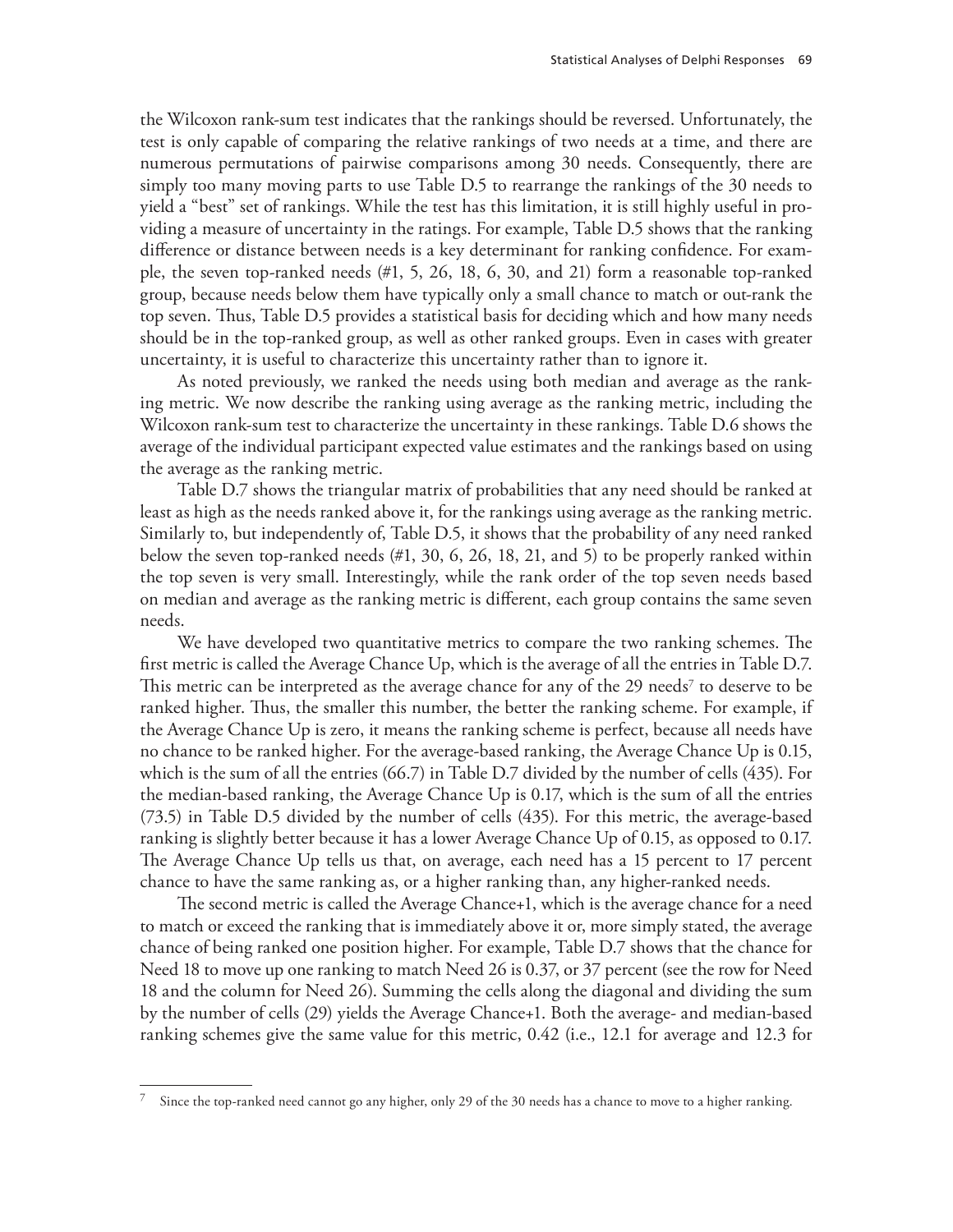the Wilcoxon rank-sum test indicates that the rankings should be reversed. Unfortunately, the test is only capable of comparing the relative rankings of two needs at a time, and there are numerous permutations of pairwise comparisons among 30 needs. Consequently, there are simply too many moving parts to use Table D.5 to rearrange the rankings of the 30 needs to yield a "best" set of rankings. While the test has this limitation, it is still highly useful in providing a measure of uncertainty in the ratings. For example, Table D.5 shows that the ranking difference or distance between needs is a key determinant for ranking confidence. For example, the seven top-ranked needs (#1, 5, 26, 18, 6, 30, and 21) form a reasonable top-ranked group, because needs below them have typically only a small chance to match or out-rank the top seven. Thus, Table D.5 provides a statistical basis for deciding which and how many needs should be in the top-ranked group, as well as other ranked groups. Even in cases with greater uncertainty, it is useful to characterize this uncertainty rather than to ignore it.

As noted previously, we ranked the needs using both median and average as the ranking metric. We now describe the ranking using average as the ranking metric, including the Wilcoxon rank-sum test to characterize the uncertainty in these rankings. Table D.6 shows the average of the individual participant expected value estimates and the rankings based on using the average as the ranking metric.

Table D.7 shows the triangular matrix of probabilities that any need should be ranked at least as high as the needs ranked above it, for the rankings using average as the ranking metric. Similarly to, but independently of, Table D.5, it shows that the probability of any need ranked below the seven top-ranked needs (#1, 30, 6, 26, 18, 21, and 5) to be properly ranked within the top seven is very small. Interestingly, while the rank order of the top seven needs based on median and average as the ranking metric is different, each group contains the same seven needs.

We have developed two quantitative metrics to compare the two ranking schemes. The first metric is called the Average Chance Up, which is the average of all the entries in Table D.7. This metric can be interpreted as the average chance for any of the 29 needs<sup>7</sup> to deserve to be ranked higher. Thus, the smaller this number, the better the ranking scheme. For example, if the Average Chance Up is zero, it means the ranking scheme is perfect, because all needs have no chance to be ranked higher. For the average-based ranking, the Average Chance Up is 0.15, which is the sum of all the entries (66.7) in Table D.7 divided by the number of cells (435). For the median-based ranking, the Average Chance Up is 0.17, which is the sum of all the entries (73.5) in Table D.5 divided by the number of cells (435). For this metric, the average-based ranking is slightly better because it has a lower Average Chance Up of 0.15, as opposed to 0.17. The Average Chance Up tells us that, on average, each need has a 15 percent to 17 percent chance to have the same ranking as, or a higher ranking than, any higher-ranked needs.

The second metric is called the Average Chance+1, which is the average chance for a need to match or exceed the ranking that is immediately above it or, more simply stated, the average chance of being ranked one position higher. For example, Table D.7 shows that the chance for Need 18 to move up one ranking to match Need 26 is 0.37, or 37 percent (see the row for Need 18 and the column for Need 26). Summing the cells along the diagonal and dividing the sum by the number of cells (29) yields the Average Chance+1. Both the average- and median-based ranking schemes give the same value for this metric, 0.42 (i.e., 12.1 for average and 12.3 for

 $7$  Since the top-ranked need cannot go any higher, only 29 of the 30 needs has a chance to move to a higher ranking.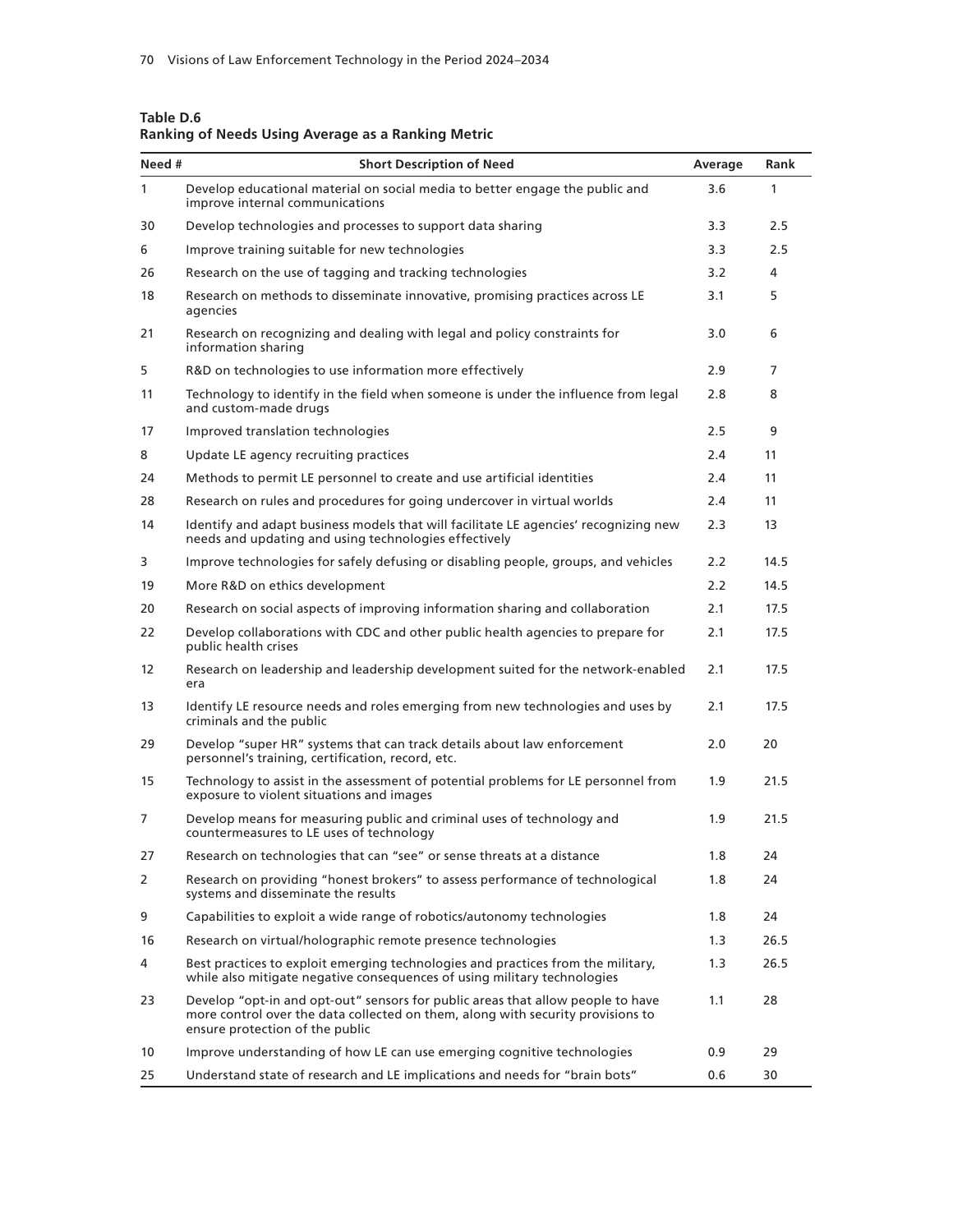| Need #         | <b>Short Description of Need</b>                                                                                                                                                                      | Average | Rank |
|----------------|-------------------------------------------------------------------------------------------------------------------------------------------------------------------------------------------------------|---------|------|
| $\mathbf{1}$   | Develop educational material on social media to better engage the public and<br>improve internal communications                                                                                       | 3.6     | 1    |
| 30             | Develop technologies and processes to support data sharing                                                                                                                                            | 3.3     | 2.5  |
| 6              | Improve training suitable for new technologies                                                                                                                                                        | 3.3     | 2.5  |
| 26             | Research on the use of tagging and tracking technologies                                                                                                                                              | 3.2     | 4    |
| 18             | Research on methods to disseminate innovative, promising practices across LE<br>agencies                                                                                                              | 3.1     | 5    |
| 21             | Research on recognizing and dealing with legal and policy constraints for<br>information sharing                                                                                                      | 3.0     | 6    |
| 5              | R&D on technologies to use information more effectively                                                                                                                                               | 2.9     | 7    |
| 11             | Technology to identify in the field when someone is under the influence from legal<br>and custom-made drugs                                                                                           | 2.8     | 8    |
| 17             | Improved translation technologies                                                                                                                                                                     | 2.5     | 9    |
| 8              | Update LE agency recruiting practices                                                                                                                                                                 | 2.4     | 11   |
| 24             | Methods to permit LE personnel to create and use artificial identities                                                                                                                                | 2.4     | 11   |
| 28             | Research on rules and procedures for going undercover in virtual worlds                                                                                                                               | 2.4     | 11   |
| 14             | Identify and adapt business models that will facilitate LE agencies' recognizing new<br>needs and updating and using technologies effectively                                                         | 2.3     | 13   |
| 3              | Improve technologies for safely defusing or disabling people, groups, and vehicles                                                                                                                    | 2.2     | 14.5 |
| 19             | More R&D on ethics development                                                                                                                                                                        | 2.2     | 14.5 |
| 20             | Research on social aspects of improving information sharing and collaboration                                                                                                                         | 2.1     | 17.5 |
| 22             | Develop collaborations with CDC and other public health agencies to prepare for<br>public health crises                                                                                               | 2.1     | 17.5 |
| 12             | Research on leadership and leadership development suited for the network-enabled<br>era                                                                                                               | 2.1     | 17.5 |
| 13             | Identify LE resource needs and roles emerging from new technologies and uses by<br>criminals and the public                                                                                           | 2.1     | 17.5 |
| 29             | Develop "super HR" systems that can track details about law enforcement<br>personnel's training, certification, record, etc.                                                                          | 2.0     | 20   |
| 15             | Technology to assist in the assessment of potential problems for LE personnel from<br>exposure to violent situations and images                                                                       | 1.9     | 21.5 |
| 7              | Develop means for measuring public and criminal uses of technology and<br>countermeasures to LE uses of technology                                                                                    | 1.9     | 21.5 |
| 27             | Research on technologies that can "see" or sense threats at a distance                                                                                                                                | 1.8     | 24   |
| $\overline{2}$ | Research on providing "honest brokers" to assess performance of technological<br>systems and disseminate the results                                                                                  | 1.8     | 24   |
| 9              | Capabilities to exploit a wide range of robotics/autonomy technologies                                                                                                                                | 1.8     | 24   |
| 16             | Research on virtual/holographic remote presence technologies                                                                                                                                          | 1.3     | 26.5 |
| 4              | Best practices to exploit emerging technologies and practices from the military,<br>while also mitigate negative consequences of using military technologies                                          | 1.3     | 26.5 |
| 23             | Develop "opt-in and opt-out" sensors for public areas that allow people to have<br>more control over the data collected on them, along with security provisions to<br>ensure protection of the public | 1.1     | 28   |
| 10             | Improve understanding of how LE can use emerging cognitive technologies                                                                                                                               | 0.9     | 29   |
| 25             | Understand state of research and LE implications and needs for "brain bots"                                                                                                                           | 0.6     | 30   |

| Table D.6                                                 |  |
|-----------------------------------------------------------|--|
| <b>Ranking of Needs Using Average as a Ranking Metric</b> |  |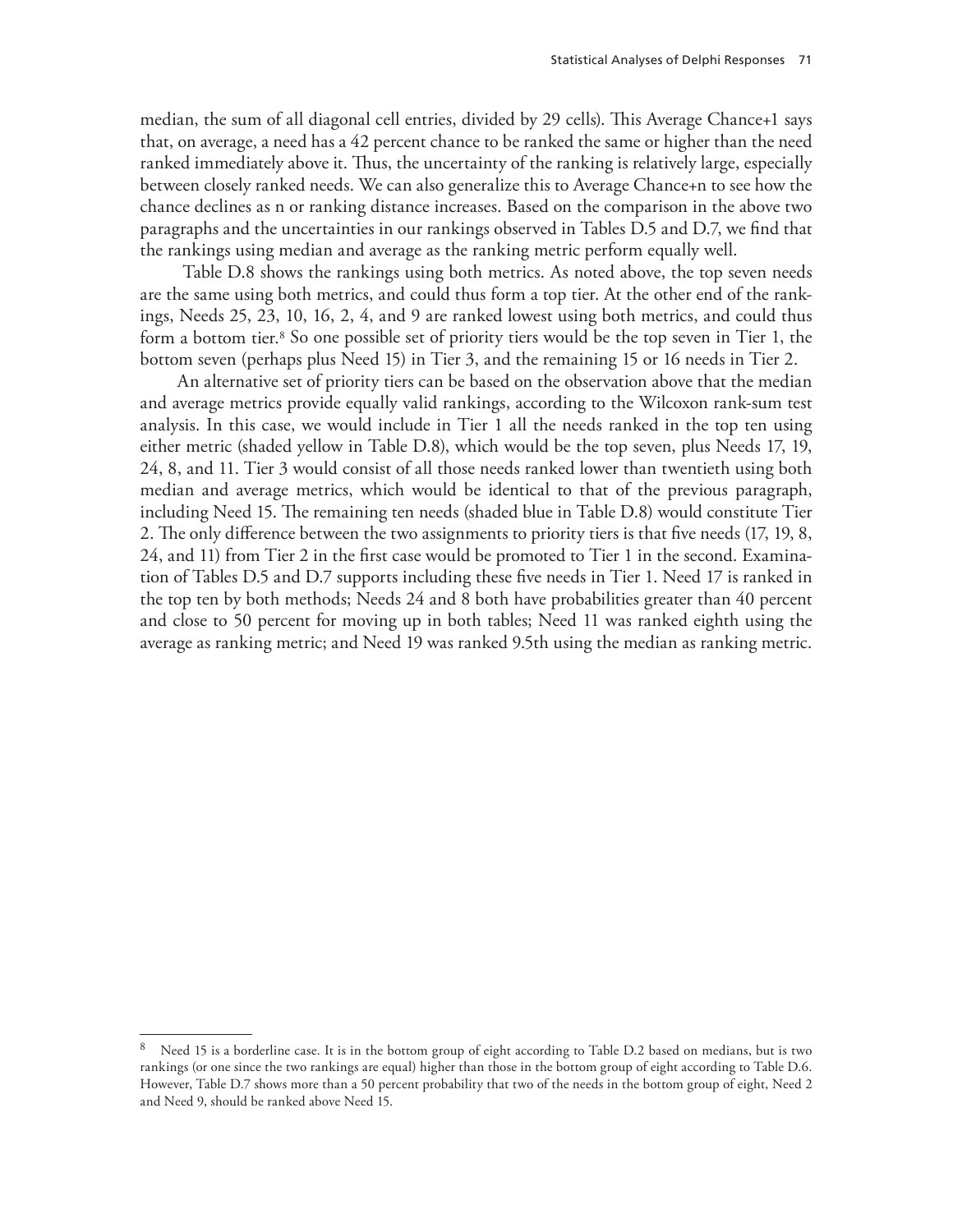median, the sum of all diagonal cell entries, divided by 29 cells). This Average Chance+1 says that, on average, a need has a 42 percent chance to be ranked the same or higher than the need ranked immediately above it. Thus, the uncertainty of the ranking is relatively large, especially between closely ranked needs. We can also generalize this to Average Chance+n to see how the chance declines as n or ranking distance increases. Based on the comparison in the above two paragraphs and the uncertainties in our rankings observed in Tables D.5 and D.7, we find that the rankings using median and average as the ranking metric perform equally well.

 Table D.8 shows the rankings using both metrics. As noted above, the top seven needs are the same using both metrics, and could thus form a top tier. At the other end of the rankings, Needs 25, 23, 10, 16, 2, 4, and 9 are ranked lowest using both metrics, and could thus form a bottom tier.8 So one possible set of priority tiers would be the top seven in Tier 1, the bottom seven (perhaps plus Need 15) in Tier 3, and the remaining 15 or 16 needs in Tier 2.

An alternative set of priority tiers can be based on the observation above that the median and average metrics provide equally valid rankings, according to the Wilcoxon rank-sum test analysis. In this case, we would include in Tier 1 all the needs ranked in the top ten using either metric (shaded yellow in Table D.8), which would be the top seven, plus Needs 17, 19, 24, 8, and 11. Tier 3 would consist of all those needs ranked lower than twentieth using both median and average metrics, which would be identical to that of the previous paragraph, including Need 15. The remaining ten needs (shaded blue in Table D.8) would constitute Tier 2. The only difference between the two assignments to priority tiers is that five needs (17, 19, 8, 24, and 11) from Tier 2 in the first case would be promoted to Tier 1 in the second. Examination of Tables D.5 and D.7 supports including these five needs in Tier 1. Need 17 is ranked in the top ten by both methods; Needs 24 and 8 both have probabilities greater than 40 percent and close to 50 percent for moving up in both tables; Need 11 was ranked eighth using the average as ranking metric; and Need 19 was ranked 9.5th using the median as ranking metric.

Need 15 is a borderline case. It is in the bottom group of eight according to Table D.2 based on medians, but is two rankings (or one since the two rankings are equal) higher than those in the bottom group of eight according to Table D.6. However, Table D.7 shows more than a 50 percent probability that two of the needs in the bottom group of eight, Need 2 and Need 9, should be ranked above Need 15.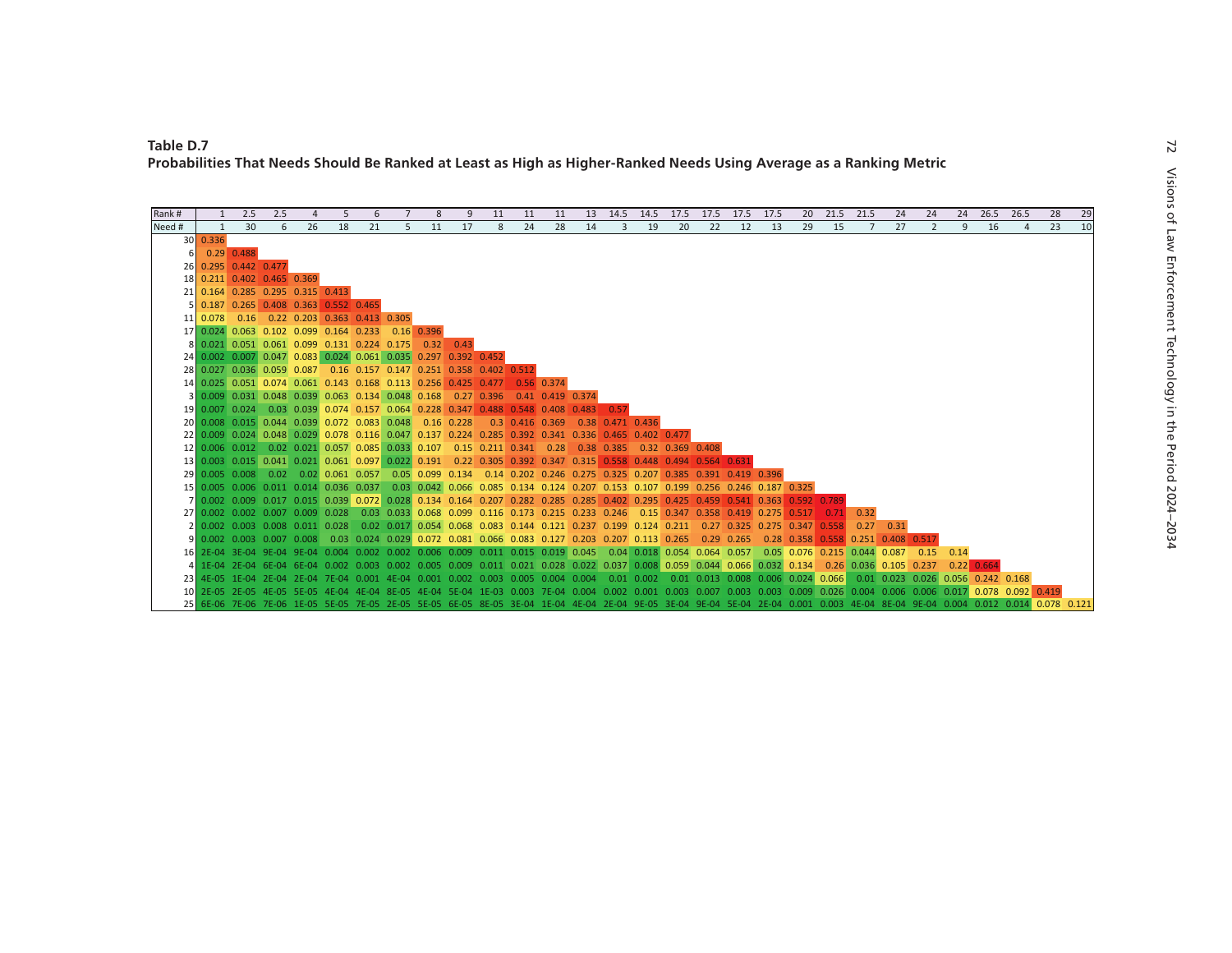| Rank#  |              | 2.5                  | 2.5                                               | 4  | 5  | 6  |   | 8           | 9                                                                                                                                                                                | 11                                                                                                                                               | 11 | 11 | 13 | 14.5                             | 14.5 |    | 17.5 17.5 | 17.5 | 17.5                                                                                                                                    |             | 20 21.5            | 21.5 | 24            | 24                                                                                                                                             | 24          | 26.5              | 26.5                                                                                                                                                                       | 28 | 29 |
|--------|--------------|----------------------|---------------------------------------------------|----|----|----|---|-------------|----------------------------------------------------------------------------------------------------------------------------------------------------------------------------------|--------------------------------------------------------------------------------------------------------------------------------------------------|----|----|----|----------------------------------|------|----|-----------|------|-----------------------------------------------------------------------------------------------------------------------------------------|-------------|--------------------|------|---------------|------------------------------------------------------------------------------------------------------------------------------------------------|-------------|-------------------|----------------------------------------------------------------------------------------------------------------------------------------------------------------------------|----|----|
| Need # | $\mathbf{1}$ | 30                   | 6                                                 | 26 | 18 | 21 | 5 | 11          | 17                                                                                                                                                                               | 8                                                                                                                                                | 24 | 28 | 14 | 3                                | 19   | 20 | 22        | 12   | 13                                                                                                                                      | 29          | 15                 | 7    | 27            | $\overline{2}$                                                                                                                                 | 9           | 16                | $\overline{a}$                                                                                                                                                             | 23 | 10 |
|        | 30   0.336   |                      |                                                   |    |    |    |   |             |                                                                                                                                                                                  |                                                                                                                                                  |    |    |    |                                  |      |    |           |      |                                                                                                                                         |             |                    |      |               |                                                                                                                                                |             |                   |                                                                                                                                                                            |    |    |
|        |              | $0.29$ 0.488         |                                                   |    |    |    |   |             |                                                                                                                                                                                  |                                                                                                                                                  |    |    |    |                                  |      |    |           |      |                                                                                                                                         |             |                    |      |               |                                                                                                                                                |             |                   |                                                                                                                                                                            |    |    |
|        |              | 26 0.295 0.442 0.477 |                                                   |    |    |    |   |             |                                                                                                                                                                                  |                                                                                                                                                  |    |    |    |                                  |      |    |           |      |                                                                                                                                         |             |                    |      |               |                                                                                                                                                |             |                   |                                                                                                                                                                            |    |    |
|        |              |                      | 18 0.211 0.402 0.465 0.369                        |    |    |    |   |             |                                                                                                                                                                                  |                                                                                                                                                  |    |    |    |                                  |      |    |           |      |                                                                                                                                         |             |                    |      |               |                                                                                                                                                |             |                   |                                                                                                                                                                            |    |    |
|        |              |                      | 21 0.164 0.285 0.295 0.315 0.413                  |    |    |    |   |             |                                                                                                                                                                                  |                                                                                                                                                  |    |    |    |                                  |      |    |           |      |                                                                                                                                         |             |                    |      |               |                                                                                                                                                |             |                   |                                                                                                                                                                            |    |    |
|        |              |                      | $0.187$ $0.265$ $0.408$ $0.363$ $0.552$ $0.465$   |    |    |    |   |             |                                                                                                                                                                                  |                                                                                                                                                  |    |    |    |                                  |      |    |           |      |                                                                                                                                         |             |                    |      |               |                                                                                                                                                |             |                   |                                                                                                                                                                            |    |    |
|        |              |                      | 11 0.078 0.16 0.22 0.203 0.363 0.413 0.305        |    |    |    |   |             |                                                                                                                                                                                  |                                                                                                                                                  |    |    |    |                                  |      |    |           |      |                                                                                                                                         |             |                    |      |               |                                                                                                                                                |             |                   |                                                                                                                                                                            |    |    |
|        |              |                      | 17 0.024 0.063 0.102 0.099 0.164 0.233 0.16 0.396 |    |    |    |   |             |                                                                                                                                                                                  |                                                                                                                                                  |    |    |    |                                  |      |    |           |      |                                                                                                                                         |             |                    |      |               |                                                                                                                                                |             |                   |                                                                                                                                                                            |    |    |
|        |              |                      | 8 0.021 0.051 0.061 0.099 0.131 0.224 0.175       |    |    |    |   | $0.32$ 0.43 |                                                                                                                                                                                  |                                                                                                                                                  |    |    |    |                                  |      |    |           |      |                                                                                                                                         |             |                    |      |               |                                                                                                                                                |             |                   |                                                                                                                                                                            |    |    |
|        |              |                      |                                                   |    |    |    |   |             | 24 0.002 0.007 0.047 0.083 0.024 0.061 0.035 0.297 0.392 0.452                                                                                                                   |                                                                                                                                                  |    |    |    |                                  |      |    |           |      |                                                                                                                                         |             |                    |      |               |                                                                                                                                                |             |                   |                                                                                                                                                                            |    |    |
|        |              |                      |                                                   |    |    |    |   |             |                                                                                                                                                                                  | 28 0.027 0.036 0.059 0.087 0.16 0.157 0.147 0.251 0.358 0.402 0.512<br>14 0.025 0.051 0.074 0.061 0.143 0.168 0.113 0.256 0.425 0.477 0.56 0.374 |    |    |    |                                  |      |    |           |      |                                                                                                                                         |             |                    |      |               |                                                                                                                                                |             |                   |                                                                                                                                                                            |    |    |
|        |              |                      |                                                   |    |    |    |   |             |                                                                                                                                                                                  | 3 0.009 0.031 0.048 0.039 0.063 0.134 0.048 0.168 0.27 0.396 0.41 0.419 0.374                                                                    |    |    |    |                                  |      |    |           |      |                                                                                                                                         |             |                    |      |               |                                                                                                                                                |             |                   |                                                                                                                                                                            |    |    |
|        |              |                      |                                                   |    |    |    |   |             |                                                                                                                                                                                  | 19 0.007 0.024 0.03 0.039 0.074 0.157 0.064 0.228 0.347 0.488 0.548 0.408 0.483                                                                  |    |    |    |                                  |      |    |           |      |                                                                                                                                         |             |                    |      |               |                                                                                                                                                |             |                   |                                                                                                                                                                            |    |    |
|        |              |                      |                                                   |    |    |    |   |             | 20 0.008 0.015 0.044 0.039 0.072 0.083 0.048 0.16 0.228                                                                                                                          |                                                                                                                                                  |    |    |    | 0.3 0.416 0.369 0.38 0.471 0.436 |      |    |           |      |                                                                                                                                         |             |                    |      |               |                                                                                                                                                |             |                   |                                                                                                                                                                            |    |    |
|        |              |                      |                                                   |    |    |    |   |             |                                                                                                                                                                                  | 22 0.009 0.024 0.048 0.029 0.078 0.116 0.047 0.137 0.224 0.285 0.392 0.341 0.336 0.465 0.402 0.477                                               |    |    |    |                                  |      |    |           |      |                                                                                                                                         |             |                    |      |               |                                                                                                                                                |             |                   |                                                                                                                                                                            |    |    |
|        |              |                      |                                                   |    |    |    |   |             |                                                                                                                                                                                  | 12 0.006 0.012 0.02 0.021 0.057 0.085 0.033 0.107 0.15 0.211 0.341 0.28 0.38 0.385 0.32 0.369 0.408                                              |    |    |    |                                  |      |    |           |      |                                                                                                                                         |             |                    |      |               |                                                                                                                                                |             |                   |                                                                                                                                                                            |    |    |
|        |              |                      |                                                   |    |    |    |   |             |                                                                                                                                                                                  | 13 0.003 0.015 0.041 0.021 0.061 0.097 0.022 0.191 0.22 0.305 0.392 0.347 0.315 0.558 0.448 0.494 0.564 0.631                                    |    |    |    |                                  |      |    |           |      |                                                                                                                                         |             |                    |      |               |                                                                                                                                                |             |                   |                                                                                                                                                                            |    |    |
|        |              |                      |                                                   |    |    |    |   |             |                                                                                                                                                                                  | 29 0.005 0.008 0.02 0.02 0.061 0.057 0.05 0.099 0.134 0.14 0.202 0.246 0.275 0.325 0.207 0.385 0.391 0.419 0.396                                 |    |    |    |                                  |      |    |           |      |                                                                                                                                         |             |                    |      |               |                                                                                                                                                |             |                   |                                                                                                                                                                            |    |    |
|        |              |                      |                                                   |    |    |    |   |             |                                                                                                                                                                                  |                                                                                                                                                  |    |    |    |                                  |      |    |           |      | 15 0.005 0.006 0.011 0.014 0.036 0.037 0.03 0.042 0.066 0.085 0.134 0.124 0.207 0.153 0.107 0.199 0.256 0.246 0.187 0.325               |             |                    |      |               |                                                                                                                                                |             |                   |                                                                                                                                                                            |    |    |
|        |              |                      |                                                   |    |    |    |   |             |                                                                                                                                                                                  | 7 0.002 0.009 0.017 0.015 0.039 0.072 0.028 0.134 0.164 0.207 0.282 0.285 0.285 0.402 0.295 0.425 0.459 0.541 0.363                              |    |    |    |                                  |      |    |           |      |                                                                                                                                         | 0.592 0.789 |                    |      |               |                                                                                                                                                |             |                   |                                                                                                                                                                            |    |    |
|        |              |                      |                                                   |    |    |    |   |             |                                                                                                                                                                                  |                                                                                                                                                  |    |    |    |                                  |      |    |           |      | 0.002 0.002 0.007 0.009 0.028 0.03 0.033 0.068 0.099 0.116 0.173 0.215 0.233 0.246 0.15 0.347 0.358 0.419 0.275 0.517                   |             | 0.71               | 0.32 |               |                                                                                                                                                |             |                   |                                                                                                                                                                            |    |    |
|        |              |                      |                                                   |    |    |    |   |             |                                                                                                                                                                                  |                                                                                                                                                  |    |    |    |                                  |      |    |           |      | 0.002 0.003 0.008 0.011 0.028 0.02 0.017 0.054 0.068 0.083 0.144 0.121 0.237 0.199 0.124 0.211 0.27 0.325 0.275 0.347                   |             | 0.558              |      | $0.27$ 0.31   |                                                                                                                                                |             |                   |                                                                                                                                                                            |    |    |
|        |              |                      |                                                   |    |    |    |   |             |                                                                                                                                                                                  | 0.002 0.003 0.007 0.008 0.03 0.024 0.029 0.072 0.081 0.066 0.083 0.127 0.203 0.207 0.113 0.265 0.29 0.265                                        |    |    |    |                                  |      |    |           |      |                                                                                                                                         |             | $0.28$ 0.358 0.558 |      | $0.251$ 0.408 | 0.517                                                                                                                                          |             |                   |                                                                                                                                                                            |    |    |
|        |              |                      |                                                   |    |    |    |   |             |                                                                                                                                                                                  |                                                                                                                                                  |    |    |    |                                  |      |    |           |      | 2E-04 3E-04 9E-04 9E-04 0.004 0.002 0.002 0.006 0.009 0.011 0.015 0.019 0.045 0.04 0.018 0.054 0.064 0.057 0.05 0.076 0.215 0.044 0.087 |             |                    |      |               |                                                                                                                                                | $0.15$ 0.14 |                   |                                                                                                                                                                            |    |    |
|        |              |                      |                                                   |    |    |    |   |             |                                                                                                                                                                                  |                                                                                                                                                  |    |    |    |                                  |      |    |           |      |                                                                                                                                         |             |                    |      |               | 1E-04 2E-04 6E-04 6E-04 0.002 0.003 0.002 0.005 0.009 0.011 0.021 0.028 0.022 0.037 0.008 0.059 0.044 0.066 0.032 0.134 0.26 0.036 0.105 0.237 |             | $0.22 \mid 0.664$ |                                                                                                                                                                            |    |    |
|        |              |                      |                                                   |    |    |    |   |             |                                                                                                                                                                                  |                                                                                                                                                  |    |    |    |                                  |      |    |           |      | 4E-05 1E-04 2E-04 2E-04 7E-04 0.001 4E-04 0.001 0.002 0.003 0.005 0.004 0.004 0.01 0.002 0.01 0.013 0.008 0.006 0.024 0.066             |             |                    |      |               | 0.01 0.023 0.026 0.056 0.242 0.168                                                                                                             |             |                   |                                                                                                                                                                            |    |    |
|        |              |                      |                                                   |    |    |    |   |             |                                                                                                                                                                                  |                                                                                                                                                  |    |    |    |                                  |      |    |           |      |                                                                                                                                         |             |                    |      |               |                                                                                                                                                |             |                   | 10 2E-05 2E-05 4E-05 5E-05 4E-04 4E-04 8E-05 4E-04 5E-04 1E-03 0.003 7E-04 0.004 0.002 0.001 0.003 0.007 0.003 0.003 0.009 0.026 0.004 0.006 0.006 0.017 0.078 0.092 0.419 |    |    |
|        |              |                      |                                                   |    |    |    |   |             | 25 6E-06 7E-06 7E-06 1E-05 5E-05 7E-05 2E-05 5E-05 6E-05 8E-05 3E-04 1E-04 4E-04 2E-04 9E-04 9E-04 5E-04 2E-04 2E-04 0.001 0.003 4E-04 8E-04 9E-04 0.004 0.012 0.014 0.078 0.121 |                                                                                                                                                  |    |    |    |                                  |      |    |           |      |                                                                                                                                         |             |                    |      |               |                                                                                                                                                |             |                   |                                                                                                                                                                            |    |    |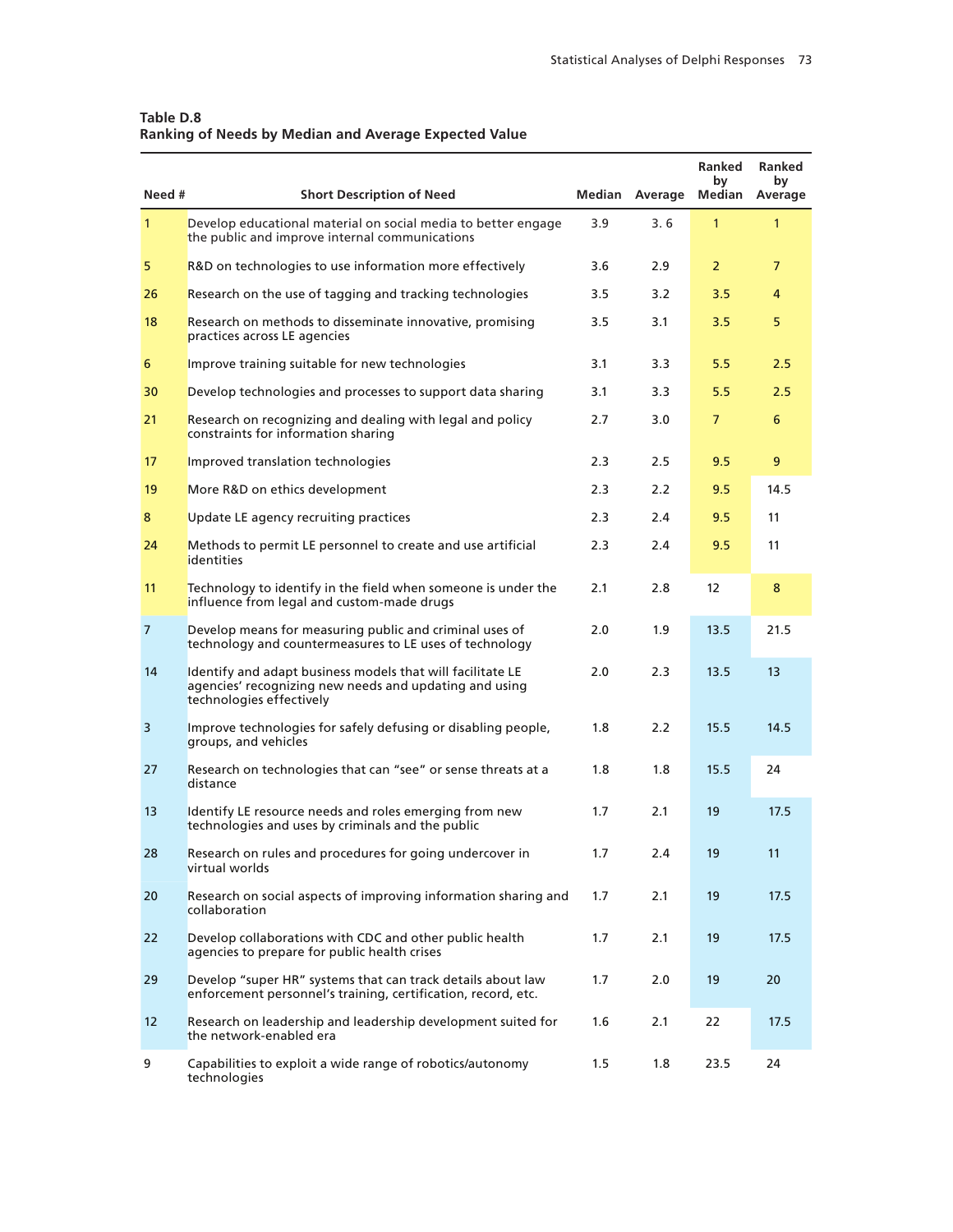| Table D.8                                             |  |
|-------------------------------------------------------|--|
| Ranking of Needs by Median and Average Expected Value |  |

| Need #            | <b>Short Description of Need</b>                                                                                                                 |     | Median Average | <b>Ranked</b><br>by<br>Median | <b>Ranked</b><br>by<br>Average |
|-------------------|--------------------------------------------------------------------------------------------------------------------------------------------------|-----|----------------|-------------------------------|--------------------------------|
| $\mathbf{1}$      | Develop educational material on social media to better engage<br>the public and improve internal communications                                  | 3.9 | 3.6            | $\mathbf{1}$                  | $\mathbf{1}$                   |
| 5                 | R&D on technologies to use information more effectively                                                                                          | 3.6 | 2.9            | $\overline{2}$                | $\overline{7}$                 |
| 26                | Research on the use of tagging and tracking technologies                                                                                         | 3.5 | 3.2            | 3.5                           | 4                              |
| 18                | Research on methods to disseminate innovative, promising<br>practices across LE agencies                                                         | 3.5 | 3.1            | 3.5                           | 5                              |
| 6                 | Improve training suitable for new technologies                                                                                                   | 3.1 | 3.3            | 5.5                           | 2.5                            |
| 30                | Develop technologies and processes to support data sharing                                                                                       | 3.1 | 3.3            | 5.5                           | 2.5                            |
| 21                | Research on recognizing and dealing with legal and policy<br>constraints for information sharing                                                 | 2.7 | 3.0            | $\overline{7}$                | 6                              |
| 17                | Improved translation technologies                                                                                                                | 2.3 | 2.5            | 9.5                           | 9                              |
| 19                | More R&D on ethics development                                                                                                                   | 2.3 | 2.2            | 9.5                           | 14.5                           |
| 8                 | Update LE agency recruiting practices                                                                                                            | 2.3 | 2.4            | 9.5                           | 11                             |
| 24                | Methods to permit LE personnel to create and use artificial<br>identities                                                                        | 2.3 | 2.4            | 9.5                           | 11                             |
| 11                | Technology to identify in the field when someone is under the<br>influence from legal and custom-made drugs                                      | 2.1 | 2.8            | 12 <sup>2</sup>               | 8                              |
| $\overline{7}$    | Develop means for measuring public and criminal uses of<br>technology and countermeasures to LE uses of technology                               | 2.0 | 1.9            | 13.5                          | 21.5                           |
| 14                | Identify and adapt business models that will facilitate LE<br>agencies' recognizing new needs and updating and using<br>technologies effectively | 2.0 | 2.3            | 13.5                          | 13                             |
| 3                 | Improve technologies for safely defusing or disabling people,<br>groups, and vehicles                                                            | 1.8 | 2.2            | 15.5                          | 14.5                           |
| 27                | Research on technologies that can "see" or sense threats at a<br>distance                                                                        | 1.8 | 1.8            | 15.5                          | 24                             |
| 13                | Identify LE resource needs and roles emerging from new<br>technologies and uses by criminals and the public                                      | 1.7 | 2.1            | 19                            | 17.5                           |
| 28                | Research on rules and procedures for going undercover in<br>virtual worlds                                                                       | 1.7 | 2.4            | 19                            | 11                             |
| 20                | Research on social aspects of improving information sharing and<br>collaboration                                                                 | 1.7 | 2.1            | 19                            | 17.5                           |
| 22                | Develop collaborations with CDC and other public health<br>agencies to prepare for public health crises                                          | 1.7 | 2.1            | 19                            | 17.5                           |
| 29                | Develop "super HR" systems that can track details about law<br>enforcement personnel's training, certification, record, etc.                     | 1.7 | 2.0            | 19                            | 20                             |
| $12 \overline{ }$ | Research on leadership and leadership development suited for<br>the network-enabled era                                                          | 1.6 | 2.1            | 22                            | 17.5                           |
| 9                 | Capabilities to exploit a wide range of robotics/autonomy<br>technologies                                                                        | 1.5 | 1.8            | 23.5                          | 24                             |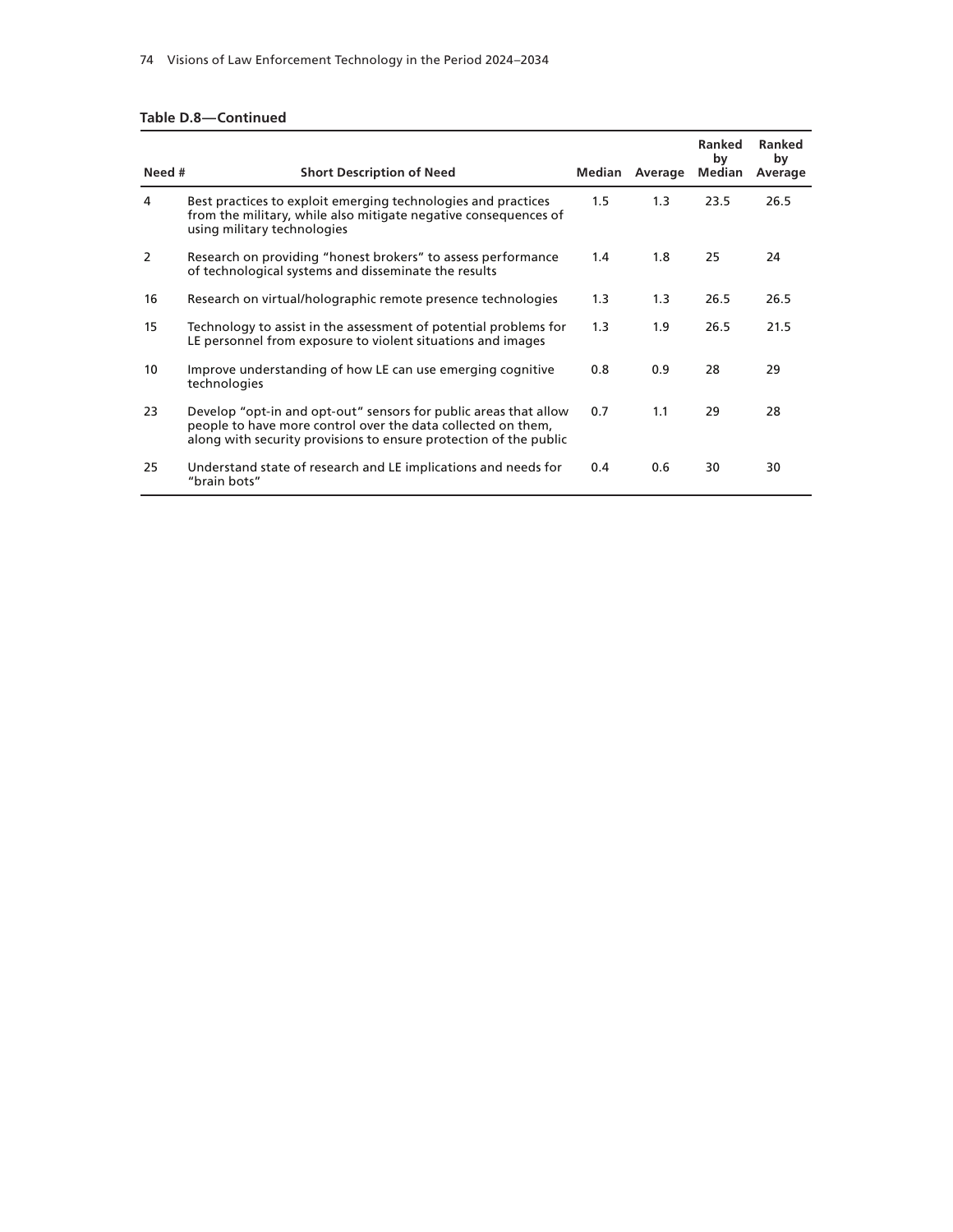#### **Table D.8—Continued**

| Need # | <b>Short Description of Need</b>                                                                                                                                                                      |         | Median Average | Ranked<br>bv<br>Median | Ranked<br>by<br>Average |
|--------|-------------------------------------------------------------------------------------------------------------------------------------------------------------------------------------------------------|---------|----------------|------------------------|-------------------------|
| 4      | Best practices to exploit emerging technologies and practices<br>from the military, while also mitigate negative consequences of<br>using military technologies                                       | $1.5\,$ | 1.3            | 23.5                   | 26.5                    |
| 2      | Research on providing "honest brokers" to assess performance<br>of technological systems and disseminate the results                                                                                  | 1.4     | 1.8            | 25                     | 24                      |
| 16     | Research on virtual/holographic remote presence technologies                                                                                                                                          | 1.3     | 1.3            | 26.5                   | 26.5                    |
| 15     | Technology to assist in the assessment of potential problems for<br>LE personnel from exposure to violent situations and images                                                                       | 1.3     | 1.9            | 26.5                   | 21.5                    |
| 10     | Improve understanding of how LE can use emerging cognitive<br>technologies                                                                                                                            | 0.8     | 0.9            | 28                     | 29                      |
| 23     | Develop "opt-in and opt-out" sensors for public areas that allow<br>people to have more control over the data collected on them.<br>along with security provisions to ensure protection of the public | 0.7     | 1.1            | 29                     | 28                      |
| 25     | Understand state of research and LE implications and needs for<br>"brain bots"                                                                                                                        | 0.4     | 0.6            | 30                     | 30                      |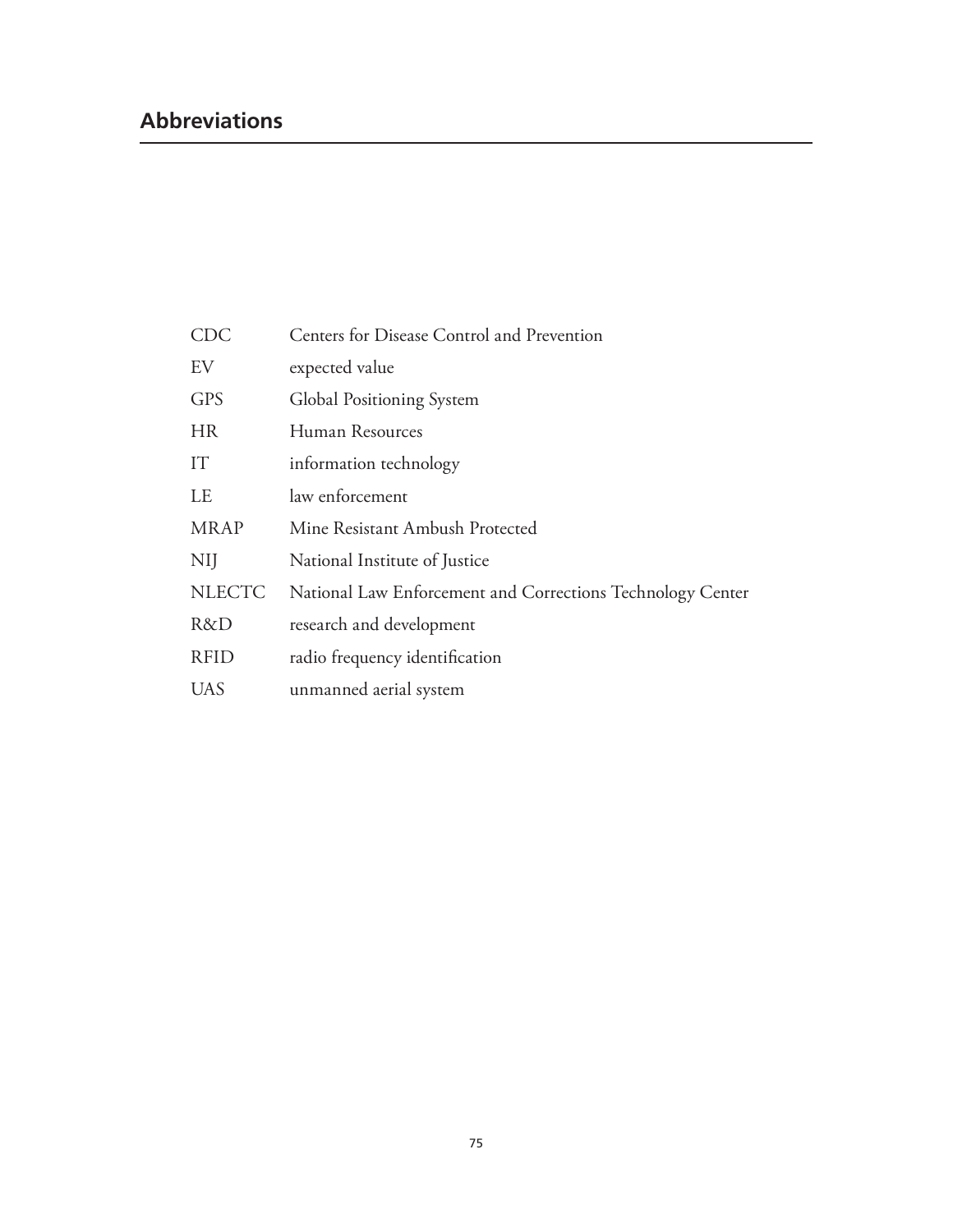### **Abbreviations**

| $\bigcirc \mathop{\rm DC}\nolimits$ | Centers for Disease Control and Prevention                 |
|-------------------------------------|------------------------------------------------------------|
| EV                                  | expected value                                             |
| <b>GPS</b>                          | Global Positioning System                                  |
| <b>HR</b>                           | Human Resources                                            |
| IT                                  | information technology                                     |
| LE                                  | law enforcement                                            |
| <b>MRAP</b>                         | Mine Resistant Ambush Protected                            |
| NIJ                                 | National Institute of Justice                              |
| <b>NLECTC</b>                       | National Law Enforcement and Corrections Technology Center |
| R&D                                 | research and development                                   |
| <b>RFID</b>                         | radio frequency identification                             |
| UAS                                 | unmanned aerial system                                     |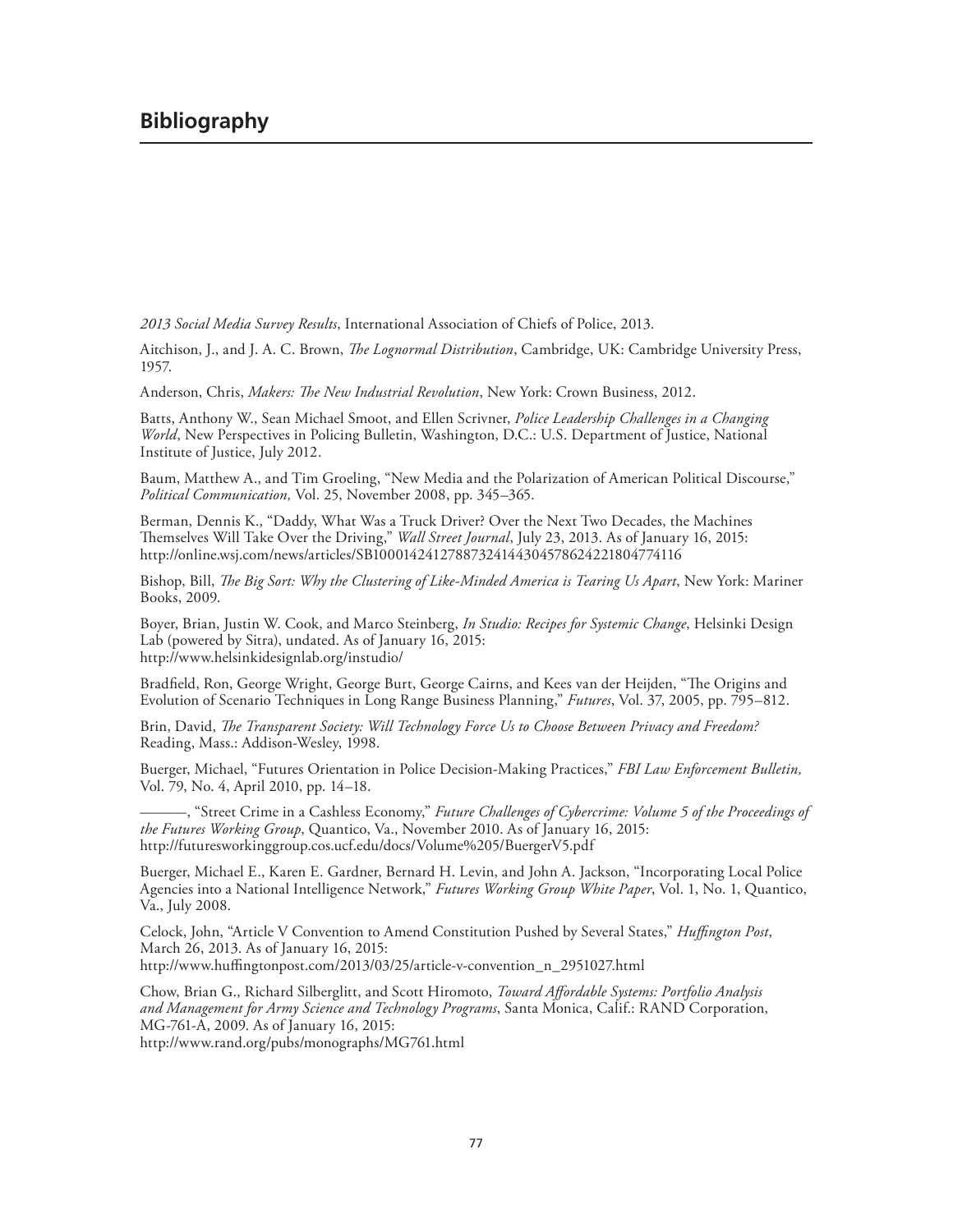### **Bibliography**

*2013 Social Media Survey Results*, International Association of Chiefs of Police, 2013.

Aitchison, J., and J. A. C. Brown, *The Lognormal Distribution*, Cambridge, UK: Cambridge University Press, 1957.

Anderson, Chris, *Makers: The New Industrial Revolution*, New York: Crown Business, 2012.

Batts, Anthony W., Sean Michael Smoot, and Ellen Scrivner, *Police Leadership Challenges in a Changing World*, New Perspectives in Policing Bulletin, Washington, D.C.: U.S. Department of Justice, National Institute of Justice, July 2012.

Baum, Matthew A., and Tim Groeling, "New Media and the Polarization of American Political Discourse," *Political Communication,* Vol. 25, November 2008, pp. 345–365.

Berman, Dennis K., "Daddy, What Was a Truck Driver? Over the Next Two Decades, the Machines Themselves Will Take Over the Driving," *Wall Street Journal*, July 23, 2013. As of January 16, 2015: <http://online.wsj.com/news/articles/SB10001424127887324144304578624221804774116>

Bishop, Bill, *The Big Sort: Why the Clustering of Like-Minded America is Tearing Us Apart*, New York: Mariner Books, 2009.

Boyer, Brian, Justin W. Cook, and Marco Steinberg, *In Studio: Recipes for Systemic Change*, Helsinki Design Lab (powered by Sitra), undated. As of January 16, 2015: <http://www.helsinkidesignlab.org/instudio/>

Bradfield, Ron, George Wright, George Burt, George Cairns, and Kees van der Heijden, "The Origins and Evolution of Scenario Techniques in Long Range Business Planning," *Futures*, Vol. 37, 2005, pp. 795–812.

Brin, David, *The Transparent Society: Will Technology Force Us to Choose Between Privacy and Freedom?* Reading, Mass.: Addison-Wesley, 1998.

Buerger, Michael, "Futures Orientation in Police Decision-Making Practices," *FBI Law Enforcement Bulletin,*  Vol. 79, No. 4, April 2010, pp. 14–18.

———, "Street Crime in a Cashless Economy," *Future Challenges of Cybercrime: Volume 5 of the Proceedings of the Futures Working Group*, Quantico, Va., November 2010. As of January 16, 2015: <http://futuresworkinggroup.cos.ucf.edu/docs/Volume%205/BuergerV5.pdf>

Buerger, Michael E., Karen E. Gardner, Bernard H. Levin, and John A. Jackson, "Incorporating Local Police Agencies into a National Intelligence Network," *Futures Working Group White Paper*, Vol. 1, No. 1, Quantico, Va., July 2008.

Celock, John, "Article V Convention to Amend Constitution Pushed by Several States," *Huffington Post*, March 26, 2013. As of January 16, 2015: [http://www.huffingtonpost.com/2013/03/25/article-v-convention\\_n\\_2951027.html](http://www.huffingtonpost.com/2013/03/25/article-v-convention_n_2951027.html)

Chow, Brian G., Richard Silberglitt, and Scott Hiromoto, *Toward Affordable Systems: Portfolio Analysis and Management for Army Science and Technology Programs*, Santa Monica, Calif.: RAND Corporation, MG-761-A, 2009. As of January 16, 2015:

<http://www.rand.org/pubs/monographs/MG761.html>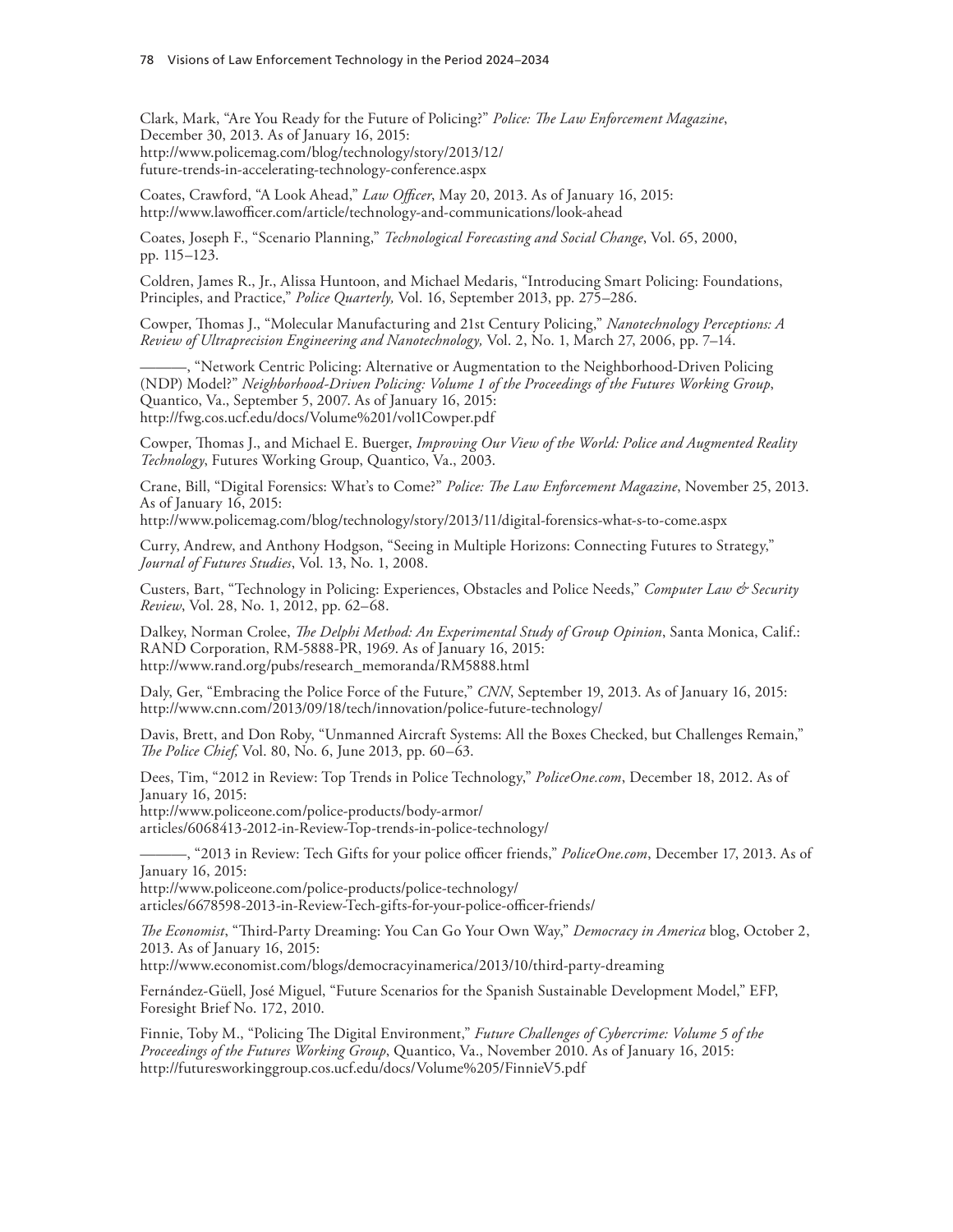Clark, Mark, "Are You Ready for the Future of Policing?" *Police: The Law Enforcement Magazine*, December 30, 2013. As of January 16, 2015: [http://www.policemag.com/blog/technology/story/2013/12/](http://www.policemag.com/blog/technology/story/2013/12/future-trends-in-accelerating-technology-conference.aspx) future-trends-in-accelerating-technology-conference.aspx

Coates, Crawford, "A Look Ahead," *Law Officer*, May 20, 2013. As of January 16, 2015: <http://www.lawofficer.com/article/technology-and-communications/look-ahead>

Coates, Joseph F., "Scenario Planning," *Technological Forecasting and Social Change*, Vol. 65, 2000, pp. 115–123.

Coldren, James R., Jr., Alissa Huntoon, and Michael Medaris, "Introducing Smart Policing: Foundations, Principles, and Practice," *Police Quarterly,* Vol. 16, September 2013, pp. 275–286.

Cowper, Thomas J., "Molecular Manufacturing and 21st Century Policing," *Nanotechnology Perceptions: A Review of Ultraprecision Engineering and Nanotechnology,* Vol. 2, No. 1, March 27, 2006, pp. 7–14.

———, "Network Centric Policing: Alternative or Augmentation to the Neighborhood-Driven Policing (NDP) Model?" *Neighborhood-Driven Policing: Volume 1 of the Proceedings of the Futures Working Group*, Quantico, Va., September 5, 2007. As of January 16, 2015: <http://fwg.cos.ucf.edu/docs/Volume%201/vol1Cowper.pdf>

Cowper, Thomas J., and Michael E. Buerger, *Improving Our View of the World: Police and Augmented Reality Technology*, Futures Working Group, Quantico, Va., 2003.

Crane, Bill, "Digital Forensics: What's to Come?" *Police: The Law Enforcement Magazine*, November 25, 2013. As of January 16, 2015:

<http://www.policemag.com/blog/technology/story/2013/11/digital-forensics-what-s-to-come.aspx>

Curry, Andrew, and Anthony Hodgson, "Seeing in Multiple Horizons: Connecting Futures to Strategy," *Journal of Futures Studies*, Vol. 13, No. 1, 2008.

Custers, Bart, "Technology in Policing: Experiences, Obstacles and Police Needs," *Computer Law & Security Review*, Vol. 28, No. 1, 2012, pp. 62–68.

Dalkey, Norman Crolee, *The Delphi Method: An Experimental Study of Group Opinion*, Santa Monica, Calif.: RAND Corporation, RM-5888-PR, 1969. As of January 16, 2015: [http://www.rand.org/pubs/research\\_memoranda/RM5888.html](http://www.rand.org/pubs/research_memoranda/RM5888.html)

Daly, Ger, "Embracing the Police Force of the Future," *CNN*, September 19, 2013. As of January 16, 2015: <http://www.cnn.com/2013/09/18/tech/innovation/police-future-technology/>

Davis, Brett, and Don Roby, "Unmanned Aircraft Systems: All the Boxes Checked, but Challenges Remain," *The Police Chief,* Vol. 80, No. 6, June 2013, pp. 60–63.

Dees, Tim, "2012 in Review: Top Trends in Police Technology," *PoliceOne.com*, December 18, 2012. As of January 16, 2015:

http://www.policeone.com/police-products/body-armor/ [articles/6068413-2012-in-Review-Top-trends-in-police-technology/](http://www.policeone.com/police-products/body-armor/articles/6068413-2012-in-Review-Top-trends-in-police-technology/)

———, "2013 in Review: Tech Gifts for your police officer friends," *PoliceOne.com*, December 17, 2013. As of January 16, 2015:

http://www.policeone.com/police-products/police-technology/ [articles/6678598-2013-in-Review-Tech-gifts-for-your-police-officer-friends/](http://www.policeone.com/police-products/police-technology/articles/6678598-2013-in-Review-Tech-gifts-for-your-police-officer-friends/) 

*The Economist*, "Third-Party Dreaming: You Can Go Your Own Way," *Democracy in America* blog, October 2, 2013. As of January 16, 2015:

<http://www.economist.com/blogs/democracyinamerica/2013/10/third-party-dreaming>

Fernández-Güell, José Miguel, "Future Scenarios for the Spanish Sustainable Development Model," EFP, Foresight Brief No. 172, 2010.

Finnie, Toby M., "Policing The Digital Environment," *Future Challenges of Cybercrime: Volume 5 of the Proceedings of the Futures Working Group*, Quantico, Va., November 2010. As of January 16, 2015: <http://futuresworkinggroup.cos.ucf.edu/docs/Volume%205/FinnieV5.pdf>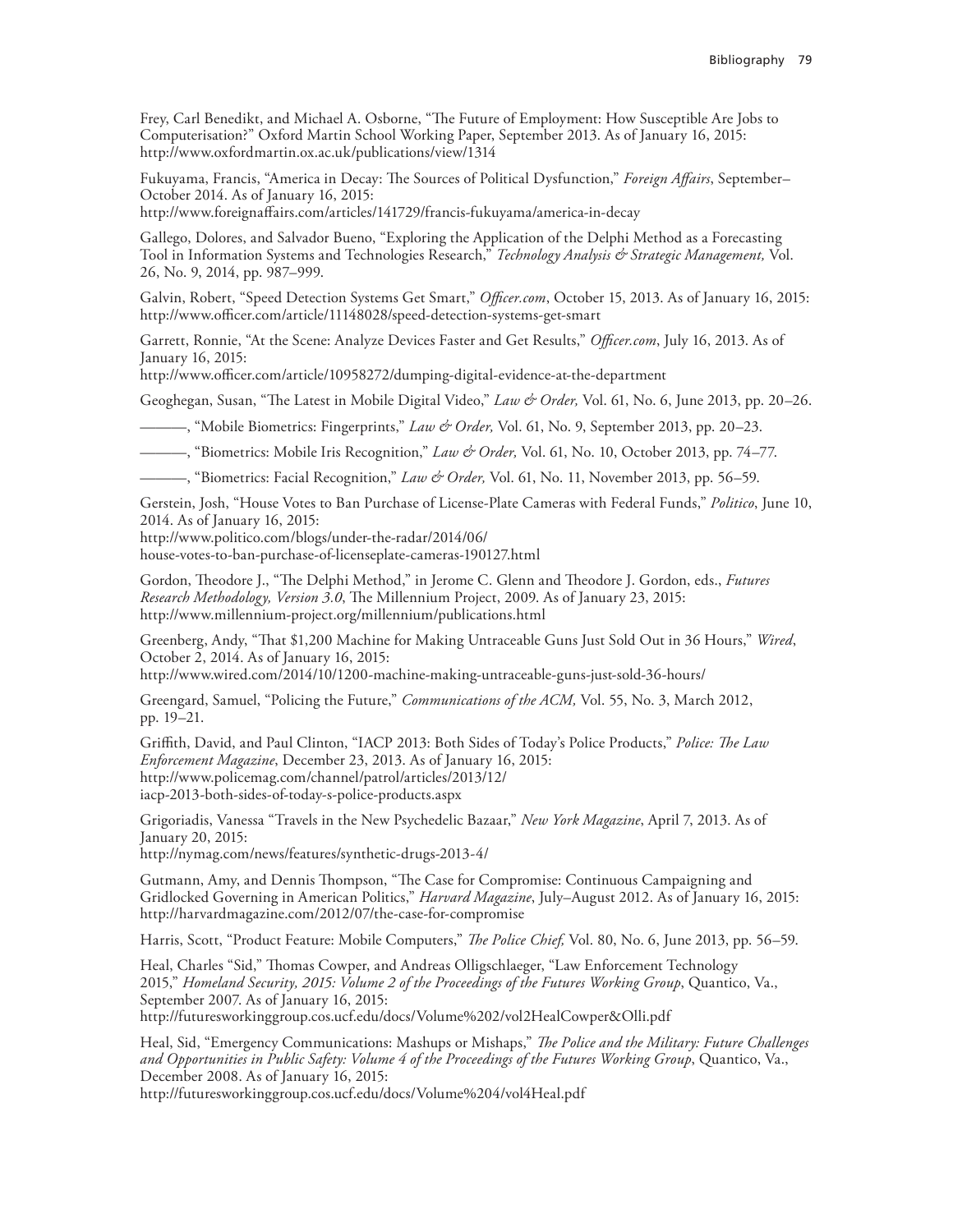Frey, Carl Benedikt, and Michael A. Osborne, "The Future of Employment: How Susceptible Are Jobs to Computerisation?" Oxford Martin School Working Paper, September 2013. As of January 16, 2015: <http://www.oxfordmartin.ox.ac.uk/publications/view/1314>

Fukuyama, Francis, "America in Decay: The Sources of Political Dysfunction," *Foreign Affairs*, September– October 2014. As of January 16, 2015:

<http://www.foreignaffairs.com/articles/141729/francis-fukuyama/america-in-decay>

Gallego, Dolores, and Salvador Bueno, "Exploring the Application of the Delphi Method as a Forecasting Tool in Information Systems and Technologies Research," *Technology Analysis & Strategic Management,* Vol. 26, No. 9, 2014, pp. 987–999.

Galvin, Robert, "Speed Detection Systems Get Smart," *Officer.com*, October 15, 2013. As of January 16, 2015: <http://www.officer.com/article/11148028/speed-detection-systems-get-smart>

Garrett, Ronnie, "At the Scene: Analyze Devices Faster and Get Results," *Officer.com*, July 16, 2013. As of January 16, 2015:

<http://www.officer.com/article/10958272/dumping-digital-evidence-at-the-department>

Geoghegan, Susan, "The Latest in Mobile Digital Video," *Law & Order,* Vol. 61, No. 6, June 2013, pp. 20–26.

———, "Mobile Biometrics: Fingerprints," *Law & Order,* Vol. 61, No. 9, September 2013, pp. 20–23.

———, "Biometrics: Mobile Iris Recognition," *Law & Order,* Vol. 61, No. 10, October 2013, pp. 74–77.

———, "Biometrics: Facial Recognition," *Law & Order,* Vol. 61, No. 11, November 2013, pp. 56–59.

Gerstein, Josh, "House Votes to Ban Purchase of License-Plate Cameras with Federal Funds," *Politico*, June 10, 2014. As of January 16, 2015:

http://www.politico.com/blogs/under-the-radar/2014/06/

[house-votes-to-ban-purchase-of-licenseplate-cameras-190127.html](http://www.politico.com/blogs/under-the-radar/2014/06/house-votes-to-ban-purchase-of-licenseplate-cameras-190127.html)

Gordon, Theodore J., "The Delphi Method," in Jerome C. Glenn and Theodore J. Gordon, eds., *Futures Research Methodology, Version 3.0*, The Millennium Project, 2009. As of January 23, 2015: <http://www.millennium-project.org/millennium/publications.html>

Greenberg, Andy, "That \$1,200 Machine for Making Untraceable Guns Just Sold Out in 36 Hours," *Wired*, October 2, 2014. As of January 16, 2015:

<http://www.wired.com/2014/10/1200-machine-making-untraceable-guns-just-sold-36-hours/>

Greengard, Samuel, "Policing the Future," *Communications of the ACM,* Vol. 55, No. 3, March 2012, pp. 19–21.

Griffith, David, and Paul Clinton, "IACP 2013: Both Sides of Today's Police Products," *Police: The Law Enforcement Magazine*, December 23, 2013. As of January 16, 2015: [http://www.policemag.com/channel/patrol/articles/2013/12/](http://www.policemag.com/channel/patrol/articles/2013/12/iacp-2013-both-sides-of-today-s-police-products.aspx) iacp-2013-both-sides-of-today-s-police-products.aspx

Grigoriadis, Vanessa "Travels in the New Psychedelic Bazaar," *New York Magazine*, April 7, 2013. As of January 20, 2015:

<http://nymag.com/news/features/synthetic-drugs-2013-4/>

Gutmann, Amy, and Dennis Thompson, "The Case for Compromise: Continuous Campaigning and Gridlocked Governing in American Politics," *Harvard Magazine*, July–August 2012. As of January 16, 2015: <http://harvardmagazine.com/2012/07/the-case-for-compromise>

Harris, Scott, "Product Feature: Mobile Computers," *The Police Chief,* Vol. 80, No. 6, June 2013, pp. 56–59.

Heal, Charles "Sid," Thomas Cowper, and Andreas Olligschlaeger, "Law Enforcement Technology 2015," *Homeland Security, 2015: Volume 2 of the Proceedings of the Futures Working Group*, Quantico, Va., September 2007. As of January 16, 2015:

<http://futuresworkinggroup.cos.ucf.edu/docs/Volume%202/vol2HealCowper&Olli.pdf>

Heal, Sid, "Emergency Communications: Mashups or Mishaps," *The Police and the Military: Future Challenges and Opportunities in Public Safety: Volume 4 of the Proceedings of the Futures Working Group*, Quantico, Va., December 2008. As of January 16, 2015:

<http://futuresworkinggroup.cos.ucf.edu/docs/Volume%204/vol4Heal.pdf>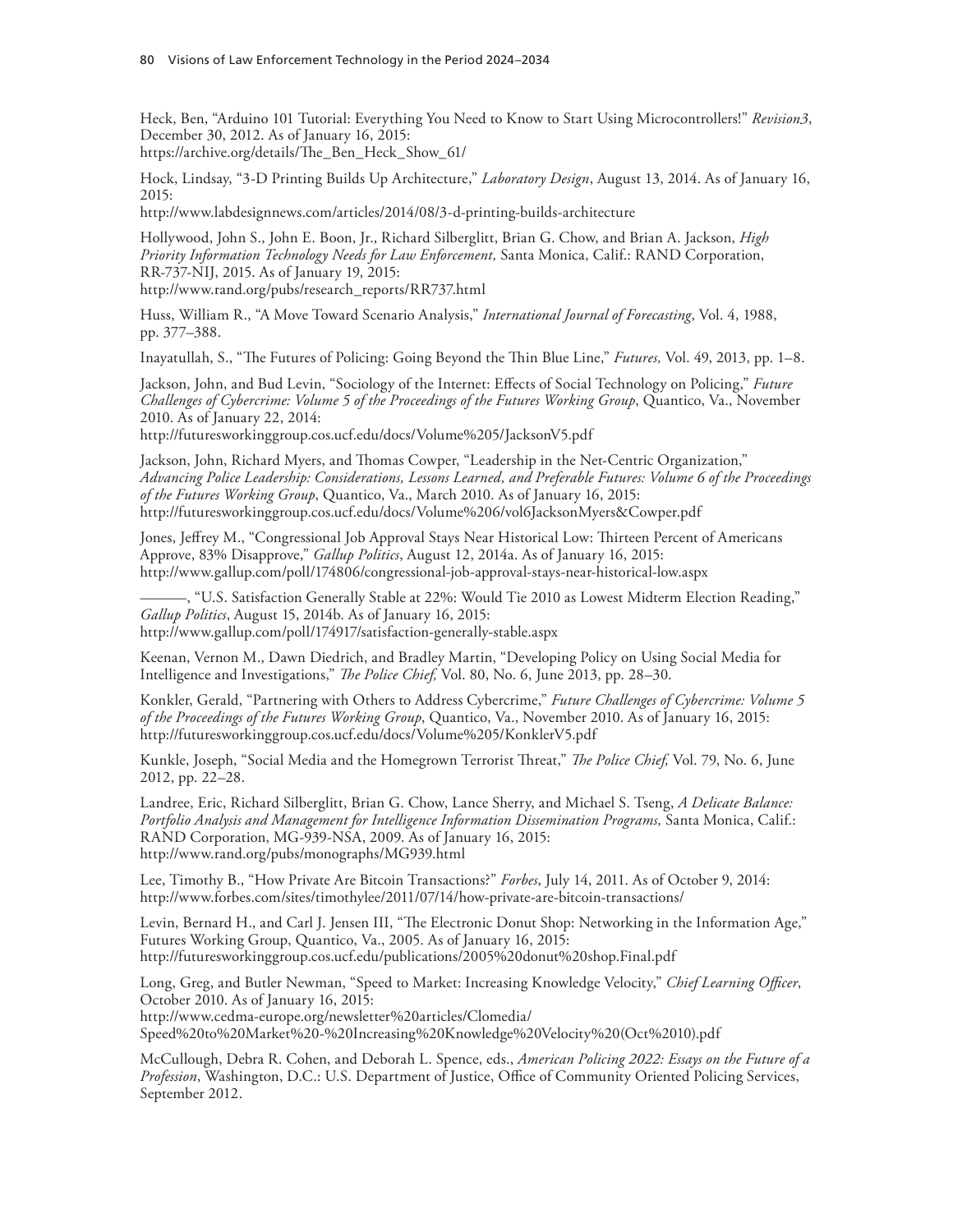Heck, Ben, "Arduino 101 Tutorial: Everything You Need to Know to Start Using Microcontrollers!" *Revision3*, December 30, 2012. As of January 16, 2015:

[https://archive.org/details/The\\_Ben\\_Heck\\_Show\\_61/](https://archive.org/details/The_Ben_Heck_Show_61/)

Hock, Lindsay, "3-D Printing Builds Up Architecture," *Laboratory Design*, August 13, 2014. As of January 16, 2015:

<http://www.labdesignnews.com/articles/2014/08/3-d-printing-builds-architecture>

Hollywood, John S., John E. Boon, Jr., Richard Silberglitt, Brian G. Chow, and Brian A. Jackson, *High Priority Information Technology Needs for Law Enforcement,* Santa Monica, Calif.: RAND Corporation, RR-737-NIJ, 2015. As of January 19, 2015: [http://www.rand.org/pubs/research\\_reports/RR737.html](http://www.rand.org/pubs/research_reports/RR737.html)

Huss, William R., "A Move Toward Scenario Analysis," *International Journal of Forecasting*, Vol. 4, 1988, pp. 377–388.

Inayatullah, S., "The Futures of Policing: Going Beyond the Thin Blue Line," *Futures,* Vol. 49, 2013, pp. 1–8.

Jackson, John, and Bud Levin, "Sociology of the Internet: Effects of Social Technology on Policing," *Future Challenges of Cybercrime: Volume 5 of the Proceedings of the Futures Working Group*, Quantico, Va., November 2010. As of January 22, 2014:

<http://futuresworkinggroup.cos.ucf.edu/docs/Volume%205/JacksonV5.pdf>

Jackson, John, Richard Myers, and Thomas Cowper, "Leadership in the Net‐Centric Organization," *Advancing Police Leadership: Considerations, Lessons Learned, and Preferable Futures: Volume 6 of the Proceedings of the Futures Working Group*, Quantico, Va., March 2010. As of January 16, 2015: <http://futuresworkinggroup.cos.ucf.edu/docs/Volume%206/vol6JacksonMyers&Cowper.pdf>

Jones, Jeffrey M., "Congressional Job Approval Stays Near Historical Low: Thirteen Percent of Americans Approve, 83% Disapprove," *Gallup Politics*, August 12, 2014a. As of January 16, 2015: <http://www.gallup.com/poll/174806/congressional-job-approval-stays-near-historical-low.aspx>

———, "U.S. Satisfaction Generally Stable at 22%: Would Tie 2010 as Lowest Midterm Election Reading," *Gallup Politics*, August 15, 2014b. As of January 16, 2015: <http://www.gallup.com/poll/174917/satisfaction-generally-stable.aspx>

Keenan, Vernon M., Dawn Diedrich, and Bradley Martin, "Developing Policy on Using Social Media for Intelligence and Investigations," *The Police Chief,* Vol. 80, No. 6, June 2013, pp. 28–30.

Konkler, Gerald, "Partnering with Others to Address Cybercrime," *Future Challenges of Cybercrime: Volume 5 of the Proceedings of the Futures Working Group*, Quantico, Va., November 2010. As of January 16, 2015: <http://futuresworkinggroup.cos.ucf.edu/docs/Volume%205/KonklerV5.pdf>

Kunkle, Joseph, "Social Media and the Homegrown Terrorist Threat," *The Police Chief,* Vol. 79, No. 6, June 2012, pp. 22–28.

Landree, Eric, Richard Silberglitt, Brian G. Chow, Lance Sherry, and Michael S. Tseng, *A Delicate Balance: Portfolio Analysis and Management for Intelligence Information Dissemination Programs, Santa Monica, Calif.:* RAND Corporation, MG-939-NSA, 2009. As of January 16, 2015: <http://www.rand.org/pubs/monographs/MG939.html>

Lee, Timothy B., "How Private Are Bitcoin Transactions?" *Forbes*, July 14, 2011. As of October 9, 2014: <http://www.forbes.com/sites/timothylee/2011/07/14/how-private-are-bitcoin-transactions/>

Levin, Bernard H., and Carl J. Jensen III, "The Electronic Donut Shop: Networking in the Information Age," Futures Working Group, Quantico, Va., 2005. As of January 16, 2015: <http://futuresworkinggroup.cos.ucf.edu/publications/2005%20donut%20shop.Final.pdf>

Long, Greg, and Butler Newman, "Speed to Market: Increasing Knowledge Velocity," *Chief Learning Officer*, October 2010. As of January 16, 2015:

http://www.cedma-europe.org/newsletter%20articles/Clomedia/

[Speed%20to%20Market%20-%20Increasing%20Knowledge%20Velocity%20\(Oct%2010\).pdf](http://www.cedma-europe.org/newsletter%20articles/Clomedia/Speed%20to%20Market%20-%20Increasing%20Knowledge%20Velocity%20(Oct%2010).pdf)

McCullough, Debra R. Cohen, and Deborah L. Spence, eds., *American Policing 2022: Essays on the Future of a Profession*, Washington, D.C.: U.S. Department of Justice, Office of Community Oriented Policing Services, September 2012.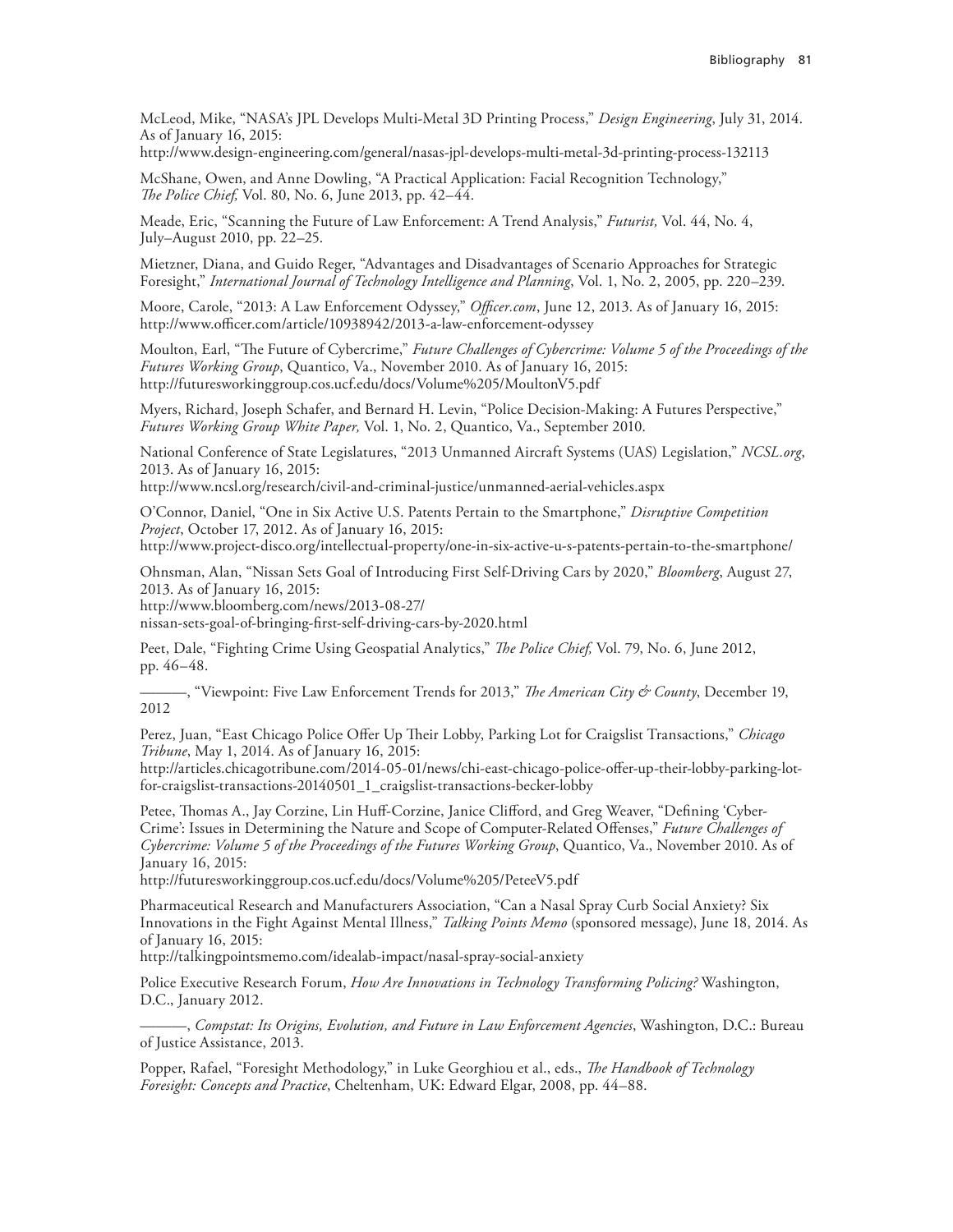McLeod, Mike, "NASA's JPL Develops Multi-Metal 3D Printing Process," *Design Engineering*, July 31, 2014. As of January 16, 2015:

<http://www.design-engineering.com/general/nasas-jpl-develops-multi-metal-3d-printing-process-132113>

McShane, Owen, and Anne Dowling, "A Practical Application: Facial Recognition Technology," *The Police Chief,* Vol. 80, No. 6, June 2013, pp. 42–44.

Meade, Eric, "Scanning the Future of Law Enforcement: A Trend Analysis," *Futurist,* Vol. 44, No. 4, July–August 2010, pp. 22–25.

Mietzner, Diana, and Guido Reger, "Advantages and Disadvantages of Scenario Approaches for Strategic Foresight," *International Journal of Technology Intelligence and Planning*, Vol. 1, No. 2, 2005, pp. 220–239.

Moore, Carole, "2013: A Law Enforcement Odyssey," *Officer.com*, June 12, 2013. As of January 16, 2015: <http://www.officer.com/article/10938942/2013-a-law-enforcement-odyssey>

Moulton, Earl, "The Future of Cybercrime," *Future Challenges of Cybercrime: Volume 5 of the Proceedings of the Futures Working Group*, Quantico, Va., November 2010. As of January 16, 2015: <http://futuresworkinggroup.cos.ucf.edu/docs/Volume%205/MoultonV5.pdf>

Myers, Richard, Joseph Schafer, and Bernard H. Levin, "Police Decision-Making: A Futures Perspective," *Futures Working Group White Paper,* Vol. 1, No. 2, Quantico, Va., September 2010.

National Conference of State Legislatures, "2013 Unmanned Aircraft Systems (UAS) Legislation," *NCSL.org*, 2013. As of January 16, 2015:

<http://www.ncsl.org/research/civil-and-criminal-justice/unmanned-aerial-vehicles.aspx>

O'Connor, Daniel, "One in Six Active U.S. Patents Pertain to the Smartphone," *Disruptive Competition Project*, October 17, 2012. As of January 16, 2015:

<http://www.project-disco.org/intellectual-property/one-in-six-active-u-s-patents-pertain-to-the-smartphone/>

Ohnsman, Alan, "Nissan Sets Goal of Introducing First Self-Driving Cars by 2020," *Bloomberg*, August 27, 2013. As of January 16, 2015:

http://www.bloomberg.com/news/2013-08-27/

[nissan-sets-goal-of-bringing-first-self-driving-cars-by-2020.html](http://www.bloomberg.com/news/2013-08-27/nissan-sets-goal-of-bringing-first-self-driving-cars-by-2020.html)

Peet, Dale, "Fighting Crime Using Geospatial Analytics," *The Police Chief,* Vol. 79, No. 6, June 2012, pp. 46–48.

———, "Viewpoint: Five Law Enforcement Trends for 2013," *The American City & County*, December 19, 2012

Perez, Juan, "East Chicago Police Offer Up Their Lobby, Parking Lot for Craigslist Transactions," *Chicago Tribune*, May 1, 2014. As of January 16, 2015:

[http://articles.chicagotribune.com/2014-05-01/news/chi-east-chicago-police-offer-up-their-lobby-parking-lot](http://articles.chicagotribune.com/2014-05-01/news/chi-east-chicago-police-offer-up-their-lobby-parking-lot-for-craigslist-transactions-20140501_1_craigslist-transactions-becker-lobby)for-craigslist-transactions-20140501\_1\_craigslist-transactions-becker-lobby

Petee, Thomas A., Jay Corzine, Lin Huff-Corzine, Janice Clifford, and Greg Weaver, "Defining 'Cyber-Crime': Issues in Determining the Nature and Scope of Computer-Related Offenses," *Future Challenges of Cybercrime: Volume 5 of the Proceedings of the Futures Working Group*, Quantico, Va., November 2010. As of January 16, 2015:

<http://futuresworkinggroup.cos.ucf.edu/docs/Volume%205/PeteeV5.pdf>

Pharmaceutical Research and Manufacturers Association, "Can a Nasal Spray Curb Social Anxiety? Six Innovations in the Fight Against Mental Illness," *Talking Points Memo* (sponsored message), June 18, 2014. As of January 16, 2015:

<http://talkingpointsmemo.com/idealab-impact/nasal-spray-social-anxiety>

Police Executive Research Forum, *How Are Innovations in Technology Transforming Policing?* Washington, D.C., January 2012.

———, *Compstat: Its Origins, Evolution, and Future in Law Enforcement Agencies*, Washington, D.C.: Bureau of Justice Assistance, 2013.

Popper, Rafael, "Foresight Methodology," in Luke Georghiou et al., eds., *The Handbook of Technology Foresight: Concepts and Practice*, Cheltenham, UK: Edward Elgar, 2008, pp. 44–88.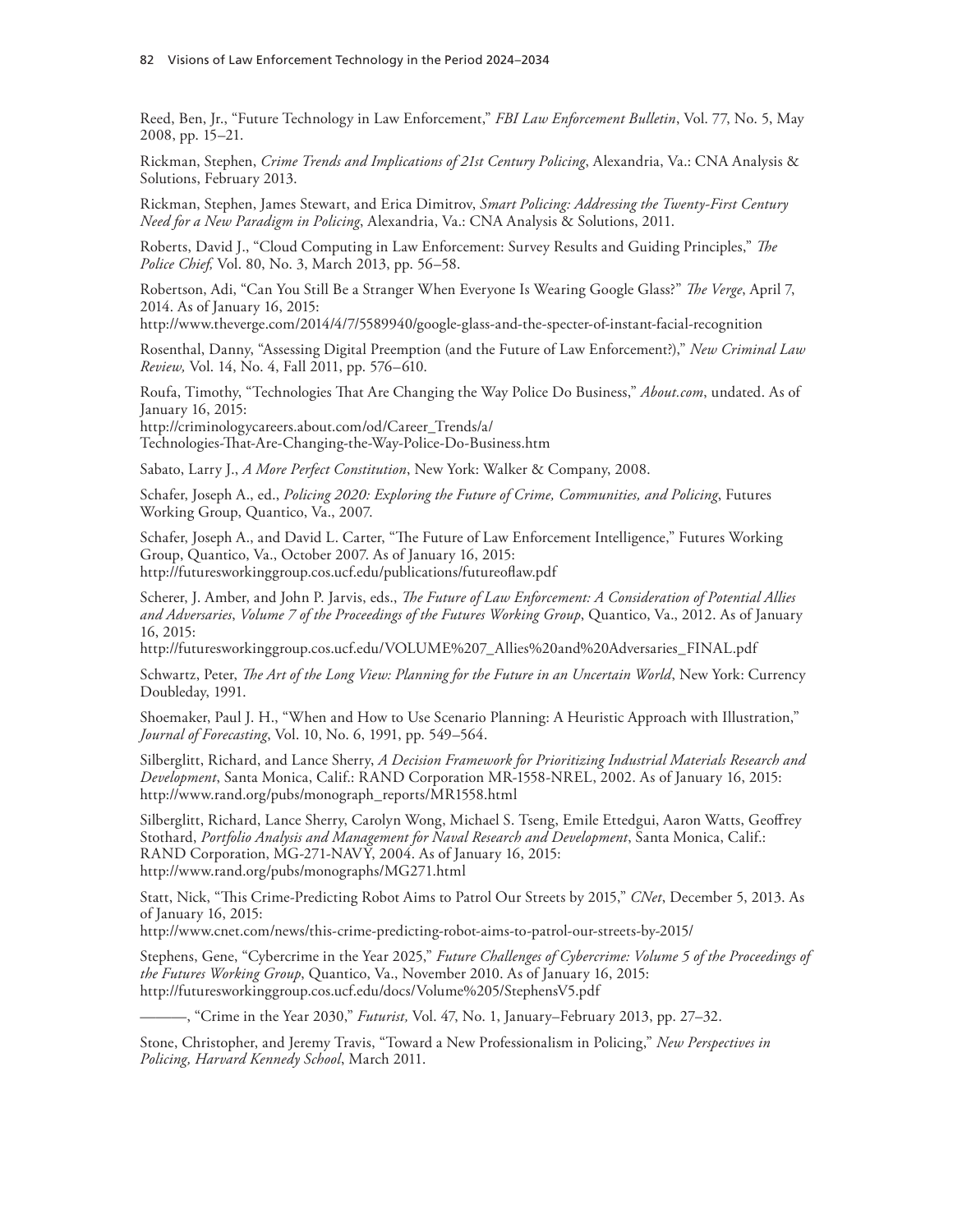Reed, Ben, Jr., "Future Technology in Law Enforcement," *FBI Law Enforcement Bulletin*, Vol. 77, No. 5, May 2008, pp. 15–21.

Rickman, Stephen, *Crime Trends and Implications of 21st Century Policing*, Alexandria, Va.: CNA Analysis & Solutions, February 2013.

Rickman, Stephen, James Stewart, and Erica Dimitrov, *Smart Policing: Addressing the Twenty-First Century Need for a New Paradigm in Policing*, Alexandria, Va.: CNA Analysis & Solutions, 2011.

Roberts, David J., "Cloud Computing in Law Enforcement: Survey Results and Guiding Principles," *The Police Chief,* Vol. 80, No. 3, March 2013, pp. 56–58.

Robertson, Adi, "Can You Still Be a Stranger When Everyone Is Wearing Google Glass?" *The Verge*, April 7, 2014. As of January 16, 2015:

<http://www.theverge.com/2014/4/7/5589940/google-glass-and-the-specter-of-instant-facial-recognition>

Rosenthal, Danny, "Assessing Digital Preemption (and the Future of Law Enforcement?)," *New Criminal Law Review,* Vol. 14, No. 4, Fall 2011, pp. 576–610.

Roufa, Timothy, "Technologies That Are Changing the Way Police Do Business," *About.com*, undated. As of January 16, 2015:

http://criminologycareers.about.com/od/Career\_Trends/a/ [Technologies-That-Are-Changing-the-Way-Police-Do-Business.htm](http://criminologycareers.about.com/od/Career_Trends/a/Technologies-That-Are-Changing-the-Way-Police-Do-Business.htm) 

Sabato, Larry J., *A More Perfect Constitution*, New York: Walker & Company, 2008.

Schafer, Joseph A., ed., *Policing 2020: Exploring the Future of Crime, Communities, and Policing*, Futures Working Group, Quantico, Va., 2007.

Schafer, Joseph A., and David L. Carter, "The Future of Law Enforcement Intelligence," Futures Working Group, Quantico, Va., October 2007. As of January 16, 2015: <http://futuresworkinggroup.cos.ucf.edu/publications/futureoflaw.pdf>

Scherer, J. Amber, and John P. Jarvis, eds., *The Future of Law Enforcement: A Consideration of Potential Allies and Adversaries*, *Volume 7 of the Proceedings of the Futures Working Group*, Quantico, Va., 2012. As of January 16, 2015:

[http://futuresworkinggroup.cos.ucf.edu/VOLUME%207\\_Allies%20and%20Adversaries\\_FINAL.pdf](http://futuresworkinggroup.cos.ucf.edu/VOLUME%207_Allies%20and%20Adversaries_FINAL.pdf) 

Schwartz, Peter, *The Art of the Long View: Planning for the Future in an Uncertain World*, New York: Currency Doubleday, 1991.

Shoemaker, Paul J. H., "When and How to Use Scenario Planning: A Heuristic Approach with Illustration," *Journal of Forecasting*, Vol. 10, No. 6, 1991, pp. 549–564.

Silberglitt, Richard, and Lance Sherry, *A Decision Framework for Prioritizing Industrial Materials Research and Development*, Santa Monica, Calif.: RAND Corporation MR-1558-NREL, 2002. As of January 16, 2015: [http://www.rand.org/pubs/monograph\\_reports/MR1558.html](http://www.rand.org/pubs/monograph_reports/MR1558.html)

Silberglitt, Richard, Lance Sherry, Carolyn Wong, Michael S. Tseng, Emile Ettedgui, Aaron Watts, Geoffrey Stothard, *Portfolio Analysis and Management for Naval Research and Development*, Santa Monica, Calif.: RAND Corporation, MG-271-NAVY, 2004. As of January 16, 2015: <http://www.rand.org/pubs/monographs/MG271.html>

Statt, Nick, "This Crime-Predicting Robot Aims to Patrol Our Streets by 2015," *CNet*, December 5, 2013. As of January 16, 2015:

<http://www.cnet.com/news/this-crime-predicting-robot-aims-to-patrol-our-streets-by-2015/>

Stephens, Gene, "Cybercrime in the Year 2025," *Future Challenges of Cybercrime: Volume 5 of the Proceedings of the Futures Working Group*, Quantico, Va., November 2010. As of January 16, 2015: <http://futuresworkinggroup.cos.ucf.edu/docs/Volume%205/StephensV5.pdf>

———, "Crime in the Year 2030," *Futurist,* Vol. 47, No. 1, January–February 2013, pp. 27–32.

Stone, Christopher, and Jeremy Travis, "Toward a New Professionalism in Policing," *New Perspectives in Policing, Harvard Kennedy School*, March 2011.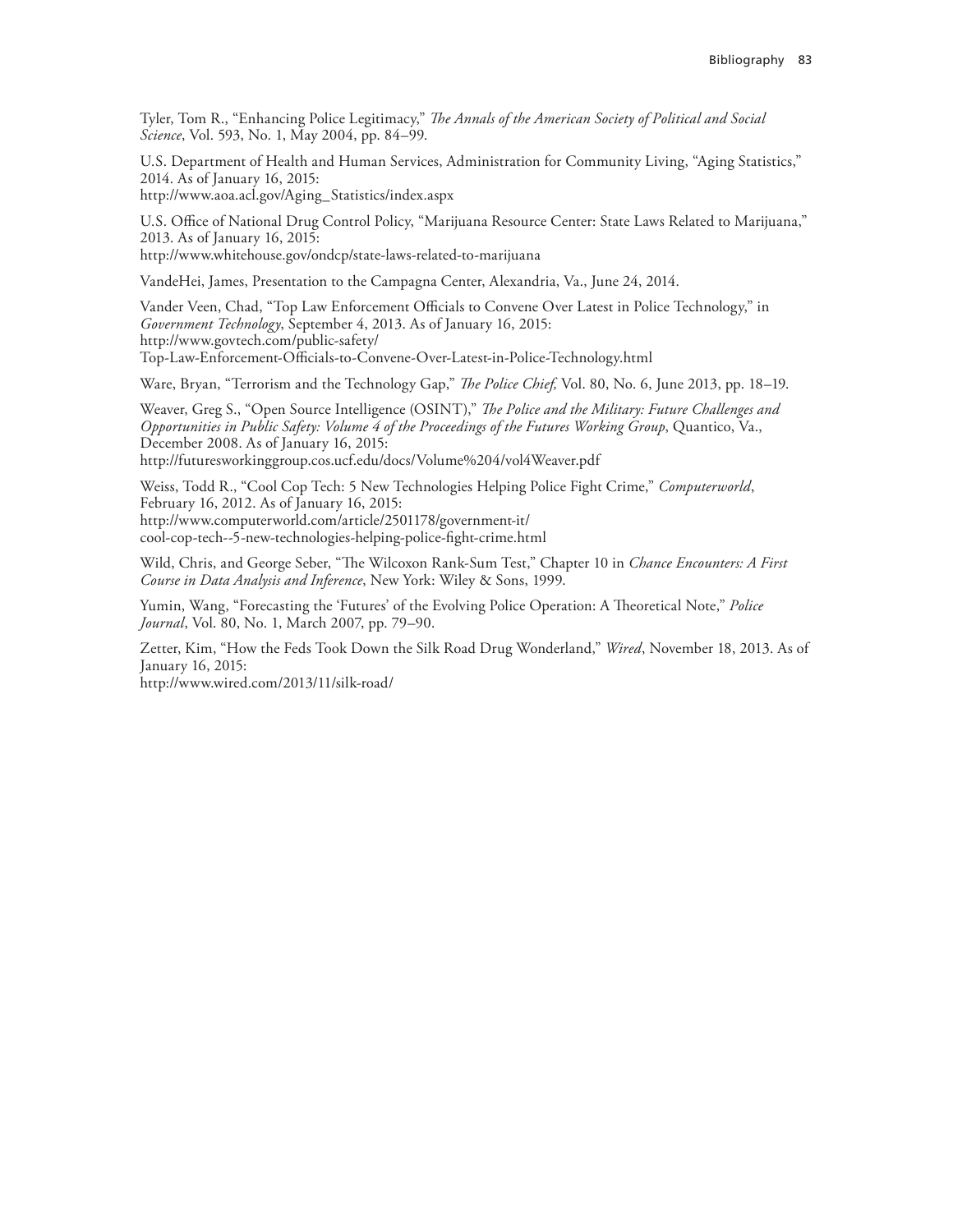Tyler, Tom R., "Enhancing Police Legitimacy," *The Annals of the American Society of Political and Social Science*, Vol. 593, No. 1, May 2004, pp. 84–99.

U.S. Department of Health and Human Services, Administration for Community Living, "Aging Statistics," 2014. As of January 16, 2015: [http://www.aoa.acl.gov/Aging\\_Statistics/index.aspx](http://www.aoa.acl.gov/Aging_Statistics/index.aspx) 

U.S. Office of National Drug Control Policy, "Marijuana Resource Center: State Laws Related to Marijuana,"

2013. As of January 16, 2015: <http://www.whitehouse.gov/ondcp/state-laws-related-to-marijuana>

VandeHei, James, Presentation to the Campagna Center, Alexandria, Va., June 24, 2014.

Vander Veen, Chad, "Top Law Enforcement Officials to Convene Over Latest in Police Technology," in *Government Technology*, September 4, 2013. As of January 16, 2015: http://www.govtech.com/public-safety/ [Top-Law-Enforcement-Officials-to-Convene-Over-Latest-in-Police-Technology.html](http://www.govtech.com/public-safety/Top-Law-Enforcement-Officials-to-Convene-Over-Latest-in-Police-Technology.html) 

Ware, Bryan, "Terrorism and the Technology Gap," *The Police Chief,* Vol. 80, No. 6, June 2013, pp. 18–19.

Weaver, Greg S., "Open Source Intelligence (OSINT)," *The Police and the Military: Future Challenges and Opportunities in Public Safety: Volume 4 of the Proceedings of the Futures Working Group*, Quantico, Va., December 2008. As of January 16, 2015:

<http://futuresworkinggroup.cos.ucf.edu/docs/Volume%204/vol4Weaver.pdf>

Weiss, Todd R., "Cool Cop Tech: 5 New Technologies Helping Police Fight Crime," *Computerworld*, February 16, 2012. As of January 16, 2015: http://www.computerworld.com/article/2501178/government-it/ [cool-cop-tech--5-new-technologies-helping-police-fight-crime.html](http://www.computerworld.com/article/2501178/government-it/cool-cop-tech--5-new-technologies-helping-police-fight-crime.html)

Wild, Chris, and George Seber, "The Wilcoxon Rank-Sum Test," Chapter 10 in *Chance Encounters: A First Course in Data Analysis and Inference*, New York: Wiley & Sons, 1999.

Yumin, Wang, "Forecasting the 'Futures' of the Evolving Police Operation: A Theoretical Note," *Police Journal*, Vol. 80, No. 1, March 2007, pp. 79–90.

Zetter, Kim, "How the Feds Took Down the Silk Road Drug Wonderland," *Wired*, November 18, 2013. As of January 16, 2015:

<http://www.wired.com/2013/11/silk-road/>